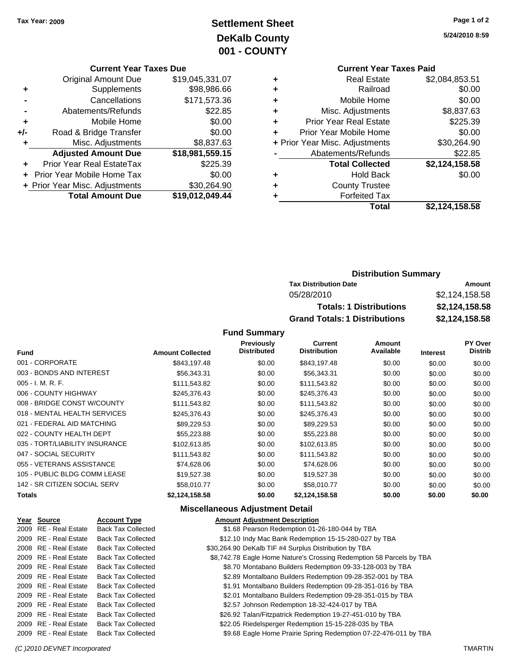# **Settlement Sheet Tax Year: 2009 Page 1 of 2 DeKalb County 001 - COUNTY**

**5/24/2010 8:59**

| <b>Current Year Taxes Due</b> |  |  |  |
|-------------------------------|--|--|--|
|-------------------------------|--|--|--|

|     | <b>Original Amount Due</b>       | \$19,045,331.07 |
|-----|----------------------------------|-----------------|
| ٠   | Supplements                      | \$98,986.66     |
|     | Cancellations                    | \$171,573.36    |
|     | Abatements/Refunds               | \$22.85         |
| ٠   | Mobile Home                      | \$0.00          |
| +/- | Road & Bridge Transfer           | \$0.00          |
| ٠   | Misc. Adjustments                | \$8,837.63      |
|     | <b>Adjusted Amount Due</b>       | \$18,981,559.15 |
|     | <b>Prior Year Real EstateTax</b> | \$225.39        |
|     | Prior Year Mobile Home Tax       | \$0.00          |
|     | + Prior Year Misc. Adjustments   | \$30,264.90     |
|     | <b>Total Amount Due</b>          | \$19,012,049.44 |

#### **Current Year Taxes Paid +** Real Estate \$2,084,853.51 **+** Railroad \$0.00 **+** Mobile Home \$0.00 **+** Misc. Adjustments \$8,837.63 **+** Prior Year Real Estate \$225.39 **+** Prior Year Mobile Home \$0.00

|           | Total                          | \$2,124,158.58 |
|-----------|--------------------------------|----------------|
|           | <b>Forfeited Tax</b>           |                |
| $\ddot{}$ | <b>County Trustee</b>          |                |
| $\ddot{}$ | <b>Hold Back</b>               | \$0.00         |
|           | <b>Total Collected</b>         | \$2,124,158.58 |
|           | Abatements/Refunds             | \$22.85        |
|           | + Prior Year Misc. Adjustments | \$30,264.90    |

### **Distribution Summary**

| <b>Tax Distribution Date</b>         | Amount         |
|--------------------------------------|----------------|
| 05/28/2010                           | \$2.124.158.58 |
| <b>Totals: 1 Distributions</b>       | \$2,124,158.58 |
| <b>Grand Totals: 1 Distributions</b> | \$2,124,158.58 |

#### **Fund Summary**

| <b>Fund</b>                    | <b>Amount Collected</b> | <b>Previously</b><br><b>Distributed</b> | Current<br><b>Distribution</b> | Amount<br>Available | <b>Interest</b> | <b>PY Over</b><br><b>Distrib</b> |
|--------------------------------|-------------------------|-----------------------------------------|--------------------------------|---------------------|-----------------|----------------------------------|
|                                |                         |                                         |                                |                     |                 |                                  |
| 001 - CORPORATE                | \$843,197.48            | \$0.00                                  | \$843,197.48                   | \$0.00              | \$0.00          | \$0.00                           |
| 003 - BONDS AND INTEREST       | \$56,343.31             | \$0.00                                  | \$56,343.31                    | \$0.00              | \$0.00          | \$0.00                           |
| $005 - I. M. R. F.$            | \$111,543.82            | \$0.00                                  | \$111,543.82                   | \$0.00              | \$0.00          | \$0.00                           |
| 006 - COUNTY HIGHWAY           | \$245,376.43            | \$0.00                                  | \$245,376.43                   | \$0.00              | \$0.00          | \$0.00                           |
| 008 - BRIDGE CONST W/COUNTY    | \$111,543.82            | \$0.00                                  | \$111,543.82                   | \$0.00              | \$0.00          | \$0.00                           |
| 018 - MENTAL HEALTH SERVICES   | \$245.376.43            | \$0.00                                  | \$245,376.43                   | \$0.00              | \$0.00          | \$0.00                           |
| 021 - FEDERAL AID MATCHING     | \$89,229.53             | \$0.00                                  | \$89,229.53                    | \$0.00              | \$0.00          | \$0.00                           |
| 022 - COUNTY HEALTH DEPT       | \$55,223.88             | \$0.00                                  | \$55,223.88                    | \$0.00              | \$0.00          | \$0.00                           |
| 035 - TORT/LIABILITY INSURANCE | \$102,613.85            | \$0.00                                  | \$102.613.85                   | \$0.00              | \$0.00          | \$0.00                           |
| 047 - SOCIAL SECURITY          | \$111,543.82            | \$0.00                                  | \$111,543.82                   | \$0.00              | \$0.00          | \$0.00                           |
| 055 - VETERANS ASSISTANCE      | \$74,628.06             | \$0.00                                  | \$74,628.06                    | \$0.00              | \$0.00          | \$0.00                           |
| 105 - PUBLIC BLDG COMM LEASE   | \$19,527.38             | \$0.00                                  | \$19,527.38                    | \$0.00              | \$0.00          | \$0.00                           |
| 142 - SR CITIZEN SOCIAL SERV   | \$58,010.77             | \$0.00                                  | \$58,010.77                    | \$0.00              | \$0.00          | \$0.00                           |
| Totals                         | \$2,124,158.58          | \$0.00                                  | \$2,124,158.58                 | \$0.00              | \$0.00          | \$0.00                           |

#### **Miscellaneous Adjustment Detail**

| Year Source           | <b>Account Type</b>       | <b>Amount Adjustment Description</b>                                 |
|-----------------------|---------------------------|----------------------------------------------------------------------|
| 2009 RE - Real Estate | <b>Back Tax Collected</b> | \$1.68 Pearson Redemption 01-26-180-044 by TBA                       |
| 2009 RE - Real Estate | <b>Back Tax Collected</b> | \$12.10 Indy Mac Bank Redemption 15-15-280-027 by TBA                |
| 2008 RE - Real Estate | <b>Back Tax Collected</b> | \$30,264.90 DeKalb TIF #4 Surplus Distribution by TBA                |
| 2009 RE - Real Estate | <b>Back Tax Collected</b> | \$8,742.78 Eagle Home Nature's Crossing Redemption 58 Parcels by TBA |
| 2009 RE - Real Estate | <b>Back Tax Collected</b> | \$8.70 Montabano Builders Redemption 09-33-128-003 by TBA            |
| 2009 RE - Real Estate | <b>Back Tax Collected</b> | \$2.89 Montalbano Builders Redemption 09-28-352-001 by TBA           |
| 2009 RE - Real Estate | <b>Back Tax Collected</b> | \$1.91 Montalbano Builders Redemption 09-28-351-016 by TBA           |
| 2009 RE - Real Estate | <b>Back Tax Collected</b> | \$2.01 Montalbano Builders Redemption 09-28-351-015 by TBA           |
| 2009 RE - Real Estate | <b>Back Tax Collected</b> | \$2.57 Johnson Redemption 18-32-424-017 by TBA                       |
| 2009 RE - Real Estate | <b>Back Tax Collected</b> | \$26.92 Talan/Fitzpatrick Redemption 19-27-451-010 by TBA            |
| 2009 RE - Real Estate | <b>Back Tax Collected</b> | \$22.05 Riedelsperger Redemption 15-15-228-035 by TBA                |
| 2009 RE - Real Estate | <b>Back Tax Collected</b> | \$9.68 Eagle Home Prairie Spring Redemption 07-22-476-011 by TBA     |

#### *(C )2010 DEVNET Incorporated* TMARTIN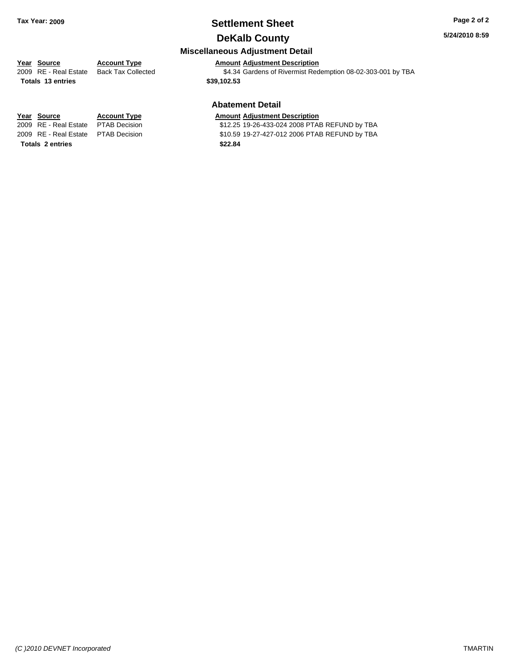### **Settlement Sheet Tax Year: 2009 Page 2 of 2 DeKalb County**

#### **5/24/2010 8:59**

### **Miscellaneous Adjustment Detail**

### **Year Source Account Type Amount Adjustment Description**

2009 RE - Real Estate Back Tax Collected \$4.34 Gardens of Rivermist Redemption 08-02-303-001 by TBA

**Totals 13 entries \$39,102.53**

#### **Abatement Detail**

#### **Year Source Account Type Amount Adjustment Description**

2009 RE - Real Estate PTAB Decision \$12.25 19-26-433-024 2008 PTAB REFUND by TBA 2009 RE - Real Estate PTAB Decision \$10.59 19-27-427-012 2006 PTAB REFUND by TBA

**Totals 2 entries \$22.84**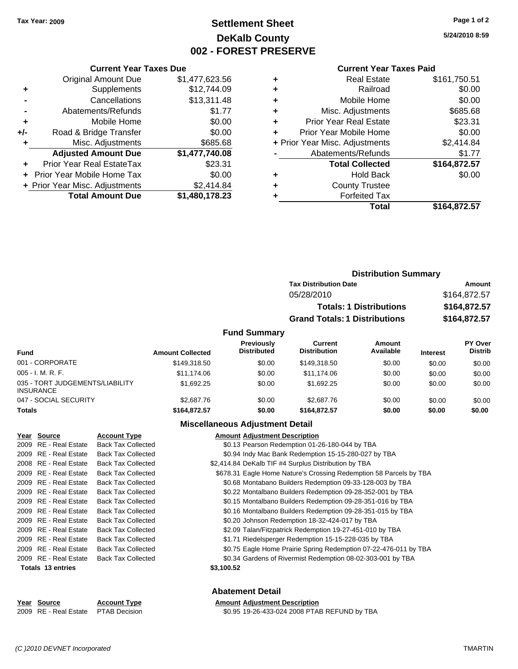### **Settlement Sheet Tax Year: 2009 Page 1 of 2 DeKalb County 002 - FOREST PRESERVE**

**5/24/2010 8:59**

#### **Current Year Taxes Paid**

|       | <b>Current Year Taxes Due</b>    |                |
|-------|----------------------------------|----------------|
|       | <b>Original Amount Due</b>       | \$1,477,623.56 |
| ٠     | Supplements                      | \$12,744.09    |
|       | Cancellations                    | \$13,311.48    |
|       | Abatements/Refunds               | \$1.77         |
| ٠     | Mobile Home                      | \$0.00         |
| $+/-$ | Road & Bridge Transfer           | \$0.00         |
|       | Misc. Adjustments                | \$685.68       |
|       | <b>Adjusted Amount Due</b>       | \$1,477,740.08 |
| ٠     | <b>Prior Year Real EstateTax</b> | \$23.31        |
|       | Prior Year Mobile Home Tax       | \$0.00         |
|       | + Prior Year Misc. Adjustments   | \$2,414.84     |
|       | <b>Total Amount Due</b>          | \$1,480,178.23 |

| ٠ | Real Estate                    | \$161,750.51 |
|---|--------------------------------|--------------|
| ٠ | Railroad                       | \$0.00       |
| ٠ | Mobile Home                    | \$0.00       |
| ٠ | Misc. Adjustments              | \$685.68     |
| ٠ | <b>Prior Year Real Estate</b>  | \$23.31      |
|   | Prior Year Mobile Home         | \$0.00       |
|   | + Prior Year Misc. Adjustments | \$2,414.84   |
|   | Abatements/Refunds             | \$1.77       |
|   | <b>Total Collected</b>         | \$164,872.57 |
| ٠ | <b>Hold Back</b>               | \$0.00       |
| ٠ | <b>County Trustee</b>          |              |
|   | <b>Forfeited Tax</b>           |              |
|   | Total                          | \$164,872.57 |
|   |                                |              |

|                         |                                         |                                       | <b>Distribution Summary</b>    |                 |                                  |
|-------------------------|-----------------------------------------|---------------------------------------|--------------------------------|-----------------|----------------------------------|
|                         |                                         | <b>Tax Distribution Date</b>          |                                |                 | Amount                           |
|                         |                                         | 05/28/2010                            |                                |                 | \$164,872.57                     |
|                         |                                         |                                       | <b>Totals: 1 Distributions</b> |                 | \$164,872.57                     |
|                         |                                         | <b>Grand Totals: 1 Distributions</b>  |                                |                 | \$164,872.57                     |
|                         | <b>Fund Summary</b>                     |                                       |                                |                 |                                  |
| <b>Amount Collected</b> | <b>Previously</b><br><b>Distributed</b> | <b>Current</b><br><b>Distribution</b> | Amount<br>Available            | <b>Interest</b> | <b>PY Over</b><br><b>Distrib</b> |
| \$149,318.50            | \$0.00                                  | \$149,318.50                          | \$0.00                         | \$0.00          | \$0.00                           |

| <b>Fund</b>                                         | <b>Amount Collected</b> | <b>Distributed</b> | <b>Distribution</b> | Available | <b>Interest</b> | Distrib |
|-----------------------------------------------------|-------------------------|--------------------|---------------------|-----------|-----------------|---------|
| 001 - CORPORATE                                     | \$149,318.50            | \$0.00             | \$149.318.50        | \$0.00    | \$0.00          | \$0.00  |
| $005 - I. M. R. F.$                                 | \$11,174.06             | \$0.00             | \$11.174.06         | \$0.00    | \$0.00          | \$0.00  |
| 035 - TORT JUDGEMENTS/LIABILITY<br><b>INSURANCE</b> | \$1,692.25              | \$0.00             | \$1.692.25          | \$0.00    | \$0.00          | \$0.00  |
| 047 - SOCIAL SECURITY                               | \$2,687.76              | \$0.00             | \$2,687.76          | \$0.00    | \$0.00          | \$0.00  |
| <b>Totals</b>                                       | \$164,872.57            | \$0.00             | \$164,872.57        | \$0.00    | \$0.00          | \$0.00  |

#### **Miscellaneous Adjustment Detail**

| Year Source           | <b>Account Type</b>       | <b>Amount Adjustment Description</b>                               |  |
|-----------------------|---------------------------|--------------------------------------------------------------------|--|
| 2009 RE - Real Estate | <b>Back Tax Collected</b> | \$0.13 Pearson Redemption 01-26-180-044 by TBA                     |  |
| 2009 RE - Real Estate | <b>Back Tax Collected</b> | \$0.94 Indy Mac Bank Redemption 15-15-280-027 by TBA               |  |
| 2008 RE - Real Estate | <b>Back Tax Collected</b> | \$2,414.84 DeKalb TIF #4 Surplus Distribution by TBA               |  |
| 2009 RE - Real Estate | <b>Back Tax Collected</b> | \$678.31 Eagle Home Nature's Crossing Redemption 58 Parcels by TBA |  |
| 2009 RE - Real Estate | <b>Back Tax Collected</b> | \$0.68 Montabano Builders Redemption 09-33-128-003 by TBA          |  |
| 2009 RE - Real Estate | <b>Back Tax Collected</b> | \$0.22 Montalbano Builders Redemption 09-28-352-001 by TBA         |  |
| 2009 RE - Real Estate | <b>Back Tax Collected</b> | \$0.15 Montalbano Builders Redemption 09-28-351-016 by TBA         |  |
| 2009 RE - Real Estate | <b>Back Tax Collected</b> | \$0.16 Montalbano Builders Redemption 09-28-351-015 by TBA         |  |
| 2009 RE - Real Estate | <b>Back Tax Collected</b> | \$0.20 Johnson Redemption 18-32-424-017 by TBA                     |  |
| 2009 RE - Real Estate | <b>Back Tax Collected</b> | \$2.09 Talan/Fitzpatrick Redemption 19-27-451-010 by TBA           |  |
| 2009 RE - Real Estate | <b>Back Tax Collected</b> | \$1.71 Riedelsperger Redemption 15-15-228-035 by TBA               |  |
| 2009 RE - Real Estate | <b>Back Tax Collected</b> | \$0.75 Eagle Home Prairie Spring Redemption 07-22-476-011 by TBA   |  |
| 2009 RE - Real Estate | <b>Back Tax Collected</b> | \$0.34 Gardens of Rivermist Redemption 08-02-303-001 by TBA        |  |
| Totals 13 entries     |                           | \$3,100.52                                                         |  |
|                       |                           |                                                                    |  |
|                       |                           | Ahatement Detail                                                   |  |
|                       |                           |                                                                    |  |

#### **Abatement Detail Year Source Account Type Amount Adjustment Description**

2009 RE - Real Estate PTAB Decision \$0.95 19-26-433-024 2008 PTAB REFUND by TBA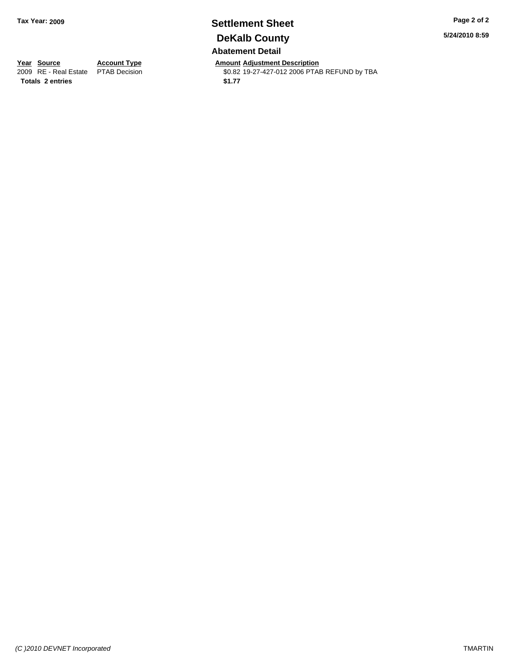### **Settlement Sheet Tax Year: 2009 Page 2 of 2 DeKalb County Abatement Detail**

**5/24/2010 8:59**

**Totals 2 entries \$1.77**

**Year Source Account Type Amount Adjustment Description**<br> **Amount Adjustment Description**<br> **Amount Adjustment Description**<br> **Amount Adjustment Description** \$0.82 19-27-427-012 2006 PTAB REFUND by TBA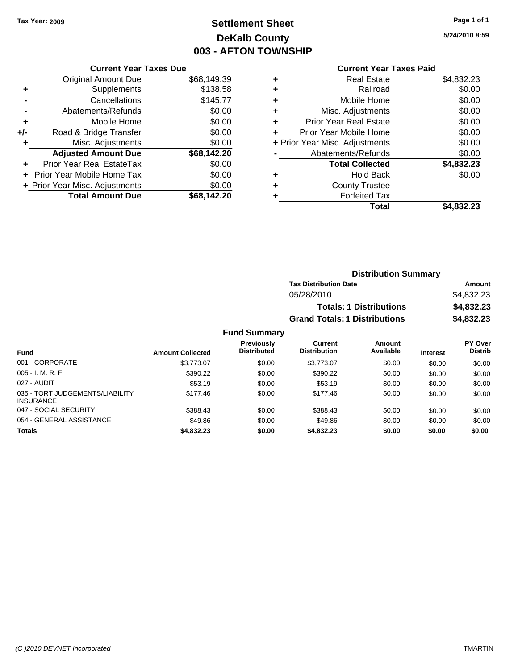# **Settlement Sheet Tax Year: 2009 Page 1 of 1 DeKalb County 003 - AFTON TOWNSHIP**

**5/24/2010 8:59**

|     | <b>Current Year Taxes Due</b> |             |  |  |  |  |
|-----|-------------------------------|-------------|--|--|--|--|
|     | <b>Original Amount Due</b>    | \$68,149.39 |  |  |  |  |
| ٠   | Supplements                   | \$138.58    |  |  |  |  |
|     | Cancellations                 | \$145.77    |  |  |  |  |
|     | Abatements/Refunds            | \$0.00      |  |  |  |  |
| ٠   | Mobile Home                   | \$0.00      |  |  |  |  |
| +/- | Road & Bridge Transfer        | \$0.00      |  |  |  |  |
| ÷   | Misc. Adjustments             | \$0.00      |  |  |  |  |
|     | <b>Adjusted Amount Due</b>    | \$68,142.20 |  |  |  |  |
|     | Prior Year Real EstateTax     | \$0.00      |  |  |  |  |

| <b>Total Amount Due</b>        | \$68,142.20 |
|--------------------------------|-------------|
| + Prior Year Misc. Adjustments | \$0.00      |
| + Prior Year Mobile Home Tax   | \$0.00      |

### **Current Year Taxes Paid**

|   | Total                          | \$4.832.23 |
|---|--------------------------------|------------|
|   | <b>Forfeited Tax</b>           |            |
| ٠ | <b>County Trustee</b>          |            |
| ٠ | <b>Hold Back</b>               | \$0.00     |
|   | <b>Total Collected</b>         | \$4,832.23 |
|   | Abatements/Refunds             | \$0.00     |
|   | + Prior Year Misc. Adjustments | \$0.00     |
|   | Prior Year Mobile Home         | \$0.00     |
|   | <b>Prior Year Real Estate</b>  | \$0.00     |
| ٠ | Misc. Adjustments              | \$0.00     |
| ٠ | Mobile Home                    | \$0.00     |
| ٠ | Railroad                       | \$0.00     |
|   | <b>Real Estate</b>             | \$4,832.23 |

| <b>Distribution Summary</b>          |            |
|--------------------------------------|------------|
| <b>Tax Distribution Date</b>         | Amount     |
| 05/28/2010                           | \$4,832.23 |
| <b>Totals: 1 Distributions</b>       | \$4,832.23 |
| <b>Grand Totals: 1 Distributions</b> | \$4,832.23 |

#### **Fund Summary**

|                                                     |                         | <b>Previously</b>  | Current             | Amount    |                 | <b>PY Over</b> |
|-----------------------------------------------------|-------------------------|--------------------|---------------------|-----------|-----------------|----------------|
| <b>Fund</b>                                         | <b>Amount Collected</b> | <b>Distributed</b> | <b>Distribution</b> | Available | <b>Interest</b> | <b>Distrib</b> |
| 001 - CORPORATE                                     | \$3.773.07              | \$0.00             | \$3.773.07          | \$0.00    | \$0.00          | \$0.00         |
| $005 - I. M. R. F.$                                 | \$390.22                | \$0.00             | \$390.22            | \$0.00    | \$0.00          | \$0.00         |
| 027 - AUDIT                                         | \$53.19                 | \$0.00             | \$53.19             | \$0.00    | \$0.00          | \$0.00         |
| 035 - TORT JUDGEMENTS/LIABILITY<br><b>INSURANCE</b> | \$177.46                | \$0.00             | \$177.46            | \$0.00    | \$0.00          | \$0.00         |
| 047 - SOCIAL SECURITY                               | \$388.43                | \$0.00             | \$388.43            | \$0.00    | \$0.00          | \$0.00         |
| 054 - GENERAL ASSISTANCE                            | \$49.86                 | \$0.00             | \$49.86             | \$0.00    | \$0.00          | \$0.00         |
| <b>Totals</b>                                       | \$4,832,23              | \$0.00             | \$4,832.23          | \$0.00    | \$0.00          | \$0.00         |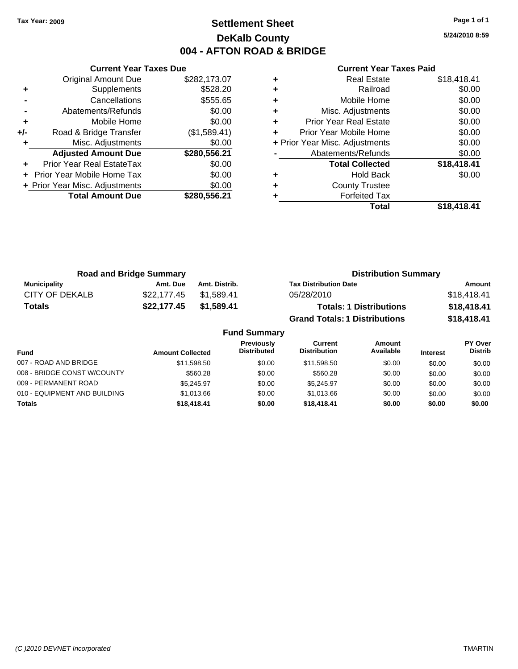### **Settlement Sheet Tax Year: 2009 Page 1 of 1 DeKalb County 004 - AFTON ROAD & BRIDGE**

**5/24/2010 8:59**

|                                         | <b>Current Year Taxes Due</b>  |              |  |  |  |
|-----------------------------------------|--------------------------------|--------------|--|--|--|
|                                         | <b>Original Amount Due</b>     | \$282,173.07 |  |  |  |
| ÷                                       | Supplements                    | \$528.20     |  |  |  |
|                                         | \$555.65<br>Cancellations      |              |  |  |  |
|                                         | Abatements/Refunds             | \$0.00       |  |  |  |
| ٠                                       | Mobile Home                    | \$0.00       |  |  |  |
| +/-                                     | Road & Bridge Transfer         | (\$1,589.41) |  |  |  |
|                                         | Misc. Adjustments              | \$0.00       |  |  |  |
|                                         | <b>Adjusted Amount Due</b>     | \$280,556.21 |  |  |  |
|                                         | Prior Year Real EstateTax      | \$0.00       |  |  |  |
|                                         | Prior Year Mobile Home Tax     | \$0.00       |  |  |  |
|                                         | + Prior Year Misc. Adjustments | \$0.00       |  |  |  |
| <b>Total Amount Due</b><br>\$280,556.21 |                                |              |  |  |  |
|                                         |                                |              |  |  |  |

| ٠ | <b>Real Estate</b>             | \$18,418.41 |
|---|--------------------------------|-------------|
| ٠ | Railroad                       | \$0.00      |
| ٠ | Mobile Home                    | \$0.00      |
| ٠ | Misc. Adjustments              | \$0.00      |
| ٠ | <b>Prior Year Real Estate</b>  | \$0.00      |
| ٠ | Prior Year Mobile Home         | \$0.00      |
|   | + Prior Year Misc. Adjustments | \$0.00      |
|   | Abatements/Refunds             | \$0.00      |
|   | <b>Total Collected</b>         | \$18,418.41 |
| ٠ | <b>Hold Back</b>               | \$0.00      |
| ٠ | <b>County Trustee</b>          |             |
| ٠ | <b>Forfeited Tax</b>           |             |
|   | Total                          | \$18,418.41 |

| <b>Road and Bridge Summary</b> |             |               | <b>Distribution Summary</b>          |             |
|--------------------------------|-------------|---------------|--------------------------------------|-------------|
| <b>Municipality</b>            | Amt. Due    | Amt. Distrib. | <b>Tax Distribution Date</b>         | Amount      |
| CITY OF DEKALB                 | \$22.177.45 | \$1.589.41    | 05/28/2010                           | \$18,418.41 |
| <b>Totals</b>                  | \$22,177.45 | \$1.589.41    | <b>Totals: 1 Distributions</b>       | \$18,418.41 |
|                                |             |               | <b>Grand Totals: 1 Distributions</b> | \$18,418.41 |

|                              |                         | <b>Fund Summary</b>                     |                                |                     |                 |                           |
|------------------------------|-------------------------|-----------------------------------------|--------------------------------|---------------------|-----------------|---------------------------|
| <b>Fund</b>                  | <b>Amount Collected</b> | <b>Previously</b><br><b>Distributed</b> | Current<br><b>Distribution</b> | Amount<br>Available | <b>Interest</b> | PY Over<br><b>Distrib</b> |
| 007 - ROAD AND BRIDGE        | \$11,598.50             | \$0.00                                  | \$11,598.50                    | \$0.00              | \$0.00          | \$0.00                    |
| 008 - BRIDGE CONST W/COUNTY  | \$560.28                | \$0.00                                  | \$560.28                       | \$0.00              | \$0.00          | \$0.00                    |
| 009 - PERMANENT ROAD         | \$5.245.97              | \$0.00                                  | \$5.245.97                     | \$0.00              | \$0.00          | \$0.00                    |
| 010 - EQUIPMENT AND BUILDING | \$1.013.66              | \$0.00                                  | \$1,013.66                     | \$0.00              | \$0.00          | \$0.00                    |
| <b>Totals</b>                | \$18,418.41             | \$0.00                                  | \$18,418,41                    | \$0.00              | \$0.00          | \$0.00                    |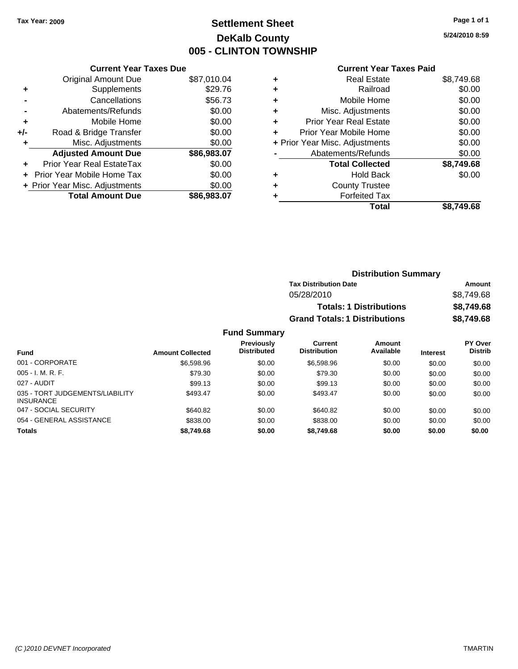## **Settlement Sheet Tax Year: 2009 Page 1 of 1 DeKalb County 005 - CLINTON TOWNSHIP**

**5/24/2010 8:59**

#### **Current Year Taxes Paid**

| <b>Current Year Taxes Due</b>          |             |  |  |  |
|----------------------------------------|-------------|--|--|--|
| <b>Original Amount Due</b>             | \$87,010.04 |  |  |  |
| Supplements                            | \$29.76     |  |  |  |
| Cancellations                          | \$56.73     |  |  |  |
| Abatements/Refunds                     | \$0.00      |  |  |  |
| Mobile Home                            | \$0.00      |  |  |  |
| Road & Bridge Transfer                 | \$0.00      |  |  |  |
| Misc. Adjustments                      | \$0.00      |  |  |  |
| <b>Adjusted Amount Due</b>             | \$86,983.07 |  |  |  |
| Prior Year Real EstateTax              | \$0.00      |  |  |  |
| <b>Prior Year Mobile Home Tax</b>      | \$0.00      |  |  |  |
| + Prior Year Misc. Adjustments         | \$0.00      |  |  |  |
| <b>Total Amount Due</b><br>\$86,983.07 |             |  |  |  |
|                                        |             |  |  |  |

| \$8,749.68 |
|------------|
| \$0.00     |
| \$0.00     |
| \$0.00     |
| \$0.00     |
| \$0.00     |
| \$0.00     |
| \$0.00     |
| \$8,749.68 |
| \$0.00     |
|            |
|            |
| \$8.749.68 |
|            |

| <b>Distribution Summary</b>          |            |
|--------------------------------------|------------|
| <b>Tax Distribution Date</b>         | Amount     |
| 05/28/2010                           | \$8.749.68 |
| <b>Totals: 1 Distributions</b>       | \$8,749.68 |
| <b>Grand Totals: 1 Distributions</b> | \$8,749.68 |

### **Fund Summary**

|                                                     |                         | <b>Previously</b>  | Current             | <b>Amount</b> |                 | <b>PY Over</b> |
|-----------------------------------------------------|-------------------------|--------------------|---------------------|---------------|-----------------|----------------|
| <b>Fund</b>                                         | <b>Amount Collected</b> | <b>Distributed</b> | <b>Distribution</b> | Available     | <b>Interest</b> | <b>Distrib</b> |
| 001 - CORPORATE                                     | \$6,598.96              | \$0.00             | \$6,598.96          | \$0.00        | \$0.00          | \$0.00         |
| $005 - I. M. R. F.$                                 | \$79.30                 | \$0.00             | \$79.30             | \$0.00        | \$0.00          | \$0.00         |
| 027 - AUDIT                                         | \$99.13                 | \$0.00             | \$99.13             | \$0.00        | \$0.00          | \$0.00         |
| 035 - TORT JUDGEMENTS/LIABILITY<br><b>INSURANCE</b> | \$493.47                | \$0.00             | \$493.47            | \$0.00        | \$0.00          | \$0.00         |
| 047 - SOCIAL SECURITY                               | \$640.82                | \$0.00             | \$640.82            | \$0.00        | \$0.00          | \$0.00         |
| 054 - GENERAL ASSISTANCE                            | \$838.00                | \$0.00             | \$838.00            | \$0.00        | \$0.00          | \$0.00         |
| <b>Totals</b>                                       | \$8,749.68              | \$0.00             | \$8,749.68          | \$0.00        | \$0.00          | \$0.00         |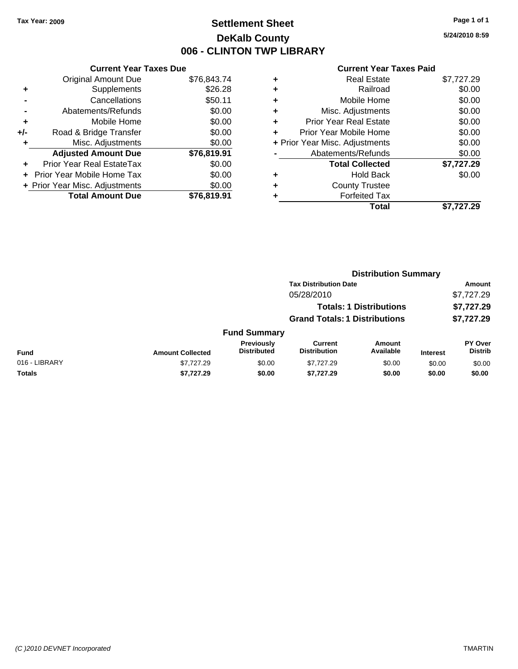### **Settlement Sheet Tax Year: 2009 Page 1 of 1 DeKalb County 006 - CLINTON TWP LIBRARY**

**5/24/2010 8:59**

|       | <b>Current Year Taxes Due</b>  |             |  |  |  |
|-------|--------------------------------|-------------|--|--|--|
|       | <b>Original Amount Due</b>     | \$76,843.74 |  |  |  |
| ÷     | Supplements                    | \$26.28     |  |  |  |
|       | Cancellations                  | \$50.11     |  |  |  |
|       | Abatements/Refunds             | \$0.00      |  |  |  |
| ٠     | Mobile Home                    | \$0.00      |  |  |  |
| $+/-$ | Road & Bridge Transfer         | \$0.00      |  |  |  |
|       | Misc. Adjustments              | \$0.00      |  |  |  |
|       | <b>Adjusted Amount Due</b>     | \$76,819.91 |  |  |  |
|       | Prior Year Real EstateTax      | \$0.00      |  |  |  |
|       | Prior Year Mobile Home Tax     | \$0.00      |  |  |  |
|       | + Prior Year Misc. Adjustments | \$0.00      |  |  |  |
|       | <b>Total Amount Due</b>        | \$76,819.91 |  |  |  |

|          | \$7,727.29                                                                                                                                                                                                                                                        |
|----------|-------------------------------------------------------------------------------------------------------------------------------------------------------------------------------------------------------------------------------------------------------------------|
| Railroad | \$0.00                                                                                                                                                                                                                                                            |
|          | \$0.00                                                                                                                                                                                                                                                            |
|          | \$0.00                                                                                                                                                                                                                                                            |
|          | \$0.00                                                                                                                                                                                                                                                            |
|          | \$0.00                                                                                                                                                                                                                                                            |
|          | \$0.00                                                                                                                                                                                                                                                            |
|          | \$0.00                                                                                                                                                                                                                                                            |
|          | \$7,727.29                                                                                                                                                                                                                                                        |
|          | \$0.00                                                                                                                                                                                                                                                            |
|          |                                                                                                                                                                                                                                                                   |
|          |                                                                                                                                                                                                                                                                   |
| Total    | \$7.727.29                                                                                                                                                                                                                                                        |
|          | <b>Real Estate</b><br>Mobile Home<br>Misc. Adjustments<br><b>Prior Year Real Estate</b><br>Prior Year Mobile Home<br>+ Prior Year Misc. Adjustments<br>Abatements/Refunds<br><b>Total Collected</b><br>Hold Back<br><b>County Trustee</b><br><b>Forfeited Tax</b> |

|               |                         | <b>Distribution Summary</b>      |                                       |                                |                 |                           |  |
|---------------|-------------------------|----------------------------------|---------------------------------------|--------------------------------|-----------------|---------------------------|--|
|               |                         |                                  | <b>Tax Distribution Date</b>          |                                |                 | <b>Amount</b>             |  |
|               |                         |                                  | 05/28/2010                            |                                |                 | \$7,727.29                |  |
|               |                         |                                  |                                       | <b>Totals: 1 Distributions</b> |                 | \$7,727.29                |  |
|               |                         |                                  | <b>Grand Totals: 1 Distributions</b>  |                                |                 | \$7,727.29                |  |
|               |                         | <b>Fund Summary</b>              |                                       |                                |                 |                           |  |
| <b>Fund</b>   | <b>Amount Collected</b> | Previously<br><b>Distributed</b> | <b>Current</b><br><b>Distribution</b> | Amount<br>Available            | <b>Interest</b> | PY Over<br><b>Distrib</b> |  |
| 016 - LIBRARY | \$7,727.29              | \$0.00                           | \$7,727.29                            | \$0.00                         | \$0.00          | \$0.00                    |  |
| Totals        | \$7,727.29              | \$0.00                           | \$7,727.29                            | \$0.00                         | \$0.00          | \$0.00                    |  |
|               |                         |                                  |                                       |                                |                 |                           |  |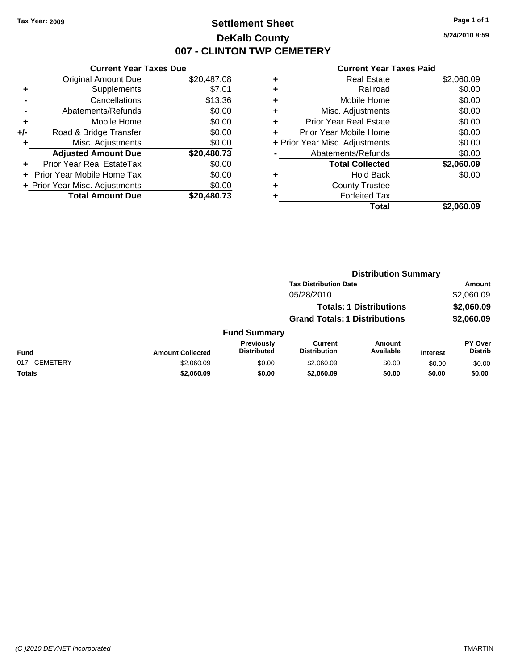### **Settlement Sheet Tax Year: 2009 Page 1 of 1 DeKalb County 007 - CLINTON TWP CEMETERY**

**5/24/2010 8:59**

|     | <b>Current Year Taxes Due</b>     |             |  |  |  |
|-----|-----------------------------------|-------------|--|--|--|
|     | <b>Original Amount Due</b>        | \$20,487.08 |  |  |  |
| ÷   | Supplements                       | \$7.01      |  |  |  |
|     | Cancellations                     | \$13.36     |  |  |  |
|     | Abatements/Refunds                | \$0.00      |  |  |  |
| ٠   | Mobile Home                       | \$0.00      |  |  |  |
| +/- | Road & Bridge Transfer            | \$0.00      |  |  |  |
| ٠   | Misc. Adjustments                 | \$0.00      |  |  |  |
|     | <b>Adjusted Amount Due</b>        | \$20,480.73 |  |  |  |
|     | Prior Year Real EstateTax         | \$0.00      |  |  |  |
|     | <b>Prior Year Mobile Home Tax</b> | \$0.00      |  |  |  |
|     | + Prior Year Misc. Adjustments    | \$0.00      |  |  |  |
|     | <b>Total Amount Due</b>           | \$20,480.73 |  |  |  |

| ٠ | <b>Real Estate</b>             | \$2,060.09 |
|---|--------------------------------|------------|
| ٠ | Railroad                       | \$0.00     |
| ٠ | Mobile Home                    | \$0.00     |
| ٠ | Misc. Adjustments              | \$0.00     |
| ٠ | <b>Prior Year Real Estate</b>  | \$0.00     |
| ٠ | Prior Year Mobile Home         | \$0.00     |
|   | + Prior Year Misc. Adjustments | \$0.00     |
|   | Abatements/Refunds             | \$0.00     |
|   | <b>Total Collected</b>         | \$2,060.09 |
| ٠ | <b>Hold Back</b>               | \$0.00     |
| ٠ | <b>County Trustee</b>          |            |
| ٠ | <b>Forfeited Tax</b>           |            |
|   | Total                          | \$2.060.09 |
|   |                                |            |

|                |                         |                                  | <b>Distribution Summary</b>           |                                |                 |                           |  |
|----------------|-------------------------|----------------------------------|---------------------------------------|--------------------------------|-----------------|---------------------------|--|
|                |                         |                                  | <b>Tax Distribution Date</b>          |                                |                 | <b>Amount</b>             |  |
|                |                         |                                  | 05/28/2010                            |                                |                 | \$2,060.09                |  |
|                |                         |                                  |                                       | <b>Totals: 1 Distributions</b> |                 | \$2,060.09                |  |
|                |                         |                                  | <b>Grand Totals: 1 Distributions</b>  |                                |                 | \$2,060.09                |  |
|                |                         | <b>Fund Summary</b>              |                                       |                                |                 |                           |  |
| <b>Fund</b>    | <b>Amount Collected</b> | Previously<br><b>Distributed</b> | <b>Current</b><br><b>Distribution</b> | <b>Amount</b><br>Available     | <b>Interest</b> | PY Over<br><b>Distrib</b> |  |
| 017 - CEMETERY | \$2,060.09              | \$0.00                           | \$2,060.09                            | \$0.00                         | \$0.00          | \$0.00                    |  |
| Totals         | \$2,060.09              | \$0.00                           | \$2,060.09                            | \$0.00                         | \$0.00          | \$0.00                    |  |
|                |                         |                                  |                                       |                                |                 |                           |  |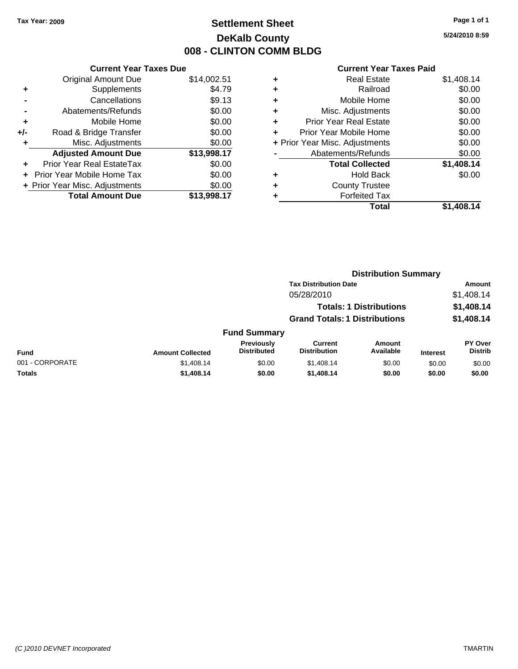## **Settlement Sheet Tax Year: 2009 Page 1 of 1 DeKalb County 008 - CLINTON COMM BLDG**

**5/24/2010 8:59**

|     | <b>Current Year Taxes Due</b>     |             |  |  |  |
|-----|-----------------------------------|-------------|--|--|--|
|     | <b>Original Amount Due</b>        | \$14,002.51 |  |  |  |
| ٠   | Supplements                       | \$4.79      |  |  |  |
|     | Cancellations                     | \$9.13      |  |  |  |
|     | Abatements/Refunds                | \$0.00      |  |  |  |
| ٠   | Mobile Home                       | \$0.00      |  |  |  |
| +/- | Road & Bridge Transfer            | \$0.00      |  |  |  |
| ٠   | Misc. Adjustments                 | \$0.00      |  |  |  |
|     | <b>Adjusted Amount Due</b>        | \$13,998.17 |  |  |  |
| ٠   | Prior Year Real EstateTax         | \$0.00      |  |  |  |
|     | <b>Prior Year Mobile Home Tax</b> | \$0.00      |  |  |  |
|     | + Prior Year Misc. Adjustments    | \$0.00      |  |  |  |
|     | <b>Total Amount Due</b>           | \$13,998.17 |  |  |  |

| ٠ | <b>Real Estate</b>             | \$1,408.14 |
|---|--------------------------------|------------|
| ٠ | Railroad                       | \$0.00     |
| ٠ | Mobile Home                    | \$0.00     |
| ٠ | Misc. Adjustments              | \$0.00     |
| ÷ | <b>Prior Year Real Estate</b>  | \$0.00     |
| ٠ | Prior Year Mobile Home         | \$0.00     |
|   | + Prior Year Misc. Adjustments | \$0.00     |
|   | Abatements/Refunds             | \$0.00     |
|   | <b>Total Collected</b>         | \$1,408.14 |
| ٠ | Hold Back                      | \$0.00     |
| ٠ | <b>County Trustee</b>          |            |
| ٠ | <b>Forfeited Tax</b>           |            |
|   | Total                          | \$1.408.14 |
|   |                                |            |

|                 |                         |                                         |                                       | <b>Distribution Summary</b>    |                 |                                  |
|-----------------|-------------------------|-----------------------------------------|---------------------------------------|--------------------------------|-----------------|----------------------------------|
|                 |                         |                                         | <b>Tax Distribution Date</b>          |                                |                 | Amount                           |
|                 |                         |                                         | 05/28/2010                            |                                |                 | \$1,408.14                       |
|                 |                         |                                         |                                       | <b>Totals: 1 Distributions</b> |                 | \$1,408.14                       |
|                 |                         |                                         | <b>Grand Totals: 1 Distributions</b>  |                                |                 | \$1,408.14                       |
|                 |                         | <b>Fund Summary</b>                     |                                       |                                |                 |                                  |
| Fund            | <b>Amount Collected</b> | <b>Previously</b><br><b>Distributed</b> | <b>Current</b><br><b>Distribution</b> | <b>Amount</b><br>Available     | <b>Interest</b> | <b>PY Over</b><br><b>Distrib</b> |
| 001 - CORPORATE | \$1,408.14              | \$0.00                                  | \$1,408.14                            | \$0.00                         | \$0.00          | \$0.00                           |
| Totals          | \$1,408.14              | \$0.00                                  | \$1,408.14                            | \$0.00                         | \$0.00          | \$0.00                           |
|                 |                         |                                         |                                       |                                |                 |                                  |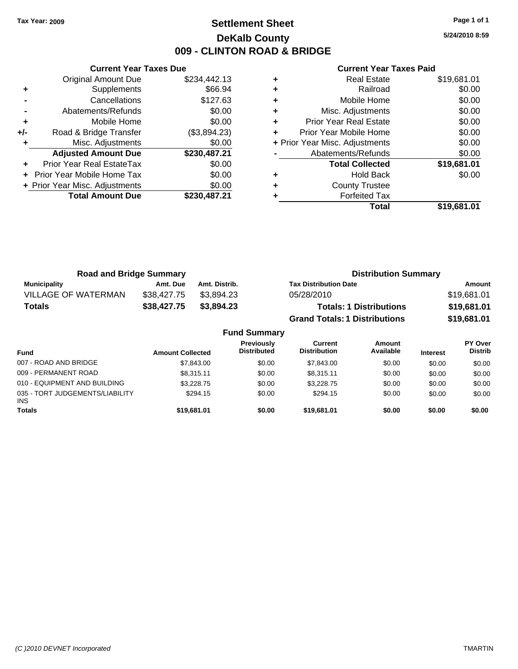### **Settlement Sheet Tax Year: 2009 Page 1 of 1 DeKalb County 009 - CLINTON ROAD & BRIDGE**

**5/24/2010 8:59**

|     | <b>Current Year Taxes Due</b>     |              |  |  |  |
|-----|-----------------------------------|--------------|--|--|--|
|     | <b>Original Amount Due</b>        | \$234,442.13 |  |  |  |
| ٠   | Supplements                       | \$66.94      |  |  |  |
|     | Cancellations                     | \$127.63     |  |  |  |
|     | Abatements/Refunds                | \$0.00       |  |  |  |
| ÷   | Mobile Home                       | \$0.00       |  |  |  |
| +/- | Road & Bridge Transfer            | (\$3,894.23) |  |  |  |
|     | Misc. Adjustments                 | \$0.00       |  |  |  |
|     | <b>Adjusted Amount Due</b>        | \$230,487.21 |  |  |  |
|     | Prior Year Real EstateTax         | \$0.00       |  |  |  |
|     | <b>Prior Year Mobile Home Tax</b> | \$0.00       |  |  |  |
|     | + Prior Year Misc. Adjustments    | \$0.00       |  |  |  |
|     | <b>Total Amount Due</b>           | \$230,487.21 |  |  |  |
|     |                                   |              |  |  |  |

|   | <b>Real Estate</b>             | \$19,681.01 |
|---|--------------------------------|-------------|
| ٠ | Railroad                       | \$0.00      |
| ٠ | Mobile Home                    | \$0.00      |
| ٠ | Misc. Adjustments              | \$0.00      |
| ٠ | <b>Prior Year Real Estate</b>  | \$0.00      |
|   | Prior Year Mobile Home         | \$0.00      |
|   | + Prior Year Misc. Adjustments | \$0.00      |
|   | Abatements/Refunds             | \$0.00      |
|   | <b>Total Collected</b>         | \$19,681.01 |
| ٠ | <b>Hold Back</b>               | \$0.00      |
| ٠ | <b>County Trustee</b>          |             |
|   | <b>Forfeited Tax</b>           |             |
|   | Total                          | \$19,681.01 |

| <b>Road and Bridge Summary</b> |             |                     | <b>Distribution Summary</b>          |             |
|--------------------------------|-------------|---------------------|--------------------------------------|-------------|
| <b>Municipality</b>            | Amt. Due    | Amt. Distrib.       | <b>Tax Distribution Date</b>         | Amount      |
| <b>VILLAGE OF WATERMAN</b>     | \$38.427.75 | \$3.894.23          | 05/28/2010                           | \$19,681.01 |
| Totals                         | \$38,427.75 | \$3.894.23          | <b>Totals: 1 Distributions</b>       | \$19,681.01 |
|                                |             |                     | <b>Grand Totals: 1 Distributions</b> | \$19,681.01 |
|                                |             | <b>Fund Summary</b> |                                      |             |

|                                               |                         | , טווט טעוווווטו ז                      |                                |                            |                 |                                  |
|-----------------------------------------------|-------------------------|-----------------------------------------|--------------------------------|----------------------------|-----------------|----------------------------------|
| Fund                                          | <b>Amount Collected</b> | <b>Previously</b><br><b>Distributed</b> | Current<br><b>Distribution</b> | <b>Amount</b><br>Available | <b>Interest</b> | <b>PY Over</b><br><b>Distrib</b> |
| 007 - ROAD AND BRIDGE                         | \$7,843,00              | \$0.00                                  | \$7.843.00                     | \$0.00                     | \$0.00          | \$0.00                           |
| 009 - PERMANENT ROAD                          | \$8.315.11              | \$0.00                                  | \$8.315.11                     | \$0.00                     | \$0.00          | \$0.00                           |
| 010 - EQUIPMENT AND BUILDING                  | \$3,228.75              | \$0.00                                  | \$3,228.75                     | \$0.00                     | \$0.00          | \$0.00                           |
| 035 - TORT JUDGEMENTS/LIABILITY<br><b>INS</b> | \$294.15                | \$0.00                                  | \$294.15                       | \$0.00                     | \$0.00          | \$0.00                           |
| <b>Totals</b>                                 | \$19,681.01             | \$0.00                                  | \$19,681,01                    | \$0.00                     | \$0.00          | \$0.00                           |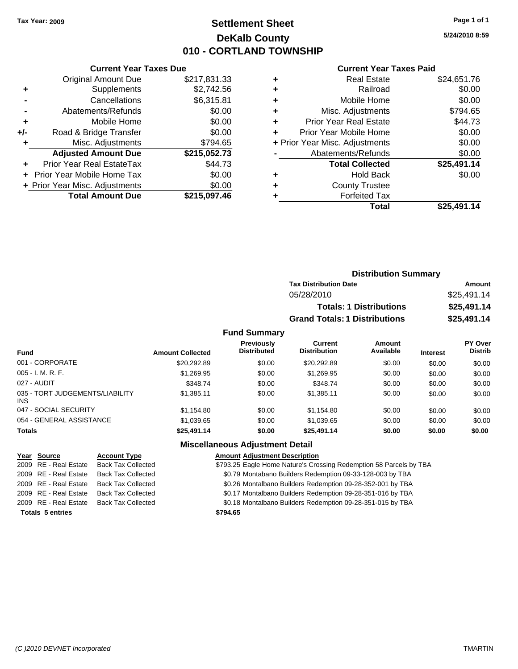### **Settlement Sheet Tax Year: 2009 Page 1 of 1 DeKalb County 010 - CORTLAND TOWNSHIP**

**5/24/2010 8:59**

#### **Current Year Taxes Paid**

|     | <b>Original Amount Due</b>     | \$217,831.33 |
|-----|--------------------------------|--------------|
| ٠   | Supplements                    | \$2,742.56   |
|     | Cancellations                  | \$6,315.81   |
|     | Abatements/Refunds             | \$0.00       |
| ٠   | Mobile Home                    | \$0.00       |
| +/- | Road & Bridge Transfer         | \$0.00       |
| ٠   | Misc. Adjustments              | \$794.65     |
|     | <b>Adjusted Amount Due</b>     | \$215,052.73 |
|     | Prior Year Real EstateTax      | \$44.73      |
|     | Prior Year Mobile Home Tax     | \$0.00       |
|     | + Prior Year Misc. Adjustments | \$0.00       |
|     | <b>Total Amount Due</b>        | \$215,097.46 |
|     |                                |              |

**Current Year Taxes Due**

| ٠ | <b>Real Estate</b>             | \$24,651.76 |
|---|--------------------------------|-------------|
| ٠ | Railroad                       | \$0.00      |
| ٠ | Mobile Home                    | \$0.00      |
| ٠ | Misc. Adjustments              | \$794.65    |
| ٠ | <b>Prior Year Real Estate</b>  | \$44.73     |
|   | Prior Year Mobile Home         | \$0.00      |
|   | + Prior Year Misc. Adjustments | \$0.00      |
|   | Abatements/Refunds             | \$0.00      |
|   | <b>Total Collected</b>         | \$25,491.14 |
| ٠ | <b>Hold Back</b>               | \$0.00      |
| ٠ | <b>County Trustee</b>          |             |
|   | <b>Forfeited Tax</b>           |             |
|   | Total                          | \$25,491.14 |
|   |                                |             |

|                         |                                         | <b>Distribution Summary</b>          |                                |                 |                           |
|-------------------------|-----------------------------------------|--------------------------------------|--------------------------------|-----------------|---------------------------|
|                         |                                         | <b>Tax Distribution Date</b>         |                                |                 | Amount                    |
|                         |                                         | 05/28/2010                           |                                |                 | \$25,491.14               |
|                         |                                         |                                      | <b>Totals: 1 Distributions</b> |                 | \$25,491.14               |
|                         |                                         | <b>Grand Totals: 1 Distributions</b> |                                |                 | \$25,491.14               |
|                         | <b>Fund Summary</b>                     |                                      |                                |                 |                           |
| <b>Amount Collected</b> | <b>Previously</b><br><b>Distributed</b> | Current<br><b>Distribution</b>       | Amount<br>Available            | <b>Interest</b> | PY Over<br><b>Distrib</b> |
| \$20,292.89             | \$0.00                                  | \$20,292.89                          | \$0.00                         | \$0.00          | \$0.00                    |
| $ - - - -$              | $\cdots$                                |                                      | $\cdots$                       | ----            | ----                      |

| <b>Fund</b>                             | <b>Amount Collected</b> | <b>Distributed</b> | Distribution | Available | <b>Interest</b> | Distrib |
|-----------------------------------------|-------------------------|--------------------|--------------|-----------|-----------------|---------|
| 001 - CORPORATE                         | \$20,292.89             | \$0.00             | \$20.292.89  | \$0.00    | \$0.00          | \$0.00  |
| $005 - I. M. R. F.$                     | \$1,269.95              | \$0.00             | \$1,269.95   | \$0.00    | \$0.00          | \$0.00  |
| 027 - AUDIT                             | \$348.74                | \$0.00             | \$348.74     | \$0.00    | \$0.00          | \$0.00  |
| 035 - TORT JUDGEMENTS/LIABILITY<br>INS. | \$1.385.11              | \$0.00             | \$1.385.11   | \$0.00    | \$0.00          | \$0.00  |
| 047 - SOCIAL SECURITY                   | \$1,154.80              | \$0.00             | \$1,154.80   | \$0.00    | \$0.00          | \$0.00  |
| 054 - GENERAL ASSISTANCE                | \$1,039.65              | \$0.00             | \$1,039.65   | \$0.00    | \$0.00          | \$0.00  |
| <b>Totals</b>                           | \$25,491.14             | \$0.00             | \$25,491.14  | \$0.00    | \$0.00          | \$0.00  |
|                                         |                         |                    |              |           |                 |         |

### **Miscellaneous Adjustment Detail**

#### **Year Source Account Type Amount Adjustment Description**

2009 RE - Real Estate Back Tax Collected \$793.25 Eagle Home Nature's Crossing Redemption 58 Parcels by TBA

2009 RE - Real Estate Back Tax Collected \$0.79 Montabano Builders Redemption 09-33-128-003 by TBA

2009 RE - Real Estate Back Tax Collected \$0.26 Montalbano Builders Redemption 09-28-352-001 by TBA

2009 RE - Real Estate Back Tax Collected \$0.17 Montalbano Builders Redemption 09-28-351-016 by TBA

2009 RE - Real Estate Back Tax Collected \$0.18 Montalbano Builders Redemption 09-28-351-015 by TBA

**Totals 5 entries \$794.65**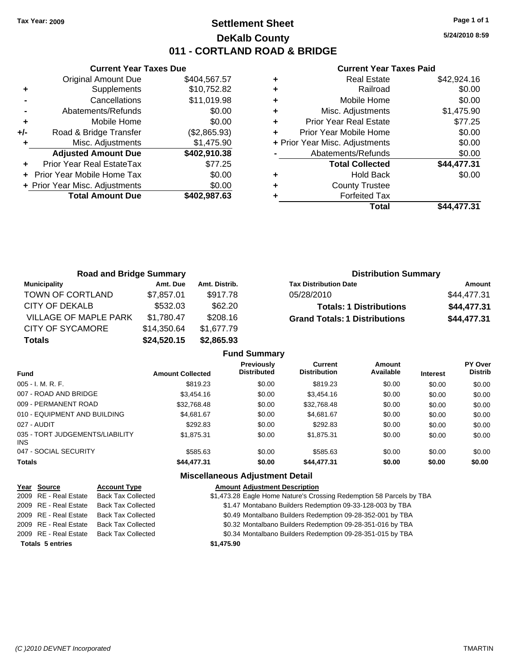## **Settlement Sheet Tax Year: 2009 Page 1 of 1 DeKalb County 011 - CORTLAND ROAD & BRIDGE**

**5/24/2010 8:59**

|     | <b>Current Year Taxes Due</b>    |              |
|-----|----------------------------------|--------------|
|     | <b>Original Amount Due</b>       | \$404,567.57 |
| ٠   | Supplements                      | \$10,752.82  |
|     | Cancellations                    | \$11,019.98  |
|     | Abatements/Refunds               | \$0.00       |
| ٠   | Mobile Home                      | \$0.00       |
| +/- | Road & Bridge Transfer           | (\$2,865.93) |
| ٠   | Misc. Adjustments                | \$1,475.90   |
|     | <b>Adjusted Amount Due</b>       | \$402,910.38 |
|     | <b>Prior Year Real EstateTax</b> | \$77.25      |
|     | Prior Year Mobile Home Tax       | \$0.00       |
|     | + Prior Year Misc. Adjustments   | \$0.00       |
|     | <b>Total Amount Due</b>          | \$402,987.63 |
|     |                                  |              |

#### **Current Year Taxes Paid**

|   | <b>Real Estate</b>             | \$42,924.16 |
|---|--------------------------------|-------------|
| ٠ | Railroad                       | \$0.00      |
| ٠ | Mobile Home                    | \$0.00      |
| ٠ | Misc. Adjustments              | \$1,475.90  |
| ÷ | <b>Prior Year Real Estate</b>  | \$77.25     |
|   | Prior Year Mobile Home         | \$0.00      |
|   | + Prior Year Misc. Adjustments | \$0.00      |
|   | Abatements/Refunds             | \$0.00      |
|   | <b>Total Collected</b>         | \$44,477.31 |
| ٠ | <b>Hold Back</b>               | \$0.00      |
| ٠ | <b>County Trustee</b>          |             |
|   | <b>Forfeited Tax</b>           |             |
|   | Total                          | \$44.477.31 |

| <b>Road and Bridge Summary</b> |             |               | <b>Distribution Summary</b>          |             |
|--------------------------------|-------------|---------------|--------------------------------------|-------------|
| Municipality                   | Amt. Due    | Amt. Distrib. | <b>Tax Distribution Date</b>         | Amount      |
| TOWN OF CORTLAND               | \$7,857.01  | \$917.78      | 05/28/2010                           | \$44,477.31 |
| CITY OF DEKALB                 | \$532.03    | \$62.20       | <b>Totals: 1 Distributions</b>       | \$44,477.31 |
| <b>VILLAGE OF MAPLE PARK</b>   | \$1,780.47  | \$208.16      | <b>Grand Totals: 1 Distributions</b> | \$44,477.31 |
| <b>CITY OF SYCAMORE</b>        | \$14,350.64 | \$1,677.79    |                                      |             |
| <b>Totals</b>                  | \$24,520.15 | \$2,865.93    |                                      |             |

| <b>Amount Collected</b> | Previously<br><b>Distributed</b> | <b>Current</b><br><b>Distribution</b> | Amount<br>Available | <b>Interest</b> | PY Over<br><b>Distrib</b> |
|-------------------------|----------------------------------|---------------------------------------|---------------------|-----------------|---------------------------|
| \$819.23                | \$0.00                           | \$819.23                              | \$0.00              | \$0.00          | \$0.00                    |
| \$3,454.16              | \$0.00                           | \$3,454.16                            | \$0.00              | \$0.00          | \$0.00                    |
| \$32.768.48             | \$0.00                           | \$32.768.48                           | \$0.00              | \$0.00          | \$0.00                    |
| \$4.681.67              | \$0.00                           | \$4.681.67                            | \$0.00              | \$0.00          | \$0.00                    |
| \$292.83                | \$0.00                           | \$292.83                              | \$0.00              | \$0.00          | \$0.00                    |
| \$1,875.31              | \$0.00                           | \$1,875.31                            | \$0.00              | \$0.00          | \$0.00                    |
| \$585.63                | \$0.00                           | \$585.63                              | \$0.00              | \$0.00          | \$0.00                    |
| \$44,477.31             | \$0.00                           | \$44,477.31                           | \$0.00              | \$0.00          | \$0.00                    |
|                         |                                  | <b>Fund Summary</b>                   |                     |                 |                           |

### **Miscellaneous Adjustment Detail**

| Year Source             | <b>Account Type</b>       | <b>Amount Adjustment Description</b>                                 |
|-------------------------|---------------------------|----------------------------------------------------------------------|
| 2009 RE - Real Estate   | <b>Back Tax Collected</b> | \$1,473.28 Eagle Home Nature's Crossing Redemption 58 Parcels by TBA |
| 2009 RE - Real Estate   | <b>Back Tax Collected</b> | \$1.47 Montabano Builders Redemption 09-33-128-003 by TBA            |
| 2009 RE - Real Estate   | <b>Back Tax Collected</b> | \$0.49 Montalbano Builders Redemption 09-28-352-001 by TBA           |
| 2009 RE - Real Estate   | <b>Back Tax Collected</b> | \$0.32 Montalbano Builders Redemption 09-28-351-016 by TBA           |
| 2009 RE - Real Estate   | <b>Back Tax Collected</b> | \$0.34 Montalbano Builders Redemption 09-28-351-015 by TBA           |
| <b>Totals 5 entries</b> |                           | \$1,475.90                                                           |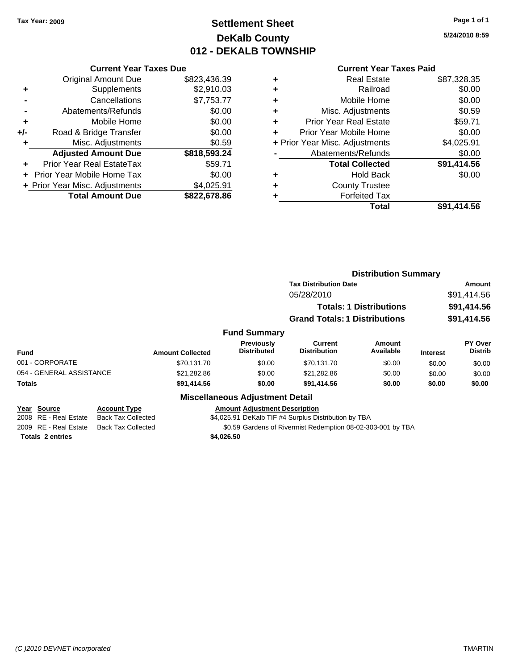## **Settlement Sheet Tax Year: 2009 Page 1 of 1 DeKalb County 012 - DEKALB TOWNSHIP**

**5/24/2010 8:59**

|     | <b>Current Year Taxes Due</b>  |              |
|-----|--------------------------------|--------------|
|     | <b>Original Amount Due</b>     | \$823,436.39 |
| ٠   | Supplements                    | \$2,910.03   |
|     | Cancellations                  | \$7,753.77   |
|     | Abatements/Refunds             | \$0.00       |
| ٠   | Mobile Home                    | \$0.00       |
| +/- | Road & Bridge Transfer         | \$0.00       |
|     | Misc. Adjustments              | \$0.59       |
|     | <b>Adjusted Amount Due</b>     | \$818,593.24 |
|     | Prior Year Real EstateTax      | \$59.71      |
|     | Prior Year Mobile Home Tax     | \$0.00       |
|     | + Prior Year Misc. Adjustments | \$4,025.91   |
|     | <b>Total Amount Due</b>        | \$822,678.86 |
|     |                                |              |

#### **Current Year Taxes Paid**

|   | <b>Real Estate</b>             | \$87,328.35 |
|---|--------------------------------|-------------|
| ٠ | Railroad                       | \$0.00      |
| ÷ | Mobile Home                    | \$0.00      |
| ٠ | Misc. Adjustments              | \$0.59      |
| ٠ | <b>Prior Year Real Estate</b>  | \$59.71     |
|   | Prior Year Mobile Home         | \$0.00      |
|   | + Prior Year Misc. Adjustments | \$4,025.91  |
|   | Abatements/Refunds             | \$0.00      |
|   | <b>Total Collected</b>         | \$91,414.56 |
| ٠ | Hold Back                      | \$0.00      |
| ٠ | <b>County Trustee</b>          |             |
|   | <b>Forfeited Tax</b>           |             |
|   | Total                          | \$91,414.56 |
|   |                                |             |

|                                                   |                                                  |                         |                                                             | <b>Distribution Summary</b>                          |                                |                 |                           |
|---------------------------------------------------|--------------------------------------------------|-------------------------|-------------------------------------------------------------|------------------------------------------------------|--------------------------------|-----------------|---------------------------|
|                                                   |                                                  |                         |                                                             | <b>Tax Distribution Date</b>                         |                                |                 | <b>Amount</b>             |
|                                                   |                                                  |                         |                                                             | 05/28/2010                                           |                                |                 | \$91,414.56               |
|                                                   |                                                  |                         |                                                             |                                                      | <b>Totals: 1 Distributions</b> |                 | \$91,414.56               |
|                                                   |                                                  |                         |                                                             | <b>Grand Totals: 1 Distributions</b>                 |                                |                 | \$91,414.56               |
|                                                   |                                                  |                         | <b>Fund Summary</b>                                         |                                                      |                                |                 |                           |
| <b>Fund</b>                                       |                                                  | <b>Amount Collected</b> | <b>Previously</b><br><b>Distributed</b>                     | Current<br><b>Distribution</b>                       | <b>Amount</b><br>Available     | <b>Interest</b> | PY Over<br><b>Distrib</b> |
| 001 - CORPORATE                                   |                                                  | \$70.131.70             | \$0.00                                                      | \$70,131.70                                          | \$0.00                         | \$0.00          | \$0.00                    |
| 054 - GENERAL ASSISTANCE                          |                                                  | \$21,282.86             | \$0.00                                                      | \$21,282.86                                          | \$0.00                         | \$0.00          | \$0.00                    |
| <b>Totals</b>                                     |                                                  | \$91,414.56             | \$0.00                                                      | \$91,414.56                                          | \$0.00                         | \$0.00          | \$0.00                    |
|                                                   |                                                  |                         | <b>Miscellaneous Adjustment Detail</b>                      |                                                      |                                |                 |                           |
| <b>Source</b><br>Year<br>RE - Real Estate<br>2008 | <b>Account Type</b><br><b>Back Tax Collected</b> |                         | <b>Amount Adjustment Description</b>                        | \$4,025.91 DeKalb TIF #4 Surplus Distribution by TBA |                                |                 |                           |
| 2009 RE - Real Estate                             | <b>Back Tax Collected</b>                        |                         | \$0.59 Gardens of Rivermist Redemption 08-02-303-001 by TBA |                                                      |                                |                 |                           |

**Totals 2 entries \$4,026.50**

*(C )2010 DEVNET Incorporated* TMARTIN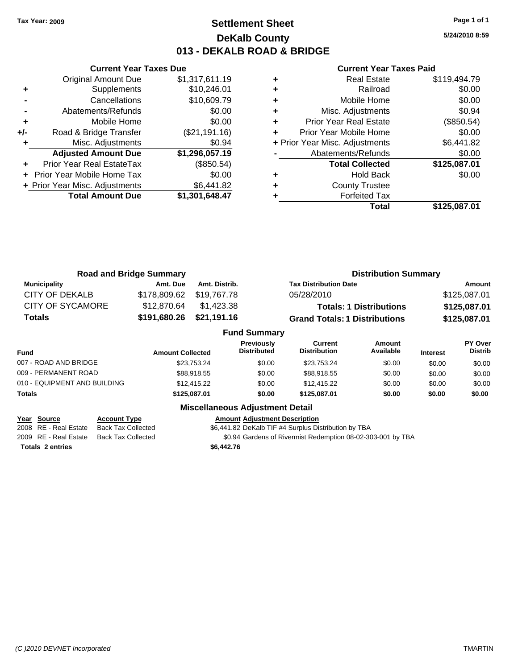**Current Year Taxes Due** Original Amount Due \$1,317,611.19

**Adjusted Amount Due \$1,296,057.19**

**Total Amount Due \$1,301,648.47**

**+** Supplements \$10,246.01 **-** Cancellations \$10,609.79 **-** Abatements/Refunds \$0.00 **+** Mobile Home \$0.00 **+/-** Road & Bridge Transfer (\$21,191.16) **+** Misc. Adjustments **1998** Misc. Adjustments

**+** Prior Year Real EstateTax (\$850.54) **+** Prior Year Mobile Home Tax \$0.00 **+ Prior Year Misc. Adjustments \$6,441.82** 

### **Settlement Sheet Tax Year: 2009 Page 1 of 1 DeKalb County 013 - DEKALB ROAD & BRIDGE**

**5/24/2010 8:59**

#### **Current Year Taxes Paid**

| Total                          | \$125,087.01 |
|--------------------------------|--------------|
| <b>Forfeited Tax</b>           |              |
| <b>County Trustee</b>          |              |
| <b>Hold Back</b>               | \$0.00       |
| <b>Total Collected</b>         | \$125,087.01 |
| Abatements/Refunds             | \$0.00       |
| + Prior Year Misc. Adjustments | \$6,441.82   |
| Prior Year Mobile Home         | \$0.00       |
| <b>Prior Year Real Estate</b>  | (\$850.54)   |
| Misc. Adjustments              | \$0.94       |
| Mobile Home                    | \$0.00       |
| Railroad                       | \$0.00       |
| <b>Real Estate</b>             | \$119,494.79 |
|                                |              |

|                         | <b>Road and Bridge Summary</b> |               | <b>Distribution Summary</b>          |              |
|-------------------------|--------------------------------|---------------|--------------------------------------|--------------|
| <b>Municipality</b>     | Amt. Due                       | Amt. Distrib. | <b>Tax Distribution Date</b>         | Amount       |
| <b>CITY OF DEKALB</b>   | \$178,809.62 \$19,767.78       |               | 05/28/2010                           | \$125,087.01 |
| <b>CITY OF SYCAMORE</b> | \$12,870.64                    | \$1,423.38    | <b>Totals: 1 Distributions</b>       | \$125,087.01 |
| <b>Totals</b>           | \$191,680.26 \$21,191.16       |               | <b>Grand Totals: 1 Distributions</b> | \$125,087.01 |
| <b>Fund Summary</b>     |                                |               |                                      |              |

|                              |                         | . 989 VANIINA V                         |                                |                     |                 |                           |
|------------------------------|-------------------------|-----------------------------------------|--------------------------------|---------------------|-----------------|---------------------------|
| <b>Fund</b>                  | <b>Amount Collected</b> | <b>Previously</b><br><b>Distributed</b> | Current<br><b>Distribution</b> | Amount<br>Available | <b>Interest</b> | PY Over<br><b>Distrib</b> |
| 007 - ROAD AND BRIDGE        | \$23.753.24             | \$0.00                                  | \$23.753.24                    | \$0.00              | \$0.00          | \$0.00                    |
| 009 - PERMANENT ROAD         | \$88,918.55             | \$0.00                                  | \$88,918.55                    | \$0.00              | \$0.00          | \$0.00                    |
| 010 - EQUIPMENT AND BUILDING | \$12,415.22             | \$0.00                                  | \$12,415.22                    | \$0.00              | \$0.00          | \$0.00                    |
| Totals                       | \$125.087.01            | \$0.00                                  | \$125.087.01                   | \$0.00              | \$0.00          | \$0.00                    |
|                              |                         |                                         |                                |                     |                 |                           |

#### **Miscellaneous Adjustment Detail**

#### **Year Source Account Type Amount Adjustment Description**

2008 RE - Real Estate Back Tax Collected \$6,441.82 DeKalb TIF #4 Surplus Distribution by TBA

2009 RE - Real Estate Back Tax Collected \$0.94 Gardens of Rivermist Redemption 08-02-303-001 by TBA

**Totals 2 entries \$6,442.76**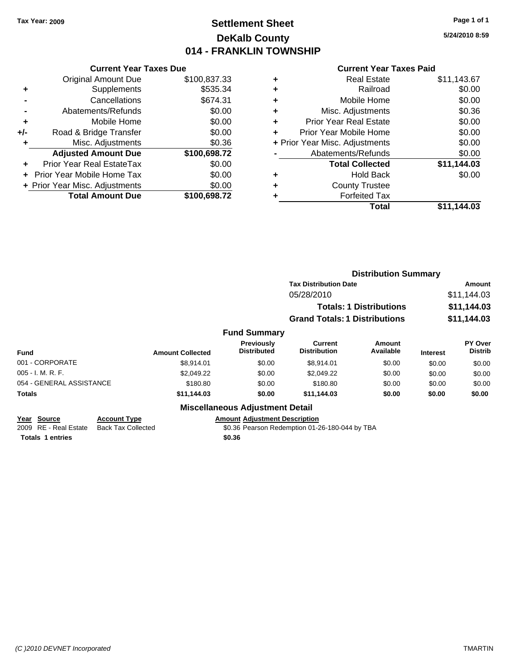## **Settlement Sheet Tax Year: 2009 Page 1 of 1 DeKalb County 014 - FRANKLIN TOWNSHIP**

**5/24/2010 8:59**

#### **Current Year Taxes Paid**

|     | <b>Current Year Taxes Due</b>     |              |
|-----|-----------------------------------|--------------|
|     | <b>Original Amount Due</b>        | \$100,837.33 |
| ٠   | Supplements                       | \$535.34     |
|     | Cancellations                     | \$674.31     |
|     | Abatements/Refunds                | \$0.00       |
| ÷   | Mobile Home                       | \$0.00       |
| +/- | Road & Bridge Transfer            | \$0.00       |
| ٠   | Misc. Adjustments                 | \$0.36       |
|     | <b>Adjusted Amount Due</b>        | \$100,698.72 |
| ÷   | Prior Year Real EstateTax         | \$0.00       |
|     | <b>Prior Year Mobile Home Tax</b> | \$0.00       |
|     | + Prior Year Misc. Adjustments    | \$0.00       |
|     | <b>Total Amount Due</b>           | \$100,698.72 |

| ٠ | <b>Real Estate</b>             | \$11,143.67 |
|---|--------------------------------|-------------|
| ٠ | Railroad                       | \$0.00      |
| ٠ | Mobile Home                    | \$0.00      |
| ٠ | Misc. Adjustments              | \$0.36      |
| ÷ | <b>Prior Year Real Estate</b>  | \$0.00      |
| ÷ | Prior Year Mobile Home         | \$0.00      |
|   | + Prior Year Misc. Adjustments | \$0.00      |
|   | Abatements/Refunds             | \$0.00      |
|   | <b>Total Collected</b>         | \$11,144.03 |
| ٠ | <b>Hold Back</b>               | \$0.00      |
| ٠ | <b>County Trustee</b>          |             |
|   | <b>Forfeited Tax</b>           |             |
|   | Total                          | \$11.144.03 |
|   |                                |             |

|                                    |                         |                                        | <b>Distribution Summary</b>          |                                |                 |                                  |
|------------------------------------|-------------------------|----------------------------------------|--------------------------------------|--------------------------------|-----------------|----------------------------------|
|                                    |                         |                                        | <b>Tax Distribution Date</b>         |                                |                 | Amount                           |
|                                    |                         |                                        | 05/28/2010                           |                                |                 | \$11,144.03                      |
|                                    |                         |                                        |                                      | <b>Totals: 1 Distributions</b> |                 | \$11,144.03                      |
|                                    |                         |                                        | <b>Grand Totals: 1 Distributions</b> |                                |                 | \$11,144.03                      |
|                                    |                         | <b>Fund Summary</b>                    |                                      |                                |                 |                                  |
| <b>Fund</b>                        | <b>Amount Collected</b> | Previously<br><b>Distributed</b>       | Current<br><b>Distribution</b>       | Amount<br>Available            | <b>Interest</b> | <b>PY Over</b><br><b>Distrib</b> |
| 001 - CORPORATE                    | \$8,914.01              | \$0.00                                 | \$8,914.01                           | \$0.00                         | \$0.00          | \$0.00                           |
| 005 - I. M. R. F.                  | \$2,049.22              | \$0.00                                 | \$2,049.22                           | \$0.00                         | \$0.00          | \$0.00                           |
| 054 - GENERAL ASSISTANCE           | \$180.80                | \$0.00                                 | \$180.80                             | \$0.00                         | \$0.00          | \$0.00                           |
| Totals                             | \$11,144.03             | \$0.00                                 | \$11,144.03                          | \$0.00                         | \$0.00          | \$0.00                           |
|                                    |                         | <b>Miscellaneous Adjustment Detail</b> |                                      |                                |                 |                                  |
| Year Source<br><b>Account Type</b> |                         | <b>Amount Adjustment Description</b>   |                                      |                                |                 |                                  |

**<u>Year Source</u> Account Type**<br> **Account Type Added Added Added Added Totals 1 entries \$0.36**

\$0.36 Pearson Redemption 01-26-180-044 by TBA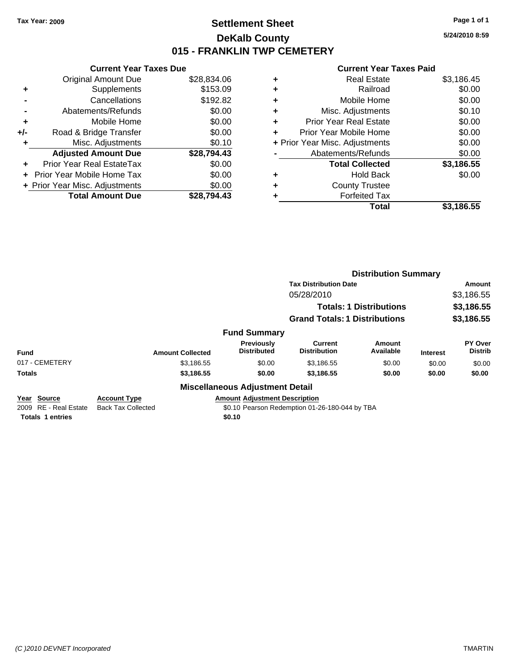### **Settlement Sheet Tax Year: 2009 Page 1 of 1 DeKalb County 015 - FRANKLIN TWP CEMETERY**

**5/24/2010 8:59**

#### **Current Year Taxes Paid**

|       | <b>Current Year Taxes Due</b>  |             |
|-------|--------------------------------|-------------|
|       | <b>Original Amount Due</b>     | \$28,834.06 |
| ٠     | Supplements                    | \$153.09    |
|       | Cancellations                  | \$192.82    |
|       | Abatements/Refunds             | \$0.00      |
| ٠     | Mobile Home                    | \$0.00      |
| $+/-$ | Road & Bridge Transfer         | \$0.00      |
| ٠     | Misc. Adjustments              | \$0.10      |
|       | <b>Adjusted Amount Due</b>     | \$28,794.43 |
|       | Prior Year Real EstateTax      | \$0.00      |
|       | Prior Year Mobile Home Tax     | \$0.00      |
|       | + Prior Year Misc. Adjustments | \$0.00      |
|       | <b>Total Amount Due</b>        | \$28.794.43 |

| ٠ | <b>Real Estate</b>             | \$3,186.45 |
|---|--------------------------------|------------|
| ٠ | Railroad                       | \$0.00     |
| ٠ | Mobile Home                    | \$0.00     |
| ٠ | Misc. Adjustments              | \$0.10     |
| ٠ | <b>Prior Year Real Estate</b>  | \$0.00     |
| ٠ | Prior Year Mobile Home         | \$0.00     |
|   | + Prior Year Misc. Adjustments | \$0.00     |
|   | Abatements/Refunds             | \$0.00     |
|   | <b>Total Collected</b>         | \$3,186.55 |
| ٠ | <b>Hold Back</b>               | \$0.00     |
| ٠ | <b>County Trustee</b>          |            |
|   | <b>Forfeited Tax</b>           |            |
|   | Total                          | \$3,186.55 |

|                                         |                                                  |                                         | <b>Distribution Summary</b>                    |                                |                 |                                  |
|-----------------------------------------|--------------------------------------------------|-----------------------------------------|------------------------------------------------|--------------------------------|-----------------|----------------------------------|
|                                         |                                                  |                                         | <b>Tax Distribution Date</b>                   |                                |                 | Amount                           |
|                                         |                                                  |                                         | 05/28/2010                                     |                                |                 | \$3,186.55                       |
|                                         |                                                  |                                         |                                                | <b>Totals: 1 Distributions</b> |                 | \$3,186.55                       |
|                                         |                                                  |                                         | <b>Grand Totals: 1 Distributions</b>           |                                |                 | \$3,186.55                       |
|                                         |                                                  | <b>Fund Summary</b>                     |                                                |                                |                 |                                  |
| <b>Fund</b>                             | <b>Amount Collected</b>                          | <b>Previously</b><br><b>Distributed</b> | Current<br><b>Distribution</b>                 | Amount<br>Available            | <b>Interest</b> | <b>PY Over</b><br><b>Distrib</b> |
| 017 - CEMETERY                          | \$3,186.55                                       | \$0.00                                  | \$3,186.55                                     | \$0.00                         | \$0.00          | \$0.00                           |
| <b>Totals</b>                           | \$3,186.55                                       | \$0.00                                  | \$3,186.55                                     | \$0.00                         | \$0.00          | \$0.00                           |
|                                         |                                                  | <b>Miscellaneous Adjustment Detail</b>  |                                                |                                |                 |                                  |
| Year Source<br>RE - Real Estate<br>2009 | <b>Account Type</b><br><b>Back Tax Collected</b> | <b>Amount Adiustment Description</b>    | \$0.10 Pearson Redemption 01-26-180-044 by TBA |                                |                 |                                  |

**Totals 1 entries \$0.10**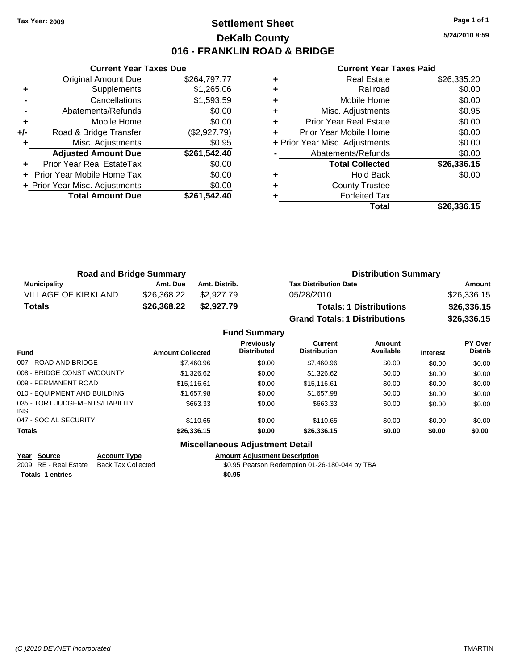### **Settlement Sheet Tax Year: 2009 Page 1 of 1 DeKalb County 016 - FRANKLIN ROAD & BRIDGE**

**5/24/2010 8:59**

#### **Current Year Taxes Paid**

|       | <b>Original Amount Due</b>       | \$264,797.77 |
|-------|----------------------------------|--------------|
| ٠     | Supplements                      | \$1,265.06   |
|       | Cancellations                    | \$1,593.59   |
|       | Abatements/Refunds               | \$0.00       |
| ٠     | Mobile Home                      | \$0.00       |
| $+/-$ | Road & Bridge Transfer           | (\$2,927.79) |
| ٠     | Misc. Adjustments                | \$0.95       |
|       | <b>Adjusted Amount Due</b>       | \$261,542.40 |
|       | <b>Prior Year Real EstateTax</b> | \$0.00       |
|       | Prior Year Mobile Home Tax       | \$0.00       |
|       | + Prior Year Misc. Adjustments   | \$0.00       |
|       | <b>Total Amount Due</b>          | \$261,542.40 |
|       |                                  |              |

**Current Year Taxes Due**

|   | <b>Real Estate</b>             | \$26,335.20 |
|---|--------------------------------|-------------|
| ÷ | Railroad                       | \$0.00      |
| ٠ | Mobile Home                    | \$0.00      |
| ٠ | Misc. Adjustments              | \$0.95      |
| ٠ | <b>Prior Year Real Estate</b>  | \$0.00      |
| ٠ | Prior Year Mobile Home         | \$0.00      |
|   | + Prior Year Misc. Adjustments | \$0.00      |
|   | Abatements/Refunds             | \$0.00      |
|   | <b>Total Collected</b>         | \$26,336.15 |
| ٠ | <b>Hold Back</b>               | \$0.00      |
| ٠ | <b>County Trustee</b>          |             |
|   | <b>Forfeited Tax</b>           |             |
|   | Total                          | \$26,336.15 |

| <b>Road and Bridge Summary</b> |             |               | <b>Distribution Summary</b>          |             |  |
|--------------------------------|-------------|---------------|--------------------------------------|-------------|--|
| Municipality                   | Amt. Due    | Amt. Distrib. | <b>Tax Distribution Date</b>         | Amount      |  |
| VILLAGE OF KIRKLAND            | \$26.368.22 | \$2.927.79    | 05/28/2010                           | \$26,336.15 |  |
| Totals                         | \$26,368.22 | \$2,927.79    | <b>Totals: 1 Distributions</b>       | \$26,336.15 |  |
|                                |             |               | <b>Grand Totals: 1 Distributions</b> | \$26,336.15 |  |

#### **Fund Summary**

| <b>Amount Collected</b> | Previously<br><b>Distributed</b> | Current<br><b>Distribution</b> | Amount<br>Available | <b>Interest</b> | PY Over<br><b>Distrib</b> |
|-------------------------|----------------------------------|--------------------------------|---------------------|-----------------|---------------------------|
| \$7,460.96              | \$0.00                           | \$7,460.96                     | \$0.00              | \$0.00          | \$0.00                    |
| \$1,326.62              | \$0.00                           | \$1,326.62                     | \$0.00              | \$0.00          | \$0.00                    |
| \$15,116.61             | \$0.00                           | \$15.116.61                    | \$0.00              | \$0.00          | \$0.00                    |
| \$1,657.98              | \$0.00                           | \$1,657.98                     | \$0.00              | \$0.00          | \$0.00                    |
| \$663.33                | \$0.00                           | \$663.33                       | \$0.00              | \$0.00          | \$0.00                    |
| \$110.65                | \$0.00                           | \$110.65                       | \$0.00              | \$0.00          | \$0.00                    |
| \$26,336.15             | \$0.00                           | \$26,336,15                    | \$0.00              | \$0.00          | \$0.00                    |
|                         |                                  |                                |                     |                 |                           |

### **Miscellaneous Adjustment Detail**

**Year Source Account Type Amount Adjustment Description**

**Totals 1 entries \$0.95**

\$0.95 Pearson Redemption 01-26-180-044 by TBA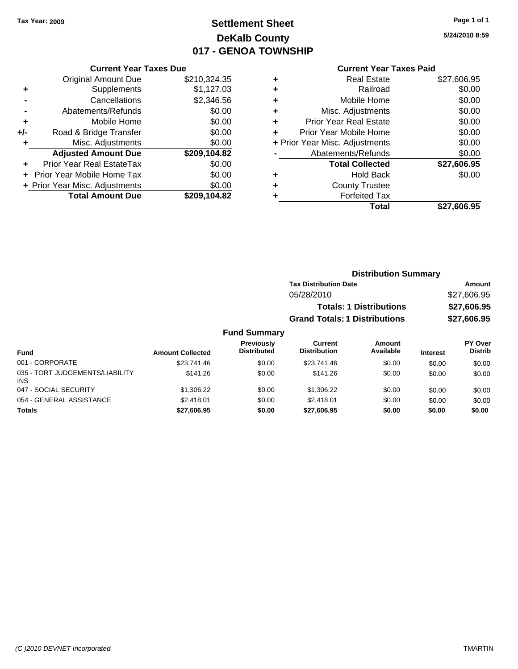# **Settlement Sheet Tax Year: 2009 Page 1 of 1 DeKalb County 017 - GENOA TOWNSHIP**

**5/24/2010 8:59**

#### **Current Year Taxes Paid**

| <b>Current Year Taxes Due</b> |                                |
|-------------------------------|--------------------------------|
| <b>Original Amount Due</b>    | \$210,324.35                   |
| Supplements                   | \$1,127.03                     |
| Cancellations                 | \$2,346.56                     |
| Abatements/Refunds            | \$0.00                         |
| Mobile Home                   | \$0.00                         |
| Road & Bridge Transfer        | \$0.00                         |
| Misc. Adjustments             | \$0.00                         |
| <b>Adjusted Amount Due</b>    | \$209,104.82                   |
| Prior Year Real EstateTax     | \$0.00                         |
| Prior Year Mobile Home Tax    | \$0.00                         |
|                               | \$0.00                         |
| <b>Total Amount Due</b>       | \$209,104.82                   |
|                               | + Prior Year Misc. Adjustments |

| ٠ | <b>Real Estate</b>             | \$27,606.95 |
|---|--------------------------------|-------------|
| ٠ | Railroad                       | \$0.00      |
| ٠ | Mobile Home                    | \$0.00      |
| ٠ | Misc. Adjustments              | \$0.00      |
| ٠ | Prior Year Real Estate         | \$0.00      |
| ÷ | Prior Year Mobile Home         | \$0.00      |
|   | + Prior Year Misc. Adjustments | \$0.00      |
|   | Abatements/Refunds             | \$0.00      |
|   | <b>Total Collected</b>         | \$27,606.95 |
| ٠ | <b>Hold Back</b>               | \$0.00      |
| ٠ | <b>County Trustee</b>          |             |
| ٠ | <b>Forfeited Tax</b>           |             |
|   | Total                          | \$27,606.95 |
|   |                                |             |

|        | <b>Distribution Summary</b>          |             |
|--------|--------------------------------------|-------------|
|        | <b>Tax Distribution Date</b>         | Amount      |
|        | 05/28/2010                           | \$27,606.95 |
|        | <b>Totals: 1 Distributions</b>       | \$27,606.95 |
|        | <b>Grand Totals: 1 Distributions</b> | \$27,606.95 |
| ımmarv |                                      |             |

#### **Fund Summary Fund Interest Amount Collected Distributed PY Over Distrib Amount Available Current Distribution Previously** 001 - CORPORATE \$23,741.46 \$0.00 \$23,741.46 \$0.00 \$0.00 \$0.00 035 - TORT JUDGEMENTS/LIABILITY INS \$141.26 \$0.00 \$141.26 \$0.00 \$0.00 \$0.00 047 - SOCIAL SECURITY \$1,306.22 \$0.00 \$1,306.22 \$0.00 \$0.00 \$0.00 054 - GENERAL ASSISTANCE  $$2,418.01$  \$0.00  $$2,418.01$  \$0.00 \$0.00 \$0.00 \$0.00 **Totals \$27,606.95 \$0.00 \$27,606.95 \$0.00 \$0.00 \$0.00**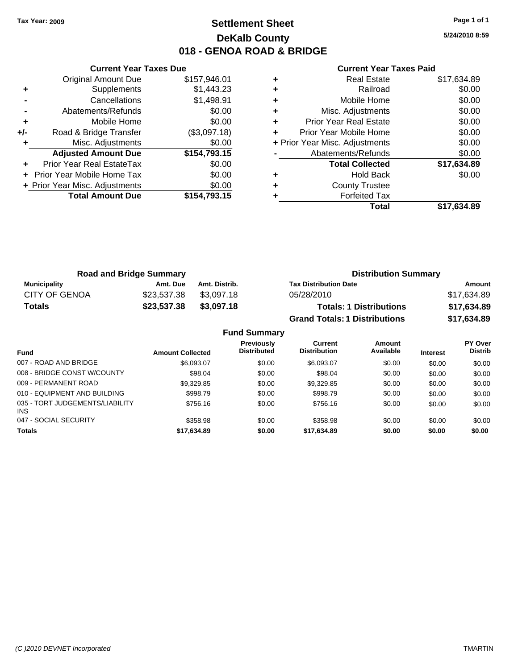### **Settlement Sheet Tax Year: 2009 Page 1 of 1 DeKalb County 018 - GENOA ROAD & BRIDGE**

**5/24/2010 8:59**

|     | <b>Current Year Taxes Due</b>  |              |
|-----|--------------------------------|--------------|
|     | <b>Original Amount Due</b>     | \$157,946.01 |
| ٠   | Supplements                    | \$1,443.23   |
|     | Cancellations                  | \$1,498.91   |
|     | Abatements/Refunds             | \$0.00       |
| ٠   | Mobile Home                    | \$0.00       |
| +/- | Road & Bridge Transfer         | (\$3,097.18) |
|     | Misc. Adjustments              | \$0.00       |
|     | <b>Adjusted Amount Due</b>     | \$154,793.15 |
|     | Prior Year Real EstateTax      | \$0.00       |
|     | Prior Year Mobile Home Tax     | \$0.00       |
|     | + Prior Year Misc. Adjustments | \$0.00       |
|     | <b>Total Amount Due</b>        | \$154,793.15 |
|     |                                |              |

|   | <b>Real Estate</b>             | \$17,634.89 |
|---|--------------------------------|-------------|
| ٠ | Railroad                       | \$0.00      |
| ٠ | Mobile Home                    | \$0.00      |
| ٠ | Misc. Adjustments              | \$0.00      |
| ٠ | <b>Prior Year Real Estate</b>  | \$0.00      |
| ٠ | Prior Year Mobile Home         | \$0.00      |
|   | + Prior Year Misc. Adjustments | \$0.00      |
|   | Abatements/Refunds             | \$0.00      |
|   |                                |             |
|   | <b>Total Collected</b>         | \$17,634.89 |
| ٠ | <b>Hold Back</b>               | \$0.00      |
|   | <b>County Trustee</b>          |             |
|   | <b>Forfeited Tax</b>           |             |

| <b>Road and Bridge Summary</b> |             |               | <b>Distribution Summary</b>          |             |  |
|--------------------------------|-------------|---------------|--------------------------------------|-------------|--|
| <b>Municipality</b>            | Amt. Due    | Amt. Distrib. | <b>Tax Distribution Date</b>         | Amount      |  |
| <b>CITY OF GENOA</b>           | \$23.537.38 | \$3.097.18    | 05/28/2010                           | \$17,634.89 |  |
| <b>Totals</b>                  | \$23,537.38 | \$3,097.18    | <b>Totals: 1 Distributions</b>       | \$17,634.89 |  |
|                                |             |               | <b>Grand Totals: 1 Distributions</b> | \$17,634.89 |  |

| <b>Fund Summary</b>                     |                         |                                         |                                       |                     |                 |                           |
|-----------------------------------------|-------------------------|-----------------------------------------|---------------------------------------|---------------------|-----------------|---------------------------|
| <b>Fund</b>                             | <b>Amount Collected</b> | <b>Previously</b><br><b>Distributed</b> | <b>Current</b><br><b>Distribution</b> | Amount<br>Available | <b>Interest</b> | PY Over<br><b>Distrib</b> |
| 007 - ROAD AND BRIDGE                   | \$6.093.07              | \$0.00                                  | \$6,093.07                            | \$0.00              | \$0.00          | \$0.00                    |
| 008 - BRIDGE CONST W/COUNTY             | \$98.04                 | \$0.00                                  | \$98.04                               | \$0.00              | \$0.00          | \$0.00                    |
| 009 - PERMANENT ROAD                    | \$9,329.85              | \$0.00                                  | \$9,329.85                            | \$0.00              | \$0.00          | \$0.00                    |
| 010 - EQUIPMENT AND BUILDING            | \$998.79                | \$0.00                                  | \$998.79                              | \$0.00              | \$0.00          | \$0.00                    |
| 035 - TORT JUDGEMENTS/LIABILITY<br>INS. | \$756.16                | \$0.00                                  | \$756.16                              | \$0.00              | \$0.00          | \$0.00                    |
| 047 - SOCIAL SECURITY                   | \$358.98                | \$0.00                                  | \$358.98                              | \$0.00              | \$0.00          | \$0.00                    |
| Totals                                  | \$17,634.89             | \$0.00                                  | \$17,634.89                           | \$0.00              | \$0.00          | \$0.00                    |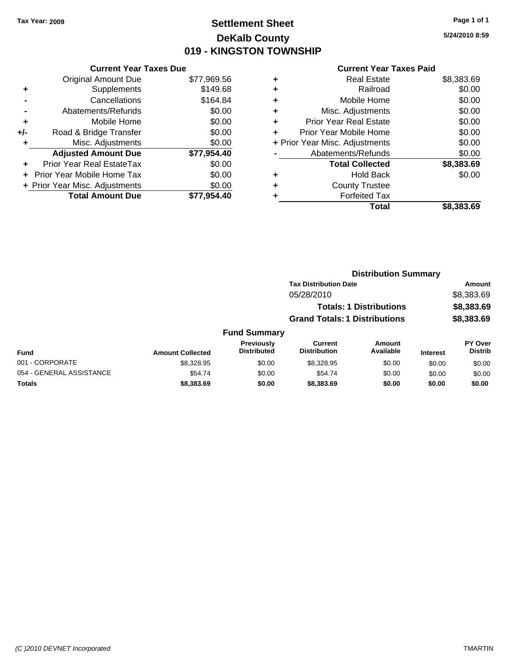## **Settlement Sheet Tax Year: 2009 Page 1 of 1 DeKalb County 019 - KINGSTON TOWNSHIP**

**5/24/2010 8:59**

| <b>Original Amount Due</b>        | \$77,969.56                                                     |
|-----------------------------------|-----------------------------------------------------------------|
| Supplements                       | \$149.68                                                        |
| Cancellations                     | \$164.84                                                        |
| Abatements/Refunds                | \$0.00                                                          |
| Mobile Home                       | \$0.00                                                          |
| Road & Bridge Transfer            | \$0.00                                                          |
| Misc. Adjustments                 | \$0.00                                                          |
| <b>Adjusted Amount Due</b>        | \$77,954.40                                                     |
| Prior Year Real EstateTax         | \$0.00                                                          |
| <b>Prior Year Mobile Home Tax</b> | \$0.00                                                          |
|                                   | \$0.00                                                          |
| <b>Total Amount Due</b>           | \$77,954.40                                                     |
|                                   | <b>Current Year Taxes Due</b><br>+ Prior Year Misc. Adjustments |

| ٠ | <b>Real Estate</b>             | \$8,383.69 |
|---|--------------------------------|------------|
| ٠ | Railroad                       | \$0.00     |
| ٠ | Mobile Home                    | \$0.00     |
| ٠ | Misc. Adjustments              | \$0.00     |
| ٠ | <b>Prior Year Real Estate</b>  | \$0.00     |
| ÷ | Prior Year Mobile Home         | \$0.00     |
|   | + Prior Year Misc. Adjustments | \$0.00     |
|   | Abatements/Refunds             | \$0.00     |
|   | <b>Total Collected</b>         | \$8,383.69 |
| ٠ | <b>Hold Back</b>               | \$0.00     |
| ٠ | <b>County Trustee</b>          |            |
| ٠ | <b>Forfeited Tax</b>           |            |
|   | Total                          | \$8.383.69 |

|                          | <b>Distribution Summary</b> |                                            |                                                                        |                     |                 |                                  |  |
|--------------------------|-----------------------------|--------------------------------------------|------------------------------------------------------------------------|---------------------|-----------------|----------------------------------|--|
|                          |                             | <b>Tax Distribution Date</b><br>05/28/2010 |                                                                        |                     |                 | Amount<br>\$8,383.69             |  |
|                          |                             |                                            |                                                                        |                     |                 |                                  |  |
|                          |                             |                                            | <b>Totals: 1 Distributions</b><br><b>Grand Totals: 1 Distributions</b> |                     |                 | \$8,383.69                       |  |
|                          |                             |                                            |                                                                        |                     |                 | \$8,383.69                       |  |
|                          |                             | <b>Fund Summary</b>                        |                                                                        |                     |                 |                                  |  |
| Fund                     | <b>Amount Collected</b>     | <b>Previously</b><br><b>Distributed</b>    | Current<br><b>Distribution</b>                                         | Amount<br>Available | <b>Interest</b> | <b>PY Over</b><br><b>Distrib</b> |  |
| 001 - CORPORATE          | \$8,328.95                  | \$0.00                                     | \$8.328.95                                                             | \$0.00              | \$0.00          | \$0.00                           |  |
| 054 - GENERAL ASSISTANCE | \$54.74                     | \$0.00                                     | \$54.74                                                                | \$0.00              | \$0.00          | \$0.00                           |  |
| Totals                   | \$8,383.69                  | \$0.00                                     | \$8,383.69                                                             | \$0.00              | \$0.00          | \$0.00                           |  |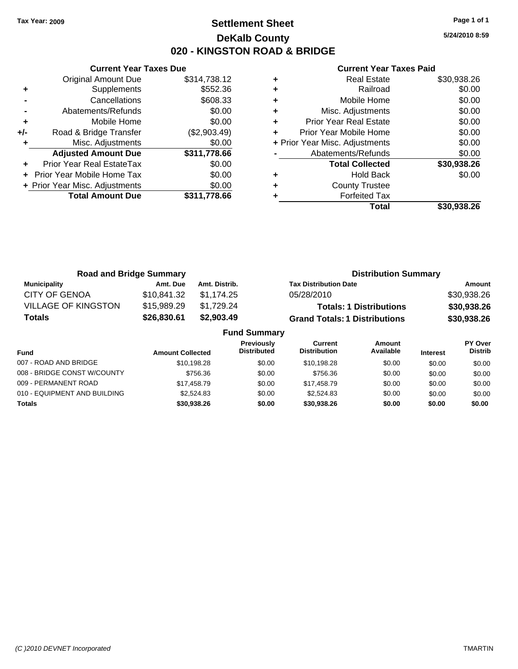**Current Year Taxes Due**

### **Settlement Sheet Tax Year: 2009 Page 1 of 1 DeKalb County 020 - KINGSTON ROAD & BRIDGE**

**5/24/2010 8:59**

|                            |                                                                |   | <b>Total</b>                  | \$30,938.26                    |
|----------------------------|----------------------------------------------------------------|---|-------------------------------|--------------------------------|
| <b>Total Amount Due</b>    | \$311,778.66                                                   |   | <b>Forfeited Tax</b>          |                                |
|                            | \$0.00                                                         | ٠ | <b>County Trustee</b>         |                                |
|                            | \$0.00                                                         | ٠ | <b>Hold Back</b>              | \$0.00                         |
| Prior Year Real EstateTax  | \$0.00                                                         |   | <b>Total Collected</b>        | \$30,938.26                    |
| <b>Adjusted Amount Due</b> | \$311,778.66                                                   |   | Abatements/Refunds            | \$0.00                         |
| Misc. Adjustments          | \$0.00                                                         |   |                               | \$0.00                         |
| Road & Bridge Transfer     | (\$2,903.49)                                                   | ٠ | Prior Year Mobile Home        | \$0.00                         |
| Mobile Home                | \$0.00                                                         | ٠ | <b>Prior Year Real Estate</b> | \$0.00                         |
| Abatements/Refunds         | \$0.00                                                         | ٠ | Misc. Adjustments             | \$0.00                         |
| Cancellations              | \$608.33                                                       | ٠ | Mobile Home                   | \$0.00                         |
| Supplements                | \$552.36                                                       | ٠ | Railroad                      | \$0.00                         |
| Original Amount Due        | \$314,738.12                                                   | ٠ | <b>Real Estate</b>            | \$30,938.26                    |
|                            | + Prior Year Mobile Home Tax<br>+ Prior Year Misc. Adjustments |   |                               | + Prior Year Misc. Adjustments |

| <b>Road and Bridge Summary</b> |             |               | <b>Distribution Summary</b>          |             |
|--------------------------------|-------------|---------------|--------------------------------------|-------------|
| <b>Municipality</b>            | Amt. Due    | Amt. Distrib. | <b>Tax Distribution Date</b>         | Amount      |
| <b>CITY OF GENOA</b>           | \$10,841.32 | \$1.174.25    | 05/28/2010                           | \$30,938.26 |
| <b>VILLAGE OF KINGSTON</b>     | \$15,989.29 | \$1,729.24    | <b>Totals: 1 Distributions</b>       | \$30,938.26 |
| <b>Totals</b>                  | \$26,830.61 | \$2,903.49    | <b>Grand Totals: 1 Distributions</b> | \$30,938.26 |
| <b>Fund Summary</b>            |             |               |                                      |             |

| <b>Fund</b>                  | <b>Amount Collected</b> | <b>Previously</b><br><b>Distributed</b> | Current<br><b>Distribution</b> | Amount<br>Available | <b>Interest</b> | PY Over<br><b>Distrib</b> |
|------------------------------|-------------------------|-----------------------------------------|--------------------------------|---------------------|-----------------|---------------------------|
| 007 - ROAD AND BRIDGE        | \$10,198.28             | \$0.00                                  | \$10,198.28                    | \$0.00              | \$0.00          | \$0.00                    |
| 008 - BRIDGE CONST W/COUNTY  | \$756.36                | \$0.00                                  | \$756.36                       | \$0.00              | \$0.00          | \$0.00                    |
| 009 - PERMANENT ROAD         | \$17,458.79             | \$0.00                                  | \$17,458.79                    | \$0.00              | \$0.00          | \$0.00                    |
| 010 - EQUIPMENT AND BUILDING | \$2,524.83              | \$0.00                                  | \$2.524.83                     | \$0.00              | \$0.00          | \$0.00                    |
| <b>Totals</b>                | \$30,938,26             | \$0.00                                  | \$30,938,26                    | \$0.00              | \$0.00          | \$0.00                    |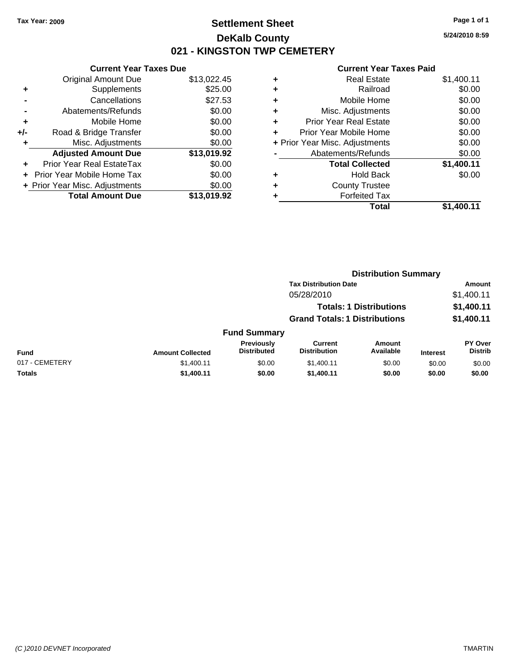### **Settlement Sheet Tax Year: 2009 Page 1 of 1 DeKalb County 021 - KINGSTON TWP CEMETERY**

### **Current Year Taxes Due**

|     | <b>Original Amount Due</b>       | \$13,022.45 |
|-----|----------------------------------|-------------|
| ٠   | Supplements                      | \$25.00     |
|     | Cancellations                    | \$27.53     |
|     | Abatements/Refunds               | \$0.00      |
| ÷   | Mobile Home                      | \$0.00      |
| +/- | Road & Bridge Transfer           | \$0.00      |
| ٠   | Misc. Adjustments                | \$0.00      |
|     | <b>Adjusted Amount Due</b>       | \$13,019.92 |
|     | <b>Prior Year Real EstateTax</b> | \$0.00      |
|     | Prior Year Mobile Home Tax       | \$0.00      |
|     | + Prior Year Misc. Adjustments   | \$0.00      |
|     | <b>Total Amount Due</b>          | \$13,019.92 |

|   | <b>Real Estate</b>             | \$1,400.11 |
|---|--------------------------------|------------|
| ٠ | Railroad                       | \$0.00     |
| ٠ | Mobile Home                    | \$0.00     |
| ÷ | Misc. Adjustments              | \$0.00     |
| ٠ | <b>Prior Year Real Estate</b>  | \$0.00     |
|   | Prior Year Mobile Home         | \$0.00     |
|   | + Prior Year Misc. Adjustments | \$0.00     |
|   | Abatements/Refunds             | \$0.00     |
|   | <b>Total Collected</b>         | \$1,400.11 |
| ٠ | Hold Back                      | \$0.00     |
|   | <b>County Trustee</b>          |            |
|   | <b>Forfeited Tax</b>           |            |
|   | Total                          | \$1,400.11 |
|   |                                |            |

| \$13,019.9Z | <b>Forrelted Tax</b> |            |
|-------------|----------------------|------------|
|             | <b>Total</b>         | \$1,400.11 |
|             |                      |            |
|             |                      |            |

|                |                         |                                  | <b>Distribution Summary</b>           |                                |                 |                                  |
|----------------|-------------------------|----------------------------------|---------------------------------------|--------------------------------|-----------------|----------------------------------|
|                |                         |                                  | <b>Tax Distribution Date</b>          |                                |                 | Amount                           |
|                |                         |                                  | 05/28/2010                            |                                |                 | \$1,400.11                       |
|                |                         |                                  |                                       | <b>Totals: 1 Distributions</b> |                 | \$1,400.11                       |
|                |                         |                                  | <b>Grand Totals: 1 Distributions</b>  |                                |                 | \$1,400.11                       |
|                |                         | <b>Fund Summary</b>              |                                       |                                |                 |                                  |
| <b>Fund</b>    | <b>Amount Collected</b> | Previously<br><b>Distributed</b> | <b>Current</b><br><b>Distribution</b> | Amount<br>Available            | <b>Interest</b> | <b>PY Over</b><br><b>Distrib</b> |
| 017 - CEMETERY | \$1,400.11              | \$0.00                           | \$1,400.11                            | \$0.00                         | \$0.00          | \$0.00                           |
| Totals         | \$1,400.11              | \$0.00                           | \$1,400.11                            | \$0.00                         | \$0.00          | \$0.00                           |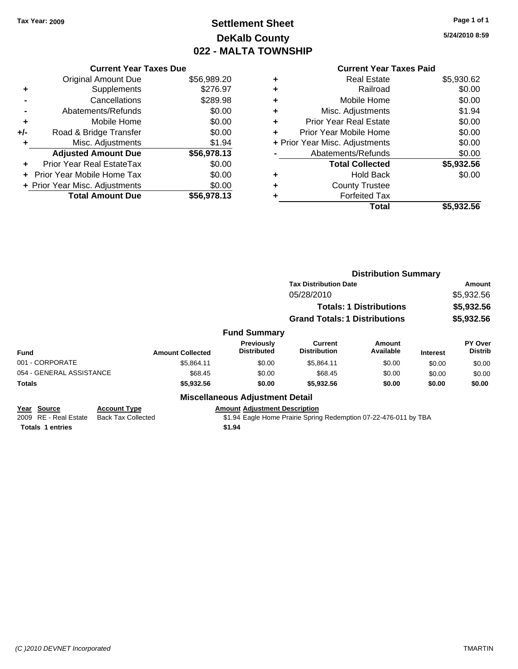# **Settlement Sheet Tax Year: 2009 Page 1 of 1 DeKalb County 022 - MALTA TOWNSHIP**

**5/24/2010 8:59**

|       | <b>Current Year Taxes Due</b>  |             |  |  |  |  |  |  |
|-------|--------------------------------|-------------|--|--|--|--|--|--|
|       | <b>Original Amount Due</b>     | \$56,989.20 |  |  |  |  |  |  |
|       | Supplements                    | \$276.97    |  |  |  |  |  |  |
|       | Cancellations                  | \$289.98    |  |  |  |  |  |  |
|       | Abatements/Refunds             | \$0.00      |  |  |  |  |  |  |
| ٠     | Mobile Home                    | \$0.00      |  |  |  |  |  |  |
| $+/-$ | Road & Bridge Transfer         | \$0.00      |  |  |  |  |  |  |
| ٠     | Misc. Adjustments              | \$1.94      |  |  |  |  |  |  |
|       | <b>Adjusted Amount Due</b>     | \$56,978.13 |  |  |  |  |  |  |
|       | Prior Year Real EstateTax      | \$0.00      |  |  |  |  |  |  |
|       | Prior Year Mobile Home Tax     | \$0.00      |  |  |  |  |  |  |
|       | + Prior Year Misc. Adjustments | \$0.00      |  |  |  |  |  |  |
|       | <b>Total Amount Due</b>        | \$56,978.13 |  |  |  |  |  |  |
|       |                                |             |  |  |  |  |  |  |

#### **Current Year Taxes Paid**

| <b>Real Estate</b>            | \$5,930.62                     |
|-------------------------------|--------------------------------|
| Railroad                      | \$0.00                         |
| Mobile Home                   | \$0.00                         |
| Misc. Adjustments             | \$1.94                         |
| <b>Prior Year Real Estate</b> | \$0.00                         |
| Prior Year Mobile Home        | \$0.00                         |
|                               | \$0.00                         |
| Abatements/Refunds            | \$0.00                         |
| <b>Total Collected</b>        | \$5,932.56                     |
| <b>Hold Back</b>              | \$0.00                         |
| <b>County Trustee</b>         |                                |
| <b>Forfeited Tax</b>          |                                |
| Total                         | \$5,932.56                     |
|                               | + Prior Year Misc. Adjustments |

|                                      |                                                  |                         |                                                                                                          | <b>Distribution Summary</b>          |                                |                 |                           |
|--------------------------------------|--------------------------------------------------|-------------------------|----------------------------------------------------------------------------------------------------------|--------------------------------------|--------------------------------|-----------------|---------------------------|
|                                      |                                                  |                         |                                                                                                          | <b>Tax Distribution Date</b>         |                                |                 | Amount                    |
|                                      |                                                  |                         |                                                                                                          | 05/28/2010                           |                                |                 | \$5,932.56                |
|                                      |                                                  |                         |                                                                                                          |                                      | <b>Totals: 1 Distributions</b> |                 | \$5,932.56                |
|                                      |                                                  |                         |                                                                                                          | <b>Grand Totals: 1 Distributions</b> |                                |                 | \$5,932.56                |
|                                      |                                                  |                         | <b>Fund Summary</b>                                                                                      |                                      |                                |                 |                           |
| <b>Fund</b>                          |                                                  | <b>Amount Collected</b> | Previously<br><b>Distributed</b>                                                                         | Current<br><b>Distribution</b>       | Amount<br>Available            | <b>Interest</b> | PY Over<br><b>Distrib</b> |
| 001 - CORPORATE                      |                                                  | \$5,864.11              | \$0.00                                                                                                   | \$5,864.11                           | \$0.00                         | \$0.00          | \$0.00                    |
| 054 - GENERAL ASSISTANCE             |                                                  | \$68.45                 | \$0.00                                                                                                   | \$68.45                              | \$0.00                         | \$0.00          | \$0.00                    |
| <b>Totals</b>                        |                                                  | \$5,932.56              | \$0.00                                                                                                   | \$5,932.56                           | \$0.00                         | \$0.00          | \$0.00                    |
|                                      |                                                  |                         | <b>Miscellaneous Adjustment Detail</b>                                                                   |                                      |                                |                 |                           |
| Year Source<br>2009 RE - Real Estate | <b>Account Type</b><br><b>Back Tax Collected</b> |                         | <b>Amount Adjustment Description</b><br>\$1.94 Eagle Home Prairie Spring Redemption 07-22-476-011 by TBA |                                      |                                |                 |                           |

**Totals 1 entries \$1.94**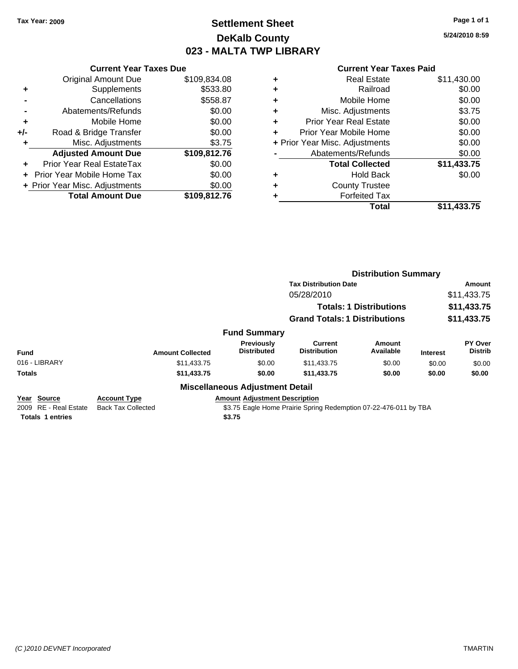## **Settlement Sheet Tax Year: 2009 Page 1 of 1 DeKalb County 023 - MALTA TWP LIBRARY**

**5/24/2010 8:59**

#### **Current Year Taxes Paid**

|     | <b>Current Year Taxes Due</b>     |              |  |  |  |  |  |
|-----|-----------------------------------|--------------|--|--|--|--|--|
|     | <b>Original Amount Due</b>        | \$109,834.08 |  |  |  |  |  |
| ٠   | Supplements                       | \$533.80     |  |  |  |  |  |
|     | Cancellations                     | \$558.87     |  |  |  |  |  |
|     | \$0.00<br>Abatements/Refunds      |              |  |  |  |  |  |
| ٠   | Mobile Home                       | \$0.00       |  |  |  |  |  |
| +/- | Road & Bridge Transfer            | \$0.00       |  |  |  |  |  |
|     | Misc. Adjustments                 | \$3.75       |  |  |  |  |  |
|     | <b>Adjusted Amount Due</b>        | \$109,812.76 |  |  |  |  |  |
| ÷   | Prior Year Real EstateTax         | \$0.00       |  |  |  |  |  |
|     | <b>Prior Year Mobile Home Tax</b> | \$0.00       |  |  |  |  |  |
|     | + Prior Year Misc. Adjustments    | \$0.00       |  |  |  |  |  |
|     | <b>Total Amount Due</b>           | \$109,812.76 |  |  |  |  |  |

|   | Total                          | \$11,433.75 |
|---|--------------------------------|-------------|
|   | <b>Forfeited Tax</b>           |             |
| ٠ | <b>County Trustee</b>          |             |
| ٠ | <b>Hold Back</b>               | \$0.00      |
|   | <b>Total Collected</b>         | \$11,433.75 |
|   | Abatements/Refunds             | \$0.00      |
|   | + Prior Year Misc. Adjustments | \$0.00      |
| ٠ | Prior Year Mobile Home         | \$0.00      |
| ÷ | <b>Prior Year Real Estate</b>  | \$0.00      |
| ٠ | Misc. Adjustments              | \$3.75      |
| ٠ | Mobile Home                    | \$0.00      |
| ٠ | Railroad                       | \$0.00      |
| ٠ | <b>Real Estate</b>             | \$11,430.00 |
|   |                                |             |

|                                                |                                                  |                                        | <b>Distribution Summary</b>                                      |                                |                 |                           |
|------------------------------------------------|--------------------------------------------------|----------------------------------------|------------------------------------------------------------------|--------------------------------|-----------------|---------------------------|
|                                                |                                                  |                                        | <b>Tax Distribution Date</b>                                     |                                |                 | Amount                    |
|                                                |                                                  |                                        | 05/28/2010                                                       |                                |                 | \$11,433.75               |
|                                                |                                                  |                                        |                                                                  | <b>Totals: 1 Distributions</b> |                 | \$11,433.75               |
|                                                |                                                  |                                        | <b>Grand Totals: 1 Distributions</b>                             |                                |                 | \$11,433.75               |
|                                                |                                                  | <b>Fund Summary</b>                    |                                                                  |                                |                 |                           |
| <b>Fund</b>                                    | <b>Amount Collected</b>                          | Previously<br><b>Distributed</b>       | Current<br><b>Distribution</b>                                   | Amount<br>Available            | <b>Interest</b> | PY Over<br><b>Distrib</b> |
| 016 - LIBRARY                                  | \$11,433,75                                      | \$0.00                                 | \$11,433.75                                                      | \$0.00                         | \$0.00          | \$0.00                    |
| <b>Totals</b>                                  | \$11,433.75                                      | \$0.00                                 | \$11,433.75                                                      | \$0.00                         | \$0.00          | \$0.00                    |
|                                                |                                                  | <b>Miscellaneous Adjustment Detail</b> |                                                                  |                                |                 |                           |
| Year Source<br><b>RE</b> - Real Estate<br>2009 | <b>Account Type</b><br><b>Back Tax Collected</b> | <b>Amount Adjustment Description</b>   | \$3.75 Eagle Home Prairie Spring Redemption 07-22-476-011 by TBA |                                |                 |                           |

**Totals 1 entries \$3.75**

*(C )2010 DEVNET Incorporated* TMARTIN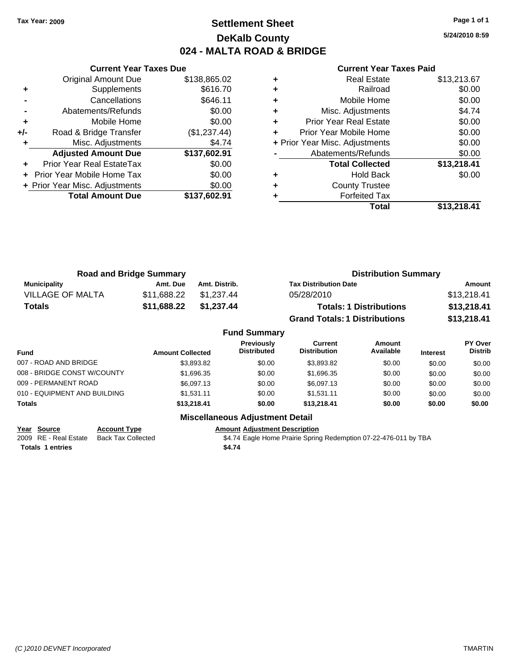## **Settlement Sheet Tax Year: 2009 Page 1 of 1 DeKalb County 024 - MALTA ROAD & BRIDGE**

**5/24/2010 8:59**

|     | <b>Current Year Taxes Due</b>  |              |
|-----|--------------------------------|--------------|
|     | <b>Original Amount Due</b>     | \$138,865.02 |
| ٠   | Supplements                    | \$616.70     |
|     | Cancellations                  | \$646.11     |
|     | Abatements/Refunds             | \$0.00       |
| ٠   | Mobile Home                    | \$0.00       |
| +/- | Road & Bridge Transfer         | (\$1,237.44) |
|     | Misc. Adjustments              | \$4.74       |
|     | <b>Adjusted Amount Due</b>     | \$137,602.91 |
|     | Prior Year Real EstateTax      | \$0.00       |
|     | Prior Year Mobile Home Tax     | \$0.00       |
|     | + Prior Year Misc. Adjustments | \$0.00       |
|     | <b>Total Amount Due</b>        | \$137,602.91 |
|     |                                |              |

#### **Current Year Taxes Paid**

|   | Total                          | \$13,218.41 |
|---|--------------------------------|-------------|
|   | <b>Forfeited Tax</b>           |             |
| ٠ | <b>County Trustee</b>          |             |
| ٠ | <b>Hold Back</b>               | \$0.00      |
|   | <b>Total Collected</b>         | \$13,218.41 |
|   | Abatements/Refunds             | \$0.00      |
|   | + Prior Year Misc. Adjustments | \$0.00      |
|   | Prior Year Mobile Home         | \$0.00      |
| ٠ | <b>Prior Year Real Estate</b>  | \$0.00      |
| ٠ | Misc. Adjustments              | \$4.74      |
| ٠ | Mobile Home                    | \$0.00      |
| ٠ | Railroad                       | \$0.00      |
|   | <b>Real Estate</b>             | \$13,213.67 |

| <b>Road and Bridge Summary</b> |             | <b>Distribution Summary</b> |                                      |             |
|--------------------------------|-------------|-----------------------------|--------------------------------------|-------------|
| <b>Municipality</b>            | Amt. Due    | Amt. Distrib.               | <b>Tax Distribution Date</b>         | Amount      |
| <b>VILLAGE OF MALTA</b>        | \$11.688.22 | \$1.237.44                  | 05/28/2010                           | \$13,218.41 |
| <b>Totals</b>                  | \$11,688.22 | \$1,237.44                  | <b>Totals: 1 Distributions</b>       | \$13,218.41 |
|                                |             |                             | <b>Grand Totals: 1 Distributions</b> | \$13,218.41 |

|                              |                         | <b>Fund Summary</b>                     |                                |                     |                 |                           |
|------------------------------|-------------------------|-----------------------------------------|--------------------------------|---------------------|-----------------|---------------------------|
| <b>Fund</b>                  | <b>Amount Collected</b> | <b>Previously</b><br><b>Distributed</b> | Current<br><b>Distribution</b> | Amount<br>Available | <b>Interest</b> | PY Over<br><b>Distrib</b> |
| 007 - ROAD AND BRIDGE        | \$3.893.82              | \$0.00                                  | \$3.893.82                     | \$0.00              | \$0.00          | \$0.00                    |
| 008 - BRIDGE CONST W/COUNTY  | \$1,696.35              | \$0.00                                  | \$1,696.35                     | \$0.00              | \$0.00          | \$0.00                    |
| 009 - PERMANENT ROAD         | \$6.097.13              | \$0.00                                  | \$6,097.13                     | \$0.00              | \$0.00          | \$0.00                    |
| 010 - EQUIPMENT AND BUILDING | \$1.531.11              | \$0.00                                  | \$1.531.11                     | \$0.00              | \$0.00          | \$0.00                    |
| Totals                       | \$13,218.41             | \$0.00                                  | \$13,218.41                    | \$0.00              | \$0.00          | \$0.00                    |
|                              |                         |                                         |                                |                     |                 |                           |

**Year Source Account Type Amount Adjustment Description Totals 1 entries \$4.74**

**Miscellaneous Adjustment Detail**

2009 RE - Real Estate Back Tax Collected \$4.74 Eagle Home Prairie Spring Redemption 07-22-476-011 by TBA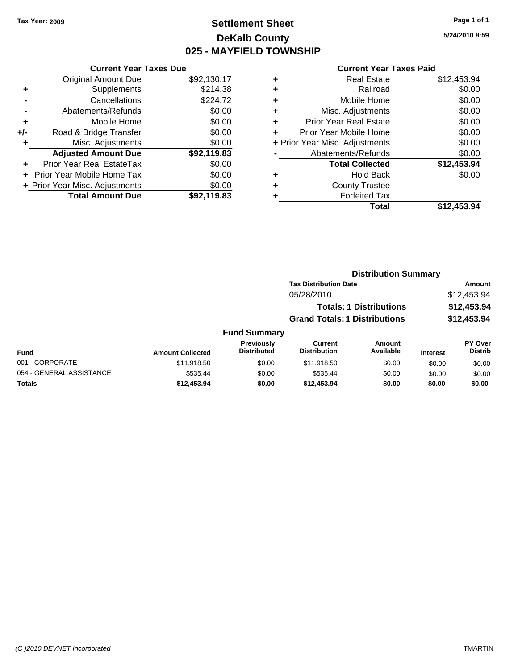## **Settlement Sheet Tax Year: 2009 Page 1 of 1 DeKalb County 025 - MAYFIELD TOWNSHIP**

**5/24/2010 8:59**

#### **Current Year Taxes Paid**

|     | <b>Current Year Taxes Due</b>     |             |
|-----|-----------------------------------|-------------|
|     | <b>Original Amount Due</b>        | \$92,130.17 |
| ٠   | Supplements                       | \$214.38    |
|     | Cancellations                     | \$224.72    |
|     | Abatements/Refunds                | \$0.00      |
| ٠   | Mobile Home                       | \$0.00      |
| +/- | Road & Bridge Transfer            | \$0.00      |
| ٠   | Misc. Adjustments                 | \$0.00      |
|     | <b>Adjusted Amount Due</b>        | \$92,119.83 |
| ÷   | Prior Year Real EstateTax         | \$0.00      |
|     | <b>Prior Year Mobile Home Tax</b> | \$0.00      |
|     | + Prior Year Misc. Adjustments    | \$0.00      |
|     | <b>Total Amount Due</b>           | \$92.119.83 |

|   | Total                          | \$12,453.94 |
|---|--------------------------------|-------------|
| ٠ | <b>Forfeited Tax</b>           |             |
| ٠ | <b>County Trustee</b>          |             |
| ٠ | <b>Hold Back</b>               | \$0.00      |
|   | <b>Total Collected</b>         | \$12,453.94 |
|   | Abatements/Refunds             | \$0.00      |
|   | + Prior Year Misc. Adjustments | \$0.00      |
| ٠ | Prior Year Mobile Home         | \$0.00      |
| ÷ | Prior Year Real Estate         | \$0.00      |
| ٠ | Misc. Adjustments              | \$0.00      |
| ÷ | Mobile Home                    | \$0.00      |
| ÷ | Railroad                       | \$0.00      |
| ٠ | <b>Real Estate</b>             | \$12,453.94 |
|   |                                |             |

|                          |                         |                                  | <b>Distribution Summary</b>          |                                |                 |                           |
|--------------------------|-------------------------|----------------------------------|--------------------------------------|--------------------------------|-----------------|---------------------------|
|                          |                         |                                  | <b>Tax Distribution Date</b>         |                                |                 | Amount                    |
|                          |                         |                                  | 05/28/2010                           |                                |                 | \$12,453.94               |
|                          |                         |                                  |                                      | <b>Totals: 1 Distributions</b> |                 | \$12,453.94               |
|                          |                         |                                  | <b>Grand Totals: 1 Distributions</b> |                                |                 | \$12,453.94               |
|                          |                         | <b>Fund Summary</b>              |                                      |                                |                 |                           |
| <b>Fund</b>              | <b>Amount Collected</b> | Previously<br><b>Distributed</b> | Current<br><b>Distribution</b>       | Amount<br>Available            | <b>Interest</b> | PY Over<br><b>Distrib</b> |
| 001 - CORPORATE          | \$11,918.50             | \$0.00                           | \$11,918.50                          | \$0.00                         | \$0.00          | \$0.00                    |
| 054 - GENERAL ASSISTANCE | \$535.44                | \$0.00                           | \$535.44                             | \$0.00                         | \$0.00          | \$0.00                    |

**Totals \$12,453.94 \$0.00 \$12,453.94 \$0.00 \$0.00 \$0.00**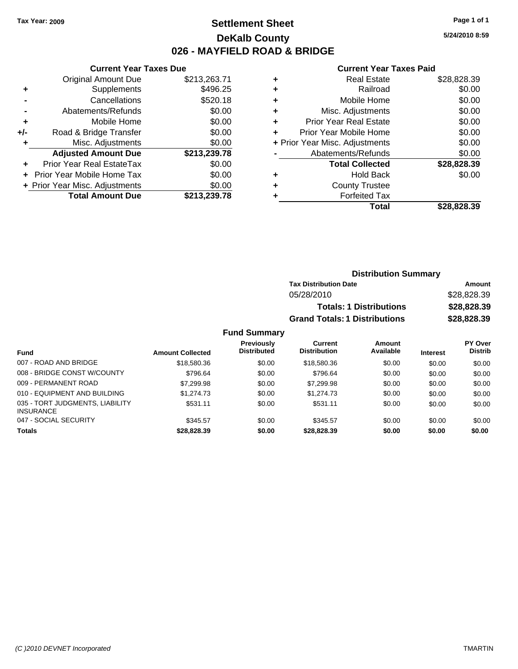### **Settlement Sheet Tax Year: 2009 Page 1 of 1 DeKalb County 026 - MAYFIELD ROAD & BRIDGE**

**5/24/2010 8:59**

#### **Current Year Taxes Paid**

|       | <b>UGITUR TUGI TUAUS DUU</b>   |              |
|-------|--------------------------------|--------------|
|       | <b>Original Amount Due</b>     | \$213,263.71 |
| ٠     | Supplements                    | \$496.25     |
|       | Cancellations                  | \$520.18     |
|       | Abatements/Refunds             | \$0.00       |
| ٠     | Mobile Home                    | \$0.00       |
| $+/-$ | Road & Bridge Transfer         | \$0.00       |
| ٠     | Misc. Adjustments              | \$0.00       |
|       | <b>Adjusted Amount Due</b>     | \$213,239.78 |
|       | Prior Year Real EstateTax      | \$0.00       |
|       | Prior Year Mobile Home Tax     | \$0.00       |
|       | + Prior Year Misc. Adjustments | \$0.00       |
|       | <b>Total Amount Due</b>        | \$213,239.78 |
|       |                                |              |

**Current Year Taxes Due**

|   | <b>Real Estate</b>             | \$28,828.39 |
|---|--------------------------------|-------------|
| ٠ | Railroad                       | \$0.00      |
| ٠ | Mobile Home                    | \$0.00      |
| ٠ | Misc. Adjustments              | \$0.00      |
| ٠ | <b>Prior Year Real Estate</b>  | \$0.00      |
|   | Prior Year Mobile Home         | \$0.00      |
|   | + Prior Year Misc. Adjustments | \$0.00      |
|   | Abatements/Refunds             | \$0.00      |
|   | <b>Total Collected</b>         | \$28,828.39 |
| ٠ | <b>Hold Back</b>               | \$0.00      |
| ٠ | <b>County Trustee</b>          |             |
|   | <b>Forfeited Tax</b>           |             |
|   | Total                          | \$28.828.39 |

| <b>Distribution Summary</b>          |             |
|--------------------------------------|-------------|
| <b>Tax Distribution Date</b>         | Amount      |
| 05/28/2010                           | \$28,828.39 |
| <b>Totals: 1 Distributions</b>       | \$28,828.39 |
| <b>Grand Totals: 1 Distributions</b> | \$28,828.39 |
| -------                              |             |

#### **Fund Summary Fund Interest Amount Collected Distributed PY Over Distrib Amount Available Current Distribution Previously** 007 - ROAD AND BRIDGE 60.00 \$18,580.36 \$0.00 \$18,580.36 \$18,580.36 \$0.00 \$0.00 \$0.00 008 - BRIDGE CONST W/COUNTY  $$796.64$   $$0.00$   $$796.64$   $$0.00$   $$0.00$   $$0.00$   $$0.00$ 009 - PERMANENT ROAD \$7,299.98 \$0.00 \$7,299.98 \$0.00 \$0.00 \$0.00 010 - EQUIPMENT AND BUILDING \$1,274.73 \$0.00 \$1,274.73 \$0.00 \$0.00 \$0.00 \$0.00 035 - TORT JUDGMENTS, LIABILITY INSURANCE \$531.11 \$0.00 \$531.11 \$0.00 \$0.00 \$0.00 047 - SOCIAL SECURITY 6345.57 \$345.57 \$0.00 \$345.57 \$0.00 \$0.00 \$0.00 \$0.00 **Totals \$28,828.39 \$0.00 \$28,828.39 \$0.00 \$0.00 \$0.00**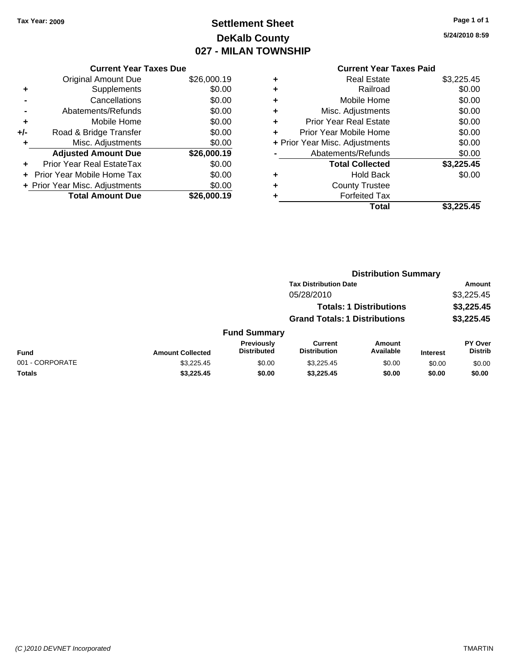# **Settlement Sheet Tax Year: 2009 Page 1 of 1 DeKalb County 027 - MILAN TOWNSHIP**

**5/24/2010 8:59**

|     | <b>Current Year Taxes Due</b>  |             |  |  |  |
|-----|--------------------------------|-------------|--|--|--|
|     | Original Amount Due            | \$26,000.19 |  |  |  |
| ٠   | Supplements                    | \$0.00      |  |  |  |
|     | Cancellations                  | \$0.00      |  |  |  |
|     | Abatements/Refunds             | \$0.00      |  |  |  |
| ٠   | Mobile Home                    | \$0.00      |  |  |  |
| +/- | Road & Bridge Transfer         | \$0.00      |  |  |  |
| ٠   | Misc. Adjustments              | \$0.00      |  |  |  |
|     | <b>Adjusted Amount Due</b>     | \$26,000.19 |  |  |  |
|     | Prior Year Real EstateTax      | \$0.00      |  |  |  |
|     | Prior Year Mobile Home Tax     | \$0.00      |  |  |  |
|     | + Prior Year Misc. Adjustments | \$0.00      |  |  |  |
|     | <b>Total Amount Due</b>        | \$26,000.19 |  |  |  |
|     |                                |             |  |  |  |

### **Current Year Taxes Paid +** Real Estate \$3,225.45

|   | Total                          | \$3.225.45 |
|---|--------------------------------|------------|
|   | <b>Forfeited Tax</b>           |            |
|   | <b>County Trustee</b>          |            |
|   | <b>Hold Back</b>               | \$0.00     |
|   | <b>Total Collected</b>         | \$3,225.45 |
|   | Abatements/Refunds             | \$0.00     |
|   | + Prior Year Misc. Adjustments | \$0.00     |
| ÷ | Prior Year Mobile Home         | \$0.00     |
| ÷ | <b>Prior Year Real Estate</b>  | \$0.00     |
| ٠ | Misc. Adjustments              | \$0.00     |
| ٠ | Mobile Home                    | \$0.00     |
|   | Railroad                       | \$0.00     |

|                 |                         |                                         |                                       | <b>Distribution Summary</b>    |                 |                                  |
|-----------------|-------------------------|-----------------------------------------|---------------------------------------|--------------------------------|-----------------|----------------------------------|
|                 |                         |                                         | <b>Tax Distribution Date</b>          |                                |                 | Amount                           |
|                 |                         |                                         | 05/28/2010                            |                                |                 | \$3,225.45                       |
|                 |                         |                                         |                                       | <b>Totals: 1 Distributions</b> |                 | \$3,225.45                       |
|                 |                         |                                         | <b>Grand Totals: 1 Distributions</b>  |                                |                 | \$3,225.45                       |
|                 |                         | <b>Fund Summary</b>                     |                                       |                                |                 |                                  |
| <b>Fund</b>     | <b>Amount Collected</b> | <b>Previously</b><br><b>Distributed</b> | <b>Current</b><br><b>Distribution</b> | Amount<br>Available            | <b>Interest</b> | <b>PY Over</b><br><b>Distrib</b> |
| 001 - CORPORATE | \$3,225.45              | \$0.00                                  | \$3,225.45                            | \$0.00                         | \$0.00          | \$0.00                           |
| Totals          | \$3,225.45              | \$0.00                                  | \$3,225.45                            | \$0.00                         | \$0.00          | \$0.00                           |
|                 |                         |                                         |                                       |                                |                 |                                  |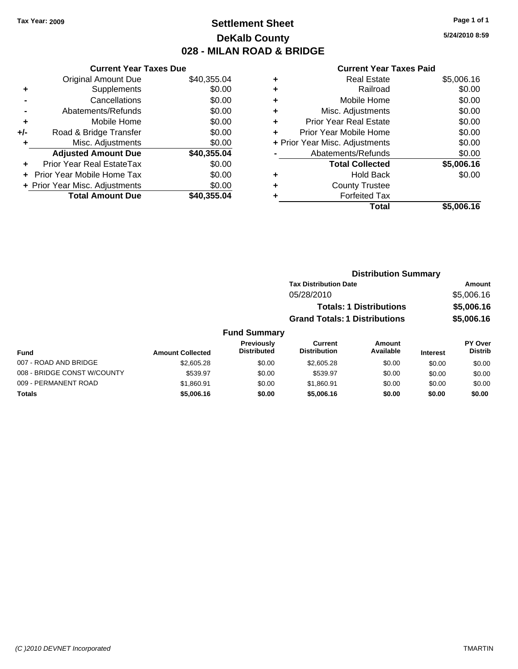## **Settlement Sheet Tax Year: 2009 Page 1 of 1 DeKalb County 028 - MILAN ROAD & BRIDGE**

**5/24/2010 8:59**

|       | <b>Current Year Taxes Due</b>  |             |
|-------|--------------------------------|-------------|
|       | <b>Original Amount Due</b>     | \$40,355.04 |
| ٠     | Supplements                    | \$0.00      |
|       | Cancellations                  | \$0.00      |
|       | Abatements/Refunds             | \$0.00      |
| ٠     | Mobile Home                    | \$0.00      |
| $+/-$ | Road & Bridge Transfer         | \$0.00      |
| ٠     | Misc. Adjustments              | \$0.00      |
|       | <b>Adjusted Amount Due</b>     | \$40,355.04 |
| ٠     | Prior Year Real EstateTax      | \$0.00      |
|       | Prior Year Mobile Home Tax     | \$0.00      |
|       | + Prior Year Misc. Adjustments | \$0.00      |
|       | <b>Total Amount Due</b>        | \$40,355,04 |

| <b>Real Estate</b>            | \$5,006.16                     |
|-------------------------------|--------------------------------|
| Railroad                      | \$0.00                         |
| Mobile Home                   | \$0.00                         |
| Misc. Adjustments             | \$0.00                         |
| <b>Prior Year Real Estate</b> | \$0.00                         |
| Prior Year Mobile Home        | \$0.00                         |
|                               | \$0.00                         |
| Abatements/Refunds            | \$0.00                         |
| <b>Total Collected</b>        | \$5,006.16                     |
| <b>Hold Back</b>              | \$0.00                         |
| <b>County Trustee</b>         |                                |
| <b>Forfeited Tax</b>          |                                |
| Total                         | \$5.006.16                     |
|                               | + Prior Year Misc. Adjustments |

|                       |                         |                                  |                                      |                                | <b>Distribution Summary</b> |                           |  |
|-----------------------|-------------------------|----------------------------------|--------------------------------------|--------------------------------|-----------------------------|---------------------------|--|
|                       |                         |                                  | <b>Tax Distribution Date</b>         |                                |                             | Amount                    |  |
|                       |                         |                                  | 05/28/2010                           |                                |                             | \$5,006.16                |  |
|                       |                         |                                  |                                      | <b>Totals: 1 Distributions</b> |                             | \$5,006.16                |  |
|                       |                         |                                  | <b>Grand Totals: 1 Distributions</b> |                                |                             | \$5,006.16                |  |
|                       |                         | <b>Fund Summary</b>              |                                      |                                |                             |                           |  |
| <b>Fund</b>           | <b>Amount Collected</b> | Previously<br><b>Distributed</b> | Current<br><b>Distribution</b>       | Amount<br>Available            | <b>Interest</b>             | PY Over<br><b>Distrib</b> |  |
| 007 - ROAD AND BRIDGE | \$2,605.28              | \$0.00                           | \$2,605.28                           | \$0.00                         | \$0.00                      | \$0.00                    |  |

| 007 - ROAD AND BRIDGE       | \$2,605.28 | \$0.00 | \$2,605.28 | \$0.00 | \$0.00 | \$0.00 |
|-----------------------------|------------|--------|------------|--------|--------|--------|
| 008 - BRIDGE CONST W/COUNTY | \$539.97   | \$0.00 | \$539.97   | \$0.00 | \$0.00 | \$0.00 |
| 009 - PERMANENT ROAD        | \$1.860.91 | \$0.00 | \$1,860.91 | \$0.00 | \$0.00 | \$0.00 |
| Totals                      | \$5,006.16 | \$0.00 | \$5,006.16 | \$0.00 | \$0.00 | \$0.00 |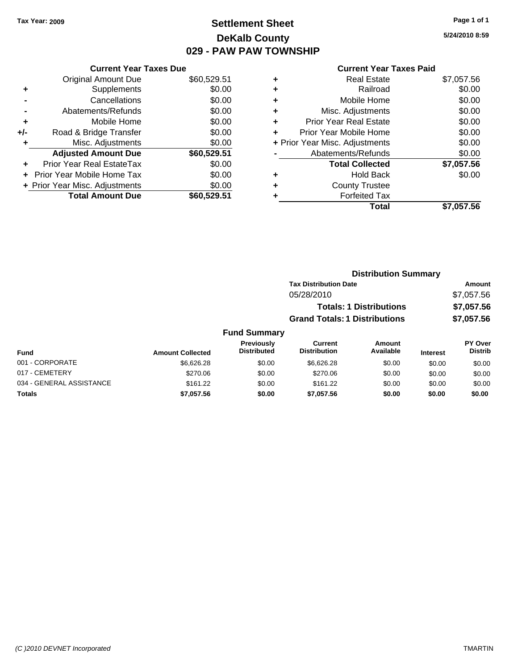## **Settlement Sheet Tax Year: 2009 Page 1 of 1 DeKalb County 029 - PAW PAW TOWNSHIP**

**5/24/2010 8:59**

|       | <b>Current Year Taxes Due</b>  |             |
|-------|--------------------------------|-------------|
|       | <b>Original Amount Due</b>     | \$60,529.51 |
|       | Supplements                    | \$0.00      |
|       | Cancellations                  | \$0.00      |
|       | Abatements/Refunds             | \$0.00      |
| ٠     | Mobile Home                    | \$0.00      |
| $+/-$ | Road & Bridge Transfer         | \$0.00      |
| ٠     | Misc. Adjustments              | \$0.00      |
|       | <b>Adjusted Amount Due</b>     | \$60,529.51 |
| ٠     | Prior Year Real EstateTax      | \$0.00      |
|       | Prior Year Mobile Home Tax     | \$0.00      |
|       | + Prior Year Misc. Adjustments | \$0.00      |
|       | <b>Total Amount Due</b>        | \$60.529.51 |
|       |                                |             |

|   | <b>Current Year Taxes Paid</b> |            |
|---|--------------------------------|------------|
| ٠ | <b>Real Estate</b>             | \$7,057.56 |
|   | Railroad                       | \$0.00     |
| ٠ | Mobile Home                    | \$0.00     |
| ٠ | Misc. Adjustments              | \$0.00     |
|   | <b>Prior Year Real Estate</b>  | \$0.00     |
| ٠ | Prior Year Mobile Home         | \$0.00     |
|   | + Prior Year Misc. Adjustments | \$0.00     |
|   | Abatements/Refunds             | \$0.00     |
|   | <b>Total Collected</b>         | \$7,057.56 |
|   | <b>Hold Back</b>               | \$0.00     |
|   | <b>County Trustee</b>          |            |
|   | <b>Forfeited Tax</b>           |            |
|   | Total                          | \$7,057.56 |

|                 |                         |                                  | <b>Distribution Summary</b>          |                                |                 |                           |
|-----------------|-------------------------|----------------------------------|--------------------------------------|--------------------------------|-----------------|---------------------------|
|                 |                         |                                  | <b>Tax Distribution Date</b>         |                                |                 | Amount                    |
|                 |                         |                                  | 05/28/2010                           |                                |                 | \$7,057.56                |
|                 |                         |                                  |                                      | <b>Totals: 1 Distributions</b> |                 | \$7,057.56                |
|                 |                         |                                  | <b>Grand Totals: 1 Distributions</b> |                                |                 | \$7,057.56                |
|                 |                         | <b>Fund Summary</b>              |                                      |                                |                 |                           |
| <b>Fund</b>     | <b>Amount Collected</b> | Previously<br><b>Distributed</b> | Current<br><b>Distribution</b>       | Amount<br>Available            | <b>Interest</b> | PY Over<br><b>Distrib</b> |
| 001 - CORPORATE | \$6,626.28              | \$0.00                           | \$6,626.28                           | \$0.00                         | \$0.00          | \$0.00                    |
| 017 - CEMETERY  | \$270.06                | \$0.00                           | \$270.06                             | \$0.00                         | \$0.00          | \$0.00                    |

034 - GENERAL ASSISTANCE \$161.22 \$0.00 \$0.00 \$0.00 \$0.00 \$0.00 **Totals \$7,057.56 \$0.00 \$7,057.56 \$0.00 \$0.00 \$0.00**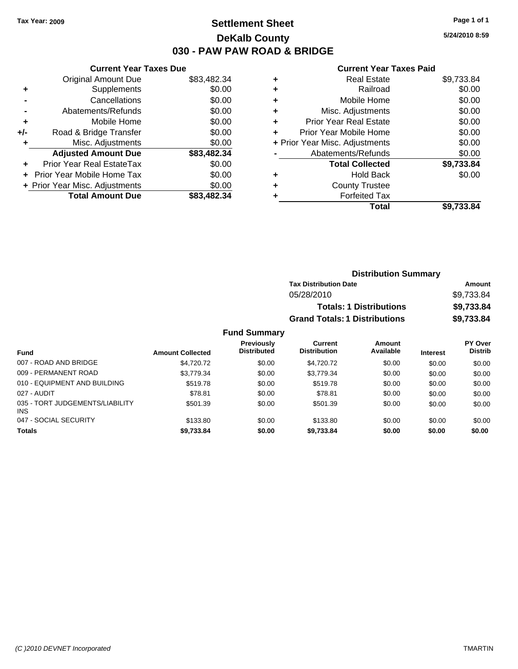### **Settlement Sheet Tax Year: 2009 Page 1 of 1 DeKalb County 030 - PAW PAW ROAD & BRIDGE**

**5/24/2010 8:59**

| <b>Current Year Taxes Due</b>     |                                |
|-----------------------------------|--------------------------------|
| <b>Original Amount Due</b>        | \$83,482.34                    |
| Supplements                       | \$0.00                         |
| Cancellations                     | \$0.00                         |
| Abatements/Refunds                | \$0.00                         |
| Mobile Home                       | \$0.00                         |
| Road & Bridge Transfer            | \$0.00                         |
| Misc. Adjustments                 | \$0.00                         |
| <b>Adjusted Amount Due</b>        | \$83,482.34                    |
| Prior Year Real EstateTax         | \$0.00                         |
| <b>Prior Year Mobile Home Tax</b> | \$0.00                         |
|                                   | \$0.00                         |
| <b>Total Amount Due</b>           | \$83,482,34                    |
|                                   | + Prior Year Misc. Adjustments |

| <b>Real Estate</b>             | \$9,733.84 |
|--------------------------------|------------|
| Railroad                       | \$0.00     |
| Mobile Home                    | \$0.00     |
| Misc. Adjustments              | \$0.00     |
| <b>Prior Year Real Estate</b>  | \$0.00     |
| Prior Year Mobile Home         | \$0.00     |
| + Prior Year Misc. Adjustments | \$0.00     |
| Abatements/Refunds             | \$0.00     |
| <b>Total Collected</b>         | \$9,733.84 |
| <b>Hold Back</b>               | \$0.00     |
| <b>County Trustee</b>          |            |
| <b>Forfeited Tax</b>           |            |
| Total                          | \$9,733.84 |
|                                |            |

|                     |                                      | <b>Distribution Summary</b>    |          |                |
|---------------------|--------------------------------------|--------------------------------|----------|----------------|
|                     | <b>Tax Distribution Date</b>         |                                |          | Amount         |
|                     | 05/28/2010                           |                                |          | \$9,733.84     |
|                     |                                      | <b>Totals: 1 Distributions</b> |          | \$9,733.84     |
|                     | <b>Grand Totals: 1 Distributions</b> |                                |          | \$9,733.84     |
| <b>Fund Summary</b> |                                      |                                |          |                |
| <b>Previously</b>   | <b>Current</b>                       | Amount                         |          | <b>PY Over</b> |
| <b>Distributed</b>  | <b>Distribution</b>                  | Available                      | Intoract | <b>Distrib</b> |

| Fund                                          | <b>Amount Collected</b> | Previously<br><b>Distributed</b> | Current<br><b>Distribution</b> | Amount<br>Available | <b>Interest</b> | <b>PY Over</b><br><b>Distrib</b> |
|-----------------------------------------------|-------------------------|----------------------------------|--------------------------------|---------------------|-----------------|----------------------------------|
| 007 - ROAD AND BRIDGE                         | \$4,720.72              | \$0.00                           | \$4.720.72                     | \$0.00              | \$0.00          | \$0.00                           |
| 009 - PERMANENT ROAD                          | \$3,779.34              | \$0.00                           | \$3,779.34                     | \$0.00              | \$0.00          | \$0.00                           |
| 010 - EQUIPMENT AND BUILDING                  | \$519.78                | \$0.00                           | \$519.78                       | \$0.00              | \$0.00          | \$0.00                           |
| 027 - AUDIT                                   | \$78.81                 | \$0.00                           | \$78.81                        | \$0.00              | \$0.00          | \$0.00                           |
| 035 - TORT JUDGEMENTS/LIABILITY<br><b>INS</b> | \$501.39                | \$0.00                           | \$501.39                       | \$0.00              | \$0.00          | \$0.00                           |
| 047 - SOCIAL SECURITY                         | \$133.80                | \$0.00                           | \$133.80                       | \$0.00              | \$0.00          | \$0.00                           |
| <b>Totals</b>                                 | \$9,733.84              | \$0.00                           | \$9,733.84                     | \$0.00              | \$0.00          | \$0.00                           |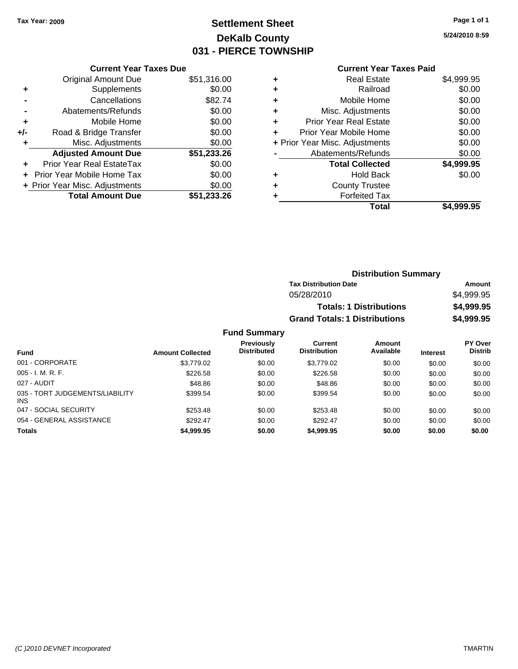# **Settlement Sheet Tax Year: 2009 Page 1 of 1 DeKalb County 031 - PIERCE TOWNSHIP**

**5/24/2010 8:59**

| <b>Current Year T</b> |  |
|-----------------------|--|
|                       |  |

|     | <b>Current Year Taxes Due</b>  |             |
|-----|--------------------------------|-------------|
|     | <b>Original Amount Due</b>     | \$51,316.00 |
| ٠   | Supplements                    | \$0.00      |
|     | Cancellations                  | \$82.74     |
|     | Abatements/Refunds             | \$0.00      |
| ٠   | Mobile Home                    | \$0.00      |
| +/- | Road & Bridge Transfer         | \$0.00      |
| ٠   | Misc. Adjustments              | \$0.00      |
|     | <b>Adjusted Amount Due</b>     | \$51,233.26 |
| ÷   | Prior Year Real EstateTax      | \$0.00      |
|     | Prior Year Mobile Home Tax     | \$0.00      |
|     | + Prior Year Misc. Adjustments | \$0.00      |
|     | <b>Total Amount Due</b>        | \$51,233.26 |
|     |                                |             |

|   | <b>Current Year Taxes Paid</b> |            |
|---|--------------------------------|------------|
| ٠ | <b>Real Estate</b>             | \$4,999.95 |
| ٠ | Railroad                       | \$0.00     |
| ٠ | Mobile Home                    | \$0.00     |
| ٠ | Misc. Adjustments              | \$0.00     |
| ٠ | <b>Prior Year Real Estate</b>  | \$0.00     |
| ٠ | Prior Year Mobile Home         | \$0.00     |
|   | + Prior Year Misc. Adjustments | \$0.00     |
|   | Abatements/Refunds             | \$0.00     |
|   | <b>Total Collected</b>         | \$4,999.95 |
| ٠ | <b>Hold Back</b>               | \$0.00     |
| ٠ | <b>County Trustee</b>          |            |
| ٠ | <b>Forfeited Tax</b>           |            |
|   | Total                          | \$4,999.95 |

|                     | <b>Distribution Summary</b>          |            |
|---------------------|--------------------------------------|------------|
|                     | <b>Tax Distribution Date</b>         | Amount     |
|                     | 05/28/2010                           | \$4.999.95 |
|                     | <b>Totals: 1 Distributions</b>       | \$4,999.95 |
|                     | <b>Grand Totals: 1 Distributions</b> | \$4,999.95 |
| <b>Fund Summary</b> |                                      |            |

#### **Fund Interest Amount Collected Distributed PY Over Distrib Amount Available Current Distribution Previously** 001 - CORPORATE 6 \$3,779.02 \$0.00 \$0.00 \$0.00 \$0.00 \$0.00 \$0.00 \$0.00 \$0.00 \$0.00 \$0.00 \$0.00 \$0.00 \$0 005 - I. M. R. F. Charles Communication of the State of State State State State State State State State State S 027 - AUDIT \$48.86 \$0.00 \$48.86 \$0.00 \$0.00 \$0.00 035 - TORT JUDGEMENTS/LIABILITY INS \$399.54 \$0.00 \$399.54 \$0.00 \$0.00 \$0.00 047 - SOCIAL SECURITY \$253.48 \$0.00 \$253.48 \$0.00 \$0.00 \$0.00 \$0.00 054 - GENERAL ASSISTANCE \$292.47 \$0.00 \$0.00 \$0.00 \$0.00 \$0.00 **Totals \$4,999.95 \$0.00 \$4,999.95 \$0.00 \$0.00 \$0.00**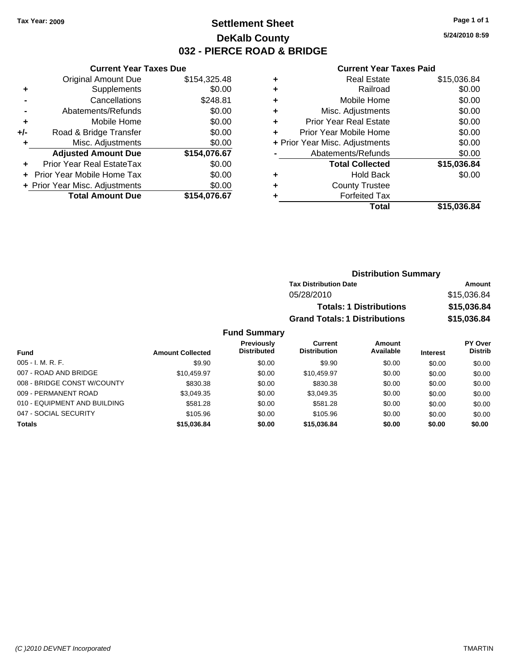### **Settlement Sheet Tax Year: 2009 Page 1 of 1 DeKalb County 032 - PIERCE ROAD & BRIDGE**

**5/24/2010 8:59**

#### **Current Year Taxes Paid**

|       | <b>Current Year Taxes Due</b>  |              |
|-------|--------------------------------|--------------|
|       | <b>Original Amount Due</b>     | \$154,325.48 |
| ٠     | Supplements                    | \$0.00       |
|       | Cancellations                  | \$248.81     |
|       | Abatements/Refunds             | \$0.00       |
| ٠     | Mobile Home                    | \$0.00       |
| $+/-$ | Road & Bridge Transfer         | \$0.00       |
|       | Misc. Adjustments              | \$0.00       |
|       | <b>Adjusted Amount Due</b>     | \$154,076.67 |
|       | Prior Year Real EstateTax      | \$0.00       |
|       | Prior Year Mobile Home Tax     | \$0.00       |
|       | + Prior Year Misc. Adjustments | \$0.00       |
|       | <b>Total Amount Due</b>        | \$154.076.67 |
|       |                                |              |

|   | <b>Real Estate</b>             | \$15,036.84 |
|---|--------------------------------|-------------|
| ٠ | Railroad                       | \$0.00      |
| ٠ | Mobile Home                    | \$0.00      |
| ٠ | Misc. Adjustments              | \$0.00      |
| ٠ | <b>Prior Year Real Estate</b>  | \$0.00      |
| ÷ | Prior Year Mobile Home         | \$0.00      |
|   | + Prior Year Misc. Adjustments | \$0.00      |
|   | Abatements/Refunds             | \$0.00      |
|   | <b>Total Collected</b>         | \$15,036.84 |
| ٠ | Hold Back                      | \$0.00      |
| ٠ | <b>County Trustee</b>          |             |
| ٠ | <b>Forfeited Tax</b>           |             |
|   | Total                          | \$15,036.84 |
|   |                                |             |

| <b>Distribution Summary</b>          |             |  |
|--------------------------------------|-------------|--|
| <b>Tax Distribution Date</b>         | Amount      |  |
| 05/28/2010                           | \$15,036.84 |  |
| <b>Totals: 1 Distributions</b>       | \$15,036.84 |  |
| <b>Grand Totals: 1 Distributions</b> | \$15,036.84 |  |

### **Fund Summary**

| <b>Fund</b>                  | <b>Amount Collected</b> | <b>Previously</b><br><b>Distributed</b> | Current<br><b>Distribution</b> | Amount<br>Available | <b>Interest</b> | PY Over<br><b>Distrib</b> |
|------------------------------|-------------------------|-----------------------------------------|--------------------------------|---------------------|-----------------|---------------------------|
| $005 - I. M. R. F.$          | \$9.90                  | \$0.00                                  | \$9.90                         | \$0.00              | \$0.00          | \$0.00                    |
| 007 - ROAD AND BRIDGE        | \$10,459.97             | \$0.00                                  | \$10.459.97                    | \$0.00              | \$0.00          | \$0.00                    |
| 008 - BRIDGE CONST W/COUNTY  | \$830.38                | \$0.00                                  | \$830.38                       | \$0.00              | \$0.00          | \$0.00                    |
| 009 - PERMANENT ROAD         | \$3.049.35              | \$0.00                                  | \$3,049.35                     | \$0.00              | \$0.00          | \$0.00                    |
| 010 - EQUIPMENT AND BUILDING | \$581.28                | \$0.00                                  | \$581.28                       | \$0.00              | \$0.00          | \$0.00                    |
| 047 - SOCIAL SECURITY        | \$105.96                | \$0.00                                  | \$105.96                       | \$0.00              | \$0.00          | \$0.00                    |
| <b>Totals</b>                | \$15,036.84             | \$0.00                                  | \$15,036,84                    | \$0.00              | \$0.00          | \$0.00                    |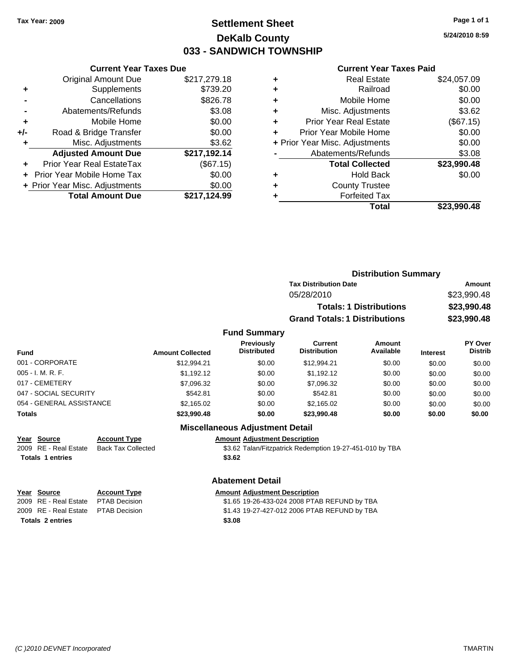### **Settlement Sheet Tax Year: 2009 Page 1 of 1 DeKalb County 033 - SANDWICH TOWNSHIP**

**5/24/2010 8:59**

#### **Current Year Taxes Paid**

|     | <b>Total Amount Due</b>          | \$217,124.99 |
|-----|----------------------------------|--------------|
|     | + Prior Year Misc. Adjustments   | \$0.00       |
|     | Prior Year Mobile Home Tax       | \$0.00       |
|     | <b>Prior Year Real EstateTax</b> | (\$67.15)    |
|     | <b>Adjusted Amount Due</b>       | \$217,192.14 |
| ٠   | Misc. Adjustments                | \$3.62       |
| +/- | Road & Bridge Transfer           | \$0.00       |
| ٠   | Mobile Home                      | \$0.00       |
|     | Abatements/Refunds               | \$3.08       |
|     | Cancellations                    | \$826.78     |
| ٠   | Supplements                      | \$739.20     |
|     | <b>Original Amount Due</b>       | \$217,279.18 |
|     |                                  |              |

**Current Year Taxes Due**

| ٠ | Real Estate                    | \$24,057.09 |
|---|--------------------------------|-------------|
| ٠ | Railroad                       | \$0.00      |
| ٠ | Mobile Home                    | \$0.00      |
| ٠ | Misc. Adjustments              | \$3.62      |
| ٠ | <b>Prior Year Real Estate</b>  | (\$67.15)   |
|   | Prior Year Mobile Home         | \$0.00      |
|   | + Prior Year Misc. Adjustments | \$0.00      |
|   | Abatements/Refunds             | \$3.08      |
|   | <b>Total Collected</b>         | \$23,990.48 |
| ٠ | Hold Back                      | \$0.00      |
|   | <b>County Trustee</b>          |             |
| ٠ | <b>Forfeited Tax</b>           |             |
|   | Total                          | \$23,990.48 |
|   |                                |             |

|                   |                         |                                         |                                      | <b>Distribution Summary</b>    |                 |                                  |  |
|-------------------|-------------------------|-----------------------------------------|--------------------------------------|--------------------------------|-----------------|----------------------------------|--|
|                   |                         |                                         | <b>Tax Distribution Date</b>         |                                |                 | Amount                           |  |
|                   |                         |                                         | 05/28/2010                           |                                |                 | \$23,990.48                      |  |
|                   |                         |                                         |                                      | <b>Totals: 1 Distributions</b> |                 | \$23,990.48                      |  |
|                   |                         |                                         | <b>Grand Totals: 1 Distributions</b> |                                |                 | \$23,990.48                      |  |
|                   |                         | <b>Fund Summary</b>                     |                                      |                                |                 |                                  |  |
| <b>Fund</b>       | <b>Amount Collected</b> | <b>Previously</b><br><b>Distributed</b> | Current<br><b>Distribution</b>       | Amount<br>Available            | <b>Interest</b> | <b>PY Over</b><br><b>Distrib</b> |  |
| 001 - CORPORATE   | \$12,994.21             | \$0.00                                  | \$12,994.21                          | \$0.00                         | \$0.00          | \$0.00                           |  |
| 005 - I. M. R. F. | \$1.192.12              | \$0.00                                  | \$1.192.12                           | \$0.00                         | \$0.00          | \$0.00                           |  |

|                          | Miscellaneous Adjustment Detail |        |             |        |        |        |
|--------------------------|---------------------------------|--------|-------------|--------|--------|--------|
| Totals                   | \$23,990.48                     | \$0.00 | \$23,990.48 | \$0.00 | \$0.00 | \$0.00 |
| 054 - GENERAL ASSISTANCE | \$2.165.02                      | \$0.00 | \$2.165.02  | \$0.00 | \$0.00 | \$0.00 |
| 047 - SOCIAL SECURITY    | \$542.81                        | \$0.00 | \$542.81    | \$0.00 | \$0.00 | \$0.00 |
| 017 - CEMETERY           | \$7,096.32                      | \$0.00 | \$7,096.32  | \$0.00 | \$0.00 | \$0.00 |
| 005 - I. M. R. F.        | \$1.192.12                      | \$0.00 | \$1,192.12  | \$0.00 | \$0.00 | \$0.00 |
| 001 - CORPORATE          | \$12,994.21                     | \$0.00 | \$12,994.21 | \$0.00 | \$0.00 | \$0.00 |
| .                        | ANDUNIL OUNCOLOU                |        |             |        |        |        |

#### **Miscellaneous Adjustment Detail**

**Year Source Account Type Amount Adjustment Description Totals 1 entries \$3.62**

2009 RE - Real Estate Back Tax Collected \$3.62 Talan/Fitzpatrick Redemption 19-27-451-010 by TBA

### **Abatement Detail**

**Year Source Account Type Amount Adjustment Description** 2009 RE - Real Estate PTAB Decision \$1.65 19-26-433-024 2008 PTAB REFUND by TBA 2009 RE - Real Estate PTAB Decision \$1.43 19-27-427-012 2006 PTAB REFUND by TBA **Totals 2 entries \$3.08**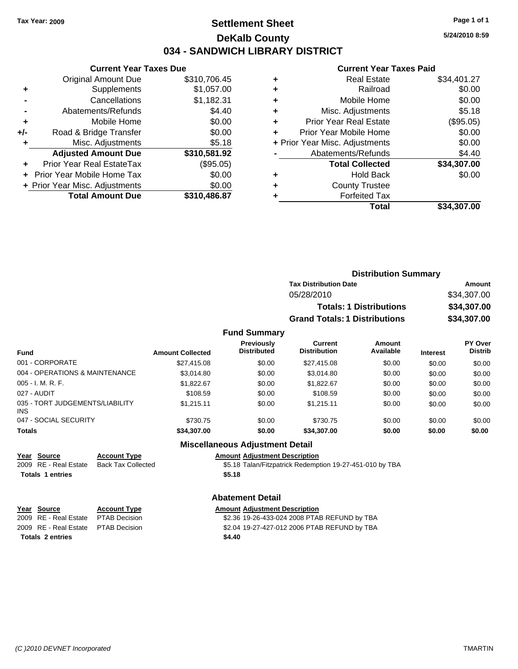### **Settlement Sheet Tax Year: 2009 Page 1 of 1 DeKalb County 034 - SANDWICH LIBRARY DISTRICT**

**5/24/2010 8:59**

#### **Current Year Taxes Paid**

|       | <b>Current Year Taxes Due</b>  |              |  |  |  |
|-------|--------------------------------|--------------|--|--|--|
|       | <b>Original Amount Due</b>     | \$310,706.45 |  |  |  |
| ٠     | Supplements                    | \$1,057.00   |  |  |  |
|       | Cancellations                  | \$1,182.31   |  |  |  |
|       | Abatements/Refunds             | \$4.40       |  |  |  |
| ٠     | Mobile Home                    | \$0.00       |  |  |  |
| $+/-$ | Road & Bridge Transfer         | \$0.00       |  |  |  |
|       | Misc. Adjustments              | \$5.18       |  |  |  |
|       | <b>Adjusted Amount Due</b>     | \$310,581.92 |  |  |  |
|       | Prior Year Real EstateTax      | (\$95.05)    |  |  |  |
|       | Prior Year Mobile Home Tax     | \$0.00       |  |  |  |
|       | + Prior Year Misc. Adjustments | \$0.00       |  |  |  |
|       | <b>Total Amount Due</b>        | \$310,486.87 |  |  |  |
|       |                                |              |  |  |  |

| ٠ | <b>Real Estate</b>             | \$34,401.27 |
|---|--------------------------------|-------------|
| ٠ | Railroad                       | \$0.00      |
| ٠ | Mobile Home                    | \$0.00      |
| ٠ | Misc. Adjustments              | \$5.18      |
| ٠ | <b>Prior Year Real Estate</b>  | (\$95.05)   |
|   | Prior Year Mobile Home         | \$0.00      |
|   | + Prior Year Misc. Adjustments | \$0.00      |
|   | Abatements/Refunds             | \$4.40      |
|   | <b>Total Collected</b>         | \$34,307.00 |
| ٠ | <b>Hold Back</b>               | \$0.00      |
| ٠ | <b>County Trustee</b>          |             |
|   | <b>Forfeited Tax</b>           |             |
|   | Total                          | \$34,307.00 |
|   |                                |             |

|            | <b>Distribution Summary</b>          |             |
|------------|--------------------------------------|-------------|
|            | <b>Tax Distribution Date</b>         | Amount      |
| 05/28/2010 |                                      | \$34,307.00 |
|            | <b>Totals: 1 Distributions</b>       | \$34,307.00 |
|            | <b>Grand Totals: 1 Distributions</b> | \$34,307.00 |
|            |                                      |             |

#### **Fund Summary**

| <b>Fund</b>                            | <b>Amount Collected</b> | <b>Previously</b><br><b>Distributed</b> | Current<br><b>Distribution</b> | <b>Amount</b><br>Available | <b>Interest</b> | PY Over<br><b>Distrib</b> |
|----------------------------------------|-------------------------|-----------------------------------------|--------------------------------|----------------------------|-----------------|---------------------------|
| 001 - CORPORATE                        | \$27,415.08             | \$0.00                                  | \$27,415.08                    | \$0.00                     | \$0.00          | \$0.00                    |
| 004 - OPERATIONS & MAINTENANCE         | \$3,014.80              | \$0.00                                  | \$3,014.80                     | \$0.00                     | \$0.00          | \$0.00                    |
| 005 - I. M. R. F.                      | \$1,822.67              | \$0.00                                  | \$1.822.67                     | \$0.00                     | \$0.00          | \$0.00                    |
| 027 - AUDIT                            | \$108.59                | \$0.00                                  | \$108.59                       | \$0.00                     | \$0.00          | \$0.00                    |
| 035 - TORT JUDGEMENTS/LIABILITY<br>INS | \$1.215.11              | \$0.00                                  | \$1.215.11                     | \$0.00                     | \$0.00          | \$0.00                    |
| 047 - SOCIAL SECURITY                  | \$730.75                | \$0.00                                  | \$730.75                       | \$0.00                     | \$0.00          | \$0.00                    |
| Totals                                 | \$34,307.00             | \$0.00                                  | \$34,307.00                    | \$0.00                     | \$0.00          | \$0.00                    |

#### **Miscellaneous Adjustment Detail**

**Year Source Account Type Amount Adjustment Description**<br>
2009 RE - Real Estate Back Tax Collected **1999** \$5.18 Talan/Fitzpatrick Redemp

\$5.18 Talan/Fitzpatrick Redemption 19-27-451-010 by TBA **Totals 1 entries \$5.18**

#### **Abatement Detail**

| Year Source                         | <b>Account Type</b> | <b>Amount Adjustment Description</b>         |
|-------------------------------------|---------------------|----------------------------------------------|
| 2009 RE - Real Estate PTAB Decision |                     | \$2.36 19-26-433-024 2008 PTAB REFUND by TBA |
| 2009 RE - Real Estate PTAB Decision |                     | \$2.04 19-27-427-012 2006 PTAB REFUND by TBA |
| <b>Totals 2 entries</b>             |                     | \$4.40                                       |
|                                     |                     |                                              |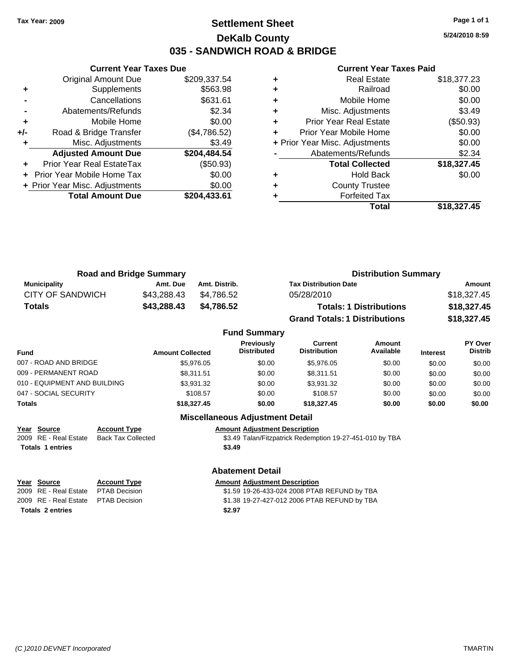### **Settlement Sheet Tax Year: 2009 Page 1 of 1 DeKalb County 035 - SANDWICH ROAD & BRIDGE**

**5/24/2010 8:59**

#### **Current Year Taxes Paid**

|     | <b>Original Amount Due</b>     | \$209,337.54 |
|-----|--------------------------------|--------------|
| ٠   | Supplements                    | \$563.98     |
|     | Cancellations                  | \$631.61     |
|     | Abatements/Refunds             | \$2.34       |
| ٠   | Mobile Home                    | \$0.00       |
| +/- | Road & Bridge Transfer         | (\$4,786.52) |
| ٠   | Misc. Adjustments              | \$3.49       |
|     | <b>Adjusted Amount Due</b>     | \$204,484.54 |
|     | Prior Year Real EstateTax      | (\$50.93)    |
|     | Prior Year Mobile Home Tax     | \$0.00       |
|     | + Prior Year Misc. Adjustments | \$0.00       |
|     | <b>Total Amount Due</b>        | \$204,433.61 |
|     |                                |              |

**Current Year Taxes Due**

|   | <b>Real Estate</b>             | \$18,377.23 |
|---|--------------------------------|-------------|
| ٠ | Railroad                       | \$0.00      |
| ٠ | Mobile Home                    | \$0.00      |
| ٠ | Misc. Adjustments              | \$3.49      |
| ٠ | <b>Prior Year Real Estate</b>  | (\$50.93)   |
| ٠ | Prior Year Mobile Home         | \$0.00      |
|   | + Prior Year Misc. Adjustments | \$0.00      |
|   | Abatements/Refunds             | \$2.34      |
|   | <b>Total Collected</b>         | \$18,327.45 |
|   | <b>Hold Back</b>               | \$0.00      |
| ٠ | <b>County Trustee</b>          |             |
|   | <b>Forfeited Tax</b>           |             |
|   | Total                          | \$18.327.45 |

| <b>Road and Bridge Summary</b> |             |               | <b>Distribution Summary</b>          |             |  |
|--------------------------------|-------------|---------------|--------------------------------------|-------------|--|
| Municipality                   | Amt. Due    | Amt. Distrib. | <b>Tax Distribution Date</b>         | Amount      |  |
| CITY OF SANDWICH               | \$43.288.43 | \$4.786.52    | 05/28/2010                           | \$18,327.45 |  |
| <b>Totals</b>                  | \$43,288.43 | \$4.786.52    | <b>Totals: 1 Distributions</b>       | \$18,327.45 |  |
|                                |             |               | <b>Grand Totals: 1 Distributions</b> | \$18,327.45 |  |

#### **Fund Summary Fund Interest Amount Collected Distributed PY Over Distrib Amount Available Current Distribution Previously** 007 - ROAD AND BRIDGE  $$5,976.05$   $$0.00$   $$5,976.05$   $$0.00$   $$0.00$   $$0.00$   $$0.00$ 009 - PERMANENT ROAD \$8,311.51 \$0.00 \$8,311.51 \$0.00 \$0.00 \$0.00 \$0.00 \$0.00 010 - EQUIPMENT AND BUILDING \$3,931.32 \$0.00 \$3,931.32 \$0.00 \$0.00 \$0.00 \$0.00 047 - SOCIAL SECURITY \$108.57 \$0.00 \$0.00 \$0.00 \$0.00 \$0.00 \$0.00 **Totals \$18,327.45 \$0.00 \$18,327.45 \$0.00 \$0.00 \$0.00**

**Miscellaneous Adjustment Detail**

**Abatement Detail**

#### **Year Source Account Type Amount Adjustment Description** 2009 RE - Real Estate Back Tax Collected \$3.49 Talan/Fitzpatrick Redemption 19-27-451-010 by TBA **Totals 1 entries \$3.49**

# **Year Source Account Type Amount Adjustment Description**

**Totals 2 entries \$2.97**

2009 RE - Real Estate PTAB Decision \$1.59 19-26-433-024 2008 PTAB REFUND by TBA 2009 RE - Real Estate PTAB Decision \$1.38 19-27-427-012 2006 PTAB REFUND by TBA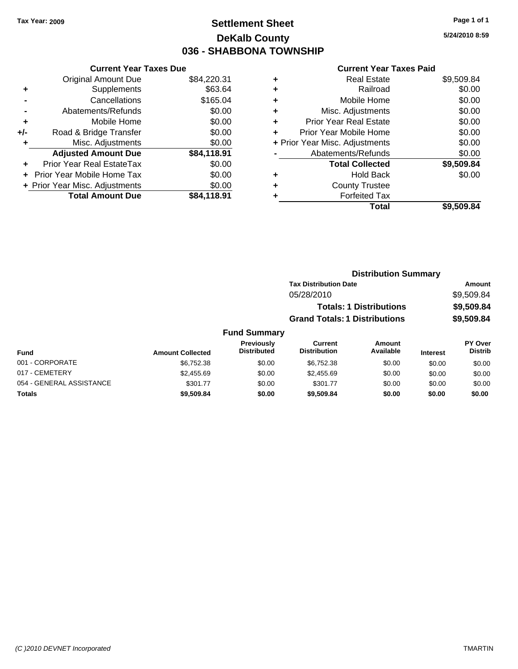### **Settlement Sheet Tax Year: 2009 Page 1 of 1 DeKalb County 036 - SHABBONA TOWNSHIP**

#### **Current Year Taxes Due**

|       | <b>Original Amount Due</b>     | \$84,220.31 |
|-------|--------------------------------|-------------|
| ٠     | Supplements                    | \$63.64     |
|       | Cancellations                  | \$165.04    |
|       | Abatements/Refunds             | \$0.00      |
| ٠     | Mobile Home                    | \$0.00      |
| $+/-$ | Road & Bridge Transfer         | \$0.00      |
| ٠     | Misc. Adjustments              | \$0.00      |
|       | <b>Adjusted Amount Due</b>     | \$84,118.91 |
|       | Prior Year Real EstateTax      | \$0.00      |
|       | Prior Year Mobile Home Tax     | \$0.00      |
|       | + Prior Year Misc. Adjustments | \$0.00      |
|       | <b>Total Amount Due</b>        | \$84.118.91 |

#### **Current Year Taxes Paid**

|   | <b>Real Estate</b>             | \$9,509.84 |
|---|--------------------------------|------------|
| ٠ | Railroad                       | \$0.00     |
| ٠ | Mobile Home                    | \$0.00     |
| ÷ | Misc. Adjustments              | \$0.00     |
| ٠ | <b>Prior Year Real Estate</b>  | \$0.00     |
| ÷ | Prior Year Mobile Home         | \$0.00     |
|   | + Prior Year Misc. Adjustments | \$0.00     |
|   | Abatements/Refunds             | \$0.00     |
|   | <b>Total Collected</b>         | \$9,509.84 |
| ٠ | Hold Back                      | \$0.00     |
| ٠ | <b>County Trustee</b>          |            |
| ٠ | <b>Forfeited Tax</b>           |            |
|   | Total                          | \$9,509.84 |
|   |                                |            |

### **Distribution Summary Tax Distribution Date Amount** 05/28/2010 \$9,509.84 **Totals: 1 Distributions \$9,509.84 Grand Totals: 1 Distributions \$9,509.84**

### **Fund Summary**

| Fund                     | <b>Amount Collected</b> | Previously<br><b>Distributed</b> | Current<br><b>Distribution</b> | Amount<br>Available | <b>Interest</b> | <b>PY Over</b><br><b>Distrib</b> |
|--------------------------|-------------------------|----------------------------------|--------------------------------|---------------------|-----------------|----------------------------------|
| 001 - CORPORATE          | \$6.752.38              | \$0.00                           | \$6.752.38                     | \$0.00              | \$0.00          | \$0.00                           |
| 017 - CEMETERY           | \$2,455.69              | \$0.00                           | \$2,455.69                     | \$0.00              | \$0.00          | \$0.00                           |
| 054 - GENERAL ASSISTANCE | \$301.77                | \$0.00                           | \$301.77                       | \$0.00              | \$0.00          | \$0.00                           |
| Totals                   | \$9,509.84              | \$0.00                           | \$9,509.84                     | \$0.00              | \$0.00          | \$0.00                           |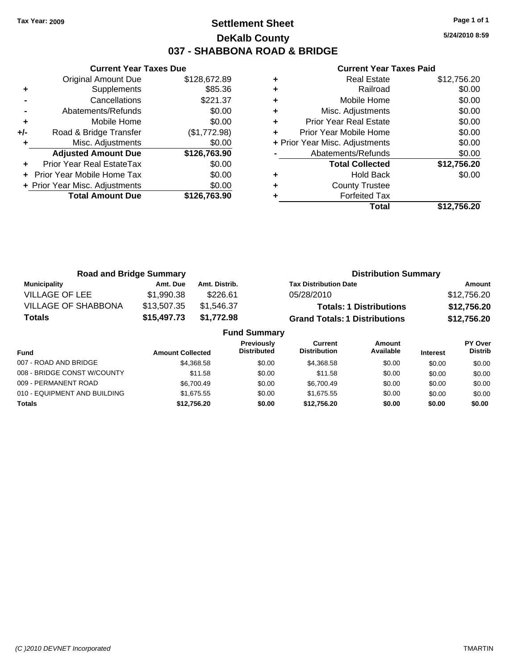### **Settlement Sheet Tax Year: 2009 Page 1 of 1 DeKalb County 037 - SHABBONA ROAD & BRIDGE**

**5/24/2010 8:59**

|     | <b>Current Year Taxes Due</b>  |              |  |  |  |  |
|-----|--------------------------------|--------------|--|--|--|--|
|     | <b>Original Amount Due</b>     | \$128,672.89 |  |  |  |  |
| ٠   | Supplements                    | \$85.36      |  |  |  |  |
|     | Cancellations                  | \$221.37     |  |  |  |  |
|     | Abatements/Refunds             | \$0.00       |  |  |  |  |
| ٠   | Mobile Home                    | \$0.00       |  |  |  |  |
| +/- | Road & Bridge Transfer         | (\$1,772.98) |  |  |  |  |
| ٠   | Misc. Adjustments              | \$0.00       |  |  |  |  |
|     | <b>Adjusted Amount Due</b>     | \$126,763.90 |  |  |  |  |
| ٠   | Prior Year Real EstateTax      | \$0.00       |  |  |  |  |
|     | Prior Year Mobile Home Tax     | \$0.00       |  |  |  |  |
|     | + Prior Year Misc. Adjustments | \$0.00       |  |  |  |  |
|     | <b>Total Amount Due</b>        | \$126,763.90 |  |  |  |  |
|     |                                |              |  |  |  |  |

|   | <b>Real Estate</b>             | \$12,756.20 |
|---|--------------------------------|-------------|
| ٠ | Railroad                       | \$0.00      |
| ٠ | Mobile Home                    | \$0.00      |
| ٠ | Misc. Adjustments              | \$0.00      |
| ÷ | <b>Prior Year Real Estate</b>  | \$0.00      |
| ٠ | Prior Year Mobile Home         | \$0.00      |
|   | + Prior Year Misc. Adjustments | \$0.00      |
|   | Abatements/Refunds             | \$0.00      |
|   | <b>Total Collected</b>         | \$12,756.20 |
| ٠ | Hold Back                      | \$0.00      |
| ٠ | <b>County Trustee</b>          |             |
|   | <b>Forfeited Tax</b>           |             |
|   | Total                          | \$12.756.20 |

| <b>Road and Bridge Summary</b> |             |               | <b>Distribution Summary</b>          |             |
|--------------------------------|-------------|---------------|--------------------------------------|-------------|
| <b>Municipality</b>            | Amt. Due    | Amt. Distrib. | <b>Tax Distribution Date</b>         | Amount      |
| <b>VILLAGE OF LEE</b>          | \$1,990.38  | \$226.61      | 05/28/2010                           | \$12,756.20 |
| <b>VILLAGE OF SHABBONA</b>     | \$13,507.35 | \$1.546.37    | <b>Totals: 1 Distributions</b>       | \$12,756.20 |
| \$15,497.73<br>Totals          |             | \$1,772.98    | <b>Grand Totals: 1 Distributions</b> | \$12,756.20 |
| <b>Fund Summary</b>            |             |               |                                      |             |

| Fund                         | <b>Amount Collected</b> | Previously<br><b>Distributed</b> | Current<br><b>Distribution</b> | Amount<br>Available | <b>Interest</b> | PY Over<br><b>Distrib</b> |
|------------------------------|-------------------------|----------------------------------|--------------------------------|---------------------|-----------------|---------------------------|
| 007 - ROAD AND BRIDGE        | \$4,368.58              | \$0.00                           | \$4,368.58                     | \$0.00              | \$0.00          | \$0.00                    |
| 008 - BRIDGE CONST W/COUNTY  | \$11.58                 | \$0.00                           | \$11.58                        | \$0.00              | \$0.00          | \$0.00                    |
| 009 - PERMANENT ROAD         | \$6.700.49              | \$0.00                           | \$6.700.49                     | \$0.00              | \$0.00          | \$0.00                    |
| 010 - EQUIPMENT AND BUILDING | \$1.675.55              | \$0.00                           | \$1,675,55                     | \$0.00              | \$0.00          | \$0.00                    |
| <b>Totals</b>                | \$12,756.20             | \$0.00                           | \$12.756.20                    | \$0.00              | \$0.00          | \$0.00                    |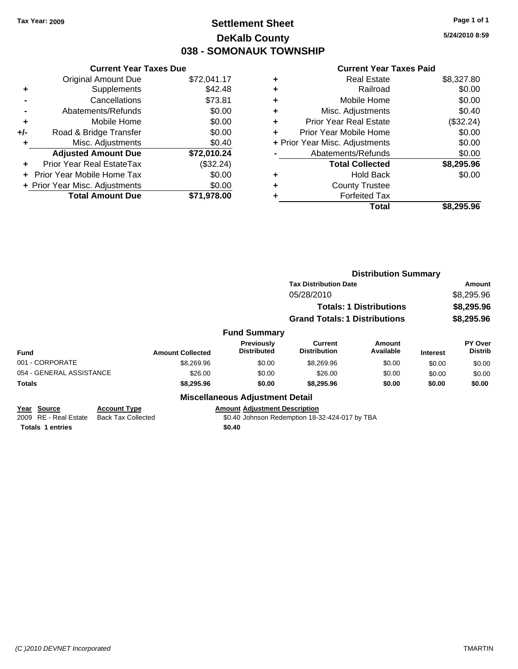### **Settlement Sheet Tax Year: 2009 Page 1 of 1 DeKalb County 038 - SOMONAUK TOWNSHIP**

**5/24/2010 8:59**

|     | <b>Current Year Taxes Due</b>  |             |
|-----|--------------------------------|-------------|
|     | <b>Original Amount Due</b>     | \$72,041.17 |
| ٠   | Supplements                    | \$42.48     |
|     | Cancellations                  | \$73.81     |
|     | Abatements/Refunds             | \$0.00      |
| ٠   | Mobile Home                    | \$0.00      |
| +/- | Road & Bridge Transfer         | \$0.00      |
| ٠   | Misc. Adjustments              | \$0.40      |
|     | <b>Adjusted Amount Due</b>     | \$72,010.24 |
| ÷   | Prior Year Real EstateTax      | (\$32.24)   |
|     | Prior Year Mobile Home Tax     | \$0.00      |
|     | + Prior Year Misc. Adjustments | \$0.00      |
|     | <b>Total Amount Due</b>        | \$71,978.00 |

|                                | <b>Real Estate</b>            | \$8,327.80 |
|--------------------------------|-------------------------------|------------|
| ٠                              | Railroad                      | \$0.00     |
| ٠                              | Mobile Home                   | \$0.00     |
| ٠                              | Misc. Adjustments             | \$0.40     |
| ٠                              | <b>Prior Year Real Estate</b> | (\$32.24)  |
| ٠                              | Prior Year Mobile Home        | \$0.00     |
| + Prior Year Misc. Adjustments |                               | \$0.00     |
|                                | Abatements/Refunds            | \$0.00     |
|                                | <b>Total Collected</b>        | \$8,295.96 |
| ٠                              | Hold Back                     | \$0.00     |
| ٠                              | <b>County Trustee</b>         |            |
| ٠                              | <b>Forfeited Tax</b>          |            |
|                                | Total                         | \$8.295.96 |
|                                |                               |            |

|                          |                     |                         |                                        | <b>Distribution Summary</b>          |                                |                 |                           |
|--------------------------|---------------------|-------------------------|----------------------------------------|--------------------------------------|--------------------------------|-----------------|---------------------------|
|                          |                     |                         |                                        | <b>Tax Distribution Date</b>         |                                |                 | Amount                    |
|                          |                     |                         |                                        | 05/28/2010                           |                                |                 | \$8,295.96                |
|                          |                     |                         |                                        |                                      | <b>Totals: 1 Distributions</b> |                 | \$8,295.96                |
|                          |                     |                         |                                        | <b>Grand Totals: 1 Distributions</b> |                                |                 | \$8,295.96                |
|                          |                     |                         | <b>Fund Summary</b>                    |                                      |                                |                 |                           |
| <b>Fund</b>              |                     | <b>Amount Collected</b> | Previously<br><b>Distributed</b>       | Current<br><b>Distribution</b>       | <b>Amount</b><br>Available     | <b>Interest</b> | PY Over<br><b>Distrib</b> |
| 001 - CORPORATE          |                     | \$8,269.96              | \$0.00                                 | \$8,269.96                           | \$0.00                         | \$0.00          | \$0.00                    |
| 054 - GENERAL ASSISTANCE |                     | \$26.00                 | \$0.00                                 | \$26.00                              | \$0.00                         | \$0.00          | \$0.00                    |
| Totals                   |                     | \$8,295.96              | \$0.00                                 | \$8,295.96                           | \$0.00                         | \$0.00          | \$0.00                    |
|                          |                     |                         | <b>Miscellaneous Adjustment Detail</b> |                                      |                                |                 |                           |
| Year Source              | <b>Account Type</b> |                         | <b>Amount Adiustment Description</b>   |                                      |                                |                 |                           |

| <b>Tear Obdive</b>      | AVVVIII I IIV                            | AND MILL AGNOSING IN DESCRIPTION               |
|-------------------------|------------------------------------------|------------------------------------------------|
|                         | 2009 RE - Real Estate Back Tax Collected | \$0.40 Johnson Redemption 18-32-424-017 by TBA |
| <b>Totals 1 entries</b> |                                          | \$0.40                                         |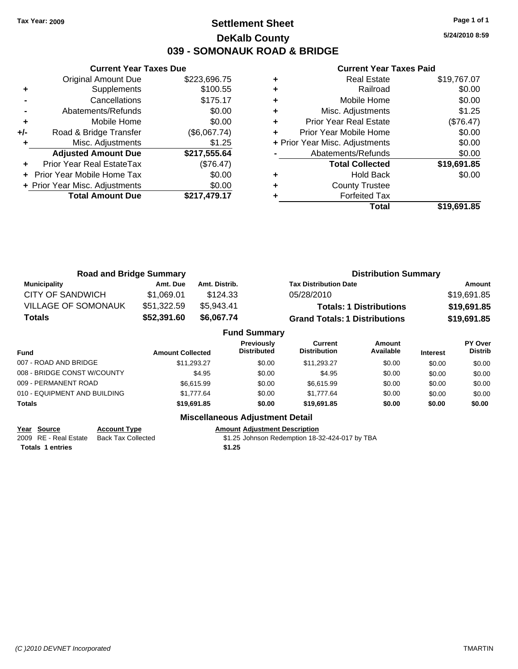### **Settlement Sheet Tax Year: 2009 Page 1 of 1 DeKalb County 039 - SOMONAUK ROAD & BRIDGE**

**5/24/2010 8:59**

#### **Current Year Taxes Paid**

|       | <b>Current Year Taxes Due</b>  |              |
|-------|--------------------------------|--------------|
|       | <b>Original Amount Due</b>     | \$223,696.75 |
| ٠     | Supplements                    | \$100.55     |
|       | Cancellations                  | \$175.17     |
|       | Abatements/Refunds             | \$0.00       |
| ٠     | Mobile Home                    | \$0.00       |
| $+/-$ | Road & Bridge Transfer         | (\$6,067.74) |
| ٠     | Misc. Adjustments              | \$1.25       |
|       | <b>Adjusted Amount Due</b>     | \$217,555.64 |
|       | Prior Year Real EstateTax      | (\$76.47)    |
|       | Prior Year Mobile Home Tax     | \$0.00       |
|       | + Prior Year Misc. Adjustments | \$0.00       |
|       | <b>Total Amount Due</b>        | \$217,479.17 |
|       |                                |              |

|   | <b>Real Estate</b>             | \$19,767.07 |
|---|--------------------------------|-------------|
|   | Railroad                       | \$0.00      |
|   | Mobile Home                    | \$0.00      |
| ٠ | Misc. Adjustments              | \$1.25      |
| ٠ | <b>Prior Year Real Estate</b>  | (\$76.47)   |
| ٠ | Prior Year Mobile Home         | \$0.00      |
|   | + Prior Year Misc. Adjustments | \$0.00      |
|   | Abatements/Refunds             | \$0.00      |
|   | <b>Total Collected</b>         | \$19,691.85 |
|   | <b>Hold Back</b>               | \$0.00      |
|   | <b>County Trustee</b>          |             |
|   | <b>Forfeited Tax</b>           |             |
|   | Total                          | \$19,691.85 |

| <b>Road and Bridge Summary</b> |             |               | <b>Distribution Summary</b>          |             |  |
|--------------------------------|-------------|---------------|--------------------------------------|-------------|--|
| <b>Municipality</b>            | Amt. Due    | Amt. Distrib. | <b>Tax Distribution Date</b>         | Amount      |  |
| CITY OF SANDWICH               | \$1.069.01  | \$124.33      | 05/28/2010                           | \$19,691.85 |  |
| <b>VILLAGE OF SOMONAUK</b>     | \$51,322.59 | \$5.943.41    | <b>Totals: 1 Distributions</b>       | \$19,691.85 |  |
| Totals                         | \$52,391.60 | \$6,067.74    | <b>Grand Totals: 1 Distributions</b> | \$19,691.85 |  |

|                              |                         | <b>Fund Summary</b>              |                                |                     |                 |                                  |
|------------------------------|-------------------------|----------------------------------|--------------------------------|---------------------|-----------------|----------------------------------|
| Fund                         | <b>Amount Collected</b> | Previously<br><b>Distributed</b> | Current<br><b>Distribution</b> | Amount<br>Available | <b>Interest</b> | <b>PY Over</b><br><b>Distrib</b> |
| 007 - ROAD AND BRIDGE        | \$11.293.27             | \$0.00                           | \$11.293.27                    | \$0.00              | \$0.00          | \$0.00                           |
| 008 - BRIDGE CONST W/COUNTY  | \$4.95                  | \$0.00                           | \$4.95                         | \$0.00              | \$0.00          | \$0.00                           |
| 009 - PERMANENT ROAD         | \$6.615.99              | \$0.00                           | \$6.615.99                     | \$0.00              | \$0.00          | \$0.00                           |
| 010 - EQUIPMENT AND BUILDING | \$1.777.64              | \$0.00                           | \$1.777.64                     | \$0.00              | \$0.00          | \$0.00                           |
| Totals                       | \$19,691.85             | \$0.00                           | \$19,691.85                    | \$0.00              | \$0.00          | \$0.00                           |

**Year Source Account Type Amount Adjustment Description**<br>2009 RE - Real Estate Back Tax Collected \$1.25 Johnson Redemption 18-3 **Totals 1 entries \$1.25**

**Miscellaneous Adjustment Detail**

\$1.25 Johnson Redemption 18-32-424-017 by TBA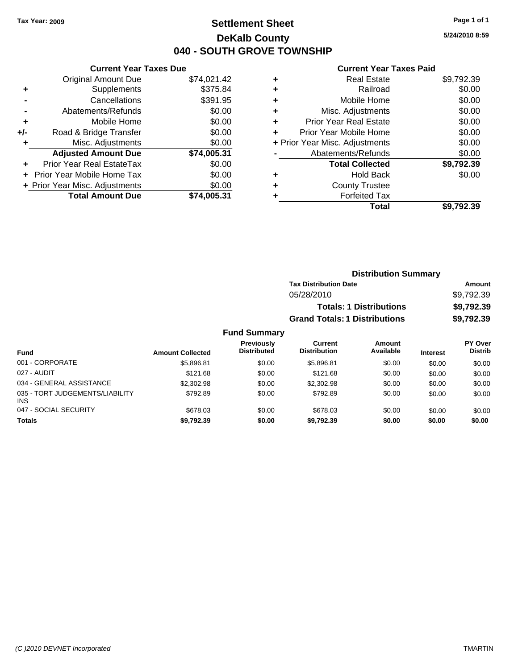### **Settlement Sheet Tax Year: 2009 Page 1 of 1 DeKalb County 040 - SOUTH GROVE TOWNSHIP**

**5/24/2010 8:59**

|     | <b>Current Year Taxes Due</b>    |             |
|-----|----------------------------------|-------------|
|     | <b>Original Amount Due</b>       | \$74,021.42 |
| ٠   | Supplements                      | \$375.84    |
|     | Cancellations                    | \$391.95    |
|     | Abatements/Refunds               | \$0.00      |
| ٠   | Mobile Home                      | \$0.00      |
| +/- | Road & Bridge Transfer           | \$0.00      |
| ٠   | Misc. Adjustments                | \$0.00      |
|     | <b>Adjusted Amount Due</b>       | \$74,005.31 |
| ٠   | <b>Prior Year Real EstateTax</b> | \$0.00      |
|     | Prior Year Mobile Home Tax       | \$0.00      |
|     | + Prior Year Misc. Adjustments   | \$0.00      |
|     | <b>Total Amount Due</b>          | \$74.005.31 |
|     |                                  |             |

| <b>Real Estate</b>            | \$9,792.39                     |
|-------------------------------|--------------------------------|
| Railroad                      | \$0.00                         |
| Mobile Home                   | \$0.00                         |
| Misc. Adjustments             | \$0.00                         |
| <b>Prior Year Real Estate</b> | \$0.00                         |
| Prior Year Mobile Home        | \$0.00                         |
|                               | \$0.00                         |
| Abatements/Refunds            | \$0.00                         |
| <b>Total Collected</b>        | \$9,792.39                     |
| Hold Back                     | \$0.00                         |
| <b>County Trustee</b>         |                                |
| <b>Forfeited Tax</b>          |                                |
| Total                         | \$9.792.39                     |
|                               | + Prior Year Misc. Adjustments |

|                     |                                      | <b>Distribution Summary</b>    |                |
|---------------------|--------------------------------------|--------------------------------|----------------|
|                     | <b>Tax Distribution Date</b>         |                                | Amount         |
|                     | 05/28/2010                           |                                | \$9,792.39     |
|                     |                                      | <b>Totals: 1 Distributions</b> | \$9,792.39     |
|                     | <b>Grand Totals: 1 Distributions</b> |                                | \$9,792.39     |
| <b>Fund Summary</b> |                                      |                                |                |
| <b>Previously</b>   | <b>Current</b>                       | <b>Amount</b>                  | <b>PY Over</b> |
| Diateibuta d        | Distribution                         | $A \cdot A$                    | <b>Distrib</b> |

| <b>Fund</b>                                   | <b>Amount Collected</b> | <b>Previously</b><br><b>Distributed</b> | <b>Current</b><br><b>Distribution</b> | Amount<br>Available | <b>Interest</b> | <b>PY Over</b><br><b>Distrib</b> |
|-----------------------------------------------|-------------------------|-----------------------------------------|---------------------------------------|---------------------|-----------------|----------------------------------|
| 001 - CORPORATE                               | \$5,896.81              | \$0.00                                  | \$5.896.81                            | \$0.00              | \$0.00          | \$0.00                           |
| 027 - AUDIT                                   | \$121.68                | \$0.00                                  | \$121.68                              | \$0.00              | \$0.00          | \$0.00                           |
| 034 - GENERAL ASSISTANCE                      | \$2,302.98              | \$0.00                                  | \$2,302.98                            | \$0.00              | \$0.00          | \$0.00                           |
| 035 - TORT JUDGEMENTS/LIABILITY<br><b>INS</b> | \$792.89                | \$0.00                                  | \$792.89                              | \$0.00              | \$0.00          | \$0.00                           |
| 047 - SOCIAL SECURITY                         | \$678.03                | \$0.00                                  | \$678.03                              | \$0.00              | \$0.00          | \$0.00                           |
| <b>Totals</b>                                 | \$9,792.39              | \$0.00                                  | \$9.792.39                            | \$0.00              | \$0.00          | \$0.00                           |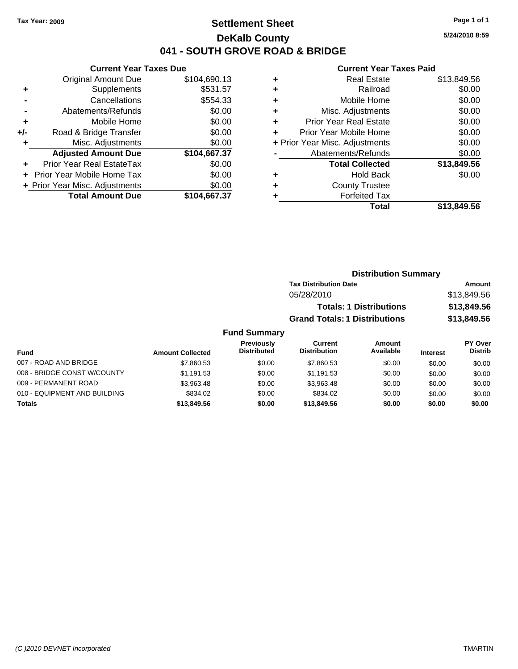### **Settlement Sheet Tax Year: 2009 Page 1 of 1 DeKalb County 041 - SOUTH GROVE ROAD & BRIDGE**

#### **Current Year Taxes Due**

|       | <b>Original Amount Due</b>       | \$104,690.13 |
|-------|----------------------------------|--------------|
| ٠     | Supplements                      | \$531.57     |
|       | Cancellations                    | \$554.33     |
|       | Abatements/Refunds               | \$0.00       |
| ٠     | Mobile Home                      | \$0.00       |
| $+/-$ | Road & Bridge Transfer           | \$0.00       |
| ٠     | Misc. Adjustments                | \$0.00       |
|       | <b>Adjusted Amount Due</b>       | \$104,667.37 |
|       | <b>Prior Year Real EstateTax</b> | \$0.00       |
|       | Prior Year Mobile Home Tax       | \$0.00       |
|       | + Prior Year Misc. Adjustments   | \$0.00       |
|       | <b>Total Amount Due</b>          | \$104,667.37 |

#### **Current Year Taxes Paid**

| ٠ | <b>Real Estate</b>             | \$13,849.56 |
|---|--------------------------------|-------------|
| ٠ | Railroad                       | \$0.00      |
| ٠ | Mobile Home                    | \$0.00      |
| ٠ | Misc. Adjustments              | \$0.00      |
| ÷ | <b>Prior Year Real Estate</b>  | \$0.00      |
| ÷ | Prior Year Mobile Home         | \$0.00      |
|   | + Prior Year Misc. Adjustments | \$0.00      |
|   | Abatements/Refunds             | \$0.00      |
|   | <b>Total Collected</b>         | \$13,849.56 |
| ٠ | Hold Back                      | \$0.00      |
| ٠ | <b>County Trustee</b>          |             |
| ٠ | <b>Forfeited Tax</b>           |             |
|   | Total                          | \$13,849.56 |
|   |                                |             |

### **Distribution Summary Tax Distribution Date Amount** 05/28/2010 \$13,849.56 **Totals: 1 Distributions \$13,849.56 Grand Totals: 1 Distributions \$13,849.56**

#### **Fund Summary**

|                              |                         | Previously         | Current             | Amount    |                 | <b>PY Over</b> |
|------------------------------|-------------------------|--------------------|---------------------|-----------|-----------------|----------------|
| Fund                         | <b>Amount Collected</b> | <b>Distributed</b> | <b>Distribution</b> | Available | <b>Interest</b> | <b>Distrib</b> |
| 007 - ROAD AND BRIDGE        | \$7,860.53              | \$0.00             | \$7,860.53          | \$0.00    | \$0.00          | \$0.00         |
| 008 - BRIDGE CONST W/COUNTY  | \$1,191.53              | \$0.00             | \$1.191.53          | \$0.00    | \$0.00          | \$0.00         |
| 009 - PERMANENT ROAD         | \$3.963.48              | \$0.00             | \$3.963.48          | \$0.00    | \$0.00          | \$0.00         |
| 010 - EQUIPMENT AND BUILDING | \$834.02                | \$0.00             | \$834.02            | \$0.00    | \$0.00          | \$0.00         |
| <b>Totals</b>                | \$13,849.56             | \$0.00             | \$13,849.56         | \$0.00    | \$0.00          | \$0.00         |

**5/24/2010 8:59**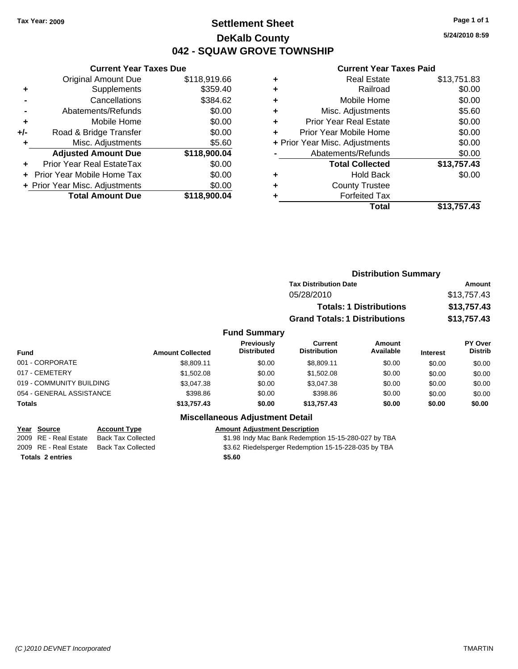### **Settlement Sheet Tax Year: 2009 Page 1 of 1 DeKalb County 042 - SQUAW GROVE TOWNSHIP**

**Current Year Taxes Due**

|       | <b>Total Amount Due</b>           | \$118,900.04 |
|-------|-----------------------------------|--------------|
|       | + Prior Year Misc. Adjustments    | \$0.00       |
|       | <b>Prior Year Mobile Home Tax</b> | \$0.00       |
|       | <b>Prior Year Real EstateTax</b>  | \$0.00       |
|       | <b>Adjusted Amount Due</b>        | \$118,900.04 |
| ٠     | Misc. Adjustments                 | \$5.60       |
| $+/-$ | Road & Bridge Transfer            | \$0.00       |
| ÷     | Mobile Home                       | \$0.00       |
|       | Abatements/Refunds                | \$0.00       |
|       | Cancellations                     | \$384.62     |
|       | Supplements                       | \$359.40     |
|       | <b>Original Amount Due</b>        | \$118,919.66 |
|       |                                   |              |

#### **Current Year Taxes Paid**

| ٠ | <b>Real Estate</b>             | \$13,751.83 |
|---|--------------------------------|-------------|
| ٠ | Railroad                       | \$0.00      |
| ٠ | Mobile Home                    | \$0.00      |
| ٠ | Misc. Adjustments              | \$5.60      |
| ٠ | <b>Prior Year Real Estate</b>  | \$0.00      |
| ٠ | Prior Year Mobile Home         | \$0.00      |
|   | + Prior Year Misc. Adjustments | \$0.00      |
|   | Abatements/Refunds             | \$0.00      |
|   | <b>Total Collected</b>         | \$13,757.43 |
| ٠ | <b>Hold Back</b>               | \$0.00      |
| ٠ | <b>County Trustee</b>          |             |
|   | <b>Forfeited Tax</b>           |             |
|   | Total                          | \$13,757.43 |
|   |                                |             |

|                          |                         | <b>Distribution Summary</b>             |                                      |                                |                 |                           |
|--------------------------|-------------------------|-----------------------------------------|--------------------------------------|--------------------------------|-----------------|---------------------------|
|                          |                         |                                         | <b>Tax Distribution Date</b>         |                                |                 | Amount                    |
|                          |                         |                                         | 05/28/2010                           |                                |                 | \$13,757.43               |
|                          |                         |                                         |                                      | <b>Totals: 1 Distributions</b> |                 | \$13,757.43               |
|                          |                         |                                         | <b>Grand Totals: 1 Distributions</b> |                                |                 | \$13,757.43               |
|                          |                         | <b>Fund Summary</b>                     |                                      |                                |                 |                           |
| <b>Fund</b>              | <b>Amount Collected</b> | <b>Previously</b><br><b>Distributed</b> | Current<br><b>Distribution</b>       | Amount<br>Available            | <b>Interest</b> | PY Over<br><b>Distrib</b> |
| 001 - CORPORATE          | \$8,809.11              | \$0.00                                  | \$8,809.11                           | \$0.00                         | \$0.00          | \$0.00                    |
| 017 - CEMETERY           | \$1,502.08              | \$0.00                                  | \$1,502.08                           | \$0.00                         | \$0.00          | \$0.00                    |
| 019 - COMMUNITY BUILDING | \$3,047.38              | \$0.00                                  | \$3,047.38                           | \$0.00                         | \$0.00          | \$0.00                    |
| 054 - GENERAL ASSISTANCE | \$398.86                | \$0.00                                  | \$398.86                             | \$0.00                         | \$0.00          | \$0.00                    |
| Totals                   | \$13,757.43             | \$0.00                                  | \$13,757.43                          | \$0.00                         | \$0.00          | \$0.00                    |

**Totals 2 entries \$5.60**

### **Miscellaneous Adjustment Detail**

**Year Source Account Type Amount Adjustment Description**

2009 RE - Real Estate Back Tax Collected \$1.98 Indy Mac Bank Redemption 15-15-280-027 by TBA

2009 RE - Real Estate Back Tax Collected \$3.62 Riedelsperger Redemption 15-15-228-035 by TBA

**5/24/2010 8:59**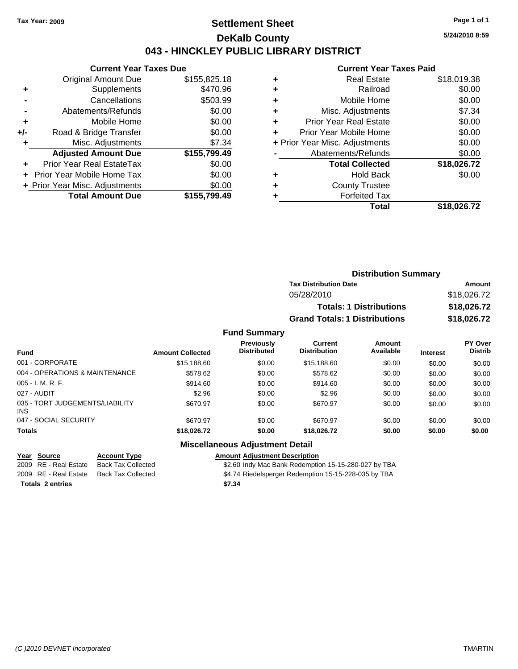### **Settlement Sheet Tax Year: 2009 Page 1 of 1 DeKalb County 043 - HINCKLEY PUBLIC LIBRARY DISTRICT**

**5/24/2010 8:59**

## **Current Year Taxes Paid**

| Current Year Taxes Due           |              |
|----------------------------------|--------------|
| <b>Original Amount Due</b>       | \$155,825.18 |
| Supplements                      | \$470.96     |
| Cancellations                    | \$503.99     |
| Abatements/Refunds               | \$0.00       |
| Mobile Home                      | \$0.00       |
| Road & Bridge Transfer           | \$0.00       |
| Misc. Adjustments                | \$7.34       |
| <b>Adjusted Amount Due</b>       | \$155,799.49 |
| <b>Prior Year Real EstateTax</b> | \$0.00       |
| Prior Year Mobile Home Tax       | \$0.00       |
| + Prior Year Misc. Adjustments   | \$0.00       |
| <b>Total Amount Due</b>          | \$155,799.49 |
|                                  |              |

**Current Year Taxes Due**

|   | <b>Real Estate</b>             | \$18,019.38 |
|---|--------------------------------|-------------|
|   | Railroad                       | \$0.00      |
| ٠ | Mobile Home                    | \$0.00      |
| ٠ | Misc. Adjustments              | \$7.34      |
| ٠ | <b>Prior Year Real Estate</b>  | \$0.00      |
|   | Prior Year Mobile Home         | \$0.00      |
|   | + Prior Year Misc. Adjustments | \$0.00      |
|   | Abatements/Refunds             | \$0.00      |
|   | <b>Total Collected</b>         | \$18,026.72 |
|   | <b>Hold Back</b>               | \$0.00      |
|   | <b>County Trustee</b>          |             |
|   | <b>Forfeited Tax</b>           |             |
|   | Total                          | \$18,026.72 |
|   |                                |             |

| <b>Distribution Summary</b>          |             |
|--------------------------------------|-------------|
| <b>Tax Distribution Date</b>         | Amount      |
| 05/28/2010                           | \$18,026.72 |
| <b>Totals: 1 Distributions</b>       | \$18,026.72 |
| <b>Grand Totals: 1 Distributions</b> | \$18,026.72 |
|                                      |             |

#### **Fund Summary**

| <b>Fund</b>                                   | <b>Amount Collected</b> | <b>Previously</b><br><b>Distributed</b> | Current<br><b>Distribution</b> | Amount<br>Available | <b>Interest</b> | <b>PY Over</b><br><b>Distrib</b> |
|-----------------------------------------------|-------------------------|-----------------------------------------|--------------------------------|---------------------|-----------------|----------------------------------|
| 001 - CORPORATE                               | \$15,188.60             | \$0.00                                  | \$15,188,60                    | \$0.00              | \$0.00          | \$0.00                           |
| 004 - OPERATIONS & MAINTENANCE                | \$578.62                | \$0.00                                  | \$578.62                       | \$0.00              | \$0.00          | \$0.00                           |
| $005 - I. M. R. F.$                           | \$914.60                | \$0.00                                  | \$914.60                       | \$0.00              | \$0.00          | \$0.00                           |
| 027 - AUDIT                                   | \$2.96                  | \$0.00                                  | \$2.96                         | \$0.00              | \$0.00          | \$0.00                           |
| 035 - TORT JUDGEMENTS/LIABILITY<br><b>INS</b> | \$670.97                | \$0.00                                  | \$670.97                       | \$0.00              | \$0.00          | \$0.00                           |
| 047 - SOCIAL SECURITY                         | \$670.97                | \$0.00                                  | \$670.97                       | \$0.00              | \$0.00          | \$0.00                           |
| <b>Totals</b>                                 | \$18,026.72             | \$0.00                                  | \$18,026,72                    | \$0.00              | \$0.00          | \$0.00                           |

### **Miscellaneous Adjustment Detail**

**Year Source Account Type Amount Adjustment Description** \$2.60 Indy Mac Bank Redemption 15-15-280-027 by TBA 2009 RE - Real Estate Back Tax Collected \$4.74 Riedelsperger Redemption 15-15-228-035 by TBA

**Totals 2 entries \$7.34**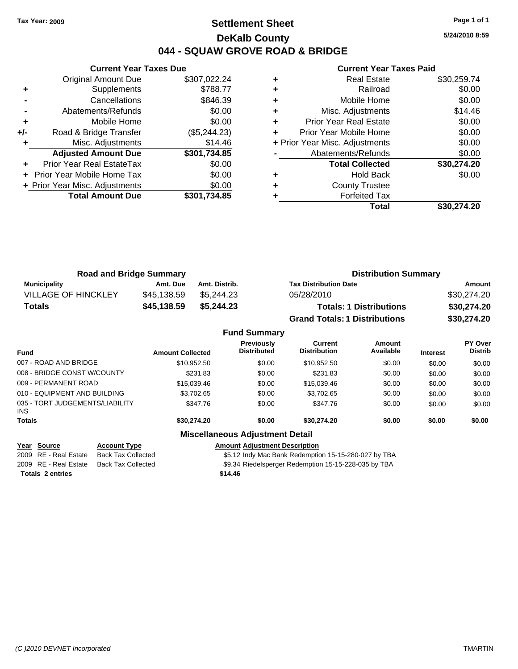### **Settlement Sheet Tax Year: 2009 Page 1 of 1 DeKalb County 044 - SQUAW GROVE ROAD & BRIDGE**

**5/24/2010 8:59**

#### **Current Year Taxes Paid**

|     | <b>Current Year Taxes Due</b>     |              |  |  |  |  |
|-----|-----------------------------------|--------------|--|--|--|--|
|     | <b>Original Amount Due</b>        | \$307,022.24 |  |  |  |  |
| ٠   | Supplements                       | \$788.77     |  |  |  |  |
|     | Cancellations                     | \$846.39     |  |  |  |  |
|     | Abatements/Refunds                | \$0.00       |  |  |  |  |
| ٠   | Mobile Home                       | \$0.00       |  |  |  |  |
| +/- | Road & Bridge Transfer            | (\$5,244.23) |  |  |  |  |
|     | Misc. Adjustments                 | \$14.46      |  |  |  |  |
|     | <b>Adjusted Amount Due</b>        | \$301,734.85 |  |  |  |  |
|     | Prior Year Real EstateTax         | \$0.00       |  |  |  |  |
|     | <b>Prior Year Mobile Home Tax</b> | \$0.00       |  |  |  |  |
|     | + Prior Year Misc. Adjustments    | \$0.00       |  |  |  |  |
|     | <b>Total Amount Due</b>           | \$301,734.85 |  |  |  |  |
|     |                                   |              |  |  |  |  |

|   | Total                          | \$30,274.20 |
|---|--------------------------------|-------------|
|   | <b>Forfeited Tax</b>           |             |
| ٠ | <b>County Trustee</b>          |             |
| ٠ | <b>Hold Back</b>               | \$0.00      |
|   | <b>Total Collected</b>         | \$30,274.20 |
|   | Abatements/Refunds             | \$0.00      |
|   | + Prior Year Misc. Adjustments | \$0.00      |
| ٠ | Prior Year Mobile Home         | \$0.00      |
| ٠ | <b>Prior Year Real Estate</b>  | \$0.00      |
| ٠ | Misc. Adjustments              | \$14.46     |
| ٠ | Mobile Home                    | \$0.00      |
| ٠ | Railroad                       | \$0.00      |
|   | <b>Real Estate</b>             | \$30,259.74 |

| <b>Road and Bridge Summary</b> |             |               | <b>Distribution Summary</b>          |             |  |
|--------------------------------|-------------|---------------|--------------------------------------|-------------|--|
| <b>Municipality</b>            | Amt. Due    | Amt. Distrib. | <b>Tax Distribution Date</b>         | Amount      |  |
| <b>VILLAGE OF HINCKLEY</b>     | \$45,138.59 | \$5.244.23    | 05/28/2010                           | \$30,274.20 |  |
| Totals                         | \$45,138.59 | \$5,244.23    | <b>Totals: 1 Distributions</b>       | \$30,274.20 |  |
|                                |             |               | <b>Grand Totals: 1 Distributions</b> | \$30,274.20 |  |

|                                         |                         | <b>Fund Summary</b>                    |                                |                     |                 |                                  |
|-----------------------------------------|-------------------------|----------------------------------------|--------------------------------|---------------------|-----------------|----------------------------------|
| <b>Fund</b>                             | <b>Amount Collected</b> | Previously<br><b>Distributed</b>       | Current<br><b>Distribution</b> | Amount<br>Available | <b>Interest</b> | <b>PY Over</b><br><b>Distrib</b> |
| 007 - ROAD AND BRIDGE                   | \$10,952.50             | \$0.00                                 | \$10,952.50                    | \$0.00              | \$0.00          | \$0.00                           |
| 008 - BRIDGE CONST W/COUNTY             | \$231.83                | \$0.00                                 | \$231.83                       | \$0.00              | \$0.00          | \$0.00                           |
| 009 - PERMANENT ROAD                    | \$15,039.46             | \$0.00                                 | \$15,039.46                    | \$0.00              | \$0.00          | \$0.00                           |
| 010 - EQUIPMENT AND BUILDING            | \$3,702.65              | \$0.00                                 | \$3,702.65                     | \$0.00              | \$0.00          | \$0.00                           |
| 035 - TORT JUDGEMENTS/LIABILITY<br>INS. | \$347.76                | \$0.00                                 | \$347.76                       | \$0.00              | \$0.00          | \$0.00                           |
| <b>Totals</b>                           | \$30,274.20             | \$0.00                                 | \$30,274.20                    | \$0.00              | \$0.00          | \$0.00                           |
|                                         |                         | <b>Miscellaneous Adjustment Detail</b> |                                |                     |                 |                                  |

**Year Source Account Type Amount Adjustment Description**

2009 RE - Real Estate Back Tax Collected \$5.12 Indy Mac Bank Redemption 15-15-280-027 by TBA

2009 RE - Real Estate Back Tax Collected \$9.34 Riedelsperger Redemption 15-15-228-035 by TBA

**Totals 2 entries \$14.46**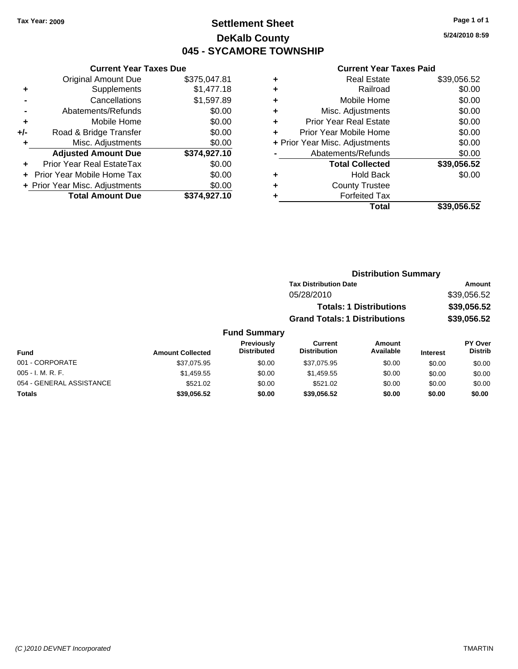### **Settlement Sheet Tax Year: 2009 Page 1 of 1 DeKalb County 045 - SYCAMORE TOWNSHIP**

**5/24/2010 8:59**

|     | <b>Current Year Taxes Due</b>              |              |  |  |  |  |
|-----|--------------------------------------------|--------------|--|--|--|--|
|     | <b>Original Amount Due</b><br>\$375,047.81 |              |  |  |  |  |
| ٠   | \$1,477.18<br>Supplements                  |              |  |  |  |  |
|     | Cancellations                              | \$1,597.89   |  |  |  |  |
|     | Abatements/Refunds                         | \$0.00       |  |  |  |  |
| ٠   | Mobile Home                                | \$0.00       |  |  |  |  |
| +/- | Road & Bridge Transfer                     | \$0.00       |  |  |  |  |
| ٠   | Misc. Adjustments                          | \$0.00       |  |  |  |  |
|     | <b>Adjusted Amount Due</b>                 | \$374,927.10 |  |  |  |  |
| ٠   | Prior Year Real EstateTax                  | \$0.00       |  |  |  |  |
|     | Prior Year Mobile Home Tax                 | \$0.00       |  |  |  |  |
|     | + Prior Year Misc. Adjustments             | \$0.00       |  |  |  |  |
|     | <b>Total Amount Due</b>                    | \$374,927.10 |  |  |  |  |
|     |                                            |              |  |  |  |  |

| ٠ | Real Estate                    | \$39,056.52 |
|---|--------------------------------|-------------|
| ٠ | Railroad                       | \$0.00      |
| ٠ | Mobile Home                    | \$0.00      |
| ٠ | Misc. Adjustments              | \$0.00      |
| ٠ | <b>Prior Year Real Estate</b>  | \$0.00      |
| ٠ | Prior Year Mobile Home         | \$0.00      |
|   | + Prior Year Misc. Adjustments | \$0.00      |
|   | Abatements/Refunds             | \$0.00      |
|   | <b>Total Collected</b>         | \$39,056.52 |
| ٠ | <b>Hold Back</b>               | \$0.00      |
| ٠ | <b>County Trustee</b>          |             |
| ٠ | <b>Forfeited Tax</b>           |             |
|   | Total                          | \$39,056.52 |
|   |                                |             |

|                     | <b>Distribution Summary</b>          |             |
|---------------------|--------------------------------------|-------------|
|                     | <b>Tax Distribution Date</b>         | Amount      |
|                     | 05/28/2010                           | \$39,056.52 |
|                     | <b>Totals: 1 Distributions</b>       | \$39,056.52 |
|                     | <b>Grand Totals: 1 Distributions</b> | \$39,056.52 |
| <b>Fund Summary</b> |                                      |             |

| <b>Fund</b>              | <b>Amount Collected</b> | <b>Previously</b><br><b>Distributed</b> | Current<br><b>Distribution</b> | Amount<br>Available | <b>Interest</b> | <b>PY Over</b><br><b>Distrib</b> |
|--------------------------|-------------------------|-----------------------------------------|--------------------------------|---------------------|-----------------|----------------------------------|
| 001 - CORPORATE          | \$37,075.95             | \$0.00                                  | \$37.075.95                    | \$0.00              | \$0.00          | \$0.00                           |
| $005 - I. M. R. F.$      | \$1,459.55              | \$0.00                                  | \$1.459.55                     | \$0.00              | \$0.00          | \$0.00                           |
| 054 - GENERAL ASSISTANCE | \$521.02                | \$0.00                                  | \$521.02                       | \$0.00              | \$0.00          | \$0.00                           |
| <b>Totals</b>            | \$39.056.52             | \$0.00                                  | \$39.056.52                    | \$0.00              | \$0.00          | \$0.00                           |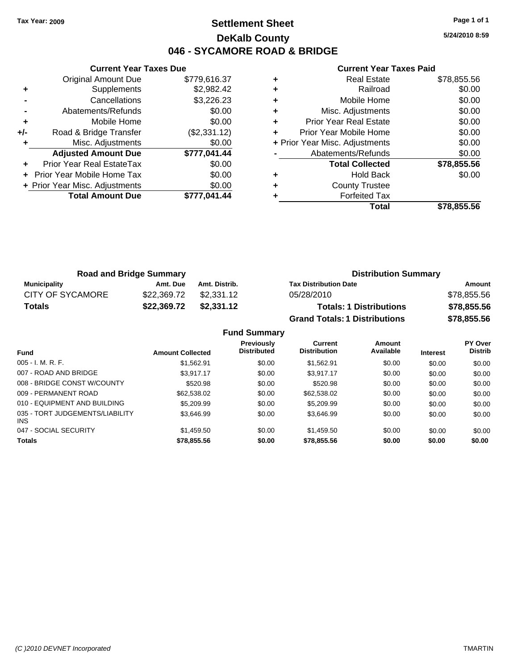### **Settlement Sheet Tax Year: 2009 Page 1 of 1 DeKalb County 046 - SYCAMORE ROAD & BRIDGE**

**5/24/2010 8:59**

|     | <b>Current Year Taxes Due</b>  |              |  |  |  |
|-----|--------------------------------|--------------|--|--|--|
|     | <b>Original Amount Due</b>     | \$779.616.37 |  |  |  |
| ٠   | Supplements                    | \$2,982.42   |  |  |  |
|     | Cancellations                  | \$3,226.23   |  |  |  |
|     | Abatements/Refunds             | \$0.00       |  |  |  |
| ٠   | Mobile Home                    | \$0.00       |  |  |  |
| +/- | Road & Bridge Transfer         | (\$2,331.12) |  |  |  |
| ٠   | Misc. Adjustments              | \$0.00       |  |  |  |
|     | <b>Adjusted Amount Due</b>     | \$777,041.44 |  |  |  |
|     | Prior Year Real EstateTax      | \$0.00       |  |  |  |
|     | Prior Year Mobile Home Tax     | \$0.00       |  |  |  |
|     | + Prior Year Misc. Adjustments | \$0.00       |  |  |  |
|     | <b>Total Amount Due</b>        | \$777.041.44 |  |  |  |
|     |                                |              |  |  |  |

|   | <b>Real Estate</b>             | \$78,855.56 |
|---|--------------------------------|-------------|
| ٠ | Railroad                       | \$0.00      |
| ٠ | Mobile Home                    | \$0.00      |
| ٠ | Misc. Adjustments              | \$0.00      |
| ٠ | Prior Year Real Estate         | \$0.00      |
| ٠ | Prior Year Mobile Home         | \$0.00      |
|   | + Prior Year Misc. Adjustments | \$0.00      |
|   | Abatements/Refunds             | \$0.00      |
|   | <b>Total Collected</b>         | \$78,855.56 |
| ٠ | <b>Hold Back</b>               | \$0.00      |
| ٠ | <b>County Trustee</b>          |             |
| ٠ | <b>Forfeited Tax</b>           |             |
|   | Total                          | \$78.855.56 |

| <b>Road and Bridge Summary</b> |             |               | <b>Distribution Summary</b>          |             |  |
|--------------------------------|-------------|---------------|--------------------------------------|-------------|--|
| <b>Municipality</b>            | Amt. Due    | Amt. Distrib. | <b>Tax Distribution Date</b>         | Amount      |  |
| <b>CITY OF SYCAMORE</b>        | \$22.369.72 | \$2.331.12    | 05/28/2010                           | \$78,855.56 |  |
| <b>Totals</b>                  | \$22,369.72 | \$2,331.12    | <b>Totals: 1 Distributions</b>       | \$78,855.56 |  |
|                                |             |               | <b>Grand Totals: 1 Distributions</b> | \$78,855.56 |  |

|  | <b>Fund Summary</b> |
|--|---------------------|
|--|---------------------|

| <b>Fund</b>                                   | <b>Amount Collected</b> | <b>Previously</b><br><b>Distributed</b> | Current<br><b>Distribution</b> | Amount<br>Available | <b>Interest</b> | <b>PY Over</b><br><b>Distrib</b> |
|-----------------------------------------------|-------------------------|-----------------------------------------|--------------------------------|---------------------|-----------------|----------------------------------|
| $005 - I. M. R. F.$                           | \$1,562.91              | \$0.00                                  | \$1,562.91                     | \$0.00              | \$0.00          | \$0.00                           |
| 007 - ROAD AND BRIDGE                         | \$3.917.17              | \$0.00                                  | \$3.917.17                     | \$0.00              | \$0.00          | \$0.00                           |
| 008 - BRIDGE CONST W/COUNTY                   | \$520.98                | \$0.00                                  | \$520.98                       | \$0.00              | \$0.00          | \$0.00                           |
| 009 - PERMANENT ROAD                          | \$62,538.02             | \$0.00                                  | \$62,538.02                    | \$0.00              | \$0.00          | \$0.00                           |
| 010 - EQUIPMENT AND BUILDING                  | \$5,209.99              | \$0.00                                  | \$5,209.99                     | \$0.00              | \$0.00          | \$0.00                           |
| 035 - TORT JUDGEMENTS/LIABILITY<br><b>INS</b> | \$3.646.99              | \$0.00                                  | \$3.646.99                     | \$0.00              | \$0.00          | \$0.00                           |
| 047 - SOCIAL SECURITY                         | \$1,459.50              | \$0.00                                  | \$1,459.50                     | \$0.00              | \$0.00          | \$0.00                           |
| <b>Totals</b>                                 | \$78,855.56             | \$0.00                                  | \$78,855.56                    | \$0.00              | \$0.00          | \$0.00                           |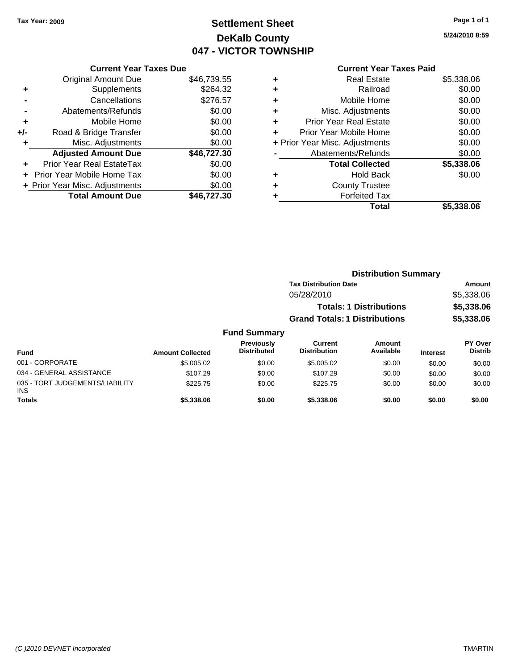INS

## **Settlement Sheet Tax Year: 2009 Page 1 of 1 DeKalb County 047 - VICTOR TOWNSHIP**

**5/24/2010 8:59**

| <b>Current Year Taxes Paid</b> |  |  |  |
|--------------------------------|--|--|--|
|--------------------------------|--|--|--|

| <b>Current Year Taxes Due</b> |  |  |  |  |
|-------------------------------|--|--|--|--|
| \$46,739.55                   |  |  |  |  |
| \$264.32                      |  |  |  |  |
| \$276.57                      |  |  |  |  |
| \$0.00                        |  |  |  |  |
| \$0.00                        |  |  |  |  |
| \$0.00                        |  |  |  |  |
| \$0.00                        |  |  |  |  |
| \$46,727.30                   |  |  |  |  |
| \$0.00                        |  |  |  |  |
| \$0.00                        |  |  |  |  |
| \$0.00                        |  |  |  |  |
| \$46.727.30                   |  |  |  |  |
|                               |  |  |  |  |

| ٠ | <b>Real Estate</b>             | \$5,338.06 |
|---|--------------------------------|------------|
| ٠ | Railroad                       | \$0.00     |
| ٠ | Mobile Home                    | \$0.00     |
| ٠ | Misc. Adjustments              | \$0.00     |
| ٠ | <b>Prior Year Real Estate</b>  | \$0.00     |
| ٠ | Prior Year Mobile Home         | \$0.00     |
|   | + Prior Year Misc. Adjustments | \$0.00     |
|   | Abatements/Refunds             | \$0.00     |
|   | <b>Total Collected</b>         | \$5,338.06 |
| ٠ | <b>Hold Back</b>               | \$0.00     |
| ٠ | <b>County Trustee</b>          |            |
| ٠ | <b>Forfeited Tax</b>           |            |
|   | Total                          | \$5,338.06 |
|   |                                |            |

|                                             |                         |                                         |                                      | <b>Distribution Summary</b>    |                 |                                  |
|---------------------------------------------|-------------------------|-----------------------------------------|--------------------------------------|--------------------------------|-----------------|----------------------------------|
|                                             |                         |                                         | <b>Tax Distribution Date</b>         |                                |                 | <b>Amount</b>                    |
|                                             |                         |                                         | 05/28/2010                           |                                |                 | \$5,338.06                       |
|                                             |                         |                                         |                                      | <b>Totals: 1 Distributions</b> |                 | \$5,338.06                       |
|                                             |                         |                                         | <b>Grand Totals: 1 Distributions</b> |                                |                 | \$5,338.06                       |
|                                             |                         | <b>Fund Summary</b>                     |                                      |                                |                 |                                  |
| <b>Fund</b>                                 | <b>Amount Collected</b> | <b>Previously</b><br><b>Distributed</b> | Current<br><b>Distribution</b>       | <b>Amount</b><br>Available     | <b>Interest</b> | <b>PY Over</b><br><b>Distrib</b> |
| 001 - CORPORATE                             | \$5,005.02              | \$0.00                                  | \$5,005.02                           | \$0.00                         | \$0.00          | \$0.00                           |
| 034 - GENERAL ASSISTANCE                    | \$107.29                | \$0.00                                  | \$107.29                             | \$0.00                         | \$0.00          | \$0.00                           |
| 035 - TORT JUDGEMENTS/LIABILITY<br>$\cdots$ | \$225.75                | \$0.00                                  | \$225.75                             | \$0.00                         | \$0.00          | \$0.00                           |

**Totals \$5,338.06 \$0.00 \$5,338.06 \$0.00 \$0.00 \$0.00**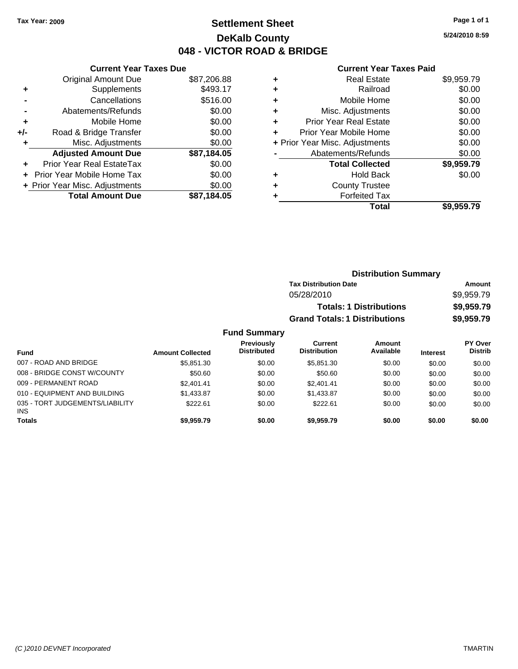### **Settlement Sheet Tax Year: 2009 Page 1 of 1 DeKalb County 048 - VICTOR ROAD & BRIDGE**

**5/24/2010 8:59**

|     | <b>Current Year Taxes Due</b>     |             |       |
|-----|-----------------------------------|-------------|-------|
|     | <b>Original Amount Due</b>        | \$87,206.88 | ٠     |
|     | Supplements                       | \$493.17    | ٠     |
|     | Cancellations                     | \$516.00    | ٠     |
|     | Abatements/Refunds                | \$0.00      | ٠     |
|     | Mobile Home                       | \$0.00      | ٠     |
| +/- | Road & Bridge Transfer            | \$0.00      | ٠     |
|     | Misc. Adjustments                 | \$0.00      | + Pri |
|     | <b>Adjusted Amount Due</b>        | \$87,184.05 |       |
|     | Prior Year Real EstateTax         | \$0.00      |       |
|     | <b>Prior Year Mobile Home Tax</b> | \$0.00      | ٠     |
|     | + Prior Year Misc. Adjustments    | \$0.00      |       |
|     | <b>Total Amount Due</b>           | \$87,184.05 |       |
|     |                                   |             |       |

| ٠ | Real Estate                    | \$9,959.79 |
|---|--------------------------------|------------|
| ٠ | Railroad                       | \$0.00     |
| ٠ | Mobile Home                    | \$0.00     |
| ٠ | Misc. Adjustments              | \$0.00     |
| ÷ | <b>Prior Year Real Estate</b>  | \$0.00     |
| ÷ | Prior Year Mobile Home         | \$0.00     |
|   | + Prior Year Misc. Adjustments | \$0.00     |
|   | Abatements/Refunds             | \$0.00     |
|   | <b>Total Collected</b>         | \$9,959.79 |
| ٠ | Hold Back                      | \$0.00     |
| ٠ | <b>County Trustee</b>          |            |
| ٠ | <b>Forfeited Tax</b>           |            |
|   | Total                          | \$9,959.79 |
|   |                                |            |

|                  |                                         |                                       | <b>Distribution Summary</b>    |                 |                                  |
|------------------|-----------------------------------------|---------------------------------------|--------------------------------|-----------------|----------------------------------|
|                  |                                         | <b>Tax Distribution Date</b>          |                                |                 | Amount                           |
|                  |                                         | 05/28/2010                            |                                |                 | \$9,959.79                       |
|                  |                                         |                                       | <b>Totals: 1 Distributions</b> |                 | \$9,959.79                       |
|                  |                                         | <b>Grand Totals: 1 Distributions</b>  |                                |                 | \$9,959.79                       |
|                  | <b>Fund Summary</b>                     |                                       |                                |                 |                                  |
| <b>Collected</b> | <b>Previously</b><br><b>Distributed</b> | <b>Current</b><br><b>Distribution</b> | Amount<br>Available            | <b>Interest</b> | <b>PY Over</b><br><b>Distrib</b> |
| \$585130         | ደ0.00                                   | \$585130                              | \$0.00                         | ፍስ ሰስ           | ፍስ ሰሰ                            |

| Fund                                   | <b>Amount Collected</b> | <b>Distributed</b> | <b>Distribution</b> | Available | <b>Interest</b> | <b>Distrib</b> |
|----------------------------------------|-------------------------|--------------------|---------------------|-----------|-----------------|----------------|
| 007 - ROAD AND BRIDGE                  | \$5.851.30              | \$0.00             | \$5,851,30          | \$0.00    | \$0.00          | \$0.00         |
| 008 - BRIDGE CONST W/COUNTY            | \$50.60                 | \$0.00             | \$50.60             | \$0.00    | \$0.00          | \$0.00         |
| 009 - PERMANENT ROAD                   | \$2,401.41              | \$0.00             | \$2.401.41          | \$0.00    | \$0.00          | \$0.00         |
| 010 - EQUIPMENT AND BUILDING           | \$1.433.87              | \$0.00             | \$1.433.87          | \$0.00    | \$0.00          | \$0.00         |
| 035 - TORT JUDGEMENTS/LIABILITY<br>INS | \$222.61                | \$0.00             | \$222.61            | \$0.00    | \$0.00          | \$0.00         |
| <b>Totals</b>                          | \$9.959.79              | \$0.00             | \$9.959.79          | \$0.00    | \$0.00          | \$0.00         |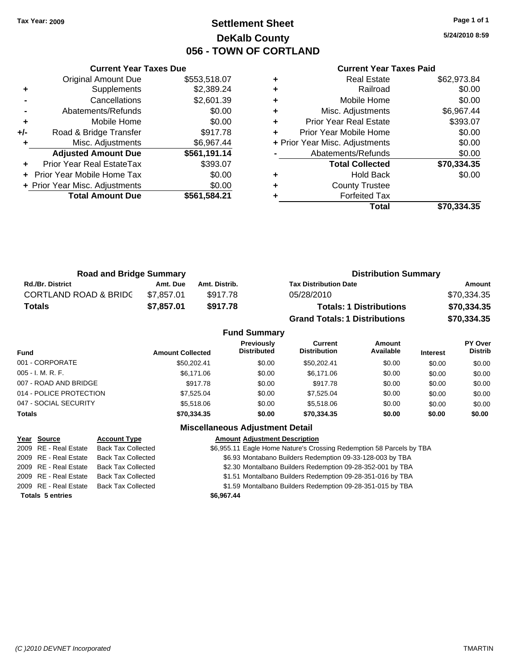### **Settlement Sheet Tax Year: 2009 Page 1 of 1 DeKalb County 056 - TOWN OF CORTLAND**

**5/24/2010 8:59**

#### **Current Year Taxes Paid**

|     | <b>Current Year Taxes Due</b>  |              |  |  |  |  |  |
|-----|--------------------------------|--------------|--|--|--|--|--|
|     | <b>Original Amount Due</b>     | \$553,518.07 |  |  |  |  |  |
| ٠   | Supplements                    | \$2,389.24   |  |  |  |  |  |
|     | Cancellations                  | \$2,601.39   |  |  |  |  |  |
|     | Abatements/Refunds             | \$0.00       |  |  |  |  |  |
| ٠   | Mobile Home                    | \$0.00       |  |  |  |  |  |
| +/- | Road & Bridge Transfer         | \$917.78     |  |  |  |  |  |
| ٠   | Misc. Adjustments              | \$6,967.44   |  |  |  |  |  |
|     | <b>Adjusted Amount Due</b>     | \$561,191.14 |  |  |  |  |  |
| ٠   | Prior Year Real EstateTax      | \$393.07     |  |  |  |  |  |
|     | Prior Year Mobile Home Tax     | \$0.00       |  |  |  |  |  |
|     | + Prior Year Misc. Adjustments | \$0.00       |  |  |  |  |  |
|     | <b>Total Amount Due</b>        | \$561,584.21 |  |  |  |  |  |
|     |                                |              |  |  |  |  |  |

|   | <b>Real Estate</b>             | \$62,973.84 |
|---|--------------------------------|-------------|
| ٠ | Railroad                       | \$0.00      |
| ٠ | Mobile Home                    | \$0.00      |
| ٠ | Misc. Adjustments              | \$6,967.44  |
| ÷ | <b>Prior Year Real Estate</b>  | \$393.07    |
|   | Prior Year Mobile Home         | \$0.00      |
|   | + Prior Year Misc. Adjustments | \$0.00      |
|   | Abatements/Refunds             | \$0.00      |
|   | <b>Total Collected</b>         | \$70,334.35 |
| ٠ | <b>Hold Back</b>               | \$0.00      |
| ٠ | <b>County Trustee</b>          |             |
|   | <b>Forfeited Tax</b>           |             |
|   | Total                          | \$70.334.35 |

| <b>Road and Bridge Summary</b>   |            |               | <b>Distribution Summary</b>          |             |  |
|----------------------------------|------------|---------------|--------------------------------------|-------------|--|
| <b>Rd./Br. District</b>          | Amt. Due   | Amt. Distrib. | <b>Tax Distribution Date</b>         | Amount      |  |
| <b>CORTLAND ROAD &amp; BRIDC</b> | \$7.857.01 | \$917.78      | 05/28/2010                           | \$70,334.35 |  |
| Totals                           | \$7,857.01 | \$917.78      | <b>Totals: 1 Distributions</b>       | \$70,334.35 |  |
|                                  |            |               | <b>Grand Totals: 1 Distributions</b> | \$70,334.35 |  |

|                         |                         | <b>Fund Summary</b>                     |                                |                            |                 |                           |
|-------------------------|-------------------------|-----------------------------------------|--------------------------------|----------------------------|-----------------|---------------------------|
| <b>Fund</b>             | <b>Amount Collected</b> | <b>Previously</b><br><b>Distributed</b> | Current<br><b>Distribution</b> | <b>Amount</b><br>Available | <b>Interest</b> | PY Over<br><b>Distrib</b> |
| 001 - CORPORATE         | \$50.202.41             | \$0.00                                  | \$50,202.41                    | \$0.00                     | \$0.00          | \$0.00                    |
| 005 - I. M. R. F.       | \$6,171.06              | \$0.00                                  | \$6,171.06                     | \$0.00                     | \$0.00          | \$0.00                    |
| 007 - ROAD AND BRIDGE   | \$917.78                | \$0.00                                  | \$917.78                       | \$0.00                     | \$0.00          | \$0.00                    |
| 014 - POLICE PROTECTION | \$7.525.04              | \$0.00                                  | \$7.525.04                     | \$0.00                     | \$0.00          | \$0.00                    |
| 047 - SOCIAL SECURITY   | \$5,518,06              | \$0.00                                  | \$5,518.06                     | \$0.00                     | \$0.00          | \$0.00                    |
| Totals                  | \$70,334.35             | \$0.00                                  | \$70,334.35                    | \$0.00                     | \$0.00          | \$0.00                    |
|                         |                         |                                         |                                |                            |                 |                           |

#### **Miscellaneous Adjustment Detail**

| Year Source             | <b>Account Type</b>       | <b>Amount Adjustment Description</b>                                 |
|-------------------------|---------------------------|----------------------------------------------------------------------|
| 2009 RE - Real Estate   | <b>Back Tax Collected</b> | \$6,955.11 Eagle Home Nature's Crossing Redemption 58 Parcels by TBA |
| 2009 RE - Real Estate   | <b>Back Tax Collected</b> | \$6.93 Montabano Builders Redemption 09-33-128-003 by TBA            |
| 2009 RE - Real Estate   | <b>Back Tax Collected</b> | \$2.30 Montalbano Builders Redemption 09-28-352-001 by TBA           |
| 2009 RE - Real Estate   | <b>Back Tax Collected</b> | \$1.51 Montalbano Builders Redemption 09-28-351-016 by TBA           |
| 2009 RE - Real Estate   | <b>Back Tax Collected</b> | \$1.59 Montalbano Builders Redemption 09-28-351-015 by TBA           |
| <b>Totals 5 entries</b> |                           | \$6,967.44                                                           |
|                         |                           |                                                                      |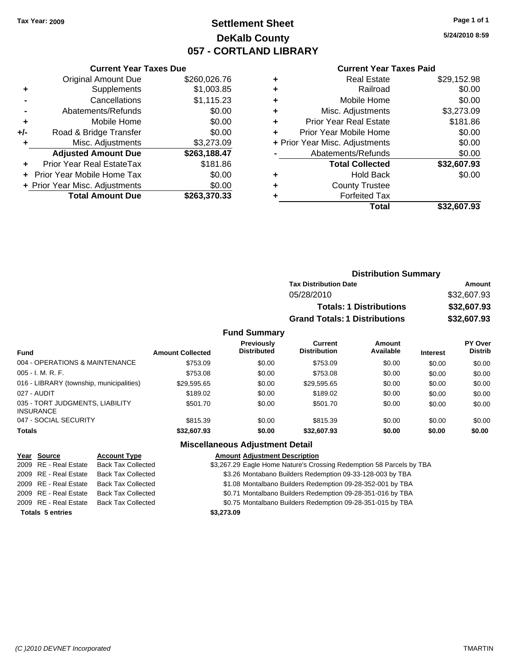### **Settlement Sheet Tax Year: 2009 Page 1 of 1 DeKalb County 057 - CORTLAND LIBRARY**

**5/24/2010 8:59**

#### **Current Year Taxes Paid**

|     | <b>Original Amount Due</b>       | \$260,026.76 |
|-----|----------------------------------|--------------|
| ٠   | Supplements                      | \$1,003.85   |
|     | Cancellations                    | \$1,115.23   |
|     | Abatements/Refunds               | \$0.00       |
| ÷   | Mobile Home                      | \$0.00       |
| +/- | Road & Bridge Transfer           | \$0.00       |
| ۰   | Misc. Adjustments                | \$3,273.09   |
|     | <b>Adjusted Amount Due</b>       | \$263,188.47 |
|     | <b>Prior Year Real EstateTax</b> | \$181.86     |
|     | Prior Year Mobile Home Tax       | \$0.00       |
|     | + Prior Year Misc. Adjustments   | \$0.00       |
|     | <b>Total Amount Due</b>          | \$263,370.33 |
|     |                                  |              |

**Current Year Taxes Due**

|   | <b>Real Estate</b>             | \$29,152.98 |
|---|--------------------------------|-------------|
| ٠ | Railroad                       | \$0.00      |
| ٠ | Mobile Home                    | \$0.00      |
| ٠ | Misc. Adjustments              | \$3,273.09  |
| ٠ | <b>Prior Year Real Estate</b>  | \$181.86    |
|   | Prior Year Mobile Home         | \$0.00      |
|   | + Prior Year Misc. Adjustments | \$0.00      |
|   | Abatements/Refunds             | \$0.00      |
|   | <b>Total Collected</b>         | \$32,607.93 |
| ٠ | <b>Hold Back</b>               | \$0.00      |
|   | <b>County Trustee</b>          |             |
|   | <b>Forfeited Tax</b>           |             |
|   | Total                          | \$32,607.93 |
|   |                                |             |

|                     | <b>Distribution Summary</b>          |             |  |  |
|---------------------|--------------------------------------|-------------|--|--|
|                     | <b>Tax Distribution Date</b>         | Amount      |  |  |
|                     | 05/28/2010                           |             |  |  |
|                     | <b>Totals: 1 Distributions</b>       | \$32,607.93 |  |  |
|                     | <b>Grand Totals: 1 Distributions</b> | \$32,607.93 |  |  |
| <b>Fund Summary</b> |                                      |             |  |  |

| <b>Fund</b>                                         | <b>Amount Collected</b> | <b>Previously</b><br><b>Distributed</b> | Current<br><b>Distribution</b> | Amount<br>Available | <b>Interest</b> | <b>PY Over</b><br><b>Distrib</b> |
|-----------------------------------------------------|-------------------------|-----------------------------------------|--------------------------------|---------------------|-----------------|----------------------------------|
| 004 - OPERATIONS & MAINTENANCE                      | \$753.09                | \$0.00                                  | \$753.09                       | \$0.00              | \$0.00          | \$0.00                           |
| $005 - I. M. R. F.$                                 | \$753.08                | \$0.00                                  | \$753.08                       | \$0.00              | \$0.00          | \$0.00                           |
| 016 - LIBRARY (township, municipalities)            | \$29,595.65             | \$0.00                                  | \$29,595.65                    | \$0.00              | \$0.00          | \$0.00                           |
| 027 - AUDIT                                         | \$189.02                | \$0.00                                  | \$189.02                       | \$0.00              | \$0.00          | \$0.00                           |
| 035 - TORT JUDGMENTS, LIABILITY<br><b>INSURANCE</b> | \$501.70                | \$0.00                                  | \$501.70                       | \$0.00              | \$0.00          | \$0.00                           |
| 047 - SOCIAL SECURITY                               | \$815.39                | \$0.00                                  | \$815.39                       | \$0.00              | \$0.00          | \$0.00                           |
| <b>Totals</b>                                       | \$32,607.93             | \$0.00                                  | \$32,607.93                    | \$0.00              | \$0.00          | \$0.00                           |

### **Miscellaneous Adjustment Detail**

#### **Year Source Account Type Amount Adjustment Description**

2009 RE - Real Estate Back Tax Collected \$3,267.29 Eagle Home Nature's Crossing Redemption 58 Parcels by TBA

2009 RE - Real Estate Back Tax Collected \$3.26 Montabano Builders Redemption 09-33-128-003 by TBA

2009 RE - Real Estate Back Tax Collected \$1.08 Montalbano Builders Redemption 09-28-352-001 by TBA

2009 RE - Real Estate Back Tax Collected \$0.71 Montalbano Builders Redemption 09-28-351-016 by TBA

2009 RE - Real Estate Back Tax Collected \$0.75 Montalbano Builders Redemption 09-28-351-015 by TBA

**Totals 5 entries \$3,273.09**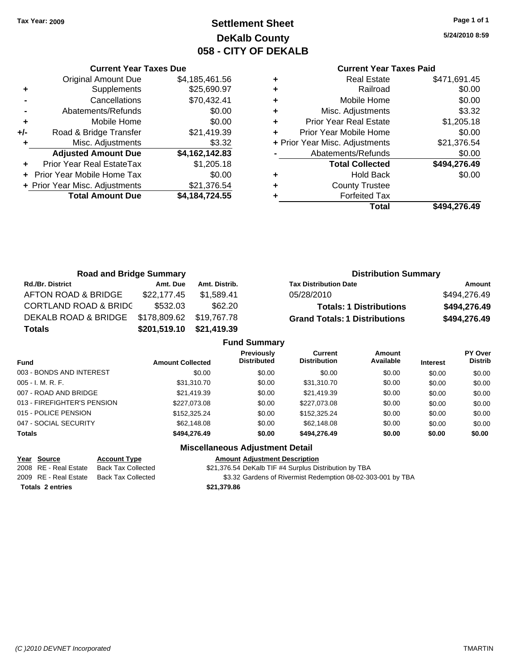### **Settlement Sheet Tax Year: 2009 Page 1 of 1 DeKalb County 058 - CITY OF DEKALB**

**5/24/2010 8:59**

#### **Current Year Taxes Paid**

|     | <b>Current Year Taxes Due</b>    |                |  |  |  |  |  |
|-----|----------------------------------|----------------|--|--|--|--|--|
|     | <b>Original Amount Due</b>       | \$4,185,461.56 |  |  |  |  |  |
| ٠   | Supplements                      | \$25,690.97    |  |  |  |  |  |
|     | Cancellations                    | \$70,432.41    |  |  |  |  |  |
|     | Abatements/Refunds               | \$0.00         |  |  |  |  |  |
| ٠   | Mobile Home                      | \$0.00         |  |  |  |  |  |
| +/- | Road & Bridge Transfer           | \$21,419.39    |  |  |  |  |  |
| ٠   | Misc. Adjustments                | \$3.32         |  |  |  |  |  |
|     | <b>Adjusted Amount Due</b>       | \$4,162,142.83 |  |  |  |  |  |
|     | <b>Prior Year Real EstateTax</b> | \$1,205.18     |  |  |  |  |  |
|     | Prior Year Mobile Home Tax       | \$0.00         |  |  |  |  |  |
|     | + Prior Year Misc. Adjustments   | \$21,376.54    |  |  |  |  |  |
|     | <b>Total Amount Due</b>          | \$4,184,724.55 |  |  |  |  |  |
|     |                                  |                |  |  |  |  |  |

|   | Real Estate                    | \$471,691.45 |
|---|--------------------------------|--------------|
| ٠ | Railroad                       | \$0.00       |
| ٠ | Mobile Home                    | \$0.00       |
| ٠ | Misc. Adjustments              | \$3.32       |
| ٠ | <b>Prior Year Real Estate</b>  | \$1,205.18   |
| ٠ | Prior Year Mobile Home         | \$0.00       |
|   | + Prior Year Misc. Adjustments | \$21,376.54  |
|   | Abatements/Refunds             | \$0.00       |
|   | <b>Total Collected</b>         | \$494,276.49 |
|   | <b>Hold Back</b>               | \$0.00       |
| ٠ | <b>County Trustee</b>          |              |
|   | <b>Forfeited Tax</b>           |              |
|   | Total                          | \$494.276.49 |

| <b>Road and Bridge Summary</b>   |                          |               | <b>Distribution Summary</b>          |              |
|----------------------------------|--------------------------|---------------|--------------------------------------|--------------|
| <b>Rd./Br. District</b>          | Amt. Due                 | Amt. Distrib. | <b>Tax Distribution Date</b>         | Amount       |
| AFTON ROAD & BRIDGE              | \$22,177.45              | \$1.589.41    | 05/28/2010                           | \$494,276.49 |
| <b>CORTLAND ROAD &amp; BRIDC</b> | \$532.03                 | \$62.20       | <b>Totals: 1 Distributions</b>       | \$494,276.49 |
| DEKALB ROAD & BRIDGE             | \$178,809.62 \$19,767.78 |               | <b>Grand Totals: 1 Distributions</b> | \$494,276.49 |
| <b>Totals</b>                    | \$201,519.10             | \$21,419.39   |                                      |              |

| <b>Fund Summary</b>         |                         |                                         |                                |                     |                 |                                  |
|-----------------------------|-------------------------|-----------------------------------------|--------------------------------|---------------------|-----------------|----------------------------------|
| <b>Fund</b>                 | <b>Amount Collected</b> | <b>Previously</b><br><b>Distributed</b> | Current<br><b>Distribution</b> | Amount<br>Available | <b>Interest</b> | <b>PY Over</b><br><b>Distrib</b> |
| 003 - BONDS AND INTEREST    | \$0.00                  | \$0.00                                  | \$0.00                         | \$0.00              | \$0.00          | \$0.00                           |
| 005 - I. M. R. F.           | \$31,310.70             | \$0.00                                  | \$31,310.70                    | \$0.00              | \$0.00          | \$0.00                           |
| 007 - ROAD AND BRIDGE       | \$21,419.39             | \$0.00                                  | \$21,419.39                    | \$0.00              | \$0.00          | \$0.00                           |
| 013 - FIREFIGHTER'S PENSION | \$227,073.08            | \$0.00                                  | \$227,073.08                   | \$0.00              | \$0.00          | \$0.00                           |
| 015 - POLICE PENSION        | \$152,325.24            | \$0.00                                  | \$152,325.24                   | \$0.00              | \$0.00          | \$0.00                           |
| 047 - SOCIAL SECURITY       | \$62,148.08             | \$0.00                                  | \$62,148.08                    | \$0.00              | \$0.00          | \$0.00                           |
| <b>Totals</b>               | \$494.276.49            | \$0.00                                  | \$494,276.49                   | \$0.00              | \$0.00          | \$0.00                           |

### **Miscellaneous Adjustment Detail**

| Year Source             | <b>Account Type</b>       | Amount      |
|-------------------------|---------------------------|-------------|
| 2008 RE - Real Estate   | <b>Back Tax Collected</b> | \$21.376.54 |
| 2009 RE - Real Estate   | <b>Back Tax Collected</b> | \$3.32      |
| <b>Totals 2 entries</b> |                           | \$21.379.86 |

**Year Source Account Type Amount Adjustment Description** \$21,376.54 DeKalb TIF #4 Surplus Distribution by TBA 22 Sardens of Rivermist Redemption 08-02-303-001 by TBA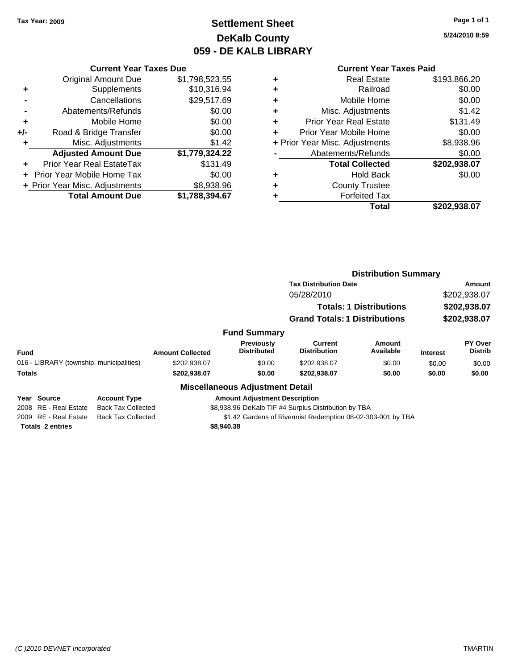### **Settlement Sheet Tax Year: 2009 Page 1 of 1 DeKalb County 059 - DE KALB LIBRARY**

**5/24/2010 8:59**

#### **Current Year Taxes Paid**

|     | <b>Current Year Taxes Due</b>  |                |  |  |  |  |  |  |
|-----|--------------------------------|----------------|--|--|--|--|--|--|
|     | <b>Original Amount Due</b>     | \$1,798,523.55 |  |  |  |  |  |  |
| ٠   | Supplements                    | \$10,316.94    |  |  |  |  |  |  |
|     | Cancellations                  | \$29,517.69    |  |  |  |  |  |  |
|     | Abatements/Refunds             | \$0.00         |  |  |  |  |  |  |
| ٠   | Mobile Home                    | \$0.00         |  |  |  |  |  |  |
| +/- | Road & Bridge Transfer         | \$0.00         |  |  |  |  |  |  |
| ٠   | Misc. Adjustments              | \$1.42         |  |  |  |  |  |  |
|     | <b>Adjusted Amount Due</b>     | \$1,779,324.22 |  |  |  |  |  |  |
|     | Prior Year Real EstateTax      | \$131.49       |  |  |  |  |  |  |
|     | Prior Year Mobile Home Tax     | \$0.00         |  |  |  |  |  |  |
|     | + Prior Year Misc. Adjustments | \$8,938.96     |  |  |  |  |  |  |
|     | <b>Total Amount Due</b>        | \$1,788,394.67 |  |  |  |  |  |  |

| ٠ | <b>Real Estate</b>             | \$193,866.20 |
|---|--------------------------------|--------------|
| ٠ | Railroad                       | \$0.00       |
| ٠ | Mobile Home                    | \$0.00       |
| ٠ | Misc. Adjustments              | \$1.42       |
| ٠ | <b>Prior Year Real Estate</b>  | \$131.49     |
|   | Prior Year Mobile Home         | \$0.00       |
|   | + Prior Year Misc. Adjustments | \$8,938.96   |
|   | Abatements/Refunds             | \$0.00       |
|   | <b>Total Collected</b>         | \$202,938.07 |
| ٠ | Hold Back                      | \$0.00       |
|   | <b>County Trustee</b>          |              |
|   | <b>Forfeited Tax</b>           |              |
|   | Total                          | \$202,938.07 |
|   |                                |              |

|                                          |                           |                         |                                         |                                                      | <b>Distribution Summary</b>    |                              |                           |  |
|------------------------------------------|---------------------------|-------------------------|-----------------------------------------|------------------------------------------------------|--------------------------------|------------------------------|---------------------------|--|
|                                          |                           |                         |                                         | <b>Tax Distribution Date</b>                         |                                |                              | Amount                    |  |
|                                          |                           |                         |                                         | 05/28/2010                                           |                                | \$202,938.07<br>\$202,938.07 |                           |  |
|                                          |                           |                         |                                         |                                                      | <b>Totals: 1 Distributions</b> |                              |                           |  |
|                                          |                           |                         |                                         | <b>Grand Totals: 1 Distributions</b>                 |                                | \$202,938.07                 |                           |  |
|                                          |                           |                         | <b>Fund Summary</b>                     |                                                      |                                |                              |                           |  |
| <b>Fund</b>                              |                           | <b>Amount Collected</b> | <b>Previously</b><br><b>Distributed</b> | Current<br><b>Distribution</b>                       | Amount<br>Available            | <b>Interest</b>              | PY Over<br><b>Distrib</b> |  |
| 016 - LIBRARY (township, municipalities) |                           | \$202,938.07            | \$0.00                                  | \$202,938.07                                         | \$0.00                         | \$0.00                       | \$0.00                    |  |
| <b>Totals</b>                            |                           | \$202,938.07            | \$0.00                                  | \$202.938.07                                         | \$0.00                         | \$0.00                       | \$0.00                    |  |
|                                          |                           |                         | <b>Miscellaneous Adjustment Detail</b>  |                                                      |                                |                              |                           |  |
| Year Source                              | <b>Account Type</b>       |                         | <b>Amount Adiustment Description</b>    |                                                      |                                |                              |                           |  |
| 2008 RE - Real Estate                    | <b>Back Tax Collected</b> |                         |                                         | \$8,938.96 DeKalb TIF #4 Surplus Distribution by TBA |                                |                              |                           |  |

2009 RE - Real Estate Back Tax Collected \$1.42 Gardens of Rivermist Redemption 08-02-303-001 by TBA

**Totals 2 entries \$8,940.38**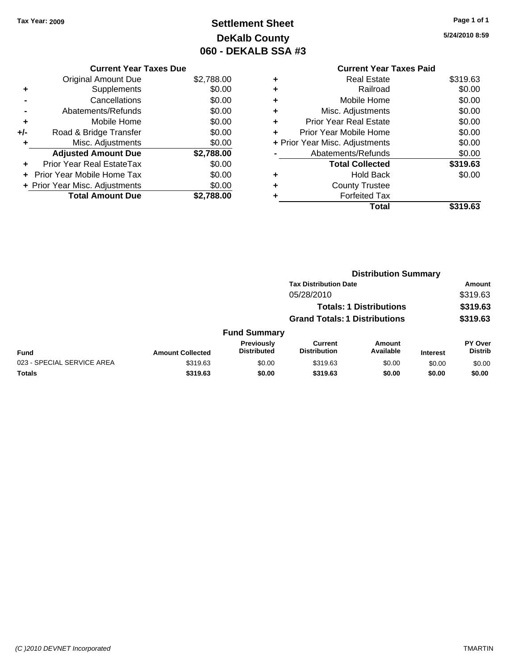## **Settlement Sheet Tax Year: 2009 Page 1 of 1 DeKalb County 060 - DEKALB SSA #3**

**5/24/2010 8:59**

| <b>Original Amount Due</b> | \$2,788.00                                                      |
|----------------------------|-----------------------------------------------------------------|
| Supplements                | \$0.00                                                          |
| Cancellations              | \$0.00                                                          |
| Abatements/Refunds         | \$0.00                                                          |
| Mobile Home                | \$0.00                                                          |
| Road & Bridge Transfer     | \$0.00                                                          |
| Misc. Adjustments          | \$0.00                                                          |
| <b>Adjusted Amount Due</b> | \$2,788.00                                                      |
| Prior Year Real EstateTax  | \$0.00                                                          |
| Prior Year Mobile Home Tax | \$0.00                                                          |
|                            | \$0.00                                                          |
| <b>Total Amount Due</b>    | \$2,788.00                                                      |
|                            | <b>Current Year Taxes Due</b><br>+ Prior Year Misc. Adjustments |

|   | <b>Current Year Taxes Paid</b> |          |
|---|--------------------------------|----------|
| ٠ | <b>Real Estate</b>             | \$319.63 |
| ٠ | Railroad                       | \$0.00   |
|   | Mobile Home                    | \$0.00   |
| ٠ | Misc. Adjustments              | \$0.00   |
| ٠ | <b>Prior Year Real Estate</b>  | \$0.00   |
|   | Prior Year Mobile Home         | \$0.00   |
|   | + Prior Year Misc. Adjustments | \$0.00   |
|   | Abatements/Refunds             | \$0.00   |
|   | <b>Total Collected</b>         | \$319.63 |
|   | <b>Hold Back</b>               | \$0.00   |
|   | <b>County Trustee</b>          |          |
|   | <b>Forfeited Tax</b>           |          |
|   | Total                          | \$319.63 |

|                            |                         | <b>Distribution Summary</b>      |                                      |                                |                 |                           |
|----------------------------|-------------------------|----------------------------------|--------------------------------------|--------------------------------|-----------------|---------------------------|
|                            |                         |                                  | <b>Tax Distribution Date</b>         |                                |                 | Amount                    |
|                            |                         |                                  | 05/28/2010                           |                                |                 | \$319.63                  |
|                            |                         |                                  |                                      | <b>Totals: 1 Distributions</b> |                 | \$319.63                  |
|                            |                         |                                  | <b>Grand Totals: 1 Distributions</b> |                                |                 | \$319.63                  |
|                            |                         | <b>Fund Summary</b>              |                                      |                                |                 |                           |
| <b>Fund</b>                | <b>Amount Collected</b> | Previously<br><b>Distributed</b> | Current<br><b>Distribution</b>       | Amount<br>Available            | <b>Interest</b> | PY Over<br><b>Distrib</b> |
| 023 - SPECIAL SERVICE AREA | \$319.63                | \$0.00                           | \$319.63                             | \$0.00                         | \$0.00          | \$0.00                    |
| Totals                     | \$319.63                | \$0.00                           | \$319.63                             | \$0.00                         | \$0.00          | \$0.00                    |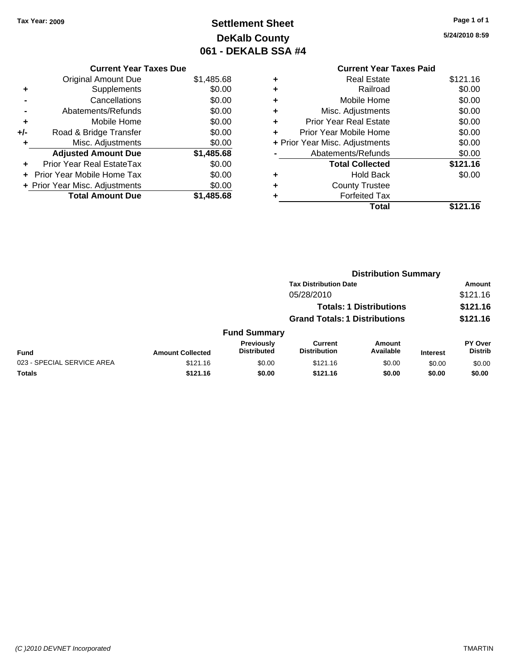**Current Year Taxes Due** Original Amount Due \$1,485.68

**Adjusted Amount Due \$1,485.68**

**Total Amount Due \$1,485.68**

**+** Supplements \$0.00 **-** Cancellations \$0.00 **-** Abatements/Refunds \$0.00 **+** Mobile Home \$0.00 **+/-** Road & Bridge Transfer \$0.00 **+** Misc. Adjustments \$0.00

**+** Prior Year Real EstateTax \$0.00 **+** Prior Year Mobile Home Tax \$0.00 **+ Prior Year Misc. Adjustments**  $$0.00$ 

## **Settlement Sheet Tax Year: 2009 Page 1 of 1 DeKalb County 061 - DEKALB SSA #4**

**5/24/2010 8:59**

|   | <b>Current Year Taxes Paid</b> |          |
|---|--------------------------------|----------|
| ٠ | Real Estate                    | \$121.16 |
| ٠ | Railroad                       | \$0.00   |
| ÷ | Mobile Home                    | \$0.00   |
| ٠ | Misc. Adjustments              | \$0.00   |
| ٠ | <b>Prior Year Real Estate</b>  | \$0.00   |
| ÷ | Prior Year Mobile Home         | \$0.00   |
|   | + Prior Year Misc. Adjustments | \$0.00   |
|   | Abatements/Refunds             | \$0.00   |
|   | <b>Total Collected</b>         | \$121.16 |
| ٠ | <b>Hold Back</b>               | \$0.00   |
| ٠ | <b>County Trustee</b>          |          |
| ٠ | <b>Forfeited Tax</b>           |          |
|   | Total                          | \$121.16 |
|   |                                |          |

|                            |                         |                                  | <b>Distribution Summary</b>          |                                |                 |                                  |
|----------------------------|-------------------------|----------------------------------|--------------------------------------|--------------------------------|-----------------|----------------------------------|
|                            |                         |                                  | <b>Tax Distribution Date</b>         |                                |                 | Amount                           |
|                            |                         |                                  | 05/28/2010                           |                                |                 | \$121.16                         |
|                            |                         |                                  |                                      | <b>Totals: 1 Distributions</b> |                 | \$121.16                         |
|                            |                         |                                  | <b>Grand Totals: 1 Distributions</b> |                                |                 | \$121.16                         |
|                            |                         | <b>Fund Summary</b>              |                                      |                                |                 |                                  |
| Fund                       | <b>Amount Collected</b> | Previously<br><b>Distributed</b> | Current<br><b>Distribution</b>       | <b>Amount</b><br>Available     | <b>Interest</b> | <b>PY Over</b><br><b>Distrib</b> |
| 023 - SPECIAL SERVICE AREA | \$121.16                | \$0.00                           | \$121.16                             | \$0.00                         | \$0.00          | \$0.00                           |
| Totals                     | \$121.16                | \$0.00                           | \$121.16                             | \$0.00                         | \$0.00          | \$0.00                           |
|                            |                         |                                  |                                      |                                |                 |                                  |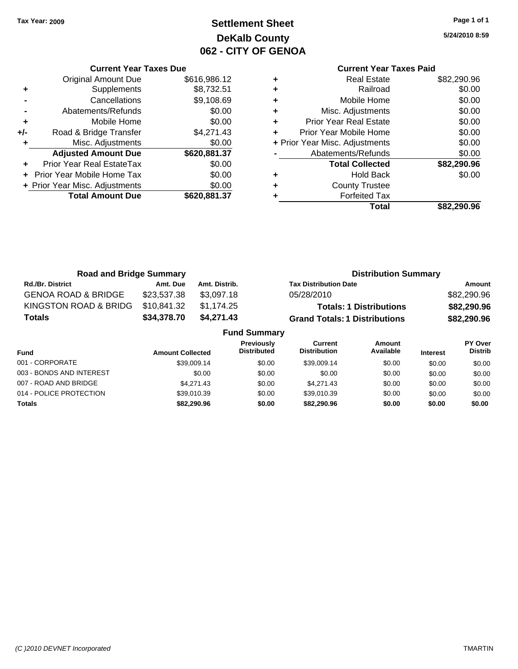**Current Year Taxes Due** Original Amount Due \$616,986.12

**Adjusted Amount Due \$620,881.37**

**Total Amount Due \$620,881.37**

**+** Supplements \$8,732.51 **-** Cancellations \$9,108.69 **-** Abatements/Refunds \$0.00 **+** Mobile Home \$0.00 **+/-** Road & Bridge Transfer \$4,271.43 **+** Misc. Adjustments \$0.00

**+** Prior Year Real EstateTax \$0.00 **+** Prior Year Mobile Home Tax \$0.00 **+ Prior Year Misc. Adjustments**  $$0.00$ 

## **Settlement Sheet Tax Year: 2009 Page 1 of 1 DeKalb County 062 - CITY OF GENOA**

**5/24/2010 8:59**

### **Current Year Taxes Paid +** Real Estate \$82,290.96 **+** Railroad \$0.00 **+** Mobile Home \$0.00 **+** Misc. Adjustments \$0.00 **+** Prior Year Real Estate \$0.00 **+** Prior Year Mobile Home \$0.00 **+** Prior Year Misc. Adjustments  $$0.00$ Abatements/Refunds \$0.00 **Total Collected \$82,290.96 +** Hold Back \$0.00 **+** County Trustee **+** Forfeited Tax **Total \$82,290.96**

| <b>Road and Bridge Summary</b> |                         |               |                                                                    | <b>Distribution Summary</b>    |                 |                                  |
|--------------------------------|-------------------------|---------------|--------------------------------------------------------------------|--------------------------------|-----------------|----------------------------------|
| <b>Rd./Br. District</b>        | Amt. Due                | Amt. Distrib. | <b>Tax Distribution Date</b>                                       |                                |                 | Amount                           |
| <b>GENOA ROAD &amp; BRIDGE</b> | \$23,537.38             | \$3,097.18    | 05/28/2010                                                         |                                |                 | \$82,290.96                      |
| KINGSTON ROAD & BRIDG          | \$10,841.32             | \$1,174.25    |                                                                    | <b>Totals: 1 Distributions</b> |                 | \$82,290.96                      |
| <b>Totals</b>                  | \$34,378.70             | \$4,271.43    | <b>Grand Totals: 1 Distributions</b>                               |                                |                 | \$82,290.96                      |
|                                |                         |               | <b>Fund Summary</b>                                                |                                |                 |                                  |
| <b>Fund</b>                    | <b>Amount Collected</b> |               | Previously<br>Current<br><b>Distribution</b><br><b>Distributed</b> | Amount<br>Available            | <b>Interest</b> | <b>PY Over</b><br><b>Distrib</b> |

| Fund                     | <b>Amount Collected</b> | <b>DISTRIDUTED</b> | <b>DISTRIBUTION</b> | Available | <b>Interest</b> | <b>DISTRID</b> |
|--------------------------|-------------------------|--------------------|---------------------|-----------|-----------------|----------------|
| 001 - CORPORATE          | \$39,009.14             | \$0.00             | \$39,009.14         | \$0.00    | \$0.00          | \$0.00         |
| 003 - BONDS AND INTEREST | \$0.00                  | \$0.00             | \$0.00              | \$0.00    | \$0.00          | \$0.00         |
| 007 - ROAD AND BRIDGE    | \$4,271.43              | \$0.00             | \$4.271.43          | \$0.00    | \$0.00          | \$0.00         |
| 014 - POLICE PROTECTION  | \$39,010.39             | \$0.00             | \$39,010.39         | \$0.00    | \$0.00          | \$0.00         |
| <b>Totals</b>            | \$82.290.96             | \$0.00             | \$82,290.96         | \$0.00    | \$0.00          | \$0.00         |

#### *(C )2010 DEVNET Incorporated* TMARTIN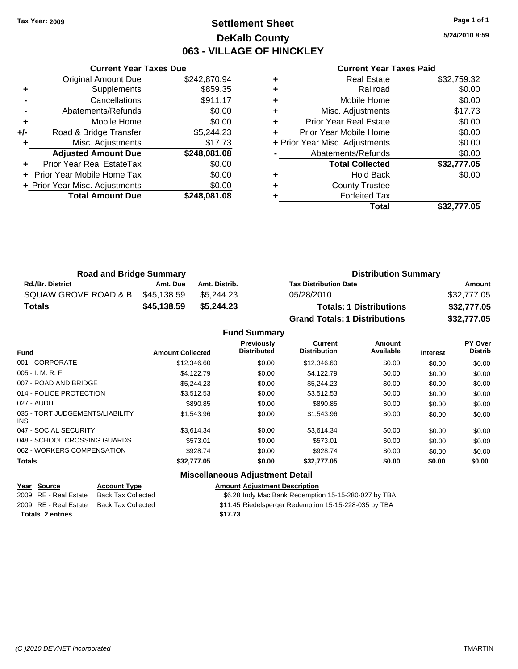### **Settlement Sheet Tax Year: 2009 Page 1 of 1 DeKalb County 063 - VILLAGE OF HINCKLEY**

**5/24/2010 8:59**

#### **Current Year Taxes Paid**

|     | <b>Current Year Taxes Due</b>  |              |  |  |  |  |
|-----|--------------------------------|--------------|--|--|--|--|
|     | Original Amount Due            | \$242,870.94 |  |  |  |  |
| ÷   | Supplements                    | \$859.35     |  |  |  |  |
|     | Cancellations                  | \$911.17     |  |  |  |  |
|     | Abatements/Refunds             | \$0.00       |  |  |  |  |
| ٠   | Mobile Home                    | \$0.00       |  |  |  |  |
| +/- | Road & Bridge Transfer         | \$5,244.23   |  |  |  |  |
| ٠   | Misc. Adjustments              | \$17.73      |  |  |  |  |
|     | <b>Adjusted Amount Due</b>     | \$248,081.08 |  |  |  |  |
| ٠   | Prior Year Real EstateTax      | \$0.00       |  |  |  |  |
|     | Prior Year Mobile Home Tax     | \$0.00       |  |  |  |  |
|     | + Prior Year Misc. Adjustments | \$0.00       |  |  |  |  |
|     | <b>Total Amount Due</b>        | \$248.081.08 |  |  |  |  |
|     |                                |              |  |  |  |  |

|   | <b>Real Estate</b>             | \$32,759.32 |
|---|--------------------------------|-------------|
| ٠ | Railroad                       | \$0.00      |
| ٠ | Mobile Home                    | \$0.00      |
| ٠ | Misc. Adjustments              | \$17.73     |
| ٠ | <b>Prior Year Real Estate</b>  | \$0.00      |
|   | Prior Year Mobile Home         | \$0.00      |
|   | + Prior Year Misc. Adjustments | \$0.00      |
|   | Abatements/Refunds             | \$0.00      |
|   | <b>Total Collected</b>         | \$32,777.05 |
|   | <b>Hold Back</b>               | \$0.00      |
|   | <b>County Trustee</b>          |             |
|   | <b>Forfeited Tax</b>           |             |
|   | Total                          | \$32.777.05 |

| <b>Road and Bridge Summary</b> |             |               | <b>Distribution Summary</b>          |             |  |
|--------------------------------|-------------|---------------|--------------------------------------|-------------|--|
| <b>Rd./Br. District</b>        | Amt. Due    | Amt. Distrib. | <b>Tax Distribution Date</b>         | Amount      |  |
| SQUAW GROVE ROAD & B           | \$45,138.59 | \$5.244.23    | 05/28/2010                           | \$32,777.05 |  |
| Totals                         | \$45,138.59 | \$5,244.23    | <b>Totals: 1 Distributions</b>       | \$32,777.05 |  |
|                                |             |               | <b>Grand Totals: 1 Distributions</b> | \$32,777.05 |  |

|  | <b>Fund Summary</b> |
|--|---------------------|
|--|---------------------|

| <b>Fund</b>                             | <b>Amount Collected</b> | Previously<br><b>Distributed</b> | Current<br><b>Distribution</b> | Amount<br>Available | <b>Interest</b> | PY Over<br><b>Distrib</b> |
|-----------------------------------------|-------------------------|----------------------------------|--------------------------------|---------------------|-----------------|---------------------------|
| 001 - CORPORATE                         | \$12,346.60             | \$0.00                           | \$12,346.60                    | \$0.00              | \$0.00          | \$0.00                    |
| 005 - I. M. R. F.                       | \$4.122.79              | \$0.00                           | \$4.122.79                     | \$0.00              | \$0.00          | \$0.00                    |
| 007 - ROAD AND BRIDGE                   | \$5.244.23              | \$0.00                           | \$5.244.23                     | \$0.00              | \$0.00          | \$0.00                    |
| 014 - POLICE PROTECTION                 | \$3.512.53              | \$0.00                           | \$3.512.53                     | \$0.00              | \$0.00          | \$0.00                    |
| 027 - AUDIT                             | \$890.85                | \$0.00                           | \$890.85                       | \$0.00              | \$0.00          | \$0.00                    |
| 035 - TORT JUDGEMENTS/LIABILITY<br>INS. | \$1,543.96              | \$0.00                           | \$1,543.96                     | \$0.00              | \$0.00          | \$0.00                    |
| 047 - SOCIAL SECURITY                   | \$3.614.34              | \$0.00                           | \$3.614.34                     | \$0.00              | \$0.00          | \$0.00                    |
| 048 - SCHOOL CROSSING GUARDS            | \$573.01                | \$0.00                           | \$573.01                       | \$0.00              | \$0.00          | \$0.00                    |
| 062 - WORKERS COMPENSATION              | \$928.74                | \$0.00                           | \$928.74                       | \$0.00              | \$0.00          | \$0.00                    |
| <b>Totals</b>                           | \$32,777.05             | \$0.00                           | \$32,777.05                    | \$0.00              | \$0.00          | \$0.00                    |

### **Miscellaneous Adjustment Detail**

| Year Source           | <b>Account Type</b> |
|-----------------------|---------------------|
| 2009 RE - Real Estate | Back Tax Collected  |
| 2009 RE - Real Estate | Back Tax Collected  |

**Amount Adjustment Description** d 36.28 Indy Mac Bank Redemption 15-15-280-027 by TBA d 311.45 Riedelsperger Redemption 15-15-228-035 by TBA **Totals 2 entries \$17.73**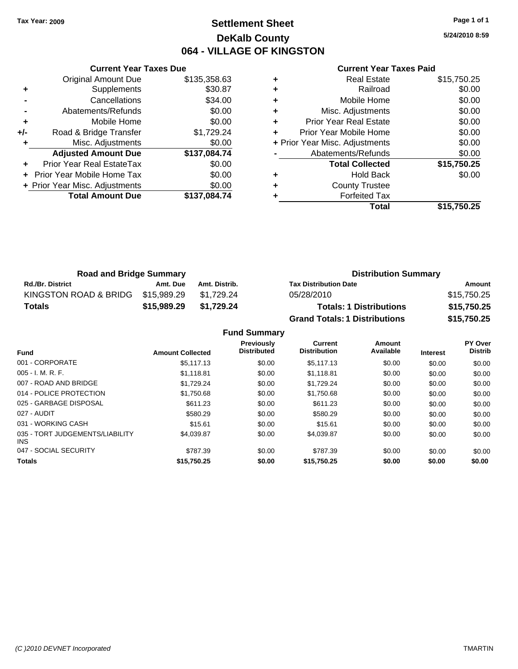### **Settlement Sheet Tax Year: 2009 Page 1 of 1 DeKalb County 064 - VILLAGE OF KINGSTON**

**5/24/2010 8:59**

#### **Current Year Taxes Paid**

|     | <b>Current Year Taxes Due</b>    |              |
|-----|----------------------------------|--------------|
|     | <b>Original Amount Due</b>       | \$135,358.63 |
| ٠   | Supplements                      | \$30.87      |
|     | Cancellations                    | \$34.00      |
|     | Abatements/Refunds               | \$0.00       |
| ٠   | Mobile Home                      | \$0.00       |
| +/- | Road & Bridge Transfer           | \$1,729.24   |
|     | Misc. Adjustments                | \$0.00       |
|     | <b>Adjusted Amount Due</b>       | \$137,084.74 |
|     | <b>Prior Year Real EstateTax</b> | \$0.00       |
|     | Prior Year Mobile Home Tax       | \$0.00       |
|     | + Prior Year Misc. Adjustments   | \$0.00       |
|     | <b>Total Amount Due</b>          | \$137.084.74 |
|     |                                  |              |

| ٠ | <b>Real Estate</b>             | \$15,750.25 |
|---|--------------------------------|-------------|
| ٠ | Railroad                       | \$0.00      |
| ٠ | Mobile Home                    | \$0.00      |
| ٠ | Misc. Adjustments              | \$0.00      |
| ÷ | <b>Prior Year Real Estate</b>  | \$0.00      |
| ٠ | Prior Year Mobile Home         | \$0.00      |
|   | + Prior Year Misc. Adjustments | \$0.00      |
|   | Abatements/Refunds             | \$0.00      |
|   | <b>Total Collected</b>         | \$15,750.25 |
| ٠ | <b>Hold Back</b>               | \$0.00      |
| ٠ | <b>County Trustee</b>          |             |
|   | <b>Forfeited Tax</b>           |             |
|   | Total                          | \$15,750,25 |

| <b>Road and Bridge Summary</b> |             |               | <b>Distribution Summary</b>          |             |  |
|--------------------------------|-------------|---------------|--------------------------------------|-------------|--|
| <b>Rd./Br. District</b>        | Amt. Due    | Amt. Distrib. | <b>Tax Distribution Date</b>         | Amount      |  |
| KINGSTON ROAD & BRIDG          | \$15,989.29 | \$1.729.24    | 05/28/2010                           | \$15,750.25 |  |
| <b>Totals</b>                  | \$15,989.29 | \$1,729.24    | <b>Totals: 1 Distributions</b>       | \$15,750.25 |  |
|                                |             |               | <b>Grand Totals: 1 Distributions</b> | \$15,750.25 |  |

**Fund Summary**

| <b>Fund</b>                             | <b>Amount Collected</b> | <b>Previously</b><br><b>Distributed</b> | Current<br><b>Distribution</b> | Amount<br>Available | <b>Interest</b> | PY Over<br><b>Distrib</b> |
|-----------------------------------------|-------------------------|-----------------------------------------|--------------------------------|---------------------|-----------------|---------------------------|
| 001 - CORPORATE                         | \$5,117.13              | \$0.00                                  | \$5.117.13                     | \$0.00              | \$0.00          | \$0.00                    |
| $005 - I. M. R. F.$                     | \$1,118.81              | \$0.00                                  | \$1,118.81                     | \$0.00              | \$0.00          | \$0.00                    |
| 007 - ROAD AND BRIDGE                   | \$1.729.24              | \$0.00                                  | \$1.729.24                     | \$0.00              | \$0.00          | \$0.00                    |
| 014 - POLICE PROTECTION                 | \$1.750.68              | \$0.00                                  | \$1,750.68                     | \$0.00              | \$0.00          | \$0.00                    |
| 025 - GARBAGE DISPOSAL                  | \$611.23                | \$0.00                                  | \$611.23                       | \$0.00              | \$0.00          | \$0.00                    |
| 027 - AUDIT                             | \$580.29                | \$0.00                                  | \$580.29                       | \$0.00              | \$0.00          | \$0.00                    |
| 031 - WORKING CASH                      | \$15.61                 | \$0.00                                  | \$15.61                        | \$0.00              | \$0.00          | \$0.00                    |
| 035 - TORT JUDGEMENTS/LIABILITY<br>INS. | \$4.039.87              | \$0.00                                  | \$4,039.87                     | \$0.00              | \$0.00          | \$0.00                    |
| 047 - SOCIAL SECURITY                   | \$787.39                | \$0.00                                  | \$787.39                       | \$0.00              | \$0.00          | \$0.00                    |
| <b>Totals</b>                           | \$15,750.25             | \$0.00                                  | \$15,750.25                    | \$0.00              | \$0.00          | \$0.00                    |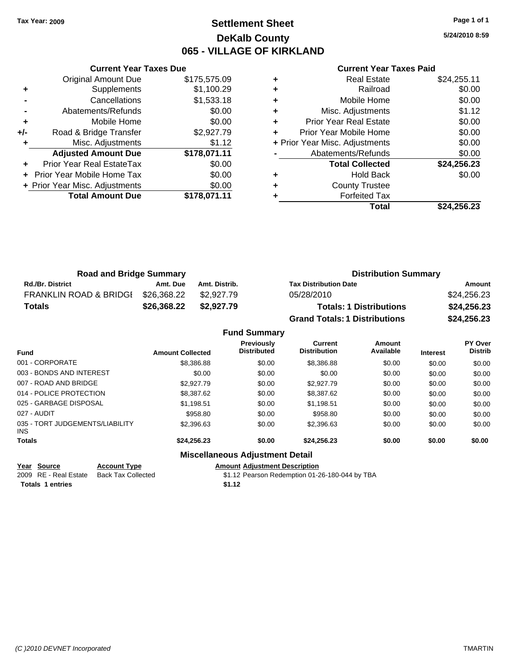### **Settlement Sheet Tax Year: 2009 Page 1 of 1 DeKalb County 065 - VILLAGE OF KIRKLAND**

**5/24/2010 8:59**

|     | <b>Current Year Taxes Due</b>  |              |
|-----|--------------------------------|--------------|
|     | <b>Original Amount Due</b>     | \$175,575.09 |
|     | Supplements                    | \$1,100.29   |
|     | Cancellations                  | \$1,533.18   |
|     | Abatements/Refunds             | \$0.00       |
| ٠   | Mobile Home                    | \$0.00       |
| +/- | Road & Bridge Transfer         | \$2,927.79   |
| ٠   | Misc. Adjustments              | \$1.12       |
|     | <b>Adjusted Amount Due</b>     | \$178,071.11 |
|     | Prior Year Real EstateTax      | \$0.00       |
|     | Prior Year Mobile Home Tax     | \$0.00       |
|     | + Prior Year Misc. Adjustments | \$0.00       |
|     | <b>Total Amount Due</b>        | \$178,071.11 |
|     |                                |              |

#### **Current Year Taxes Paid**

|   | Total                          | \$24,256.23 |
|---|--------------------------------|-------------|
|   | <b>Forfeited Tax</b>           |             |
| ٠ | <b>County Trustee</b>          |             |
| ٠ | <b>Hold Back</b>               | \$0.00      |
|   | <b>Total Collected</b>         | \$24,256.23 |
|   | Abatements/Refunds             | \$0.00      |
|   | + Prior Year Misc. Adjustments | \$0.00      |
| ٠ | Prior Year Mobile Home         | \$0.00      |
| ٠ | <b>Prior Year Real Estate</b>  | \$0.00      |
| ٠ | Misc. Adjustments              | \$1.12      |
| ٠ | Mobile Home                    | \$0.00      |
| ٠ | Railroad                       | \$0.00      |
|   | <b>Real Estate</b>             | \$24,255.11 |

| <b>Road and Bridge Summary</b>    |             |               | <b>Distribution Summary</b>          |             |  |
|-----------------------------------|-------------|---------------|--------------------------------------|-------------|--|
| <b>Rd./Br. District</b>           | Amt. Due    | Amt. Distrib. | <b>Tax Distribution Date</b>         | Amount      |  |
| <b>FRANKLIN ROAD &amp; BRIDGI</b> | \$26,368.22 | \$2.927.79    | 05/28/2010                           | \$24,256.23 |  |
| <b>Totals</b>                     | \$26.368.22 | \$2,927.79    | <b>Totals: 1 Distributions</b>       | \$24,256.23 |  |
|                                   |             |               | <b>Grand Totals: 1 Distributions</b> | \$24,256.23 |  |

### **Fund Summary**

|                                         |                         | <b>Previously</b>                      | Current             | Amount    |                 | PY Over        |
|-----------------------------------------|-------------------------|----------------------------------------|---------------------|-----------|-----------------|----------------|
| <b>Fund</b>                             | <b>Amount Collected</b> | <b>Distributed</b>                     | <b>Distribution</b> | Available | <b>Interest</b> | <b>Distrib</b> |
| 001 - CORPORATE                         | \$8,386.88              | \$0.00                                 | \$8,386.88          | \$0.00    | \$0.00          | \$0.00         |
| 003 - BONDS AND INTEREST                | \$0.00                  | \$0.00                                 | \$0.00              | \$0.00    | \$0.00          | \$0.00         |
| 007 - ROAD AND BRIDGE                   | \$2.927.79              | \$0.00                                 | \$2,927.79          | \$0.00    | \$0.00          | \$0.00         |
| 014 - POLICE PROTECTION                 | \$8,387.62              | \$0.00                                 | \$8,387.62          | \$0.00    | \$0.00          | \$0.00         |
| 025 - GARBAGE DISPOSAL                  | \$1.198.51              | \$0.00                                 | \$1.198.51          | \$0.00    | \$0.00          | \$0.00         |
| 027 - AUDIT                             | \$958.80                | \$0.00                                 | \$958.80            | \$0.00    | \$0.00          | \$0.00         |
| 035 - TORT JUDGEMENTS/LIABILITY<br>INS. | \$2,396.63              | \$0.00                                 | \$2,396.63          | \$0.00    | \$0.00          | \$0.00         |
| <b>Totals</b>                           | \$24.256.23             | \$0.00                                 | \$24.256.23         | \$0.00    | \$0.00          | \$0.00         |
|                                         |                         | <b>Miscellaneous Adjustment Detail</b> |                     |           |                 |                |

**Year Source Account Type Amount Adjustment Description**

**Totals 1 entries \$1.12**

2009 RE - Real Estate Back Tax Collected \$1.12 Pearson Redemption 01-26-180-044 by TBA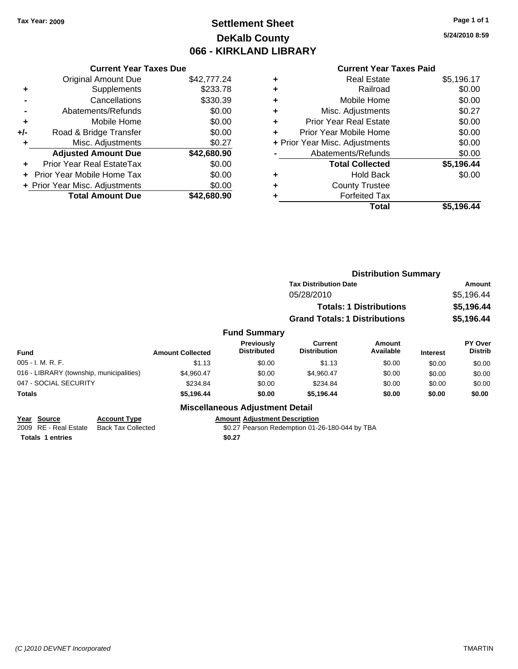## **Settlement Sheet Tax Year: 2009 Page 1 of 1 DeKalb County 066 - KIRKLAND LIBRARY**

**5/24/2010 8:59**

#### **Current Year Taxes Paid**

| <b>Current Year Taxes Due</b>     |                                |
|-----------------------------------|--------------------------------|
| <b>Original Amount Due</b>        | \$42,777.24                    |
| Supplements                       | \$233.78                       |
| Cancellations                     | \$330.39                       |
| Abatements/Refunds                | \$0.00                         |
| Mobile Home                       | \$0.00                         |
| Road & Bridge Transfer            | \$0.00                         |
| Misc. Adjustments                 | \$0.27                         |
| <b>Adjusted Amount Due</b>        | \$42,680.90                    |
| Prior Year Real EstateTax         | \$0.00                         |
| <b>Prior Year Mobile Home Tax</b> | \$0.00                         |
|                                   | \$0.00                         |
| <b>Total Amount Due</b>           | \$42.680.90                    |
|                                   | + Prior Year Misc. Adjustments |

|   | <b>Real Estate</b>             | \$5,196.17 |
|---|--------------------------------|------------|
| ٠ | Railroad                       | \$0.00     |
| ٠ | Mobile Home                    | \$0.00     |
| ٠ | Misc. Adjustments              | \$0.27     |
| ٠ | <b>Prior Year Real Estate</b>  | \$0.00     |
| ÷ | Prior Year Mobile Home         | \$0.00     |
|   | + Prior Year Misc. Adjustments | \$0.00     |
|   | Abatements/Refunds             | \$0.00     |
|   | <b>Total Collected</b>         | \$5,196.44 |
| ٠ | <b>Hold Back</b>               | \$0.00     |
| ٠ | <b>County Trustee</b>          |            |
| ٠ | <b>Forfeited Tax</b>           |            |
|   | Total                          | \$5,196.44 |
|   |                                |            |

|                                                                                                                                                                                                                                                                                                                      |                                  |                                | <b>Distribution Summary</b>          |                                |                                  |            |
|----------------------------------------------------------------------------------------------------------------------------------------------------------------------------------------------------------------------------------------------------------------------------------------------------------------------|----------------------------------|--------------------------------|--------------------------------------|--------------------------------|----------------------------------|------------|
|                                                                                                                                                                                                                                                                                                                      |                                  |                                | <b>Tax Distribution Date</b>         |                                |                                  | Amount     |
|                                                                                                                                                                                                                                                                                                                      |                                  |                                | 05/28/2010                           |                                |                                  | \$5,196.44 |
|                                                                                                                                                                                                                                                                                                                      |                                  |                                |                                      | <b>Totals: 1 Distributions</b> |                                  | \$5,196.44 |
|                                                                                                                                                                                                                                                                                                                      |                                  |                                | <b>Grand Totals: 1 Distributions</b> |                                |                                  | \$5,196.44 |
|                                                                                                                                                                                                                                                                                                                      |                                  | <b>Fund Summary</b>            |                                      |                                |                                  |            |
| <b>Fund</b><br><b>Amount Collected</b><br>005 - I. M. R. F.<br>\$1.13<br>016 - LIBRARY (township, municipalities)<br>\$4,960.47<br>047 - SOCIAL SECURITY<br>\$234.84<br>Totals<br>\$5,196.44<br><b>Miscellaneous Adjustment Detail</b><br>Year Source<br><b>Amount Adjustment Description</b><br><b>Account Type</b> | Previously<br><b>Distributed</b> | Current<br><b>Distribution</b> | Amount<br>Available                  | <b>Interest</b>                | <b>PY Over</b><br><b>Distrib</b> |            |
|                                                                                                                                                                                                                                                                                                                      |                                  | \$0.00                         | \$1.13                               | \$0.00                         | \$0.00                           | \$0.00     |
|                                                                                                                                                                                                                                                                                                                      |                                  | \$0.00                         | \$4,960.47                           | \$0.00                         | \$0.00                           | \$0.00     |
|                                                                                                                                                                                                                                                                                                                      |                                  | \$0.00                         | \$234.84                             | \$0.00                         | \$0.00                           | \$0.00     |
|                                                                                                                                                                                                                                                                                                                      |                                  | \$0.00                         | \$5,196.44                           | \$0.00                         | \$0.00                           | \$0.00     |
|                                                                                                                                                                                                                                                                                                                      |                                  |                                |                                      |                                |                                  |            |
|                                                                                                                                                                                                                                                                                                                      |                                  |                                |                                      |                                |                                  |            |

2009 RE - Real Estate Back Tax Collected \$0.27 Pearson Redemption 01-26-180-044 by TBA **Totals 1 entries \$0.27**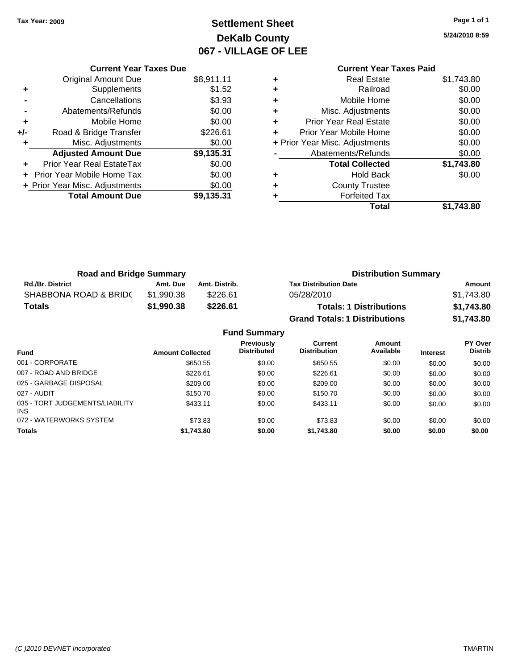## **Settlement Sheet Tax Year: 2009 Page 1 of 1 DeKalb County 067 - VILLAGE OF LEE**

**5/24/2010 8:59**

|     | <b>Current Year Taxes Due</b>  |            |
|-----|--------------------------------|------------|
|     | Original Amount Due            | \$8,911.11 |
| ٠   | Supplements                    | \$1.52     |
|     | Cancellations                  | \$3.93     |
|     | Abatements/Refunds             | \$0.00     |
| ٠   | Mobile Home                    | \$0.00     |
| +/- | Road & Bridge Transfer         | \$226.61   |
| ٠   | Misc. Adjustments              | \$0.00     |
|     | <b>Adjusted Amount Due</b>     | \$9,135.31 |
|     | Prior Year Real EstateTax      | \$0.00     |
|     | Prior Year Mobile Home Tax     | \$0.00     |
|     | + Prior Year Misc. Adjustments | \$0.00     |
|     | <b>Total Amount Due</b>        | \$9,135.31 |
|     |                                |            |

## **Current Year Taxes Paid**

|   | <b>Real Estate</b>             | \$1,743.80 |
|---|--------------------------------|------------|
|   | Railroad                       | \$0.00     |
| ٠ | Mobile Home                    | \$0.00     |
| ٠ | Misc. Adjustments              | \$0.00     |
| ٠ | <b>Prior Year Real Estate</b>  | \$0.00     |
|   | Prior Year Mobile Home         | \$0.00     |
|   | + Prior Year Misc. Adjustments | \$0.00     |
|   | Abatements/Refunds             | \$0.00     |
|   | <b>Total Collected</b>         | \$1,743.80 |
| ٠ | <b>Hold Back</b>               | \$0.00     |
| ٠ | <b>County Trustee</b>          |            |
|   | <b>Forfeited Tax</b>           |            |
|   | Total                          | \$1.743.80 |
|   |                                |            |

| <b>Road and Bridge Summary</b> |            |               | <b>Distribution Summary</b>          |            |  |
|--------------------------------|------------|---------------|--------------------------------------|------------|--|
| <b>Rd./Br. District</b>        | Amt. Due   | Amt. Distrib. | <b>Tax Distribution Date</b>         | Amount     |  |
| SHABBONA ROAD & BRIDC          | \$1.990.38 | \$226.61      | 05/28/2010                           | \$1.743.80 |  |
| <b>Totals</b>                  | \$1,990.38 | \$226.61      | <b>Totals: 1 Distributions</b>       | \$1,743.80 |  |
|                                |            |               | <b>Grand Totals: 1 Distributions</b> | \$1,743.80 |  |

#### **Fund Summary Fund Interest Amount Collected Distributed PY Over Distrib Amount Available Current Distribution Previously** 001 - CORPORATE \$650.55 \$0.00 \$650.55 \$0.00 \$0.00 \$0.00 007 - ROAD AND BRIDGE 60.00 \$226.61 \$0.00 \$226.61 \$0.00 \$0.00 \$0.00 \$0.00 \$0.00 \$0.00 025 - GARBAGE DISPOSAL \$209.00 \$0.00 \$209.00 \$0.00 \$0.00 \$0.00 027 - AUDIT \$150.70 \$0.00 \$150.70 \$0.00 \$0.00 \$0.00 035 - TORT JUDGEMENTS/LIABILITY INS \$433.11 \$0.00 \$433.11 \$0.00 \$0.00 \$0.00 072 - WATERWORKS SYSTEM \$10.00 \$73.83 \$0.00 \$13.83 \$0.00 \$0.00 \$0.00 \$0.00 **Totals \$1,743.80 \$0.00 \$1,743.80 \$0.00 \$0.00 \$0.00**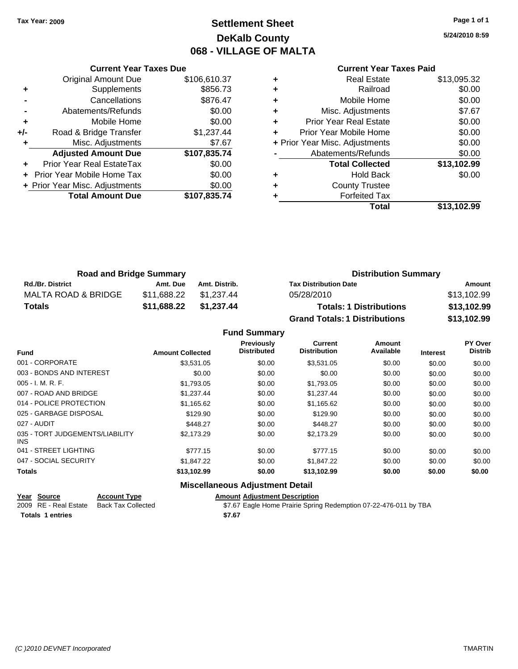### **Settlement Sheet Tax Year: 2009 Page 1 of 1 DeKalb County 068 - VILLAGE OF MALTA**

#### **5/24/2010 8:59**

|   | <b>Current Year Taxes Paid</b> |             |
|---|--------------------------------|-------------|
| ٠ | Real Estate                    | \$13,095.32 |
| ٠ | Railroad                       | \$0.00      |
| ٠ | Mobile Home                    | \$0.00      |
| ٠ | Misc. Adjustments              | \$7.67      |

|     | <b>Original Amount Due</b>     | \$106,610.37 |
|-----|--------------------------------|--------------|
|     | Supplements                    | \$856.73     |
|     | Cancellations                  | \$876.47     |
|     | Abatements/Refunds             | \$0.00       |
| ٠   | Mobile Home                    | \$0.00       |
| +/- | Road & Bridge Transfer         | \$1,237.44   |
|     | Misc. Adjustments              | \$7.67       |
|     |                                |              |
|     | <b>Adjusted Amount Due</b>     | \$107,835.74 |
|     | Prior Year Real EstateTax      | \$0.00       |
|     | Prior Year Mobile Home Tax     | \$0.00       |
|     | + Prior Year Misc. Adjustments | \$0.00       |
|     | <b>Total Amount Due</b>        | \$107,835.74 |

**Current Year Taxes Due**

|   | Railroad                       | \$0.00      |
|---|--------------------------------|-------------|
| ÷ | Mobile Home                    | \$0.00      |
| ٠ | Misc. Adjustments              | \$7.67      |
| ÷ | <b>Prior Year Real Estate</b>  | \$0.00      |
| ٠ | Prior Year Mobile Home         | \$0.00      |
|   | + Prior Year Misc. Adjustments | \$0.00      |
|   | Abatements/Refunds             | \$0.00      |
|   | <b>Total Collected</b>         | \$13,102.99 |
| ٠ | <b>Hold Back</b>               | \$0.00      |
| ٠ | <b>County Trustee</b>          |             |
| ٠ | <b>Forfeited Tax</b>           |             |
|   | Total                          | \$13,102.99 |
|   |                                |             |

| <b>Road and Bridge Summary</b> |             |               | <b>Distribution Summary</b>          |             |  |
|--------------------------------|-------------|---------------|--------------------------------------|-------------|--|
| <b>Rd./Br. District</b>        | Amt. Due    | Amt. Distrib. | <b>Tax Distribution Date</b>         | Amount      |  |
| MALTA ROAD & BRIDGE            | \$11.688.22 | \$1.237.44    | 05/28/2010                           | \$13,102.99 |  |
| Totals                         | \$11,688.22 | \$1.237.44    | <b>Totals: 1 Distributions</b>       | \$13,102.99 |  |
|                                |             |               | <b>Grand Totals: 1 Distributions</b> | \$13,102.99 |  |

| <b>Fund Summary</b> |
|---------------------|
|                     |

| <b>Fund</b>                             | <b>Amount Collected</b> | <b>Previously</b><br><b>Distributed</b> | <b>Current</b><br><b>Distribution</b> | Amount<br>Available | <b>Interest</b> | PY Over<br><b>Distrib</b> |
|-----------------------------------------|-------------------------|-----------------------------------------|---------------------------------------|---------------------|-----------------|---------------------------|
| 001 - CORPORATE                         | \$3,531.05              | \$0.00                                  | \$3,531.05                            | \$0.00              | \$0.00          | \$0.00                    |
| 003 - BONDS AND INTEREST                | \$0.00                  | \$0.00                                  | \$0.00                                | \$0.00              | \$0.00          | \$0.00                    |
| $005 - I. M. R. F.$                     | \$1,793.05              | \$0.00                                  | \$1,793.05                            | \$0.00              | \$0.00          | \$0.00                    |
| 007 - ROAD AND BRIDGE                   | \$1,237.44              | \$0.00                                  | \$1,237.44                            | \$0.00              | \$0.00          | \$0.00                    |
| 014 - POLICE PROTECTION                 | \$1,165.62              | \$0.00                                  | \$1,165.62                            | \$0.00              | \$0.00          | \$0.00                    |
| 025 - GARBAGE DISPOSAL                  | \$129.90                | \$0.00                                  | \$129.90                              | \$0.00              | \$0.00          | \$0.00                    |
| 027 - AUDIT                             | \$448.27                | \$0.00                                  | \$448.27                              | \$0.00              | \$0.00          | \$0.00                    |
| 035 - TORT JUDGEMENTS/LIABILITY<br>INS. | \$2,173.29              | \$0.00                                  | \$2,173.29                            | \$0.00              | \$0.00          | \$0.00                    |
| 041 - STREET LIGHTING                   | \$777.15                | \$0.00                                  | \$777.15                              | \$0.00              | \$0.00          | \$0.00                    |
| 047 - SOCIAL SECURITY                   | \$1,847.22              | \$0.00                                  | \$1.847.22                            | \$0.00              | \$0.00          | \$0.00                    |
| <b>Totals</b>                           | \$13,102.99             | \$0.00                                  | \$13,102.99                           | \$0.00              | \$0.00          | \$0.00                    |
|                                         | ---                     | .                                       |                                       |                     |                 |                           |

#### **Miscellaneous Adjustment Detail**

| Year Source             | <b>Account Type</b> | Amount |
|-------------------------|---------------------|--------|
| 2009 RE - Real Estate   | Back Tax Collected  | \$7.67 |
| <b>Totals 1 entries</b> |                     | \$7.67 |

**Amount Adjustment Description** \$7.67 Eagle Home Prairie Spring Redemption 07-22-476-011 by TBA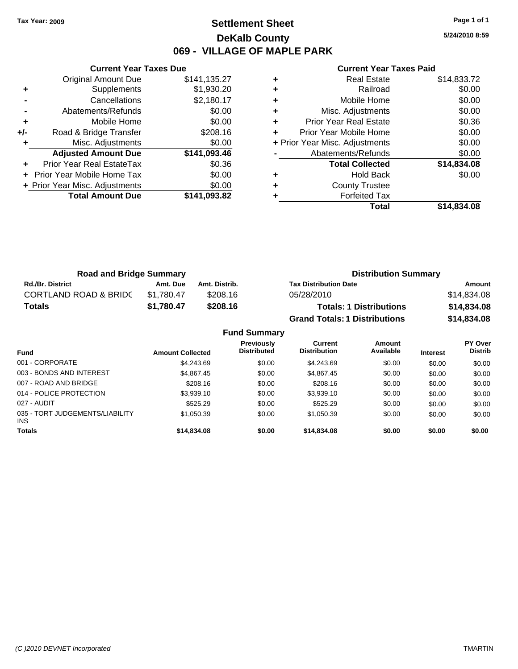### **Settlement Sheet Tax Year: 2009 Page 1 of 1 DeKalb County 069 - VILLAGE OF MAPLE PARK**

**5/24/2010 8:59**

|       | <b>Current Year Taxes Due</b>  |              |  |  |  |  |  |
|-------|--------------------------------|--------------|--|--|--|--|--|
|       | Original Amount Due            | \$141,135.27 |  |  |  |  |  |
| ٠     | Supplements                    | \$1,930.20   |  |  |  |  |  |
|       | Cancellations                  | \$2,180.17   |  |  |  |  |  |
|       | Abatements/Refunds             | \$0.00       |  |  |  |  |  |
| ٠     | Mobile Home                    | \$0.00       |  |  |  |  |  |
| $+/-$ | Road & Bridge Transfer         | \$208.16     |  |  |  |  |  |
| ٠     | Misc. Adjustments              | \$0.00       |  |  |  |  |  |
|       | <b>Adjusted Amount Due</b>     | \$141,093.46 |  |  |  |  |  |
|       | Prior Year Real EstateTax      | \$0.36       |  |  |  |  |  |
|       | Prior Year Mobile Home Tax     | \$0.00       |  |  |  |  |  |
|       | + Prior Year Misc. Adjustments | \$0.00       |  |  |  |  |  |
|       | <b>Total Amount Due</b>        | \$141,093.82 |  |  |  |  |  |
|       |                                |              |  |  |  |  |  |

|   | Total                          | \$14,834.08 |
|---|--------------------------------|-------------|
|   | <b>Forfeited Tax</b>           |             |
| ٠ | <b>County Trustee</b>          |             |
|   | <b>Hold Back</b>               | \$0.00      |
|   | <b>Total Collected</b>         | \$14,834.08 |
|   | Abatements/Refunds             | \$0.00      |
|   | + Prior Year Misc. Adjustments | \$0.00      |
|   | Prior Year Mobile Home         | \$0.00      |
| ٠ | <b>Prior Year Real Estate</b>  | \$0.36      |
| ٠ | Misc. Adjustments              | \$0.00      |
| ٠ | Mobile Home                    | \$0.00      |
| ٠ | Railroad                       | \$0.00      |
|   | <b>Real Estate</b>             | \$14,833.72 |

| <b>Road and Bridge Summary</b>   |            |               | <b>Distribution Summary</b>          |             |  |
|----------------------------------|------------|---------------|--------------------------------------|-------------|--|
| <b>Rd./Br. District</b>          | Amt. Due   | Amt. Distrib. | <b>Tax Distribution Date</b>         | Amount      |  |
| <b>CORTLAND ROAD &amp; BRIDC</b> | \$1.780.47 | \$208.16      | 05/28/2010                           | \$14.834.08 |  |
| Totals                           | \$1.780.47 | \$208.16      | <b>Totals: 1 Distributions</b>       | \$14,834.08 |  |
|                                  |            |               | <b>Grand Totals: 1 Distributions</b> | \$14,834.08 |  |

|                                         |                         | <b>Fund Summary</b>                     |                                       |                     |                 |                                  |
|-----------------------------------------|-------------------------|-----------------------------------------|---------------------------------------|---------------------|-----------------|----------------------------------|
| Fund                                    | <b>Amount Collected</b> | <b>Previously</b><br><b>Distributed</b> | <b>Current</b><br><b>Distribution</b> | Amount<br>Available | <b>Interest</b> | <b>PY Over</b><br><b>Distrib</b> |
| 001 - CORPORATE                         | \$4,243.69              | \$0.00                                  | \$4,243,69                            | \$0.00              | \$0.00          | \$0.00                           |
| 003 - BONDS AND INTEREST                | \$4,867.45              | \$0.00                                  | \$4,867.45                            | \$0.00              | \$0.00          | \$0.00                           |
| 007 - ROAD AND BRIDGE.                  | \$208.16                | \$0.00                                  | \$208.16                              | \$0.00              | \$0.00          | \$0.00                           |
| 014 - POLICE PROTECTION                 | \$3,939.10              | \$0.00                                  | \$3,939.10                            | \$0.00              | \$0.00          | \$0.00                           |
| 027 - AUDIT                             | \$525.29                | \$0.00                                  | \$525.29                              | \$0.00              | \$0.00          | \$0.00                           |
| 035 - TORT JUDGEMENTS/LIABILITY<br>INS. | \$1,050.39              | \$0.00                                  | \$1,050.39                            | \$0.00              | \$0.00          | \$0.00                           |
| Totals                                  | \$14,834.08             | \$0.00                                  | \$14,834.08                           | \$0.00              | \$0.00          | \$0.00                           |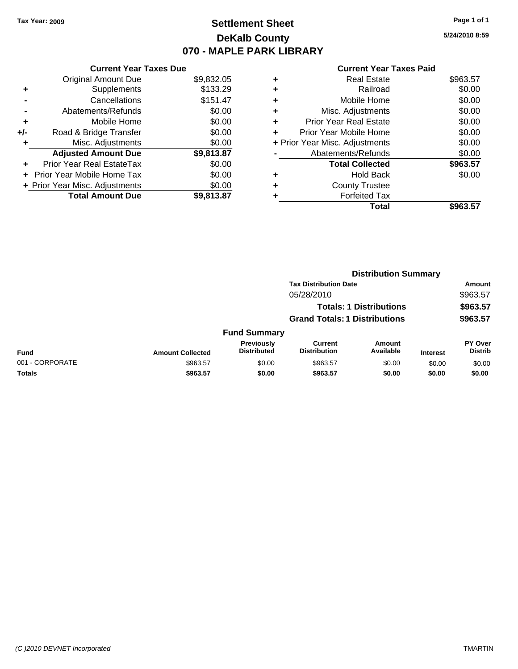### **Settlement Sheet Tax Year: 2009 Page 1 of 1 DeKalb County 070 - MAPLE PARK LIBRARY**

**5/24/2010 8:59**

|     | <b>Current Year Taxes Due</b>  |            |  |  |  |  |
|-----|--------------------------------|------------|--|--|--|--|
|     | <b>Original Amount Due</b>     | \$9,832.05 |  |  |  |  |
| ٠   | Supplements                    | \$133.29   |  |  |  |  |
|     | Cancellations                  | \$151.47   |  |  |  |  |
|     | Abatements/Refunds             | \$0.00     |  |  |  |  |
| ٠   | Mobile Home                    | \$0.00     |  |  |  |  |
| +/- | Road & Bridge Transfer         | \$0.00     |  |  |  |  |
|     | Misc. Adjustments              | \$0.00     |  |  |  |  |
|     | <b>Adjusted Amount Due</b>     | \$9,813.87 |  |  |  |  |
|     | Prior Year Real EstateTax      | \$0.00     |  |  |  |  |
| ÷   | Prior Year Mobile Home Tax     | \$0.00     |  |  |  |  |
|     | + Prior Year Misc. Adjustments | \$0.00     |  |  |  |  |
|     | <b>Total Amount Due</b>        | \$9,813.87 |  |  |  |  |

|   | Total                          | \$963.57 |
|---|--------------------------------|----------|
| ٠ | <b>Forfeited Tax</b>           |          |
| ٠ | <b>County Trustee</b>          |          |
| ٠ | <b>Hold Back</b>               | \$0.00   |
|   | <b>Total Collected</b>         | \$963.57 |
|   | Abatements/Refunds             | \$0.00   |
|   | + Prior Year Misc. Adjustments | \$0.00   |
| ٠ | Prior Year Mobile Home         | \$0.00   |
| ÷ | Prior Year Real Estate         | \$0.00   |
| ٠ | Misc. Adjustments              | \$0.00   |
| ٠ | Mobile Home                    | \$0.00   |
| ÷ | Railroad                       | \$0.00   |
| ٠ | <b>Real Estate</b>             | \$963.57 |
|   |                                |          |

|                 | <b>Distribution Summary</b> |                                         |                                       |                                |                 |                                  |  |
|-----------------|-----------------------------|-----------------------------------------|---------------------------------------|--------------------------------|-----------------|----------------------------------|--|
|                 |                             |                                         | <b>Tax Distribution Date</b>          |                                |                 | Amount                           |  |
|                 |                             |                                         | 05/28/2010                            |                                |                 | \$963.57                         |  |
|                 |                             |                                         |                                       | <b>Totals: 1 Distributions</b> |                 | \$963.57                         |  |
|                 |                             | <b>Grand Totals: 1 Distributions</b>    |                                       |                                | \$963.57        |                                  |  |
|                 |                             | <b>Fund Summary</b>                     |                                       |                                |                 |                                  |  |
| Fund            | <b>Amount Collected</b>     | <b>Previously</b><br><b>Distributed</b> | <b>Current</b><br><b>Distribution</b> | <b>Amount</b><br>Available     | <b>Interest</b> | <b>PY Over</b><br><b>Distrib</b> |  |
| 001 - CORPORATE | \$963.57                    | \$0.00                                  | \$963.57                              | \$0.00                         | \$0.00          | \$0.00                           |  |
| Totals          | \$963.57                    | \$0.00                                  | \$963.57                              | \$0.00                         | \$0.00          | \$0.00                           |  |
|                 |                             |                                         |                                       |                                |                 |                                  |  |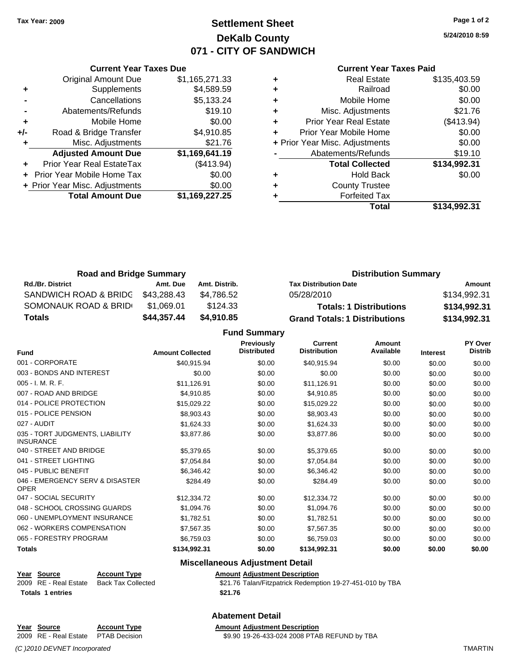### **Settlement Sheet Tax Year: 2009 Page 1 of 2 DeKalb County 071 - CITY OF SANDWICH**

**5/24/2010 8:59**

#### **Current Year Taxes Paid**

|     | <b>Original Amount Due</b>        | \$1,165,271.33 | ٠     |
|-----|-----------------------------------|----------------|-------|
|     | Supplements                       | \$4,589.59     | ٠     |
|     | Cancellations                     | \$5,133.24     | ٠     |
|     | Abatements/Refunds                | \$19.10        | ٠     |
|     | Mobile Home                       | \$0.00         | ÷     |
| +/- | Road & Bridge Transfer            | \$4,910.85     |       |
|     | Misc. Adjustments                 | \$21.76        | + Pri |
|     | <b>Adjusted Amount Due</b>        | \$1,169,641.19 |       |
|     | Prior Year Real EstateTax         | (\$413.94)     |       |
|     | <b>Prior Year Mobile Home Tax</b> | \$0.00         |       |
|     | + Prior Year Misc. Adjustments    | \$0.00         |       |
|     | <b>Total Amount Due</b>           | \$1,169,227.25 |       |
|     |                                   |                |       |

**Current Year Taxes Due**

|   | <b>Real Estate</b>             | \$135,403.59 |
|---|--------------------------------|--------------|
| ٠ | Railroad                       | \$0.00       |
| ٠ | Mobile Home                    | \$0.00       |
| ٠ | Misc. Adjustments              | \$21.76      |
| ٠ | <b>Prior Year Real Estate</b>  | (\$413.94)   |
| ٠ | Prior Year Mobile Home         | \$0.00       |
|   | + Prior Year Misc. Adjustments | \$0.00       |
|   | Abatements/Refunds             | \$19.10      |
|   | <b>Total Collected</b>         | \$134,992.31 |
| ٠ | <b>Hold Back</b>               | \$0.00       |
| ٠ | <b>County Trustee</b>          |              |
|   | <b>Forfeited Tax</b>           |              |
|   | Total                          | \$134.992.31 |

| <b>Road and Bridge Summary</b> |             |               | <b>Distribution Summary</b>          |              |  |
|--------------------------------|-------------|---------------|--------------------------------------|--------------|--|
| <b>Rd./Br. District</b>        | Amt. Due    | Amt. Distrib. | <b>Tax Distribution Date</b>         | Amount       |  |
| SANDWICH ROAD & BRIDG          | \$43.288.43 | \$4.786.52    | 05/28/2010                           | \$134.992.31 |  |
| SOMONAUK ROAD & BRID           | \$1.069.01  | \$124.33      | <b>Totals: 1 Distributions</b>       | \$134,992.31 |  |
| Totals                         | \$44,357.44 | \$4,910.85    | <b>Grand Totals: 1 Distributions</b> | \$134,992.31 |  |

**Fund Summary**

| <b>Fund</b>                                         | <b>Amount Collected</b> | <b>Previously</b><br><b>Distributed</b> | <b>Current</b><br><b>Distribution</b> | <b>Amount</b><br>Available | <b>Interest</b> | PY Over<br><b>Distrib</b> |
|-----------------------------------------------------|-------------------------|-----------------------------------------|---------------------------------------|----------------------------|-----------------|---------------------------|
| 001 - CORPORATE                                     | \$40,915.94             | \$0.00                                  | \$40,915.94                           | \$0.00                     | \$0.00          | \$0.00                    |
| 003 - BONDS AND INTEREST                            | \$0.00                  | \$0.00                                  | \$0.00                                | \$0.00                     | \$0.00          | \$0.00                    |
| 005 - I. M. R. F.                                   | \$11,126.91             | \$0.00                                  | \$11,126.91                           | \$0.00                     | \$0.00          | \$0.00                    |
| 007 - ROAD AND BRIDGE                               | \$4,910.85              | \$0.00                                  | \$4,910.85                            | \$0.00                     | \$0.00          | \$0.00                    |
| 014 - POLICE PROTECTION                             | \$15,029.22             | \$0.00                                  | \$15,029.22                           | \$0.00                     | \$0.00          | \$0.00                    |
| 015 - POLICE PENSION                                | \$8,903.43              | \$0.00                                  | \$8,903.43                            | \$0.00                     | \$0.00          | \$0.00                    |
| 027 - AUDIT                                         | \$1,624.33              | \$0.00                                  | \$1,624.33                            | \$0.00                     | \$0.00          | \$0.00                    |
| 035 - TORT JUDGMENTS, LIABILITY<br><b>INSURANCE</b> | \$3,877.86              | \$0.00                                  | \$3,877.86                            | \$0.00                     | \$0.00          | \$0.00                    |
| 040 - STREET AND BRIDGE                             | \$5,379.65              | \$0.00                                  | \$5,379.65                            | \$0.00                     | \$0.00          | \$0.00                    |
| 041 - STREET LIGHTING                               | \$7,054.84              | \$0.00                                  | \$7,054.84                            | \$0.00                     | \$0.00          | \$0.00                    |
| 045 - PUBLIC BENEFIT                                | \$6,346.42              | \$0.00                                  | \$6,346.42                            | \$0.00                     | \$0.00          | \$0.00                    |
| 046 - EMERGENCY SERV & DISASTER<br><b>OPER</b>      | \$284.49                | \$0.00                                  | \$284.49                              | \$0.00                     | \$0.00          | \$0.00                    |
| 047 - SOCIAL SECURITY                               | \$12,334.72             | \$0.00                                  | \$12,334.72                           | \$0.00                     | \$0.00          | \$0.00                    |
| 048 - SCHOOL CROSSING GUARDS                        | \$1,094.76              | \$0.00                                  | \$1,094.76                            | \$0.00                     | \$0.00          | \$0.00                    |
| 060 - UNEMPLOYMENT INSURANCE                        | \$1,782.51              | \$0.00                                  | \$1,782.51                            | \$0.00                     | \$0.00          | \$0.00                    |
| 062 - WORKERS COMPENSATION                          | \$7.567.35              | \$0.00                                  | \$7,567.35                            | \$0.00                     | \$0.00          | \$0.00                    |
| 065 - FORESTRY PROGRAM                              | \$6,759.03              | \$0.00                                  | \$6,759.03                            | \$0.00                     | \$0.00          | \$0.00                    |
| <b>Totals</b>                                       | \$134,992.31            | \$0.00                                  | \$134,992.31                          | \$0.00                     | \$0.00          | \$0.00                    |

#### **Miscellaneous Adjustment Detail**

|                  | Year Source           | <b>Account Type</b> | Amount  |
|------------------|-----------------------|---------------------|---------|
|                  | 2009 RE - Real Estate | Back Tax Collected  | \$21.76 |
| Totals 1 entries | \$21.76               |                     |         |

**Year Source Account Type Amount Adjustment Description** Collected **2008 S21.76** Talan/Fitzpatrick Redemption 19-27-451-010 by TBA

**Abatement Detail**

**Year Source Account Type Amount Adjustment Description**

*(C )2010 DEVNET Incorporated* TMARTIN

2009 RE - Real Estate PTAB Decision \$9.90 19-26-433-024 2008 PTAB REFUND by TBA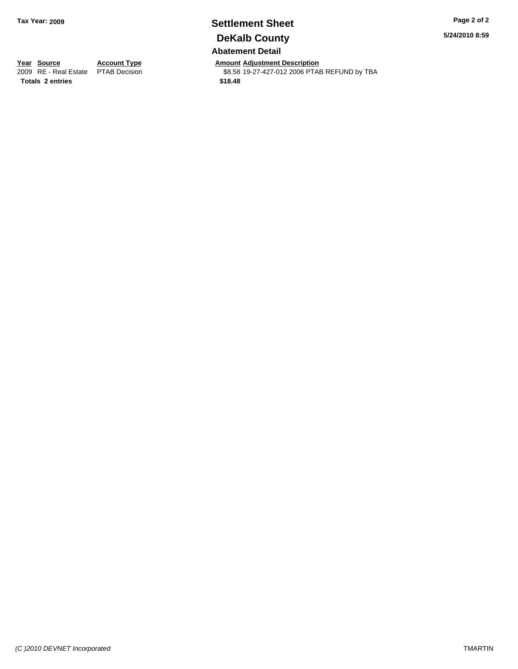### **Settlement Sheet Tax Year: 2009 Page 2 of 2 DeKalb County Abatement Detail**

**Year Source Account Type Amount Adjustment Description**<br> **2009** RE - Real Estate PTAB Decision **Amount \$8.58** 19-27-427-012 2006 PTAI \$8.58 19-27-427-012 2006 PTAB REFUND by TBA

**Totals 2 entries \$18.48**

**5/24/2010 8:59**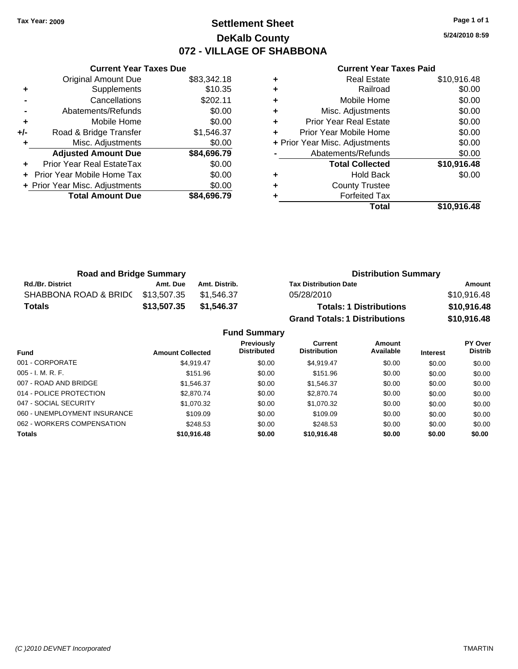### **Settlement Sheet Tax Year: 2009 Page 1 of 1 DeKalb County 072 - VILLAGE OF SHABBONA**

**5/24/2010 8:59**

#### **Current Year Taxes Paid**

|     | <b>Current Year Taxes Due</b>     |             |  |  |  |  |
|-----|-----------------------------------|-------------|--|--|--|--|
|     | Original Amount Due               | \$83,342.18 |  |  |  |  |
| ٠   | Supplements                       | \$10.35     |  |  |  |  |
|     | Cancellations                     | \$202.11    |  |  |  |  |
|     | Abatements/Refunds                | \$0.00      |  |  |  |  |
| ٠   | Mobile Home                       | \$0.00      |  |  |  |  |
| +/- | Road & Bridge Transfer            | \$1,546.37  |  |  |  |  |
|     | Misc. Adjustments                 | \$0.00      |  |  |  |  |
|     | <b>Adjusted Amount Due</b>        | \$84,696.79 |  |  |  |  |
|     | Prior Year Real EstateTax         | \$0.00      |  |  |  |  |
|     | <b>Prior Year Mobile Home Tax</b> | \$0.00      |  |  |  |  |
|     | + Prior Year Misc. Adjustments    | \$0.00      |  |  |  |  |
|     | <b>Total Amount Due</b>           | \$84,696.79 |  |  |  |  |
|     |                                   |             |  |  |  |  |

| ٠ | <b>Real Estate</b>             | \$10,916.48 |
|---|--------------------------------|-------------|
| ÷ | Railroad                       | \$0.00      |
| ٠ | Mobile Home                    | \$0.00      |
| ٠ | Misc. Adjustments              | \$0.00      |
| ٠ | <b>Prior Year Real Estate</b>  | \$0.00      |
| ٠ | Prior Year Mobile Home         | \$0.00      |
|   | + Prior Year Misc. Adjustments | \$0.00      |
|   | Abatements/Refunds             | \$0.00      |
|   | <b>Total Collected</b>         | \$10,916.48 |
| ٠ | <b>Hold Back</b>               | \$0.00      |
| ٠ | <b>County Trustee</b>          |             |
|   | <b>Forfeited Tax</b>           |             |
|   | Total                          | \$10,916.48 |

| <b>Road and Bridge Summary</b> |             |               | <b>Distribution Summary</b>          |             |
|--------------------------------|-------------|---------------|--------------------------------------|-------------|
| <b>Rd./Br. District</b>        | Amt. Due    | Amt. Distrib. | <b>Tax Distribution Date</b>         | Amount      |
| SHABBONA ROAD & BRIDC          | \$13,507.35 | \$1.546.37    | 05/28/2010                           | \$10,916.48 |
| <b>Totals</b>                  | \$13,507.35 | \$1,546.37    | <b>Totals: 1 Distributions</b>       | \$10,916.48 |
|                                |             |               | <b>Grand Totals: 1 Distributions</b> | \$10,916.48 |

**Fund Summary**

| <b>Fund</b>                  | <b>Amount Collected</b> | <b>Previously</b><br><b>Distributed</b> | Current<br><b>Distribution</b> | Amount<br>Available | <b>Interest</b> | <b>PY Over</b><br><b>Distrib</b> |  |
|------------------------------|-------------------------|-----------------------------------------|--------------------------------|---------------------|-----------------|----------------------------------|--|
| 001 - CORPORATE              | \$4.919.47              | \$0.00                                  | \$4.919.47                     | \$0.00              | \$0.00          | \$0.00                           |  |
| $005 - I. M. R. F.$          | \$151.96                | \$0.00                                  | \$151.96                       | \$0.00              | \$0.00          | \$0.00                           |  |
| 007 - ROAD AND BRIDGE        | \$1,546.37              | \$0.00                                  | \$1,546.37                     | \$0.00              | \$0.00          | \$0.00                           |  |
| 014 - POLICE PROTECTION      | \$2,870.74              | \$0.00                                  | \$2,870.74                     | \$0.00              | \$0.00          | \$0.00                           |  |
| 047 - SOCIAL SECURITY        | \$1,070.32              | \$0.00                                  | \$1,070.32                     | \$0.00              | \$0.00          | \$0.00                           |  |
| 060 - UNEMPLOYMENT INSURANCE | \$109.09                | \$0.00                                  | \$109.09                       | \$0.00              | \$0.00          | \$0.00                           |  |
| 062 - WORKERS COMPENSATION   | \$248.53                | \$0.00                                  | \$248.53                       | \$0.00              | \$0.00          | \$0.00                           |  |
| <b>Totals</b>                | \$10,916.48             | \$0.00                                  | \$10,916.48                    | \$0.00              | \$0.00          | \$0.00                           |  |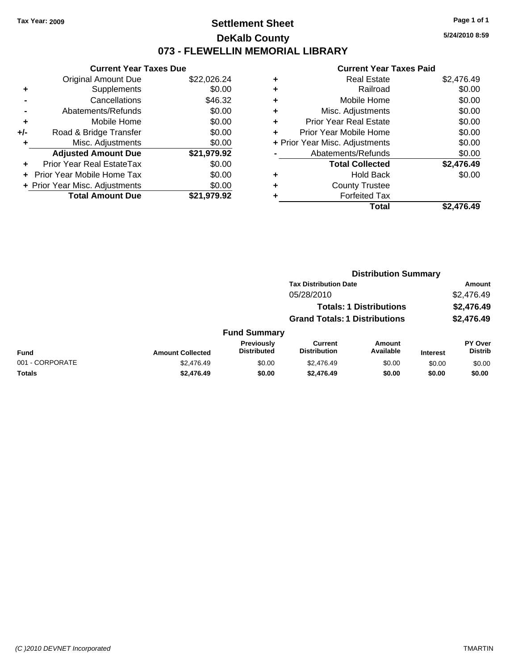### **Settlement Sheet Tax Year: 2009 Page 1 of 1 DeKalb County 073 - FLEWELLIN MEMORIAL LIBRARY**

**5/24/2010 8:59**

| <b>Current Year Taxes Due</b>     |                                |  |  |  |  |
|-----------------------------------|--------------------------------|--|--|--|--|
| <b>Original Amount Due</b>        | \$22,026.24                    |  |  |  |  |
| Supplements                       | \$0.00                         |  |  |  |  |
| Cancellations                     | \$46.32                        |  |  |  |  |
| Abatements/Refunds                | \$0.00                         |  |  |  |  |
| Mobile Home                       | \$0.00                         |  |  |  |  |
| Road & Bridge Transfer            | \$0.00                         |  |  |  |  |
| Misc. Adjustments                 | \$0.00                         |  |  |  |  |
| <b>Adjusted Amount Due</b>        | \$21,979.92                    |  |  |  |  |
| Prior Year Real EstateTax         | \$0.00                         |  |  |  |  |
| <b>Prior Year Mobile Home Tax</b> | \$0.00                         |  |  |  |  |
|                                   | \$0.00                         |  |  |  |  |
| <b>Total Amount Due</b>           | \$21,979.92                    |  |  |  |  |
|                                   | + Prior Year Misc. Adjustments |  |  |  |  |

| ٠ | <b>Real Estate</b>             | \$2,476.49 |
|---|--------------------------------|------------|
| ٠ | Railroad                       | \$0.00     |
| ٠ | Mobile Home                    | \$0.00     |
| ٠ | Misc. Adjustments              | \$0.00     |
| ÷ | <b>Prior Year Real Estate</b>  | \$0.00     |
| ÷ | Prior Year Mobile Home         | \$0.00     |
|   | + Prior Year Misc. Adjustments | \$0.00     |
|   | Abatements/Refunds             | \$0.00     |
|   | <b>Total Collected</b>         | \$2,476.49 |
| ٠ | <b>Hold Back</b>               | \$0.00     |
| ٠ | <b>County Trustee</b>          |            |
| ٠ | <b>Forfeited Tax</b>           |            |
|   | Total                          | \$2.476.49 |
|   |                                |            |

|                 |                         |                                         | <b>Distribution Summary</b>           |                                |                 |                           |
|-----------------|-------------------------|-----------------------------------------|---------------------------------------|--------------------------------|-----------------|---------------------------|
|                 |                         |                                         | <b>Tax Distribution Date</b>          |                                |                 | Amount                    |
|                 |                         |                                         | 05/28/2010                            |                                |                 | \$2,476.49                |
|                 |                         |                                         |                                       | <b>Totals: 1 Distributions</b> |                 | \$2,476.49                |
|                 |                         |                                         | <b>Grand Totals: 1 Distributions</b>  |                                |                 | \$2,476.49                |
|                 |                         | <b>Fund Summary</b>                     |                                       |                                |                 |                           |
| <b>Fund</b>     | <b>Amount Collected</b> | <b>Previously</b><br><b>Distributed</b> | <b>Current</b><br><b>Distribution</b> | Amount<br>Available            | <b>Interest</b> | PY Over<br><b>Distrib</b> |
| 001 - CORPORATE | \$2,476.49              | \$0.00                                  | \$2,476.49                            | \$0.00                         | \$0.00          | \$0.00                    |
| Totals          | \$2,476.49              | \$0.00                                  | \$2,476.49                            | \$0.00                         | \$0.00          | \$0.00                    |
|                 |                         |                                         |                                       |                                |                 |                           |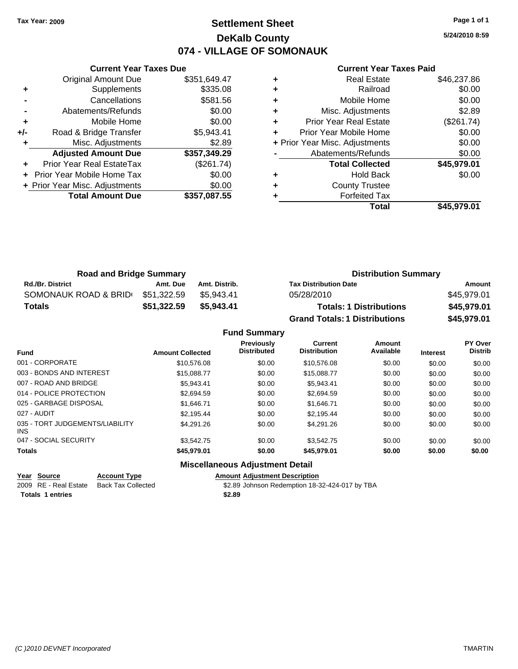### **Settlement Sheet Tax Year: 2009 Page 1 of 1 DeKalb County 074 - VILLAGE OF SOMONAUK**

**5/24/2010 8:59**

#### **Current Year Taxes Paid**

|     | <b>Current Year Taxes Due</b>  |              |
|-----|--------------------------------|--------------|
|     | <b>Original Amount Due</b>     | \$351,649.47 |
| ٠   | Supplements                    | \$335.08     |
|     | Cancellations                  | \$581.56     |
|     | Abatements/Refunds             | \$0.00       |
| ٠   | Mobile Home                    | \$0.00       |
| +/- | Road & Bridge Transfer         | \$5,943.41   |
| ٠   | Misc. Adjustments              | \$2.89       |
|     | <b>Adjusted Amount Due</b>     | \$357,349.29 |
|     | Prior Year Real EstateTax      | (\$261.74)   |
|     | Prior Year Mobile Home Tax     | \$0.00       |
|     | + Prior Year Misc. Adjustments | \$0.00       |
|     | <b>Total Amount Due</b>        | \$357,087.55 |
|     |                                |              |

|   | <b>Real Estate</b>             | \$46,237.86 |
|---|--------------------------------|-------------|
| ٠ | Railroad                       | \$0.00      |
| ٠ | Mobile Home                    | \$0.00      |
| ٠ | Misc. Adjustments              | \$2.89      |
| ٠ | <b>Prior Year Real Estate</b>  | (\$261.74)  |
| ٠ | Prior Year Mobile Home         | \$0.00      |
|   | + Prior Year Misc. Adjustments | \$0.00      |
|   | Abatements/Refunds             | \$0.00      |
|   |                                |             |
|   | <b>Total Collected</b>         | \$45,979.01 |
| ٠ | <b>Hold Back</b>               | \$0.00      |
|   | <b>County Trustee</b>          |             |
|   | <b>Forfeited Tax</b>           |             |

| <b>Road and Bridge Summary</b> |             |               | <b>Distribution Summary</b>          |             |
|--------------------------------|-------------|---------------|--------------------------------------|-------------|
| <b>Rd./Br. District</b>        | Amt. Due    | Amt. Distrib. | <b>Tax Distribution Date</b>         | Amount      |
| SOMONAUK ROAD & BRID           | \$51.322.59 | \$5.943.41    | 05/28/2010                           | \$45.979.01 |
| <b>Totals</b>                  | \$51,322.59 | \$5,943,41    | <b>Totals: 1 Distributions</b>       | \$45,979.01 |
|                                |             |               | <b>Grand Totals: 1 Distributions</b> | \$45,979.01 |

#### **Fund Summary**

| <b>Fund</b>                                   | <b>Amount Collected</b> | <b>Previously</b><br><b>Distributed</b> | <b>Current</b><br><b>Distribution</b> | Amount<br>Available | <b>Interest</b> | PY Over<br><b>Distrib</b> |
|-----------------------------------------------|-------------------------|-----------------------------------------|---------------------------------------|---------------------|-----------------|---------------------------|
| 001 - CORPORATE                               | \$10,576.08             | \$0.00                                  | \$10.576.08                           | \$0.00              | \$0.00          | \$0.00                    |
| 003 - BONDS AND INTEREST                      | \$15,088.77             | \$0.00                                  | \$15,088.77                           | \$0.00              | \$0.00          | \$0.00                    |
| 007 - ROAD AND BRIDGE                         | \$5.943.41              | \$0.00                                  | \$5.943.41                            | \$0.00              | \$0.00          | \$0.00                    |
| 014 - POLICE PROTECTION                       | \$2,694.59              | \$0.00                                  | \$2,694.59                            | \$0.00              | \$0.00          | \$0.00                    |
| 025 - GARBAGE DISPOSAL                        | \$1.646.71              | \$0.00                                  | \$1.646.71                            | \$0.00              | \$0.00          | \$0.00                    |
| 027 - AUDIT                                   | \$2.195.44              | \$0.00                                  | \$2.195.44                            | \$0.00              | \$0.00          | \$0.00                    |
| 035 - TORT JUDGEMENTS/LIABILITY<br><b>INS</b> | \$4.291.26              | \$0.00                                  | \$4.291.26                            | \$0.00              | \$0.00          | \$0.00                    |
| 047 - SOCIAL SECURITY                         | \$3,542.75              | \$0.00                                  | \$3.542.75                            | \$0.00              | \$0.00          | \$0.00                    |
| <b>Totals</b>                                 | \$45.979.01             | \$0.00                                  | \$45.979.01                           | \$0.00              | \$0.00          | \$0.00                    |

#### **Miscellaneous Adjustment Detail**

**Year Source Account Type Amount Adjustment Description**<br>18-3 amount **Adjustment Description**<br>2.89 Johnson Redemption \$2.89 Johnson Redemption 18-32-424-017 by TBA **Totals 1 entries \$2.89**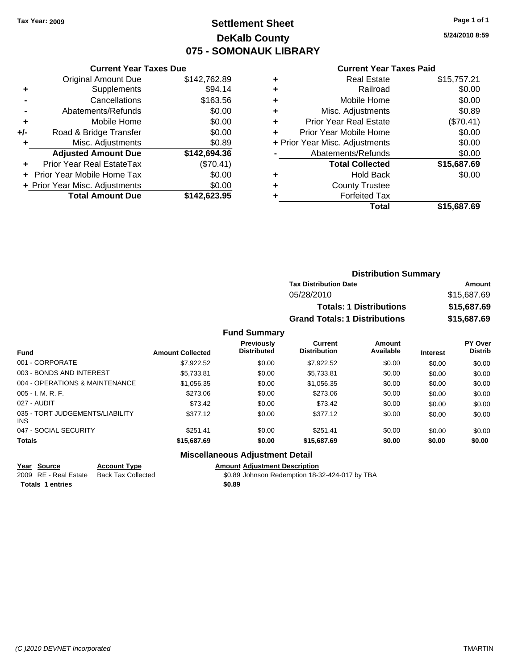### **Settlement Sheet Tax Year: 2009 Page 1 of 1 DeKalb County 075 - SOMONAUK LIBRARY**

**Current Year Taxes Due**

|     | <b>Original Amount Due</b>     | \$142,762.89 |
|-----|--------------------------------|--------------|
| ٠   | Supplements                    | \$94.14      |
|     | Cancellations                  | \$163.56     |
|     | Abatements/Refunds             | \$0.00       |
| ٠   | Mobile Home                    | \$0.00       |
| +/- | Road & Bridge Transfer         | \$0.00       |
| ٠   | Misc. Adjustments              | \$0.89       |
|     | <b>Adjusted Amount Due</b>     | \$142,694.36 |
|     | Prior Year Real EstateTax      | (\$70.41)    |
|     | Prior Year Mobile Home Tax     | \$0.00       |
|     | + Prior Year Misc. Adjustments | \$0.00       |
|     | <b>Total Amount Due</b>        | \$142,623.95 |
|     |                                |              |

#### **Current Year Taxes Paid**

| ٠ | <b>Real Estate</b>             | \$15,757.21 |
|---|--------------------------------|-------------|
| ٠ | Railroad                       | \$0.00      |
| ٠ | Mobile Home                    | \$0.00      |
| ٠ | Misc. Adjustments              | \$0.89      |
| ٠ | <b>Prior Year Real Estate</b>  | (\$70.41)   |
|   | Prior Year Mobile Home         | \$0.00      |
|   | + Prior Year Misc. Adjustments | \$0.00      |
|   | Abatements/Refunds             | \$0.00      |
|   | <b>Total Collected</b>         | \$15,687.69 |
| ٠ | <b>Hold Back</b>               | \$0.00      |
| ٠ | <b>County Trustee</b>          |             |
|   | <b>Forfeited Tax</b>           |             |
|   | Total                          | \$15,687.69 |
|   |                                |             |

| <b>Distribution Summary</b>          |             |
|--------------------------------------|-------------|
| <b>Tax Distribution Date</b>         | Amount      |
| 05/28/2010                           | \$15,687.69 |
| <b>Totals: 1 Distributions</b>       | \$15,687.69 |
| <b>Grand Totals: 1 Distributions</b> | \$15,687.69 |

#### **Fund Summary**

| <b>Fund</b>                             | <b>Amount Collected</b> | Previously<br><b>Distributed</b> | Current<br><b>Distribution</b> | Amount<br>Available | <b>Interest</b> | PY Over<br><b>Distrib</b> |
|-----------------------------------------|-------------------------|----------------------------------|--------------------------------|---------------------|-----------------|---------------------------|
| 001 - CORPORATE                         | \$7,922.52              | \$0.00                           | \$7.922.52                     | \$0.00              | \$0.00          | \$0.00                    |
| 003 - BONDS AND INTEREST                | \$5,733.81              | \$0.00                           | \$5,733.81                     | \$0.00              | \$0.00          | \$0.00                    |
| 004 - OPERATIONS & MAINTENANCE          | \$1,056.35              | \$0.00                           | \$1,056.35                     | \$0.00              | \$0.00          | \$0.00                    |
| $005 - I. M. R. F.$                     | \$273.06                | \$0.00                           | \$273.06                       | \$0.00              | \$0.00          | \$0.00                    |
| 027 - AUDIT                             | \$73.42                 | \$0.00                           | \$73.42                        | \$0.00              | \$0.00          | \$0.00                    |
| 035 - TORT JUDGEMENTS/LIABILITY<br>INS. | \$377.12                | \$0.00                           | \$377.12                       | \$0.00              | \$0.00          | \$0.00                    |
| 047 - SOCIAL SECURITY                   | \$251.41                | \$0.00                           | \$251.41                       | \$0.00              | \$0.00          | \$0.00                    |
| <b>Totals</b>                           | \$15,687.69             | \$0.00                           | \$15,687.69                    | \$0.00              | \$0.00          | \$0.00                    |

#### **Miscellaneous Adjustment Detail**

| Year Source             | <b>Account Type</b> | Amount |
|-------------------------|---------------------|--------|
| 2009 RE - Real Estate   | Back Tax Collected  | \$0.89 |
| <b>Totals 1 entries</b> |                     | \$0.89 |

**Year Source Account Type Amount Adjustment Description** 2009 Back Tax Collected **30.89 Johnson Redemption 18-32-424-017** by TBA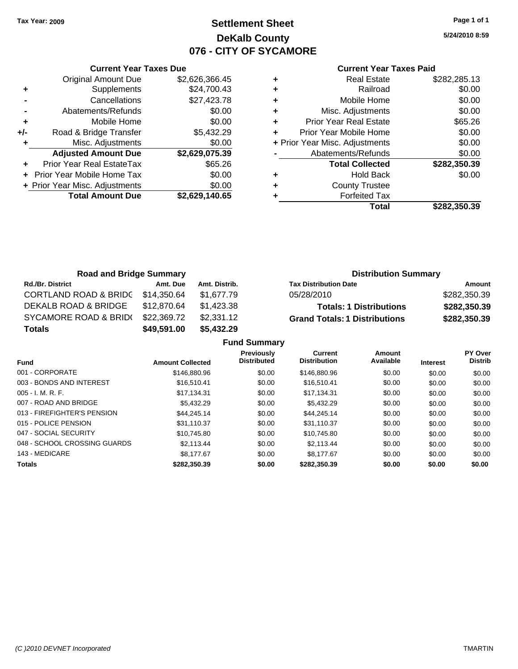### **Settlement Sheet Tax Year: 2009 Page 1 of 1 DeKalb County 076 - CITY OF SYCAMORE**

**5/24/2010 8:59**

|     | <b>Current Year Taxes Due</b>  |                |  |  |  |  |
|-----|--------------------------------|----------------|--|--|--|--|
|     | <b>Original Amount Due</b>     | \$2,626,366.45 |  |  |  |  |
| ٠   | Supplements                    | \$24,700.43    |  |  |  |  |
|     | Cancellations                  | \$27,423.78    |  |  |  |  |
|     | Abatements/Refunds             | \$0.00         |  |  |  |  |
| ٠   | Mobile Home                    | \$0.00         |  |  |  |  |
| +/- | Road & Bridge Transfer         | \$5,432.29     |  |  |  |  |
|     | Misc. Adjustments              | \$0.00         |  |  |  |  |
|     | <b>Adjusted Amount Due</b>     | \$2,629,075.39 |  |  |  |  |
|     | Prior Year Real EstateTax      | \$65.26        |  |  |  |  |
|     | Prior Year Mobile Home Tax     | \$0.00         |  |  |  |  |
|     | + Prior Year Misc. Adjustments | \$0.00         |  |  |  |  |
|     | <b>Total Amount Due</b>        | \$2,629,140.65 |  |  |  |  |
|     |                                |                |  |  |  |  |

|   | <b>Real Estate</b>             | \$282,285.13 |
|---|--------------------------------|--------------|
| ٠ | Railroad                       | \$0.00       |
| ٠ | Mobile Home                    | \$0.00       |
| ٠ | Misc. Adjustments              | \$0.00       |
| ٠ | <b>Prior Year Real Estate</b>  | \$65.26      |
| ٠ | Prior Year Mobile Home         | \$0.00       |
|   | + Prior Year Misc. Adjustments | \$0.00       |
|   | Abatements/Refunds             | \$0.00       |
|   | <b>Total Collected</b>         | \$282,350.39 |
| ٠ | <b>Hold Back</b>               | \$0.00       |
| ٠ | <b>County Trustee</b>          |              |
|   | <b>Forfeited Tax</b>           |              |
|   | Total                          | \$282,350.39 |

| <b>Road and Bridge Summary</b>   |             |               | <b>Distribution Summary</b>          |              |  |
|----------------------------------|-------------|---------------|--------------------------------------|--------------|--|
| <b>Rd./Br. District</b>          | Amt. Due    | Amt. Distrib. | <b>Tax Distribution Date</b>         | Amount       |  |
| <b>CORTLAND ROAD &amp; BRIDC</b> | \$14,350.64 | \$1.677.79    | 05/28/2010                           | \$282,350.39 |  |
| DEKALB ROAD & BRIDGE             | \$12,870.64 | \$1,423.38    | <b>Totals: 1 Distributions</b>       | \$282,350.39 |  |
| SYCAMORE ROAD & BRID(            | \$22,369.72 | \$2,331.12    | <b>Grand Totals: 1 Distributions</b> | \$282,350.39 |  |
| <b>Totals</b>                    | \$49,591.00 | \$5,432.29    |                                      |              |  |

|                              |                         | <b>Fund Summary</b>                     |                                       |                     |                 |                           |
|------------------------------|-------------------------|-----------------------------------------|---------------------------------------|---------------------|-----------------|---------------------------|
| <b>Fund</b>                  | <b>Amount Collected</b> | <b>Previously</b><br><b>Distributed</b> | <b>Current</b><br><b>Distribution</b> | Amount<br>Available | <b>Interest</b> | PY Over<br><b>Distrib</b> |
| 001 - CORPORATE              | \$146,880.96            | \$0.00                                  | \$146,880.96                          | \$0.00              | \$0.00          | \$0.00                    |
| 003 - BONDS AND INTEREST     | \$16,510.41             | \$0.00                                  | \$16,510.41                           | \$0.00              | \$0.00          | \$0.00                    |
| $005 - I. M. R. F.$          | \$17.134.31             | \$0.00                                  | \$17.134.31                           | \$0.00              | \$0.00          | \$0.00                    |
| 007 - ROAD AND BRIDGE        | \$5,432.29              | \$0.00                                  | \$5,432.29                            | \$0.00              | \$0.00          | \$0.00                    |
| 013 - FIREFIGHTER'S PENSION  | \$44,245.14             | \$0.00                                  | \$44,245.14                           | \$0.00              | \$0.00          | \$0.00                    |
| 015 - POLICE PENSION         | \$31.110.37             | \$0.00                                  | \$31.110.37                           | \$0.00              | \$0.00          | \$0.00                    |
| 047 - SOCIAL SECURITY        | \$10,745.80             | \$0.00                                  | \$10.745.80                           | \$0.00              | \$0.00          | \$0.00                    |
| 048 - SCHOOL CROSSING GUARDS | \$2.113.44              | \$0.00                                  | \$2.113.44                            | \$0.00              | \$0.00          | \$0.00                    |
| 143 - MEDICARE               | \$8,177,67              | \$0.00                                  | \$8.177.67                            | \$0.00              | \$0.00          | \$0.00                    |
| <b>Totals</b>                | \$282,350,39            | \$0.00                                  | \$282,350,39                          | \$0.00              | \$0.00          | \$0.00                    |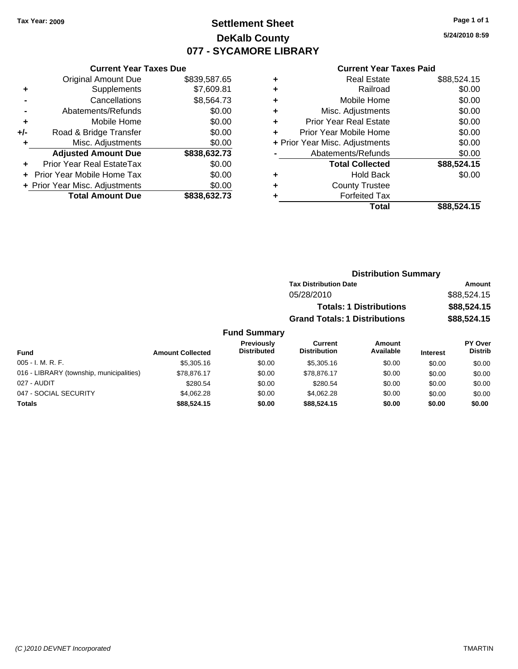## **Settlement Sheet Tax Year: 2009 Page 1 of 1 DeKalb County 077 - SYCAMORE LIBRARY**

**5/24/2010 8:59**

#### **Current Year Taxes Paid**

|     | <b>Current Year Taxes Due</b>  |              |
|-----|--------------------------------|--------------|
|     | <b>Original Amount Due</b>     | \$839,587.65 |
| ٠   | Supplements                    | \$7,609.81   |
|     | Cancellations                  | \$8,564.73   |
|     | Abatements/Refunds             | \$0.00       |
| ٠   | Mobile Home                    | \$0.00       |
| +/- | Road & Bridge Transfer         | \$0.00       |
|     | Misc. Adjustments              | \$0.00       |
|     | <b>Adjusted Amount Due</b>     | \$838,632.73 |
|     | Prior Year Real EstateTax      | \$0.00       |
|     | Prior Year Mobile Home Tax     | \$0.00       |
|     | + Prior Year Misc. Adjustments | \$0.00       |
|     | <b>Total Amount Due</b>        | \$838,632.73 |
|     |                                |              |

|   | <b>Real Estate</b>             | \$88,524.15 |
|---|--------------------------------|-------------|
| ٠ | Railroad                       | \$0.00      |
| ٠ | Mobile Home                    | \$0.00      |
| ٠ | Misc. Adjustments              | \$0.00      |
| ٠ | <b>Prior Year Real Estate</b>  | \$0.00      |
| ÷ | Prior Year Mobile Home         | \$0.00      |
|   | + Prior Year Misc. Adjustments | \$0.00      |
|   | Abatements/Refunds             | \$0.00      |
|   | <b>Total Collected</b>         | \$88,524.15 |
| ٠ | <b>Hold Back</b>               | \$0.00      |
| ٠ | <b>County Trustee</b>          |             |
|   | <b>Forfeited Tax</b>           |             |
|   | Total                          | \$88,524.15 |

| <b>Distribution Summary</b>          |             |
|--------------------------------------|-------------|
| <b>Tax Distribution Date</b>         | Amount      |
| 05/28/2010                           | \$88,524.15 |
| <b>Totals: 1 Distributions</b>       | \$88,524.15 |
| <b>Grand Totals: 1 Distributions</b> | \$88,524.15 |

| <b>Fund</b>                              | <b>Amount Collected</b> | <b>Previously</b><br><b>Distributed</b> | Current<br><b>Distribution</b> | Amount<br>Available | <b>Interest</b> | PY Over<br><b>Distrib</b> |
|------------------------------------------|-------------------------|-----------------------------------------|--------------------------------|---------------------|-----------------|---------------------------|
| $005 - I. M. R. F.$                      | \$5,305.16              | \$0.00                                  | \$5,305.16                     | \$0.00              | \$0.00          | \$0.00                    |
| 016 - LIBRARY (township, municipalities) | \$78.876.17             | \$0.00                                  | \$78.876.17                    | \$0.00              | \$0.00          | \$0.00                    |
| 027 - AUDIT                              | \$280.54                | \$0.00                                  | \$280.54                       | \$0.00              | \$0.00          | \$0.00                    |
| 047 - SOCIAL SECURITY                    | \$4.062.28              | \$0.00                                  | \$4.062.28                     | \$0.00              | \$0.00          | \$0.00                    |
| Totals                                   | \$88,524.15             | \$0.00                                  | \$88,524.15                    | \$0.00              | \$0.00          | \$0.00                    |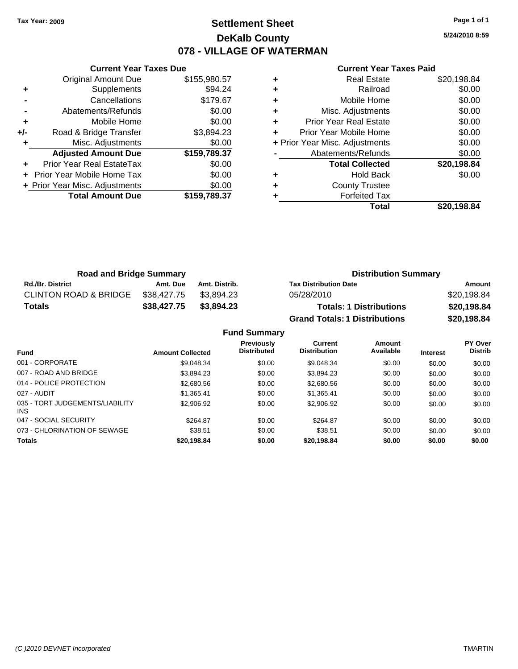### **Settlement Sheet Tax Year: 2009 Page 1 of 1 DeKalb County 078 - VILLAGE OF WATERMAN**

**5/24/2010 8:59**

#### **Current Year Taxes Paid**

|       | <b>Current Year Taxes Due</b>  |              |
|-------|--------------------------------|--------------|
|       | <b>Original Amount Due</b>     | \$155,980.57 |
| ٠     | Supplements                    | \$94.24      |
|       | Cancellations                  | \$179.67     |
|       | Abatements/Refunds             | \$0.00       |
| ٠     | Mobile Home                    | \$0.00       |
| $+/-$ | Road & Bridge Transfer         | \$3,894.23   |
|       | Misc. Adjustments              | \$0.00       |
|       | <b>Adjusted Amount Due</b>     | \$159,789.37 |
|       | Prior Year Real EstateTax      | \$0.00       |
|       | Prior Year Mobile Home Tax     | \$0.00       |
|       | + Prior Year Misc. Adjustments | \$0.00       |
|       | <b>Total Amount Due</b>        | \$159.789.37 |
|       |                                |              |

|   | <b>Real Estate</b>             | \$20,198.84 |
|---|--------------------------------|-------------|
| ÷ | Railroad                       | \$0.00      |
| ٠ | Mobile Home                    | \$0.00      |
| ٠ | Misc. Adjustments              | \$0.00      |
| ٠ | <b>Prior Year Real Estate</b>  | \$0.00      |
|   | Prior Year Mobile Home         | \$0.00      |
|   | + Prior Year Misc. Adjustments | \$0.00      |
|   | Abatements/Refunds             | \$0.00      |
|   | <b>Total Collected</b>         | \$20,198.84 |
|   | <b>Hold Back</b>               | \$0.00      |
|   | <b>County Trustee</b>          |             |
|   | <b>Forfeited Tax</b>           |             |
|   | Total                          | \$20.198.84 |

| <b>Road and Bridge Summary</b>   |             |               | <b>Distribution Summary</b>          |             |  |
|----------------------------------|-------------|---------------|--------------------------------------|-------------|--|
| <b>Rd./Br. District</b>          | Amt. Due    | Amt. Distrib. | <b>Tax Distribution Date</b>         | Amount      |  |
| <b>CLINTON ROAD &amp; BRIDGE</b> | \$38.427.75 | \$3.894.23    | 05/28/2010                           | \$20,198.84 |  |
| <b>Totals</b>                    | \$38,427.75 | \$3,894.23    | <b>Totals: 1 Distributions</b>       | \$20,198.84 |  |
|                                  |             |               | <b>Grand Totals: 1 Distributions</b> | \$20,198.84 |  |

|                                         |                         | <b>Fund Summary</b>                     |                                       |                     |                 |                                  |
|-----------------------------------------|-------------------------|-----------------------------------------|---------------------------------------|---------------------|-----------------|----------------------------------|
| Fund                                    | <b>Amount Collected</b> | <b>Previously</b><br><b>Distributed</b> | <b>Current</b><br><b>Distribution</b> | Amount<br>Available | <b>Interest</b> | <b>PY Over</b><br><b>Distrib</b> |
| 001 - CORPORATE                         | \$9.048.34              | \$0.00                                  | \$9,048.34                            | \$0.00              | \$0.00          | \$0.00                           |
| 007 - ROAD AND BRIDGE.                  | \$3,894.23              | \$0.00                                  | \$3.894.23                            | \$0.00              | \$0.00          | \$0.00                           |
| 014 - POLICE PROTECTION                 | \$2,680.56              | \$0.00                                  | \$2,680.56                            | \$0.00              | \$0.00          | \$0.00                           |
| 027 - AUDIT                             | \$1.365.41              | \$0.00                                  | \$1.365.41                            | \$0.00              | \$0.00          | \$0.00                           |
| 035 - TORT JUDGEMENTS/LIABILITY<br>INS. | \$2,906.92              | \$0.00                                  | \$2,906.92                            | \$0.00              | \$0.00          | \$0.00                           |
| 047 - SOCIAL SECURITY                   | \$264.87                | \$0.00                                  | \$264.87                              | \$0.00              | \$0.00          | \$0.00                           |
| 073 - CHLORINATION OF SEWAGE            | \$38.51                 | \$0.00                                  | \$38.51                               | \$0.00              | \$0.00          | \$0.00                           |
| <b>Totals</b>                           | \$20.198.84             | \$0.00                                  | \$20.198.84                           | \$0.00              | \$0.00          | \$0.00                           |
|                                         |                         |                                         |                                       |                     |                 |                                  |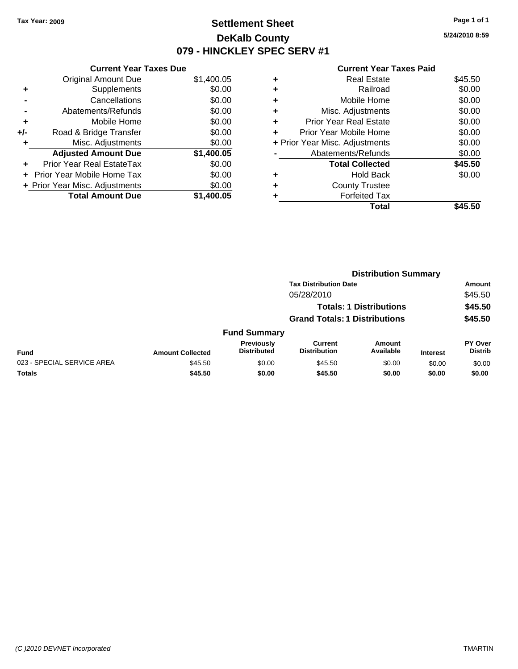### **Settlement Sheet Tax Year: 2009 Page 1 of 1 DeKalb County 079 - HINCKLEY SPEC SERV #1**

**5/24/2010 8:59**

#### **Current Year Taxes Paid**

| <b>Current Year Taxes Due</b>     |                                |
|-----------------------------------|--------------------------------|
| <b>Original Amount Due</b>        | \$1,400.05                     |
| Supplements                       | \$0.00                         |
| Cancellations                     | \$0.00                         |
| Abatements/Refunds                | \$0.00                         |
| Mobile Home                       | \$0.00                         |
| Road & Bridge Transfer            | \$0.00                         |
| Misc. Adjustments                 | \$0.00                         |
| <b>Adjusted Amount Due</b>        | \$1,400.05                     |
| Prior Year Real EstateTax         | \$0.00                         |
| <b>Prior Year Mobile Home Tax</b> | \$0.00                         |
|                                   | \$0.00                         |
| <b>Total Amount Due</b>           | \$1,400.05                     |
|                                   | + Prior Year Misc. Adjustments |

| ٠ | <b>Real Estate</b>             | \$45.50 |
|---|--------------------------------|---------|
| ٠ | Railroad                       | \$0.00  |
| ٠ | Mobile Home                    | \$0.00  |
| ٠ | Misc. Adjustments              | \$0.00  |
| ÷ | <b>Prior Year Real Estate</b>  | \$0.00  |
| ٠ | Prior Year Mobile Home         | \$0.00  |
|   | + Prior Year Misc. Adjustments | \$0.00  |
|   | Abatements/Refunds             | \$0.00  |
|   | <b>Total Collected</b>         | \$45.50 |
| ٠ | Hold Back                      | \$0.00  |
| ٠ | <b>County Trustee</b>          |         |
| ٠ | <b>Forfeited Tax</b>           |         |
|   | Total                          | \$45.50 |

|                            |                         | <b>Distribution Summary</b>          |                                |                                |                 |                           |  |
|----------------------------|-------------------------|--------------------------------------|--------------------------------|--------------------------------|-----------------|---------------------------|--|
|                            |                         |                                      | <b>Tax Distribution Date</b>   |                                |                 | Amount                    |  |
|                            |                         |                                      | 05/28/2010                     |                                |                 | \$45.50                   |  |
|                            |                         |                                      |                                | <b>Totals: 1 Distributions</b> |                 | \$45.50                   |  |
|                            |                         | <b>Grand Totals: 1 Distributions</b> |                                |                                |                 | \$45.50                   |  |
|                            |                         | <b>Fund Summary</b>                  |                                |                                |                 |                           |  |
| <b>Fund</b>                | <b>Amount Collected</b> | Previously<br><b>Distributed</b>     | Current<br><b>Distribution</b> | Amount<br>Available            | <b>Interest</b> | PY Over<br><b>Distrib</b> |  |
| 023 - SPECIAL SERVICE AREA | \$45.50                 | \$0.00                               | \$45.50                        | \$0.00                         | \$0.00          | \$0.00                    |  |
| Totals                     | \$45.50                 | \$0.00                               | \$45.50                        | \$0.00                         | \$0.00          | \$0.00                    |  |
|                            |                         |                                      |                                |                                |                 |                           |  |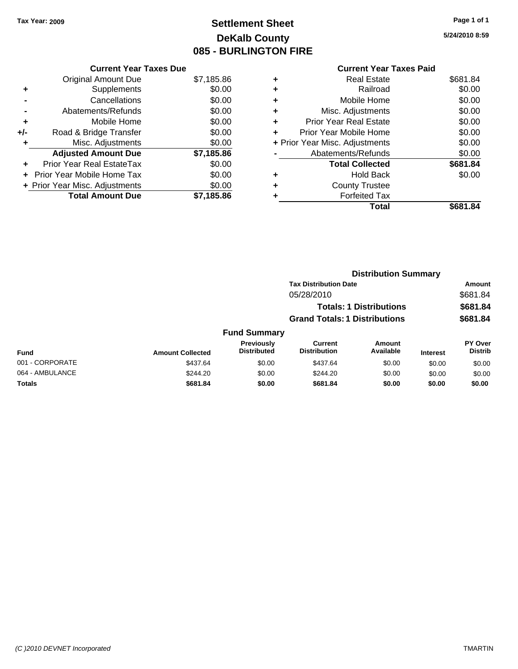# **Settlement Sheet Tax Year: 2009 Page 1 of 1 DeKalb County 085 - BURLINGTON FIRE**

**5/24/2010 8:59**

### **Current Year Taxes Paid +** Real Estate \$681.84 **+** Railroad \$0.00 **+** Mobile Home \$0.00 **+** Misc. Adjustments \$0.00 **+** Prior Year Real Estate \$0.00 **+** Prior Year Mobile Home \$0.00 **+ Prior Year Misc. Adjustments**  $$0.00$ **-** Abatements/Refunds \$0.00 **Total Collected \$681.84 +** Hold Back \$0.00 **+** County Trustee **+** Forfeited Tax **Total \$681.84**

**Distribution Summary**

|                 |                         |                                  | <b>Tax Distribution Date</b>                                                         |                     |                 | Amount                           |
|-----------------|-------------------------|----------------------------------|--------------------------------------------------------------------------------------|---------------------|-----------------|----------------------------------|
|                 |                         |                                  | 05/28/2010<br><b>Totals: 1 Distributions</b><br><b>Grand Totals: 1 Distributions</b> |                     |                 | \$681.84                         |
|                 |                         |                                  |                                                                                      |                     |                 | \$681.84                         |
|                 |                         |                                  |                                                                                      |                     |                 | \$681.84                         |
|                 |                         | <b>Fund Summary</b>              |                                                                                      |                     |                 |                                  |
| <b>Fund</b>     | <b>Amount Collected</b> | Previously<br><b>Distributed</b> | Current<br><b>Distribution</b>                                                       | Amount<br>Available | <b>Interest</b> | <b>PY Over</b><br><b>Distrib</b> |
| 001 - CORPORATE | \$437.64                | \$0.00                           | \$437.64                                                                             | \$0.00              | \$0.00          | \$0.00                           |
| 064 - AMBULANCE | \$244.20                | \$0.00                           | \$244.20                                                                             | \$0.00              | \$0.00          | \$0.00                           |
| <b>Totals</b>   | \$681.84                | \$0.00                           | \$681.84                                                                             | \$0.00              | \$0.00          | \$0.00                           |

# **Current Year Taxes Due**

|       | <b>Original Amount Due</b>        | \$7,185.86 |
|-------|-----------------------------------|------------|
| ÷     | Supplements                       | \$0.00     |
|       | Cancellations                     | \$0.00     |
|       | Abatements/Refunds                | \$0.00     |
| ٠     | Mobile Home                       | \$0.00     |
| $+/-$ | Road & Bridge Transfer            | \$0.00     |
|       | Misc. Adjustments                 | \$0.00     |
|       | <b>Adjusted Amount Due</b>        | \$7,185.86 |
| ٠     | Prior Year Real EstateTax         | \$0.00     |
|       |                                   |            |
|       | <b>Prior Year Mobile Home Tax</b> | \$0.00     |
|       | + Prior Year Misc. Adjustments    | \$0.00     |
|       | <b>Total Amount Due</b>           | \$7,185.86 |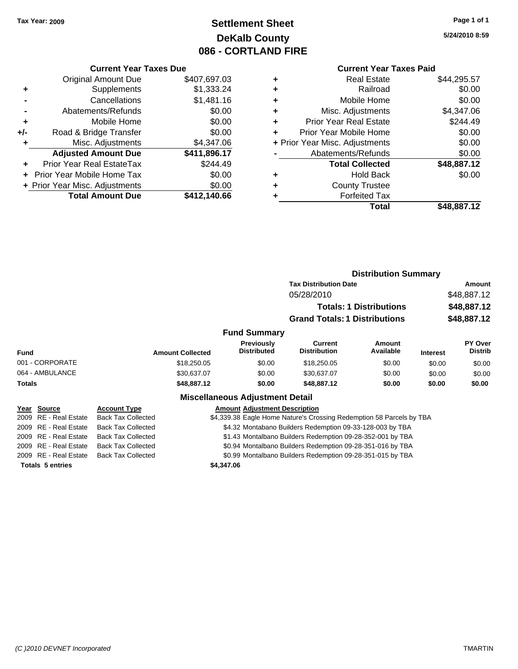# **Settlement Sheet Tax Year: 2009 Page 1 of 1 DeKalb County 086 - CORTLAND FIRE**

**5/24/2010 8:59**

#### **Current Year Taxes Paid**

| <b>Current Year Taxes Due</b>     |                                |  |  |  |
|-----------------------------------|--------------------------------|--|--|--|
| <b>Original Amount Due</b>        | \$407,697.03                   |  |  |  |
| Supplements                       | \$1,333.24                     |  |  |  |
| Cancellations                     | \$1,481.16                     |  |  |  |
| Abatements/Refunds                | \$0.00                         |  |  |  |
| Mobile Home                       | \$0.00                         |  |  |  |
| Road & Bridge Transfer            | \$0.00                         |  |  |  |
| Misc. Adjustments                 | \$4,347.06                     |  |  |  |
| <b>Adjusted Amount Due</b>        | \$411,896.17                   |  |  |  |
| Prior Year Real EstateTax         | \$244.49                       |  |  |  |
| <b>Prior Year Mobile Home Tax</b> | \$0.00                         |  |  |  |
|                                   | \$0.00                         |  |  |  |
| <b>Total Amount Due</b>           | \$412.140.66                   |  |  |  |
|                                   | + Prior Year Misc. Adjustments |  |  |  |

| ٠ | <b>Real Estate</b>             | \$44,295.57 |
|---|--------------------------------|-------------|
| ٠ | Railroad                       | \$0.00      |
| ٠ | Mobile Home                    | \$0.00      |
| ٠ | Misc. Adjustments              | \$4,347.06  |
| ٠ | <b>Prior Year Real Estate</b>  | \$244.49    |
| ÷ | Prior Year Mobile Home         | \$0.00      |
|   | + Prior Year Misc. Adjustments | \$0.00      |
|   | Abatements/Refunds             | \$0.00      |
|   | <b>Total Collected</b>         | \$48,887.12 |
| ٠ | <b>Hold Back</b>               | \$0.00      |
| ٠ | <b>County Trustee</b>          |             |
| ٠ | <b>Forfeited Tax</b>           |             |
|   | Total                          | \$48,887.12 |
|   |                                |             |

|                       |                           |                                                                      |                                                            | <b>Distribution Summary</b>    |                 |                           |
|-----------------------|---------------------------|----------------------------------------------------------------------|------------------------------------------------------------|--------------------------------|-----------------|---------------------------|
|                       |                           |                                                                      | <b>Tax Distribution Date</b>                               |                                |                 | Amount                    |
|                       |                           |                                                                      | 05/28/2010                                                 |                                |                 | \$48,887.12               |
|                       |                           |                                                                      |                                                            | <b>Totals: 1 Distributions</b> |                 | \$48,887.12               |
|                       |                           |                                                                      | <b>Grand Totals: 1 Distributions</b>                       |                                |                 | \$48,887.12               |
|                       |                           | <b>Fund Summary</b>                                                  |                                                            |                                |                 |                           |
| Fund                  | <b>Amount Collected</b>   | Previously<br><b>Distributed</b>                                     | Current<br><b>Distribution</b>                             | <b>Amount</b><br>Available     | <b>Interest</b> | PY Over<br><b>Distrib</b> |
| 001 - CORPORATE       | \$18,250.05               | \$0.00                                                               | \$18,250.05                                                | \$0.00                         | \$0.00          | \$0.00                    |
| 064 - AMBULANCE       | \$30,637.07               | \$0.00                                                               | \$30,637.07                                                | \$0.00                         | \$0.00          | \$0.00                    |
| Totals                | \$48,887.12               | \$0.00                                                               | \$48,887.12                                                | \$0.00                         | \$0.00          | \$0.00                    |
|                       |                           | <b>Miscellaneous Adjustment Detail</b>                               |                                                            |                                |                 |                           |
| Year Source           | <b>Account Type</b>       | <b>Amount Adjustment Description</b>                                 |                                                            |                                |                 |                           |
| 2009 RE - Real Estate | <b>Back Tax Collected</b> | \$4,339.38 Eagle Home Nature's Crossing Redemption 58 Parcels by TBA |                                                            |                                |                 |                           |
| 2009 RE - Real Estate | <b>Back Tax Collected</b> |                                                                      | \$4.32 Montabano Builders Redemption 09-33-128-003 by TBA  |                                |                 |                           |
| 2009 RE - Real Estate | <b>Back Tax Collected</b> |                                                                      | \$1.43 Montalbano Builders Redemption 09-28-352-001 by TBA |                                |                 |                           |
|                       |                           |                                                                      |                                                            |                                |                 |                           |

### 2009 RE - Real Estate Back Tax Collected \$0.94 Montalbano Builders Redemption 09-28-351-016 by TBA

2009 RE - Real Estate Back Tax Collected \$0.99 Montalbano Builders Redemption 09-28-351-015 by TBA

**Totals 5 entries \$4,347.06**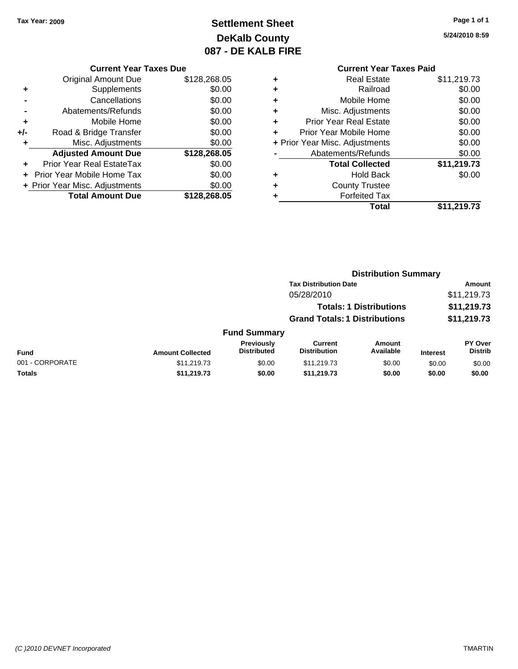# **Settlement Sheet Tax Year: 2009 Page 1 of 1 DeKalb County 087 - DE KALB FIRE**

**5/24/2010 8:59**

| <b>Current Year Taxes Due</b> |
|-------------------------------|
|-------------------------------|

|       | <b>Original Amount Due</b>       | \$128,268.05 |
|-------|----------------------------------|--------------|
| ٠     | Supplements                      | \$0.00       |
|       | Cancellations                    | \$0.00       |
|       | Abatements/Refunds               | \$0.00       |
| ٠     | Mobile Home                      | \$0.00       |
| $+/-$ | Road & Bridge Transfer           | \$0.00       |
|       | Misc. Adjustments                | \$0.00       |
|       | <b>Adjusted Amount Due</b>       | \$128,268.05 |
|       | <b>Prior Year Real EstateTax</b> | \$0.00       |
|       | Prior Year Mobile Home Tax       | \$0.00       |
|       | + Prior Year Misc. Adjustments   | \$0.00       |
|       | <b>Total Amount Due</b>          | \$128,268.05 |

### **Current Year Taxes Paid**

|   | <b>Real Estate</b>             | \$11,219.73 |
|---|--------------------------------|-------------|
| ٠ | Railroad                       | \$0.00      |
| ٠ | Mobile Home                    | \$0.00      |
| ٠ | Misc. Adjustments              | \$0.00      |
|   | <b>Prior Year Real Estate</b>  | \$0.00      |
|   | Prior Year Mobile Home         | \$0.00      |
|   | + Prior Year Misc. Adjustments | \$0.00      |
|   | Abatements/Refunds             | \$0.00      |
|   | <b>Total Collected</b>         | \$11,219.73 |
| ٠ | Hold Back                      | \$0.00      |
|   | <b>County Trustee</b>          |             |
|   | <b>Forfeited Tax</b>           |             |
|   | Total                          | \$11,219.73 |
|   |                                |             |

|                 |                         |                                  |                                       | <b>Distribution Summary</b>    |                 |                           |
|-----------------|-------------------------|----------------------------------|---------------------------------------|--------------------------------|-----------------|---------------------------|
|                 |                         |                                  | <b>Tax Distribution Date</b>          |                                |                 | Amount                    |
|                 |                         |                                  | 05/28/2010                            |                                |                 | \$11,219.73               |
|                 |                         |                                  |                                       | <b>Totals: 1 Distributions</b> |                 | \$11,219.73               |
|                 |                         |                                  | <b>Grand Totals: 1 Distributions</b>  |                                |                 | \$11,219.73               |
|                 |                         | <b>Fund Summary</b>              |                                       |                                |                 |                           |
| Fund            | <b>Amount Collected</b> | Previously<br><b>Distributed</b> | <b>Current</b><br><b>Distribution</b> | Amount<br>Available            | <b>Interest</b> | PY Over<br><b>Distrib</b> |
| 001 - CORPORATE | \$11,219.73             | \$0.00                           | \$11,219.73                           | \$0.00                         | \$0.00          | \$0.00                    |
| Totals          | \$11,219.73             | \$0.00                           | \$11,219.73                           | \$0.00                         | \$0.00          | \$0.00                    |
|                 |                         |                                  |                                       |                                |                 |                           |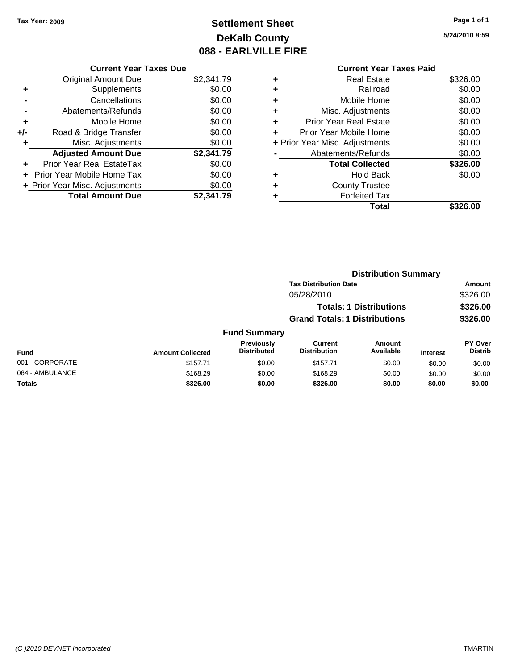# **Settlement Sheet Tax Year: 2009 Page 1 of 1 DeKalb County 088 - EARLVILLE FIRE**

**5/24/2010 8:59**

| Current \                  |   |            | <b>Current Year Taxes Due</b>    |       |
|----------------------------|---|------------|----------------------------------|-------|
| Real E                     | ٠ | \$2,341.79 | <b>Original Amount Due</b>       |       |
| Rail                       | ÷ | \$0.00     | <b>Supplements</b>               | ٠     |
| Mobile H                   | ÷ | \$0.00     | Cancellations                    |       |
| Misc. Adjustm              | ÷ | \$0.00     | Abatements/Refunds               |       |
| Prior Year Real E:         | ٠ | \$0.00     | Mobile Home                      | ٠     |
| Prior Year Mobile H        | ÷ | \$0.00     | Road & Bridge Transfer           | $+/-$ |
| + Prior Year Misc. Adjustm |   | \$0.00     | Misc. Adjustments                |       |
| Abatements/Ref             |   | \$2,341.79 | <b>Adjusted Amount Due</b>       |       |
| <b>Total Colle</b>         |   | \$0.00     | <b>Prior Year Real EstateTax</b> |       |
| Hold I                     | ٠ | \$0.00     | + Prior Year Mobile Home Tax     |       |
| County Tru                 | ÷ | \$0.00     | + Prior Year Misc. Adjustments   |       |
| Forfeited                  |   | \$2,341.79 | <b>Total Amount Due</b>          |       |
|                            |   |            |                                  |       |

|   | <b>Current Year Taxes Paid</b> |          |
|---|--------------------------------|----------|
|   | Real Estate                    | \$326.00 |
|   | Railroad                       | \$0.00   |
|   | Mobile Home                    | \$0.00   |
| ÷ | Misc. Adjustments              | \$0.00   |
|   | <b>Prior Year Real Estate</b>  | \$0.00   |
|   | Prior Year Mobile Home         | \$0.00   |
|   | + Prior Year Misc. Adjustments | \$0.00   |
|   | Abatements/Refunds             | \$0.00   |
|   | <b>Total Collected</b>         | \$326.00 |
|   | Hold Back                      | \$0.00   |
|   | <b>County Trustee</b>          |          |
|   | <b>Forfeited Tax</b>           |          |
|   | Total                          | \$326.00 |

|                 |                         |                                  |                                       | <b>Distribution Summary</b>    |                 |                                  |
|-----------------|-------------------------|----------------------------------|---------------------------------------|--------------------------------|-----------------|----------------------------------|
|                 |                         |                                  | <b>Tax Distribution Date</b>          |                                |                 | Amount                           |
|                 |                         |                                  | 05/28/2010                            |                                |                 | \$326.00                         |
|                 |                         |                                  |                                       | <b>Totals: 1 Distributions</b> |                 | \$326.00                         |
|                 |                         |                                  | <b>Grand Totals: 1 Distributions</b>  |                                |                 | \$326.00                         |
|                 |                         | <b>Fund Summary</b>              |                                       |                                |                 |                                  |
| Fund            | <b>Amount Collected</b> | Previously<br><b>Distributed</b> | <b>Current</b><br><b>Distribution</b> | Amount<br>Available            | <b>Interest</b> | <b>PY Over</b><br><b>Distrib</b> |
| 001 - CORPORATE | \$157.71                | \$0.00                           | \$157.71                              | \$0.00                         | \$0.00          | \$0.00                           |
| 064 - AMBULANCE | \$168.29                | \$0.00                           | \$168.29                              | \$0.00                         | \$0.00          | \$0.00                           |
| Totals          | \$326.00                | \$0.00                           | \$326.00                              | \$0.00                         | \$0.00          | \$0.00                           |
|                 |                         |                                  |                                       |                                |                 |                                  |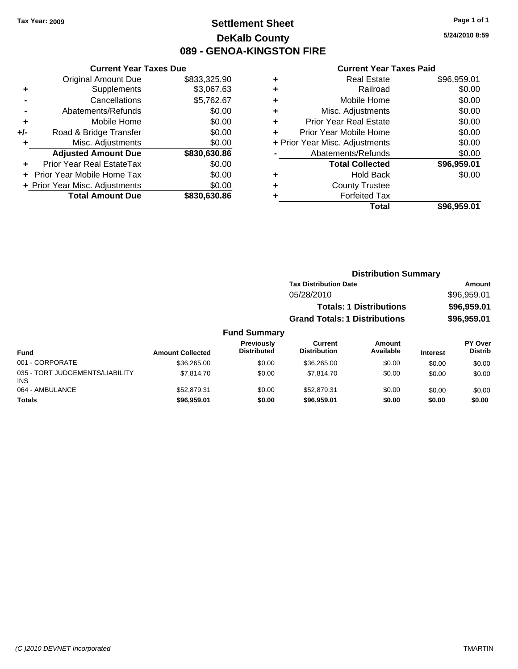### **Settlement Sheet Tax Year: 2009 Page 1 of 1 DeKalb County 089 - GENOA-KINGSTON FIRE**

**5/24/2010 8:59**

#### **Current Year Taxes Paid**

|     | <b>Current Year Taxes Due</b>  |              |  |  |  |
|-----|--------------------------------|--------------|--|--|--|
|     | <b>Original Amount Due</b>     | \$833,325.90 |  |  |  |
| ٠   | Supplements                    | \$3,067.63   |  |  |  |
|     | Cancellations                  | \$5,762.67   |  |  |  |
|     | Abatements/Refunds             | \$0.00       |  |  |  |
| ٠   | Mobile Home                    | \$0.00       |  |  |  |
| +/- | Road & Bridge Transfer         | \$0.00       |  |  |  |
|     | Misc. Adjustments              | \$0.00       |  |  |  |
|     | <b>Adjusted Amount Due</b>     | \$830,630.86 |  |  |  |
| ÷   | Prior Year Real EstateTax      | \$0.00       |  |  |  |
|     | Prior Year Mobile Home Tax     | \$0.00       |  |  |  |
|     | + Prior Year Misc. Adjustments | \$0.00       |  |  |  |
|     | <b>Total Amount Due</b>        | \$830,630.86 |  |  |  |

| ٠                              | <b>Real Estate</b>            | \$96,959.01 |
|--------------------------------|-------------------------------|-------------|
| ٠                              | Railroad                      | \$0.00      |
| ٠                              | Mobile Home                   | \$0.00      |
| ٠                              | Misc. Adjustments             | \$0.00      |
| ÷                              | <b>Prior Year Real Estate</b> | \$0.00      |
| ÷                              | Prior Year Mobile Home        | \$0.00      |
| + Prior Year Misc. Adjustments |                               | \$0.00      |
|                                | Abatements/Refunds            | \$0.00      |
|                                | <b>Total Collected</b>        | \$96,959.01 |
| ٠                              | <b>Hold Back</b>              | \$0.00      |
| ٠                              | <b>County Trustee</b>         |             |
| ٠                              | <b>Forfeited Tax</b>          |             |
|                                | Total                         | \$96,959.01 |
|                                |                               |             |

| <b>Tax Distribution Date</b> |        | Amount                                                                 |
|------------------------------|--------|------------------------------------------------------------------------|
| 05/28/2010                   |        | \$96,959.01                                                            |
|                              |        | \$96,959.01                                                            |
|                              |        | \$96,959.01                                                            |
|                              |        |                                                                        |
| Current                      | Amount | <b>PY Over</b>                                                         |
|                              |        | <b>Totals: 1 Distributions</b><br><b>Grand Totals: 1 Distributions</b> |

| Fund                                          | <b>Amount Collected</b> | <b>Previously</b><br><b>Distributed</b> | Current<br><b>Distribution</b> | Amount<br>Available | <b>Interest</b> | PY Over<br><b>Distrib</b> |
|-----------------------------------------------|-------------------------|-----------------------------------------|--------------------------------|---------------------|-----------------|---------------------------|
| 001 - CORPORATE                               | \$36,265.00             | \$0.00                                  | \$36,265,00                    | \$0.00              | \$0.00          | \$0.00                    |
| 035 - TORT JUDGEMENTS/LIABILITY<br><b>INS</b> | \$7.814.70              | \$0.00                                  | \$7,814.70                     | \$0.00              | \$0.00          | \$0.00                    |
| 064 - AMBULANCE                               | \$52,879.31             | \$0.00                                  | \$52,879.31                    | \$0.00              | \$0.00          | \$0.00                    |
| <b>Totals</b>                                 | \$96,959.01             | \$0.00                                  | \$96,959.01                    | \$0.00              | \$0.00          | \$0.00                    |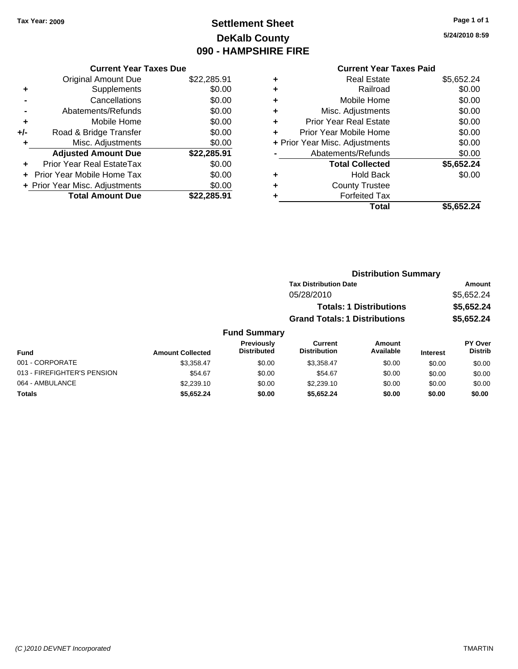# **Settlement Sheet Tax Year: 2009 Page 1 of 1 DeKalb County 090 - HAMPSHIRE FIRE**

#### **5/24/2010 8:59**

### **Current Year Taxes Paid**

| <b>Current Year Taxes Due</b>  |                         |
|--------------------------------|-------------------------|
| <b>Original Amount Due</b>     | \$22,285.91             |
| Supplements                    | \$0.00                  |
| Cancellations                  | \$0.00                  |
| Abatements/Refunds             | \$0.00                  |
| Mobile Home                    | \$0.00                  |
| Road & Bridge Transfer         | \$0.00                  |
| Misc. Adjustments              | \$0.00                  |
| <b>Adjusted Amount Due</b>     | \$22,285.91             |
| Prior Year Real EstateTax      | \$0.00                  |
| Prior Year Mobile Home Tax     | \$0.00                  |
| + Prior Year Misc. Adjustments | \$0.00                  |
|                                | \$22.285.91             |
|                                | <b>Total Amount Due</b> |

| ٠                              | <b>Real Estate</b>            | \$5,652.24 |
|--------------------------------|-------------------------------|------------|
| ٠                              | Railroad                      | \$0.00     |
| ٠                              | Mobile Home                   | \$0.00     |
| ٠                              | Misc. Adjustments             | \$0.00     |
| ٠                              | <b>Prior Year Real Estate</b> | \$0.00     |
| ÷                              | Prior Year Mobile Home        | \$0.00     |
| + Prior Year Misc. Adjustments |                               | \$0.00     |
|                                | Abatements/Refunds            | \$0.00     |
|                                | <b>Total Collected</b>        | \$5,652.24 |
| ٠                              | <b>Hold Back</b>              | \$0.00     |
| ٠                              | <b>County Trustee</b>         |            |
| ٠                              | <b>Forfeited Tax</b>          |            |
|                                | Total                         | \$5,652.24 |
|                                |                               |            |

|                     |                                      | <b>Distribution Summary</b>    |                |
|---------------------|--------------------------------------|--------------------------------|----------------|
|                     | <b>Tax Distribution Date</b>         |                                | Amount         |
|                     | 05/28/2010                           |                                | \$5,652.24     |
|                     |                                      | <b>Totals: 1 Distributions</b> | \$5,652.24     |
|                     | <b>Grand Totals: 1 Distributions</b> |                                | \$5,652.24     |
| <b>Fund Summary</b> |                                      |                                |                |
| <b>Previously</b>   | Current                              | Amount                         | <b>PY Over</b> |
|                     |                                      |                                |                |

| Fund                        | <b>Amount Collected</b> | <b>Previously</b><br><b>Distributed</b> | Current<br><b>Distribution</b> | Amount<br>Available | <b>Interest</b> | PY Over<br><b>Distrib</b> |
|-----------------------------|-------------------------|-----------------------------------------|--------------------------------|---------------------|-----------------|---------------------------|
| 001 - CORPORATE             | \$3.358.47              | \$0.00                                  | \$3.358.47                     | \$0.00              | \$0.00          | \$0.00                    |
| 013 - FIREFIGHTER'S PENSION | \$54.67                 | \$0.00                                  | \$54.67                        | \$0.00              | \$0.00          | \$0.00                    |
| 064 - AMBULANCE             | \$2,239.10              | \$0.00                                  | \$2,239.10                     | \$0.00              | \$0.00          | \$0.00                    |
| Totals                      | \$5.652.24              | \$0.00                                  | \$5.652.24                     | \$0.00              | \$0.00          | \$0.00                    |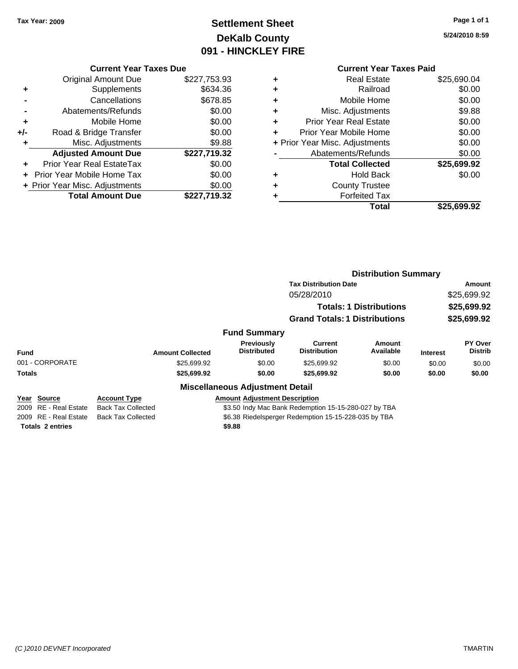# **Settlement Sheet Tax Year: 2009 Page 1 of 1 DeKalb County 091 - HINCKLEY FIRE**

**5/24/2010 8:59**

|     | <b>Current Year Taxes Due</b>  |              |
|-----|--------------------------------|--------------|
|     | <b>Original Amount Due</b>     | \$227,753.93 |
| ٠   | Supplements                    | \$634.36     |
|     | Cancellations                  | \$678.85     |
|     | Abatements/Refunds             | \$0.00       |
| ٠   | Mobile Home                    | \$0.00       |
| +/- | Road & Bridge Transfer         | \$0.00       |
| ٠   | Misc. Adjustments              | \$9.88       |
|     | <b>Adjusted Amount Due</b>     | \$227,719.32 |
| ٠   | Prior Year Real EstateTax      | \$0.00       |
|     | Prior Year Mobile Home Tax     | \$0.00       |
|     | + Prior Year Misc. Adjustments | \$0.00       |
|     | <b>Total Amount Due</b>        | \$227,719.32 |
|     |                                |              |

# **Current Year Taxes Paid**

|   | <b>Real Estate</b>             | \$25,690.04 |
|---|--------------------------------|-------------|
|   | Railroad                       | \$0.00      |
| ٠ | Mobile Home                    | \$0.00      |
| ٠ | Misc. Adjustments              | \$9.88      |
| ٠ | <b>Prior Year Real Estate</b>  | \$0.00      |
| ٠ | Prior Year Mobile Home         | \$0.00      |
|   | + Prior Year Misc. Adjustments | \$0.00      |
|   | Abatements/Refunds             | \$0.00      |
|   | <b>Total Collected</b>         | \$25,699.92 |
| ٠ | <b>Hold Back</b>               | \$0.00      |
|   | <b>County Trustee</b>          |             |
|   | <b>Forfeited Tax</b>           |             |
|   | Total                          | \$25,699.92 |
|   |                                |             |

|                       |                           |                                                      | <b>Distribution Summary</b>           |                                |                 |                           |
|-----------------------|---------------------------|------------------------------------------------------|---------------------------------------|--------------------------------|-----------------|---------------------------|
|                       |                           |                                                      | <b>Tax Distribution Date</b>          |                                |                 | Amount                    |
|                       |                           |                                                      | 05/28/2010                            |                                |                 | \$25,699.92               |
|                       |                           |                                                      |                                       | <b>Totals: 1 Distributions</b> |                 | \$25,699.92               |
|                       |                           |                                                      | <b>Grand Totals: 1 Distributions</b>  |                                |                 | \$25,699.92               |
|                       |                           | <b>Fund Summary</b>                                  |                                       |                                |                 |                           |
| <b>Fund</b>           | <b>Amount Collected</b>   | Previously<br><b>Distributed</b>                     | <b>Current</b><br><b>Distribution</b> | Amount<br>Available            | <b>Interest</b> | PY Over<br><b>Distrib</b> |
| 001 - CORPORATE       | \$25,699.92               | \$0.00                                               | \$25,699.92                           | \$0.00                         | \$0.00          | \$0.00                    |
| <b>Totals</b>         | \$25,699.92               | \$0.00                                               | \$25,699.92                           | \$0.00                         | \$0.00          | \$0.00                    |
|                       |                           | <b>Miscellaneous Adjustment Detail</b>               |                                       |                                |                 |                           |
| Year Source           | <b>Account Type</b>       | <b>Amount Adiustment Description</b>                 |                                       |                                |                 |                           |
| 2009 RE - Real Estate | <b>Back Tax Collected</b> | \$3.50 Indy Mac Bank Redemption 15-15-280-027 by TBA |                                       |                                |                 |                           |
| 2009 RE - Real Estate | <b>Back Tax Collected</b> | \$6.38 Riedelsperger Redemption 15-15-228-035 by TBA |                                       |                                |                 |                           |

**Totals 2 entries \$9.88**

sperger Redempti

*(C )2010 DEVNET Incorporated* TMARTIN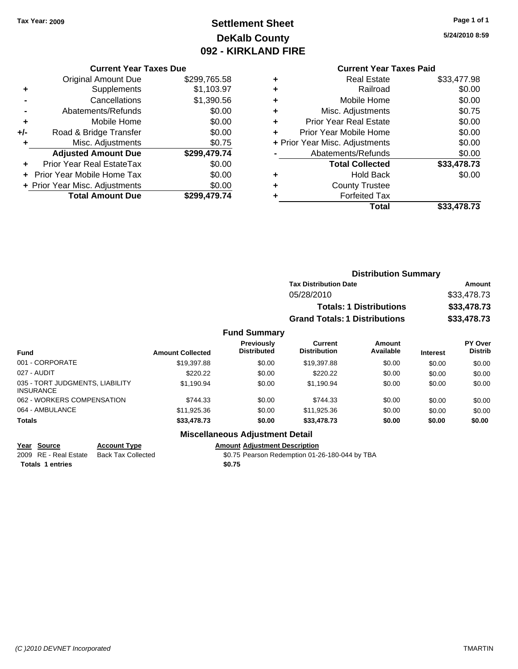# **Settlement Sheet Tax Year: 2009 Page 1 of 1 DeKalb County 092 - KIRKLAND FIRE**

**5/24/2010 8:59**

| <b>Current Year Taxes Due</b> |  |  |
|-------------------------------|--|--|
|                               |  |  |

|     | <b>Original Amount Due</b>       | \$299,765.58 |
|-----|----------------------------------|--------------|
| ٠   | Supplements                      | \$1,103.97   |
|     | Cancellations                    | \$1,390.56   |
|     | Abatements/Refunds               | \$0.00       |
| ٠   | Mobile Home                      | \$0.00       |
| +/- | Road & Bridge Transfer           | \$0.00       |
| ٠   | Misc. Adjustments                | \$0.75       |
|     | <b>Adjusted Amount Due</b>       | \$299,479.74 |
|     | <b>Prior Year Real EstateTax</b> | \$0.00       |
|     | Prior Year Mobile Home Tax       | \$0.00       |
|     | + Prior Year Misc. Adjustments   | \$0.00       |
|     | <b>Total Amount Due</b>          | \$299.479.74 |

### **Current Year Taxes Paid**

|   | <b>Real Estate</b>             | \$33,477.98 |
|---|--------------------------------|-------------|
| ٠ | Railroad                       | \$0.00      |
| ٠ | Mobile Home                    | \$0.00      |
| ٠ | Misc. Adjustments              | \$0.75      |
|   | <b>Prior Year Real Estate</b>  | \$0.00      |
|   | Prior Year Mobile Home         | \$0.00      |
|   | + Prior Year Misc. Adjustments | \$0.00      |
|   | Abatements/Refunds             | \$0.00      |
|   | <b>Total Collected</b>         | \$33,478.73 |
| ٠ | <b>Hold Back</b>               | \$0.00      |
| ٠ | <b>County Trustee</b>          |             |
|   | <b>Forfeited Tax</b>           |             |
|   | Total                          | \$33,478.73 |

|                         |                                         |                                      | <b>Distribution Summary</b> |                 |                                  |
|-------------------------|-----------------------------------------|--------------------------------------|-----------------------------|-----------------|----------------------------------|
|                         |                                         | <b>Tax Distribution Date</b>         |                             |                 | Amount                           |
|                         |                                         | 05/28/2010                           |                             |                 | \$33,478.73                      |
|                         |                                         | <b>Totals: 1 Distributions</b>       |                             | \$33,478.73     |                                  |
|                         |                                         | <b>Grand Totals: 1 Distributions</b> |                             |                 | \$33,478.73                      |
|                         | <b>Fund Summary</b>                     |                                      |                             |                 |                                  |
| <b>Amount Collected</b> | <b>Previously</b><br><b>Distributed</b> | Current<br><b>Distribution</b>       | Amount<br>Available         | <b>Interest</b> | <b>PY Over</b><br><b>Distrib</b> |
| \$19,397.88             | \$0.00                                  | \$19,397.88                          | \$0.00                      | \$0.00          | \$0.00                           |

| <b>Fund</b>                                         | <b>Amount Collected</b> | <b>Distributed</b> | <b>Distribution</b> | Available | <b>Interest</b> | <b>Distrib</b> |
|-----------------------------------------------------|-------------------------|--------------------|---------------------|-----------|-----------------|----------------|
| 001 - CORPORATE                                     | \$19,397.88             | \$0.00             | \$19,397.88         | \$0.00    | \$0.00          | \$0.00         |
| 027 - AUDIT                                         | \$220.22                | \$0.00             | \$220.22            | \$0.00    | \$0.00          | \$0.00         |
| 035 - TORT JUDGMENTS, LIABILITY<br><b>INSURANCE</b> | \$1.190.94              | \$0.00             | \$1.190.94          | \$0.00    | \$0.00          | \$0.00         |
| 062 - WORKERS COMPENSATION                          | \$744.33                | \$0.00             | \$744.33            | \$0.00    | \$0.00          | \$0.00         |
| 064 - AMBULANCE                                     | \$11.925.36             | \$0.00             | \$11,925.36         | \$0.00    | \$0.00          | \$0.00         |
| <b>Totals</b>                                       | \$33,478.73             | \$0.00             | \$33,478.73         | \$0.00    | \$0.00          | \$0.00         |

### **Miscellaneous Adjustment Detail**

**Year Source Account Type Amount Adjustment Description** 2009 RE - Real Estate Back Tax Collected \$0.75 Pearson Redemption 01-26-180-044 by TBA **Totals 1 entries \$0.75**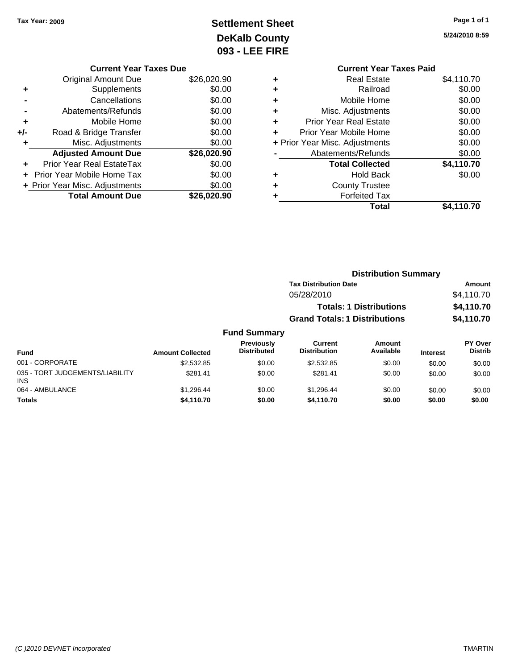# **Settlement Sheet Tax Year: 2009 Page 1 of 1 DeKalb County 093 - LEE FIRE**

**5/24/2010 8:59**

|   | <b>Current Year Taxes Paid</b> |            |
|---|--------------------------------|------------|
| ٠ | <b>Real Estate</b>             | \$4,110.70 |
| ٠ | Railroad                       | \$0.00     |
| ٠ | Mobile Home                    | \$0.00     |
| ٠ | Misc. Adjustments              | \$0.00     |
| ٠ | <b>Prior Year Real Estate</b>  | \$0.00     |
| ÷ | Prior Year Mobile Home         | \$0.00     |
|   | + Prior Year Misc. Adjustments | \$0.00     |
|   | Abatements/Refunds             | \$0.00     |
|   | <b>Total Collected</b>         | \$4,110.70 |
| ٠ | <b>Hold Back</b>               | \$0.00     |
|   | <b>County Trustee</b>          |            |
| ٠ | <b>Forfeited Tax</b>           |            |
|   | Total                          | \$4,110.70 |
|   |                                |            |

|     | <b>Current Year Taxes Due</b>  |             |
|-----|--------------------------------|-------------|
|     | <b>Original Amount Due</b>     | \$26,020.90 |
| ٠   | Supplements                    | \$0.00      |
|     | Cancellations                  | \$0.00      |
|     | Abatements/Refunds             | \$0.00      |
| ٠   | Mobile Home                    | \$0.00      |
| +/- | Road & Bridge Transfer         | \$0.00      |
| ٠   | Misc. Adjustments              | \$0.00      |
|     | <b>Adjusted Amount Due</b>     | \$26,020.90 |
|     | Prior Year Real EstateTax      | \$0.00      |
|     | Prior Year Mobile Home Tax     | \$0.00      |
|     | + Prior Year Misc. Adjustments | \$0.00      |
|     | <b>Total Amount Due</b>        | \$26.020.90 |

|                                               |                         |                                  |                                       | <b>Distribution Summary</b>    |                 |                                  |
|-----------------------------------------------|-------------------------|----------------------------------|---------------------------------------|--------------------------------|-----------------|----------------------------------|
|                                               |                         |                                  | <b>Tax Distribution Date</b>          |                                |                 | Amount                           |
|                                               |                         |                                  | 05/28/2010                            |                                |                 | \$4,110.70                       |
|                                               |                         |                                  |                                       | <b>Totals: 1 Distributions</b> |                 | \$4,110.70                       |
|                                               |                         |                                  | <b>Grand Totals: 1 Distributions</b>  |                                |                 | \$4,110.70                       |
|                                               |                         | <b>Fund Summary</b>              |                                       |                                |                 |                                  |
| <b>Fund</b>                                   | <b>Amount Collected</b> | Previously<br><b>Distributed</b> | <b>Current</b><br><b>Distribution</b> | <b>Amount</b><br>Available     | <b>Interest</b> | <b>PY Over</b><br><b>Distrib</b> |
| 001 - CORPORATE                               | \$2,532.85              | \$0.00                           | \$2,532.85                            | \$0.00                         | \$0.00          | \$0.00                           |
| 035 - TORT JUDGEMENTS/LIABILITY<br><b>INS</b> | \$281.41                | \$0.00                           | \$281.41                              | \$0.00                         | \$0.00          | \$0.00                           |
| 064 - AMBULANCE                               | \$1.296.44              | \$0.00                           | \$1.296.44                            | \$0.00                         | \$0.00          | \$0.00                           |

**Totals \$4,110.70 \$0.00 \$4,110.70 \$0.00 \$0.00 \$0.00**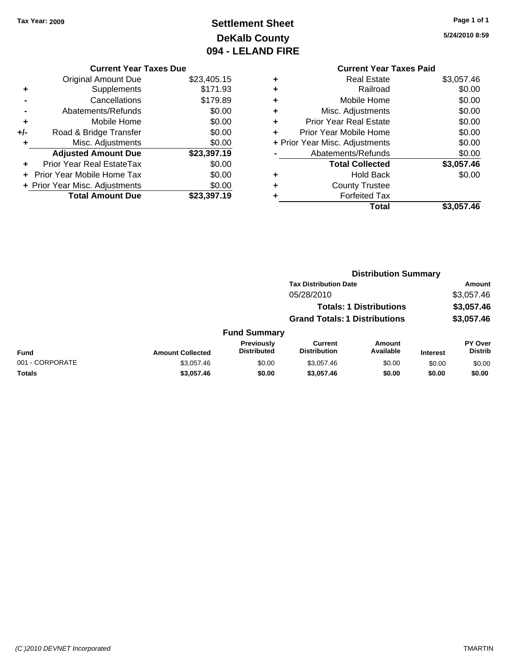# **Settlement Sheet Tax Year: 2009 Page 1 of 1 DeKalb County 094 - LELAND FIRE**

**5/24/2010 8:59**

#### **Current Year Taxes Due**

|     | <b>Original Amount Due</b>       | \$23,405.15 |
|-----|----------------------------------|-------------|
| ٠   | Supplements                      | \$171.93    |
|     | Cancellations                    | \$179.89    |
|     | Abatements/Refunds               | \$0.00      |
| ٠   | Mobile Home                      | \$0.00      |
| +/- | Road & Bridge Transfer           | \$0.00      |
| ٠   | Misc. Adjustments                | \$0.00      |
|     | <b>Adjusted Amount Due</b>       | \$23,397.19 |
|     | <b>Prior Year Real EstateTax</b> | \$0.00      |
|     | Prior Year Mobile Home Tax       | \$0.00      |
|     | + Prior Year Misc. Adjustments   | \$0.00      |
|     | <b>Total Amount Due</b>          | \$23.397.19 |

### **Current Year Taxes Paid +** Real Estate \$3,057.46 **+** Railroad \$0.00 **+** Mobile Home \$0.00 **+** Misc. Adjustments \$0.00 **+** Prior Year Real Estate \$0.00 **+** Prior Year Mobile Home \$0.00 **+ Prior Year Misc. Adjustments**  $$0.00$ **-** Abatements/Refunds \$0.00 **Total Collected \$3,057.46 +** Hold Back \$0.00 **+** County Trustee **+** Forfeited Tax **Total \$3,057.46**

|                 |                         |                                  | <b>Distribution Summary</b>           |                                |                 |                                  |  |
|-----------------|-------------------------|----------------------------------|---------------------------------------|--------------------------------|-----------------|----------------------------------|--|
|                 |                         |                                  | <b>Tax Distribution Date</b>          |                                |                 | Amount                           |  |
|                 |                         |                                  | 05/28/2010                            |                                |                 | \$3,057.46                       |  |
|                 |                         |                                  |                                       | <b>Totals: 1 Distributions</b> |                 | \$3,057.46                       |  |
|                 |                         |                                  | <b>Grand Totals: 1 Distributions</b>  |                                |                 | \$3,057.46                       |  |
|                 |                         | <b>Fund Summary</b>              |                                       |                                |                 |                                  |  |
| <b>Fund</b>     | <b>Amount Collected</b> | Previously<br><b>Distributed</b> | <b>Current</b><br><b>Distribution</b> | <b>Amount</b><br>Available     | <b>Interest</b> | <b>PY Over</b><br><b>Distrib</b> |  |
| 001 - CORPORATE | \$3,057.46              | \$0.00                           | \$3,057.46                            | \$0.00                         | \$0.00          | \$0.00                           |  |
| Totals          | \$3,057.46              | \$0.00                           | \$3,057.46                            | \$0.00                         | \$0.00          | \$0.00                           |  |
|                 |                         |                                  |                                       |                                |                 |                                  |  |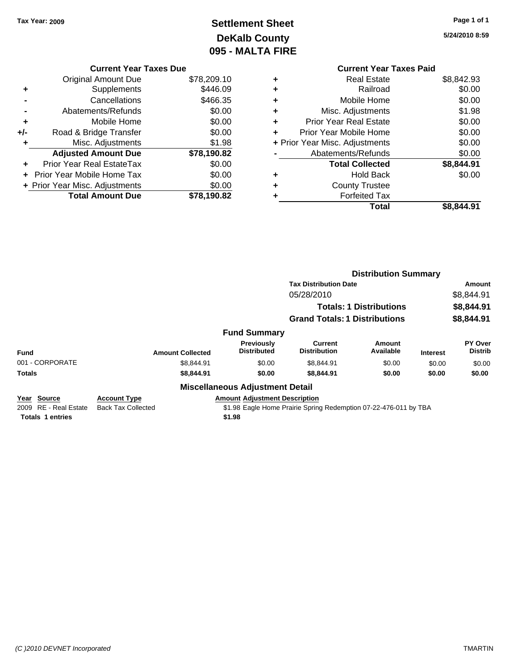# **Settlement Sheet Tax Year: 2009 Page 1 of 1 DeKalb County 095 - MALTA FIRE**

**5/24/2010 8:59**

|     | <b>Current Year Taxes Due</b>  |             |
|-----|--------------------------------|-------------|
|     | <b>Original Amount Due</b>     | \$78,209.10 |
| ٠   | Supplements                    | \$446.09    |
|     | Cancellations                  | \$466.35    |
|     | Abatements/Refunds             | \$0.00      |
| ٠   | Mobile Home                    | \$0.00      |
| +/- | Road & Bridge Transfer         | \$0.00      |
| ٠   | Misc. Adjustments              | \$1.98      |
|     | <b>Adjusted Amount Due</b>     | \$78,190.82 |
|     | Prior Year Real EstateTax      | \$0.00      |
|     | Prior Year Mobile Home Tax     | \$0.00      |
|     | + Prior Year Misc. Adjustments | \$0.00      |
|     | <b>Total Amount Due</b>        | \$78.190.82 |
|     |                                |             |

|   | <b>Current Year Taxes Paid</b> |            |
|---|--------------------------------|------------|
| ÷ | <b>Real Estate</b>             | \$8,842.93 |
|   | Railroad                       | \$0.00     |
| ٠ | Mobile Home                    | \$0.00     |
| ٠ | Misc. Adjustments              | \$1.98     |
| ٠ | <b>Prior Year Real Estate</b>  | \$0.00     |
|   | Prior Year Mobile Home         | \$0.00     |
|   | + Prior Year Misc. Adjustments | \$0.00     |
|   | Abatements/Refunds             | \$0.00     |
|   | <b>Total Collected</b>         | \$8,844.91 |
|   | <b>Hold Back</b>               | \$0.00     |
|   | <b>County Trustee</b>          |            |
|   | Forfeited Tax                  |            |
|   | Total                          | \$8.844.91 |

|                                                                                                                     |                                                                 |                                        | <b>Distribution Summary</b>                                       |                                |                 |                           |
|---------------------------------------------------------------------------------------------------------------------|-----------------------------------------------------------------|----------------------------------------|-------------------------------------------------------------------|--------------------------------|-----------------|---------------------------|
|                                                                                                                     |                                                                 |                                        | <b>Tax Distribution Date</b>                                      |                                |                 | Amount                    |
|                                                                                                                     |                                                                 |                                        | 05/28/2010                                                        |                                |                 | \$8,844.91                |
|                                                                                                                     |                                                                 |                                        |                                                                   | <b>Totals: 1 Distributions</b> |                 | \$8,844.91                |
|                                                                                                                     |                                                                 |                                        | <b>Grand Totals: 1 Distributions</b>                              |                                |                 | \$8,844.91                |
|                                                                                                                     |                                                                 | <b>Fund Summary</b>                    |                                                                   |                                |                 |                           |
| <b>Fund</b>                                                                                                         | <b>Amount Collected</b>                                         | Previously<br><b>Distributed</b>       | <b>Current</b><br><b>Distribution</b>                             | Amount<br>Available            | <b>Interest</b> | PY Over<br><b>Distrib</b> |
| 001 - CORPORATE                                                                                                     | \$8,844.91                                                      | \$0.00                                 | \$8,844.91                                                        | \$0.00                         | \$0.00          | \$0.00                    |
| <b>Totals</b>                                                                                                       | \$8,844.91                                                      | \$0.00                                 | \$8,844.91                                                        | \$0.00                         | \$0.00          | \$0.00                    |
|                                                                                                                     |                                                                 | <b>Miscellaneous Adjustment Detail</b> |                                                                   |                                |                 |                           |
| Year Source<br>$2000 \quad \text{DF} \quad \text{D} \rightarrow \text{F} \rightarrow \text{F} \rightarrow \text{F}$ | <b>Account Type</b><br>$D = -1$ . $T = 0$ . $D = 0$ . $A = 0$ . | <b>Amount Adjustment Description</b>   | 04.00 Feels Heave Basinic Contain Bedematics 07.00.470.044 bu TBA |                                |                 |                           |

**Totals 1 entries \$1.98**

2009 RE - Real Estate Back Tax Collected \$1.98 Eagle Home Prairie Spring Redemption 07-22-476-011 by TBA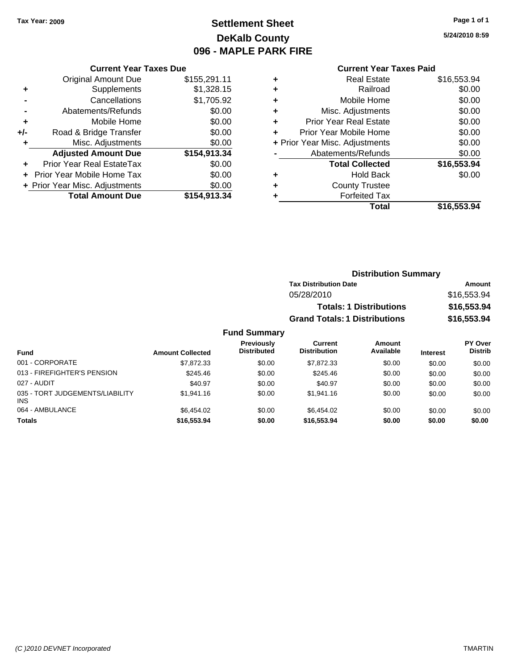# **Settlement Sheet Tax Year: 2009 Page 1 of 1 DeKalb County 096 - MAPLE PARK FIRE**

**5/24/2010 8:59**

| <b>Current Year Taxes Paid</b> |  |  |
|--------------------------------|--|--|
|                                |  |  |

|     | <b>Current Year Taxes Due</b>  |              |
|-----|--------------------------------|--------------|
|     | <b>Original Amount Due</b>     | \$155,291.11 |
| ٠   | Supplements                    | \$1,328.15   |
|     | Cancellations                  | \$1,705.92   |
|     | Abatements/Refunds             | \$0.00       |
| ٠   | Mobile Home                    | \$0.00       |
| +/- | Road & Bridge Transfer         | \$0.00       |
| ٠   | Misc. Adjustments              | \$0.00       |
|     | <b>Adjusted Amount Due</b>     | \$154,913.34 |
| ÷   | Prior Year Real EstateTax      | \$0.00       |
|     | Prior Year Mobile Home Tax     | \$0.00       |
|     | + Prior Year Misc. Adjustments | \$0.00       |
|     | <b>Total Amount Due</b>        | \$154.913.34 |

| ٠ | Real Estate                    | \$16,553.94 |
|---|--------------------------------|-------------|
| ٠ | Railroad                       | \$0.00      |
| ٠ | Mobile Home                    | \$0.00      |
| ٠ | Misc. Adjustments              | \$0.00      |
| ÷ | <b>Prior Year Real Estate</b>  | \$0.00      |
| ٠ | Prior Year Mobile Home         | \$0.00      |
|   | + Prior Year Misc. Adjustments | \$0.00      |
|   | Abatements/Refunds             | \$0.00      |
|   | <b>Total Collected</b>         | \$16,553.94 |
| ٠ | <b>Hold Back</b>               | \$0.00      |
| ٠ | <b>County Trustee</b>          |             |
| ٠ | <b>Forfeited Tax</b>           |             |
|   | Total                          | \$16,553.94 |
|   |                                |             |

| <b>Distribution Summary</b>          |             |  |
|--------------------------------------|-------------|--|
| <b>Tax Distribution Date</b>         | Amount      |  |
| 05/28/2010                           | \$16,553.94 |  |
| <b>Totals: 1 Distributions</b>       | \$16,553.94 |  |
| <b>Grand Totals: 1 Distributions</b> | \$16,553.94 |  |

| Fund                                          | <b>Amount Collected</b> | <b>Previously</b><br><b>Distributed</b> | Current<br><b>Distribution</b> | <b>Amount</b><br>Available | <b>Interest</b> | PY Over<br><b>Distrib</b> |
|-----------------------------------------------|-------------------------|-----------------------------------------|--------------------------------|----------------------------|-----------------|---------------------------|
| 001 - CORPORATE                               | \$7.872.33              | \$0.00                                  | \$7,872.33                     | \$0.00                     | \$0.00          | \$0.00                    |
| 013 - FIREFIGHTER'S PENSION                   | \$245.46                | \$0.00                                  | \$245.46                       | \$0.00                     | \$0.00          | \$0.00                    |
| 027 - AUDIT                                   | \$40.97                 | \$0.00                                  | \$40.97                        | \$0.00                     | \$0.00          | \$0.00                    |
| 035 - TORT JUDGEMENTS/LIABILITY<br><b>INS</b> | \$1,941.16              | \$0.00                                  | \$1,941.16                     | \$0.00                     | \$0.00          | \$0.00                    |
| 064 - AMBULANCE                               | \$6.454.02              | \$0.00                                  | \$6.454.02                     | \$0.00                     | \$0.00          | \$0.00                    |
| <b>Totals</b>                                 | \$16,553.94             | \$0.00                                  | \$16,553,94                    | \$0.00                     | \$0.00          | \$0.00                    |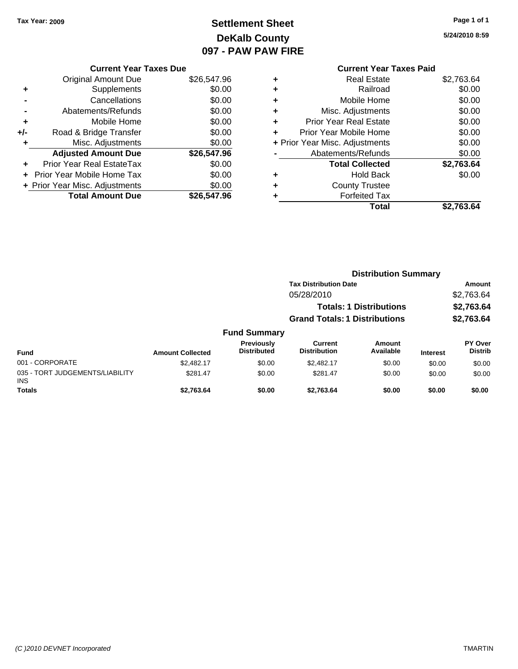# **Settlement Sheet Tax Year: 2009 Page 1 of 1 DeKalb County 097 - PAW PAW FIRE**

**5/24/2010 8:59**

|       | <b>Current Year Taxes Due</b>  |             |
|-------|--------------------------------|-------------|
|       | <b>Original Amount Due</b>     | \$26,547.96 |
|       | Supplements                    | \$0.00      |
|       | Cancellations                  | \$0.00      |
|       | Abatements/Refunds             | \$0.00      |
| ٠     | Mobile Home                    | \$0.00      |
| $+/-$ | Road & Bridge Transfer         | \$0.00      |
|       | Misc. Adjustments              | \$0.00      |
|       | <b>Adjusted Amount Due</b>     | \$26,547.96 |
|       | Prior Year Real EstateTax      | \$0.00      |
|       | Prior Year Mobile Home Tax     | \$0.00      |
|       | + Prior Year Misc. Adjustments | \$0.00      |
|       | <b>Total Amount Due</b>        | \$26,547.96 |
|       |                                |             |

### **Current Year Taxes Paid +** Real Estate \$2,763.64 **+** Railroad \$0.00 **+** Mobile Home \$0.00 **+** Misc. Adjustments \$0.00 **+** Prior Year Real Estate \$0.00 **+** Prior Year Mobile Home \$0.00 **+ Prior Year Misc. Adjustments**  $$0.00$ **-** Abatements/Refunds \$0.00 **Total Collected \$2,763.64 +** Hold Back \$0.00 **+** County Trustee **+** Forfeited Tax

**Total \$2,763.64**

|                                               |                         |                                  | <b>Distribution Summary</b>          |                            |                 |                           |  |
|-----------------------------------------------|-------------------------|----------------------------------|--------------------------------------|----------------------------|-----------------|---------------------------|--|
|                                               |                         |                                  | <b>Tax Distribution Date</b>         |                            |                 | Amount                    |  |
|                                               |                         |                                  | 05/28/2010                           |                            |                 | \$2,763.64                |  |
|                                               |                         |                                  | <b>Totals: 1 Distributions</b>       |                            |                 | \$2,763.64                |  |
|                                               |                         |                                  | <b>Grand Totals: 1 Distributions</b> |                            |                 | \$2,763.64                |  |
|                                               |                         | <b>Fund Summary</b>              |                                      |                            |                 |                           |  |
| Fund                                          | <b>Amount Collected</b> | Previously<br><b>Distributed</b> | Current<br><b>Distribution</b>       | <b>Amount</b><br>Available | <b>Interest</b> | PY Over<br><b>Distrib</b> |  |
| 001 - CORPORATE                               | \$2,482.17              | \$0.00                           | \$2,482.17                           | \$0.00                     | \$0.00          | \$0.00                    |  |
| 035 - TORT JUDGEMENTS/LIABILITY<br><b>INS</b> | \$281.47                | \$0.00                           | \$281.47                             | \$0.00                     | \$0.00          | \$0.00                    |  |
| <b>Totals</b>                                 | \$2,763.64              | \$0.00                           | \$2,763.64                           | \$0.00                     | \$0.00          | \$0.00                    |  |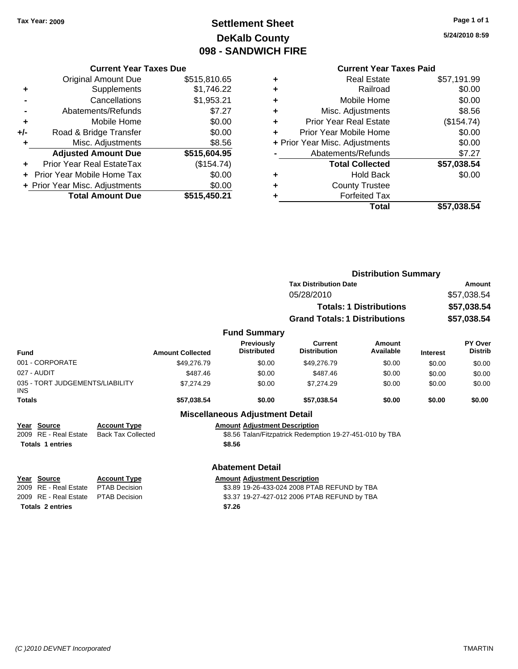# **Settlement Sheet Tax Year: 2009 Page 1 of 1 DeKalb County 098 - SANDWICH FIRE**

**5/24/2010 8:59**

#### **Current Year Taxes Due**

| <b>Original Amount Due</b> | \$515,810.65                                                        |
|----------------------------|---------------------------------------------------------------------|
| Supplements                | \$1,746.22                                                          |
| Cancellations              | \$1,953.21                                                          |
| Abatements/Refunds         | \$7.27                                                              |
| Mobile Home                | \$0.00                                                              |
| Road & Bridge Transfer     | \$0.00                                                              |
| Misc. Adjustments          | \$8.56                                                              |
| <b>Adjusted Amount Due</b> | \$515,604.95                                                        |
| Prior Year Real EstateTax  | (\$154.74)                                                          |
|                            | \$0.00                                                              |
|                            | \$0.00                                                              |
| <b>Total Amount Due</b>    | \$515,450.21                                                        |
|                            | <b>Prior Year Mobile Home Tax</b><br>+ Prior Year Misc. Adjustments |

### **Current Year Taxes Paid**

|   | Total                          | \$57,038.54 |
|---|--------------------------------|-------------|
|   | <b>Forfeited Tax</b>           |             |
|   | <b>County Trustee</b>          |             |
| ٠ | <b>Hold Back</b>               | \$0.00      |
|   | <b>Total Collected</b>         | \$57,038.54 |
|   | Abatements/Refunds             | \$7.27      |
|   | + Prior Year Misc. Adjustments | \$0.00      |
| ٠ | Prior Year Mobile Home         | \$0.00      |
| ٠ | <b>Prior Year Real Estate</b>  | (\$154.74)  |
| ٠ | Misc. Adjustments              | \$8.56      |
| ٠ | Mobile Home                    | \$0.00      |
|   | Railroad                       | \$0.00      |
|   | <b>Real Estate</b>             | \$57,191.99 |

|                                               |                                                                      |                         |                                         | <b>Distribution Summary</b>                              |                                |                 |                    |
|-----------------------------------------------|----------------------------------------------------------------------|-------------------------|-----------------------------------------|----------------------------------------------------------|--------------------------------|-----------------|--------------------|
|                                               |                                                                      |                         |                                         | <b>Tax Distribution Date</b>                             |                                | Amount          |                    |
|                                               |                                                                      |                         |                                         | 05/28/2010                                               |                                |                 | \$57,038.54        |
|                                               |                                                                      |                         |                                         |                                                          | <b>Totals: 1 Distributions</b> |                 | \$57,038.54        |
|                                               |                                                                      |                         |                                         | <b>Grand Totals: 1 Distributions</b>                     |                                |                 | \$57,038.54        |
|                                               |                                                                      |                         | <b>Fund Summary</b>                     |                                                          |                                |                 |                    |
| <b>Fund</b>                                   |                                                                      | <b>Amount Collected</b> | <b>Previously</b><br><b>Distributed</b> | Current<br><b>Distribution</b>                           | Amount<br>Available            | <b>Interest</b> | PY Over<br>Distrib |
| 001 - CORPORATE                               |                                                                      | \$49,276.79             | \$0.00                                  | \$49,276.79                                              | \$0.00                         | \$0.00          | \$0.00             |
| 027 - AUDIT                                   |                                                                      | \$487.46                | \$0.00                                  | \$487.46                                                 | \$0.00                         | \$0.00          | \$0.00             |
| 035 - TORT JUDGEMENTS/LIABILITY<br><b>INS</b> |                                                                      | \$7,274.29              | \$0.00                                  | \$7,274.29                                               | \$0.00                         | \$0.00          | \$0.00             |
| <b>Totals</b>                                 |                                                                      | \$57,038.54             | \$0.00                                  | \$57,038.54                                              | \$0.00                         | \$0.00          | \$0.00             |
|                                               |                                                                      |                         | <b>Miscellaneous Adjustment Detail</b>  |                                                          |                                |                 |                    |
| Year Source                                   | <b>Account Type</b>                                                  |                         | <b>Amount Adjustment Description</b>    |                                                          |                                |                 |                    |
| RE - Real Estate<br>2009                      | <b>Back Tax Collected</b>                                            |                         |                                         | \$8.56 Talan/Fitzpatrick Redemption 19-27-451-010 by TBA |                                |                 |                    |
| <b>Totals 1 entries</b>                       |                                                                      |                         | \$8.56                                  |                                                          |                                |                 |                    |
|                                               |                                                                      |                         | <b>Abatement Detail</b>                 |                                                          |                                |                 |                    |
| Year Source                                   | <b>Account Type</b>                                                  |                         | <b>Amount Adjustment Description</b>    |                                                          |                                |                 |                    |
| 2009 RE - Real Estate                         | \$3.89 19-26-433-024 2008 PTAB REFUND by TBA<br><b>PTAB Decision</b> |                         |                                         |                                                          |                                |                 |                    |

**Totals 2 entries \$7.26**

2009 RE - Real Estate PTAB Decision \$3.37 19-27-427-012 2006 PTAB REFUND by TBA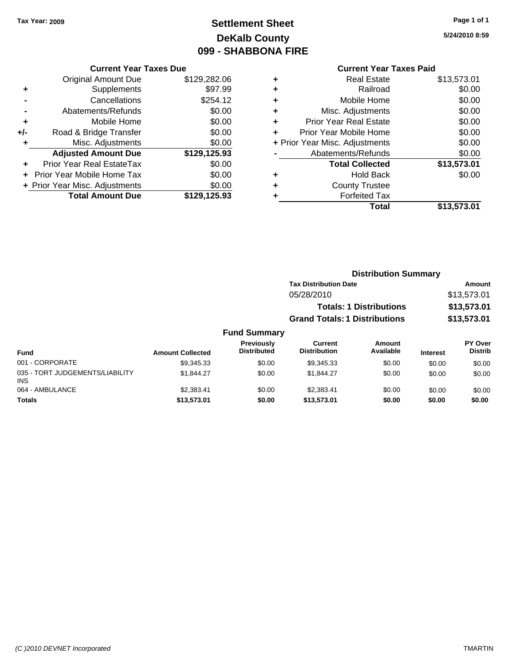# **Settlement Sheet Tax Year: 2009 Page 1 of 1 DeKalb County 099 - SHABBONA FIRE**

#### **Current Year Taxes Due**

|       | <b>Total Amount Due</b>           | \$129,125.93 |
|-------|-----------------------------------|--------------|
|       | + Prior Year Misc. Adjustments    | \$0.00       |
|       | <b>Prior Year Mobile Home Tax</b> | \$0.00       |
|       | <b>Prior Year Real EstateTax</b>  | \$0.00       |
|       | <b>Adjusted Amount Due</b>        | \$129,125.93 |
|       | Misc. Adjustments                 | \$0.00       |
| $+/-$ | Road & Bridge Transfer            | \$0.00       |
| ٠     | Mobile Home                       | \$0.00       |
|       | Abatements/Refunds                | \$0.00       |
|       | Cancellations                     | \$254.12     |
| ٠     | Supplements                       | \$97.99      |
|       | <b>Original Amount Due</b>        | \$129,282.06 |
|       |                                   |              |

### **Current Year Taxes Paid**

|   | <b>Real Estate</b>             | \$13,573.01 |
|---|--------------------------------|-------------|
| ÷ | Railroad                       | \$0.00      |
| ٠ | Mobile Home                    | \$0.00      |
| ٠ | Misc. Adjustments              | \$0.00      |
| ٠ | <b>Prior Year Real Estate</b>  | \$0.00      |
| ÷ | Prior Year Mobile Home         | \$0.00      |
|   | + Prior Year Misc. Adjustments | \$0.00      |
|   | Abatements/Refunds             | \$0.00      |
|   | <b>Total Collected</b>         | \$13,573.01 |
| ٠ | <b>Hold Back</b>               | \$0.00      |
| ٠ | <b>County Trustee</b>          |             |
|   | <b>Forfeited Tax</b>           |             |
|   | Total                          | \$13,573.01 |
|   |                                |             |

**5/24/2010 8:59**

|         | <b>Distribution Summary</b>          |             |
|---------|--------------------------------------|-------------|
|         | <b>Tax Distribution Date</b>         | Amount      |
|         | 05/28/2010                           | \$13,573.01 |
|         | <b>Totals: 1 Distributions</b>       | \$13,573.01 |
|         | <b>Grand Totals: 1 Distributions</b> | \$13,573.01 |
| ∖ummarv |                                      |             |

| <b>Fund Summary</b>                           |                         |                                         |                                       |                     |                 |                           |
|-----------------------------------------------|-------------------------|-----------------------------------------|---------------------------------------|---------------------|-----------------|---------------------------|
| <b>Fund</b>                                   | <b>Amount Collected</b> | <b>Previously</b><br><b>Distributed</b> | <b>Current</b><br><b>Distribution</b> | Amount<br>Available | <b>Interest</b> | PY Over<br><b>Distrib</b> |
| 001 - CORPORATE                               | \$9.345.33              | \$0.00                                  | \$9.345.33                            | \$0.00              | \$0.00          | \$0.00                    |
| 035 - TORT JUDGEMENTS/LIABILITY<br><b>INS</b> | \$1.844.27              | \$0.00                                  | \$1.844.27                            | \$0.00              | \$0.00          | \$0.00                    |
| 064 - AMBULANCE                               | \$2,383.41              | \$0.00                                  | \$2,383,41                            | \$0.00              | \$0.00          | \$0.00                    |
| <b>Totals</b>                                 | \$13,573,01             | \$0.00                                  | \$13,573,01                           | \$0.00              | \$0.00          | \$0.00                    |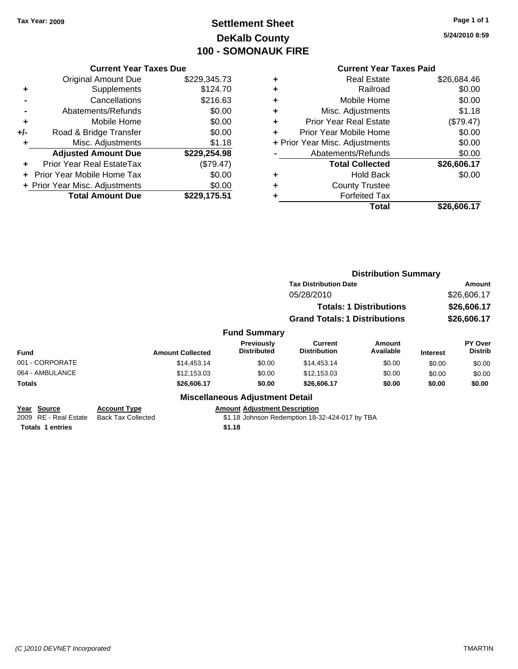# **Settlement Sheet Tax Year: 2009 Page 1 of 1 DeKalb County 100 - SOMONAUK FIRE**

**5/24/2010 8:59**

#### **Current Year Taxes Paid**

|       | <b>Current Year Taxes Due</b>  |              |  |  |  |  |  |
|-------|--------------------------------|--------------|--|--|--|--|--|
|       | <b>Original Amount Due</b>     | \$229,345.73 |  |  |  |  |  |
| ÷     | Supplements                    | \$124.70     |  |  |  |  |  |
|       | Cancellations                  | \$216.63     |  |  |  |  |  |
|       | Abatements/Refunds             | \$0.00       |  |  |  |  |  |
| ٠     | Mobile Home                    | \$0.00       |  |  |  |  |  |
| $+/-$ | Road & Bridge Transfer         | \$0.00       |  |  |  |  |  |
|       | Misc. Adjustments              | \$1.18       |  |  |  |  |  |
|       | <b>Adjusted Amount Due</b>     | \$229,254.98 |  |  |  |  |  |
|       | Prior Year Real EstateTax      | (\$79.47)    |  |  |  |  |  |
|       | Prior Year Mobile Home Tax     | \$0.00       |  |  |  |  |  |
|       | + Prior Year Misc. Adjustments | \$0.00       |  |  |  |  |  |
|       | <b>Total Amount Due</b>        | \$229,175.51 |  |  |  |  |  |
|       |                                |              |  |  |  |  |  |

| ٠ | <b>Real Estate</b>             | \$26,684.46 |
|---|--------------------------------|-------------|
| ٠ | Railroad                       | \$0.00      |
| ٠ | Mobile Home                    | \$0.00      |
| ٠ | Misc. Adjustments              | \$1.18      |
| ٠ | Prior Year Real Estate         | (\$79.47)   |
| ٠ | Prior Year Mobile Home         | \$0.00      |
|   | + Prior Year Misc. Adjustments | \$0.00      |
|   | Abatements/Refunds             | \$0.00      |
|   | <b>Total Collected</b>         | \$26,606.17 |
| ٠ | <b>Hold Back</b>               | \$0.00      |
| ٠ | <b>County Trustee</b>          |             |
| ٠ | <b>Forfeited Tax</b>           |             |
|   | Total                          | \$26,606.17 |

|                                      |                                                  |                                        | <b>Distribution Summary</b>                    |                                |                                           |                           |
|--------------------------------------|--------------------------------------------------|----------------------------------------|------------------------------------------------|--------------------------------|-------------------------------------------|---------------------------|
|                                      |                                                  |                                        | <b>Tax Distribution Date</b>                   |                                |                                           | Amount                    |
|                                      |                                                  |                                        | 05/28/2010                                     |                                | \$26,606.17<br>\$26,606.17<br>\$26,606.17 |                           |
|                                      |                                                  |                                        |                                                | <b>Totals: 1 Distributions</b> |                                           |                           |
|                                      |                                                  |                                        | <b>Grand Totals: 1 Distributions</b>           |                                |                                           |                           |
|                                      |                                                  | <b>Fund Summary</b>                    |                                                |                                |                                           |                           |
| Fund                                 | <b>Amount Collected</b>                          | Previously<br><b>Distributed</b>       | <b>Current</b><br><b>Distribution</b>          | Amount<br>Available            | <b>Interest</b>                           | PY Over<br><b>Distrib</b> |
| 001 - CORPORATE                      | \$14,453.14                                      | \$0.00                                 | \$14,453.14                                    | \$0.00                         | \$0.00                                    | \$0.00                    |
| 064 - AMBULANCE                      | \$12,153.03                                      | \$0.00                                 | \$12,153.03                                    | \$0.00                         | \$0.00                                    | \$0.00                    |
| Totals                               | \$26,606.17                                      | \$0.00                                 | \$26,606.17                                    | \$0.00                         | \$0.00                                    | \$0.00                    |
|                                      |                                                  | <b>Miscellaneous Adjustment Detail</b> |                                                |                                |                                           |                           |
| Year Source<br>2009 RE - Real Estate | <b>Account Type</b><br><b>Back Tax Collected</b> | <b>Amount Adjustment Description</b>   | \$1.18 Johnson Redemption 18-32-424-017 by TBA |                                |                                           |                           |
| <b>Totals 1 entries</b>              |                                                  | \$1.18                                 |                                                |                                |                                           |                           |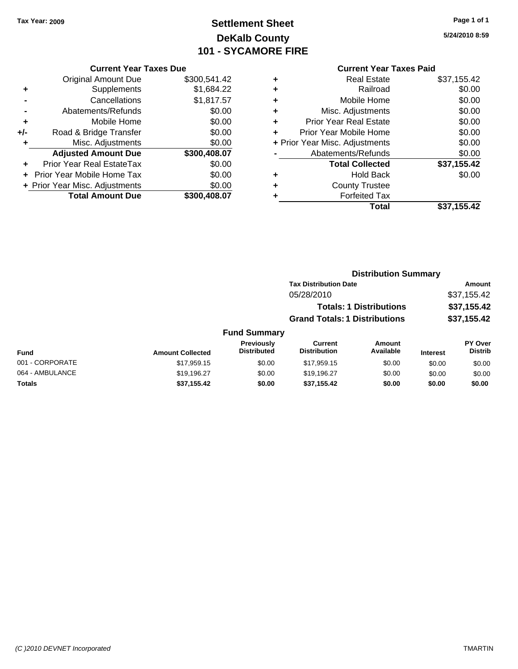# **Settlement Sheet Tax Year: 2009 Page 1 of 1 DeKalb County 101 - SYCAMORE FIRE**

# **5/24/2010 8:59**

|   | <b>Current Year Taxes Paid</b> |             |
|---|--------------------------------|-------------|
| ٠ | <b>Real Estate</b>             | \$37,155.42 |
| ٠ | Railroad                       | \$0.00      |
| ٠ | Mobile Home                    | \$0.00      |
| ÷ | Misc. Adjustments              | \$0.00      |
| ÷ | <b>Prior Year Real Estate</b>  | \$0.00      |
| ÷ | Prior Year Mobile Home         | \$0.00      |
|   | + Prior Year Misc. Adjustments | \$0.00      |
|   | Abatements/Refunds             | \$0.00      |
|   | <b>Total Collected</b>         | \$37,155.42 |
| ٠ | <b>Hold Back</b>               | \$0.00      |
| ٠ | <b>County Trustee</b>          |             |
| ٠ | <b>Forfeited Tax</b>           |             |
|   | Total                          | \$37,155.42 |

#### **Current Year Taxes Due** Original Amount Due \$300,541.42 **+** Supplements \$1,684.22 **-** Cancellations \$1,817.57 **-** Abatements/Refunds \$0.00 **+** Mobile Home \$0.00 **+/-** Road & Bridge Transfer \$0.00 **+** Misc. Adjustments \$0.00 **Adjusted Amount Due \$300,408.07 +** Prior Year Real EstateTax \$0.00 **+** Prior Year Mobile Home Tax \$0.00 **+ Prior Year Misc. Adjustments**  $$0.00$ **Total Amount Due \$300,408.07**

#### **Distribution Summary Tax Distribution Date Amount** 05/28/2010 \$37,155.42 **Totals: 1 Distributions \$37,155.42**

**Grand Totals: 1 Distributions \$37,155.42**

| <b>Fund Summary</b> |                         |                                         |                                |                     |                 |                                  |
|---------------------|-------------------------|-----------------------------------------|--------------------------------|---------------------|-----------------|----------------------------------|
| Fund                | <b>Amount Collected</b> | <b>Previously</b><br><b>Distributed</b> | Current<br><b>Distribution</b> | Amount<br>Available | <b>Interest</b> | <b>PY Over</b><br><b>Distrib</b> |
| 001 - CORPORATE     | \$17,959.15             | \$0.00                                  | \$17,959.15                    | \$0.00              | \$0.00          | \$0.00                           |
| 064 - AMBULANCE     | \$19.196.27             | \$0.00                                  | \$19,196.27                    | \$0.00              | \$0.00          | \$0.00                           |
| <b>Totals</b>       | \$37,155.42             | \$0.00                                  | \$37,155.42                    | \$0.00              | \$0.00          | \$0.00                           |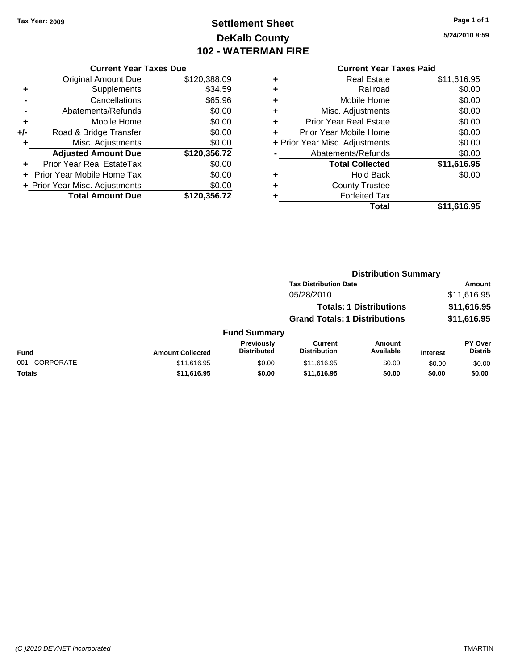# **Settlement Sheet Tax Year: 2009 Page 1 of 1 DeKalb County 102 - WATERMAN FIRE**

**5/24/2010 8:59**

#### **Current Year Taxes Due**

|     | <b>Original Amount Due</b>       | \$120,388.09 |
|-----|----------------------------------|--------------|
| ٠   | Supplements                      | \$34.59      |
|     | Cancellations                    | \$65.96      |
|     | Abatements/Refunds               | \$0.00       |
| ÷   | Mobile Home                      | \$0.00       |
| +/- | Road & Bridge Transfer           | \$0.00       |
| ٠   | Misc. Adjustments                | \$0.00       |
|     | <b>Adjusted Amount Due</b>       | \$120,356.72 |
|     | <b>Prior Year Real EstateTax</b> | \$0.00       |
|     | Prior Year Mobile Home Tax       | \$0.00       |
|     | + Prior Year Misc. Adjustments   | \$0.00       |
|     | <b>Total Amount Due</b>          | \$120.356.72 |

#### **Current Year Taxes Paid**

|   | Total                          | \$11,616.95 |
|---|--------------------------------|-------------|
| ٠ | <b>Forfeited Tax</b>           |             |
| ٠ | <b>County Trustee</b>          |             |
| ٠ | <b>Hold Back</b>               | \$0.00      |
|   | <b>Total Collected</b>         | \$11,616.95 |
|   | Abatements/Refunds             | \$0.00      |
|   | + Prior Year Misc. Adjustments | \$0.00      |
| ٠ | Prior Year Mobile Home         | \$0.00      |
| ٠ | <b>Prior Year Real Estate</b>  | \$0.00      |
| ٠ | Misc. Adjustments              | \$0.00      |
| ÷ | Mobile Home                    | \$0.00      |
| ÷ | Railroad                       | \$0.00      |
|   | <b>Real Estate</b>             | \$11,616.95 |

#### **Distribution Summary Tax Distribution Date Amount** 05/28/2010 \$11,616.95 **Totals: 1 Distributions \$11,616.95 Grand Totals: 1 Distributions \$11,616.95 Fund Summary Fund Interest Amount Collected Distributed PY Over Distrib Amount Available Current Distribution Previously** 001 - CORPORATE \$11,616.95 \$0.00 \$11,616.95 \$0.00 \$0.00 \$0.00 **Totals \$11,616.95 \$0.00 \$11,616.95 \$0.00 \$0.00 \$0.00**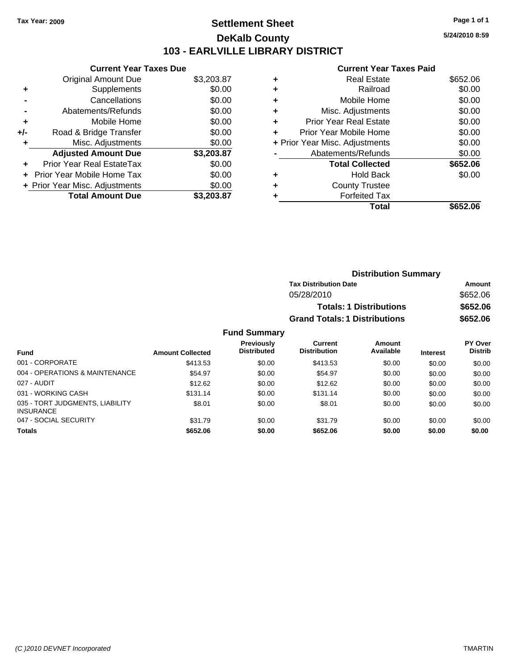### **Settlement Sheet Tax Year: 2009 Page 1 of 1 DeKalb County 103 - EARLVILLE LIBRARY DISTRICT**

**5/24/2010 8:59**

#### **Current Year Taxes Paid**

|     | <b>Current Year Taxes Due</b>     |            |
|-----|-----------------------------------|------------|
|     | Original Amount Due               | \$3,203.87 |
| ٠   | Supplements                       | \$0.00     |
|     | Cancellations                     | \$0.00     |
|     | Abatements/Refunds                | \$0.00     |
| ÷   | Mobile Home                       | \$0.00     |
| +/- | Road & Bridge Transfer            | \$0.00     |
|     | Misc. Adjustments                 | \$0.00     |
|     | <b>Adjusted Amount Due</b>        | \$3,203.87 |
| ÷   | Prior Year Real EstateTax         | \$0.00     |
|     | <b>Prior Year Mobile Home Tax</b> | \$0.00     |
|     | + Prior Year Misc. Adjustments    | \$0.00     |
|     | <b>Total Amount Due</b>           | \$3.203.87 |

| <b>Real Estate</b>   | \$652.06                                                                                                                                                                         |
|----------------------|----------------------------------------------------------------------------------------------------------------------------------------------------------------------------------|
| Railroad             | \$0.00                                                                                                                                                                           |
| Mobile Home          | \$0.00                                                                                                                                                                           |
|                      | \$0.00                                                                                                                                                                           |
|                      | \$0.00                                                                                                                                                                           |
|                      | \$0.00                                                                                                                                                                           |
|                      | \$0.00                                                                                                                                                                           |
|                      | \$0.00                                                                                                                                                                           |
|                      | \$652.06                                                                                                                                                                         |
| Hold Back            | \$0.00                                                                                                                                                                           |
|                      |                                                                                                                                                                                  |
| <b>Forfeited Tax</b> |                                                                                                                                                                                  |
| Total                | \$652.06                                                                                                                                                                         |
|                      | Misc. Adjustments<br>Prior Year Real Estate<br>Prior Year Mobile Home<br>+ Prior Year Misc. Adjustments<br>Abatements/Refunds<br><b>Total Collected</b><br><b>County Trustee</b> |

| <b>Distribution Summary</b>          |          |
|--------------------------------------|----------|
| <b>Tax Distribution Date</b>         | Amount   |
| 05/28/2010                           | \$652.06 |
| <b>Totals: 1 Distributions</b>       | \$652.06 |
| <b>Grand Totals: 1 Distributions</b> | \$652.06 |

| <b>Fund</b>                                         | <b>Amount Collected</b> | <b>Previously</b><br><b>Distributed</b> | Current<br><b>Distribution</b> | Amount<br>Available | <b>Interest</b> | <b>PY Over</b><br><b>Distrib</b> |
|-----------------------------------------------------|-------------------------|-----------------------------------------|--------------------------------|---------------------|-----------------|----------------------------------|
| 001 - CORPORATE                                     | \$413.53                | \$0.00                                  | \$413.53                       | \$0.00              |                 |                                  |
|                                                     |                         |                                         |                                |                     | \$0.00          | \$0.00                           |
| 004 - OPERATIONS & MAINTENANCE                      | \$54.97                 | \$0.00                                  | \$54.97                        | \$0.00              | \$0.00          | \$0.00                           |
| 027 - AUDIT                                         | \$12.62                 | \$0.00                                  | \$12.62                        | \$0.00              | \$0.00          | \$0.00                           |
| 031 - WORKING CASH                                  | \$131.14                | \$0.00                                  | \$131.14                       | \$0.00              | \$0.00          | \$0.00                           |
| 035 - TORT JUDGMENTS, LIABILITY<br><b>INSURANCE</b> | \$8.01                  | \$0.00                                  | \$8.01                         | \$0.00              | \$0.00          | \$0.00                           |
| 047 - SOCIAL SECURITY                               | \$31.79                 | \$0.00                                  | \$31.79                        | \$0.00              | \$0.00          | \$0.00                           |
| <b>Totals</b>                                       | \$652.06                | \$0.00                                  | \$652.06                       | \$0.00              | \$0.00          | \$0.00                           |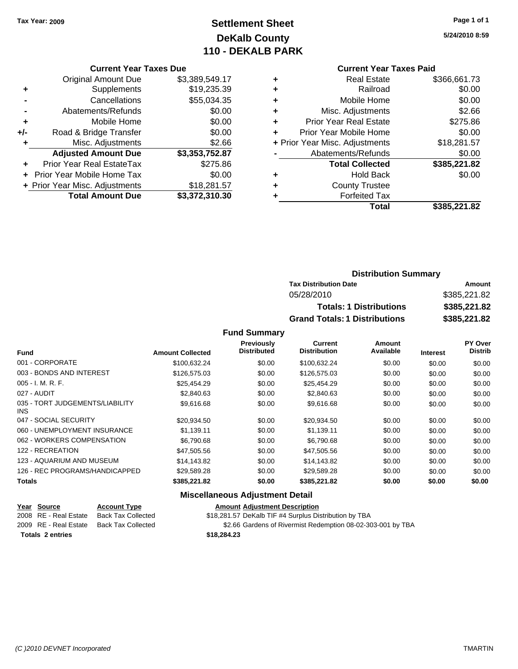# **Settlement Sheet Tax Year: 2009 Page 1 of 1 DeKalb County 110 - DEKALB PARK**

**5/24/2010 8:59**

#### **Current Year Taxes Paid**

|     | <b>Current Year Taxes Due</b>  |                |
|-----|--------------------------------|----------------|
|     | <b>Original Amount Due</b>     | \$3,389,549.17 |
| ٠   | Supplements                    | \$19,235.39    |
|     | Cancellations                  | \$55,034.35    |
|     | Abatements/Refunds             | \$0.00         |
| ٠   | Mobile Home                    | \$0.00         |
| +/- | Road & Bridge Transfer         | \$0.00         |
| ٠   | Misc. Adjustments              | \$2.66         |
|     | <b>Adjusted Amount Due</b>     | \$3,353,752.87 |
|     | Prior Year Real EstateTax      | \$275.86       |
|     | Prior Year Mobile Home Tax     | \$0.00         |
|     | + Prior Year Misc. Adjustments | \$18,281.57    |
|     | <b>Total Amount Due</b>        | \$3,372,310.30 |

|   | <b>Real Estate</b>             | \$366,661.73 |
|---|--------------------------------|--------------|
| ٠ | Railroad                       | \$0.00       |
| ٠ | Mobile Home                    | \$0.00       |
| ٠ | Misc. Adjustments              | \$2.66       |
| ٠ | <b>Prior Year Real Estate</b>  | \$275.86     |
|   | Prior Year Mobile Home         | \$0.00       |
|   | + Prior Year Misc. Adjustments | \$18,281.57  |
|   | Abatements/Refunds             | \$0.00       |
|   | <b>Total Collected</b>         | \$385,221.82 |
|   | <b>Hold Back</b>               | \$0.00       |
|   | <b>County Trustee</b>          |              |
|   | <b>Forfeited Tax</b>           |              |
|   | Total                          | \$385,221.82 |
|   |                                |              |

### **Distribution Summary Tax Distribution Date Amount** 05/28/2010 \$385,221.82 **Totals: 1 Distributions \$385,221.82 Grand Totals: 1 Distributions \$385,221.82**

#### **Fund Summary**

|                                         |                         | Previously<br><b>Distributed</b> | Current<br><b>Distribution</b> | Amount<br>Available |                 | PY Over        |
|-----------------------------------------|-------------------------|----------------------------------|--------------------------------|---------------------|-----------------|----------------|
| Fund                                    | <b>Amount Collected</b> |                                  |                                |                     | <b>Interest</b> | <b>Distrib</b> |
| 001 - CORPORATE                         | \$100,632.24            | \$0.00                           | \$100,632.24                   | \$0.00              | \$0.00          | \$0.00         |
| 003 - BONDS AND INTEREST                | \$126,575.03            | \$0.00                           | \$126,575.03                   | \$0.00              | \$0.00          | \$0.00         |
| $005 - I. M. R. F.$                     | \$25,454.29             | \$0.00                           | \$25,454.29                    | \$0.00              | \$0.00          | \$0.00         |
| 027 - AUDIT                             | \$2,840.63              | \$0.00                           | \$2,840.63                     | \$0.00              | \$0.00          | \$0.00         |
| 035 - TORT JUDGEMENTS/LIABILITY<br>INS. | \$9,616.68              | \$0.00                           | \$9,616.68                     | \$0.00              | \$0.00          | \$0.00         |
| 047 - SOCIAL SECURITY                   | \$20,934.50             | \$0.00                           | \$20,934.50                    | \$0.00              | \$0.00          | \$0.00         |
| 060 - UNEMPLOYMENT INSURANCE            | \$1,139.11              | \$0.00                           | \$1,139.11                     | \$0.00              | \$0.00          | \$0.00         |
| 062 - WORKERS COMPENSATION              | \$6,790.68              | \$0.00                           | \$6,790.68                     | \$0.00              | \$0.00          | \$0.00         |
| 122 - RECREATION                        | \$47,505.56             | \$0.00                           | \$47,505.56                    | \$0.00              | \$0.00          | \$0.00         |
| 123 - AQUARIUM AND MUSEUM               | \$14.143.82             | \$0.00                           | \$14,143.82                    | \$0.00              | \$0.00          | \$0.00         |
| 126 - REC PROGRAMS/HANDICAPPED          | \$29.589.28             | \$0.00                           | \$29,589.28                    | \$0.00              | \$0.00          | \$0.00         |
| Totals                                  | \$385,221.82            | \$0.00                           | \$385,221.82                   | \$0.00              | \$0.00          | \$0.00         |

#### **Miscellaneous Adjustment Detail**

|                         | Year Source           | <b>Account Type</b> | <b>Amount Adjustment Description</b>                        |
|-------------------------|-----------------------|---------------------|-------------------------------------------------------------|
|                         | 2008 RE - Real Estate | Back Tax Collected  | \$18,281.57 DeKalb TIF #4 Surplus Distribution by TBA       |
|                         | 2009 RE - Real Estate | Back Tax Collected  | \$2.66 Gardens of Rivermist Redemption 08-02-303-001 by TBA |
| <b>Totals 2 entries</b> |                       |                     | \$18,284,23                                                 |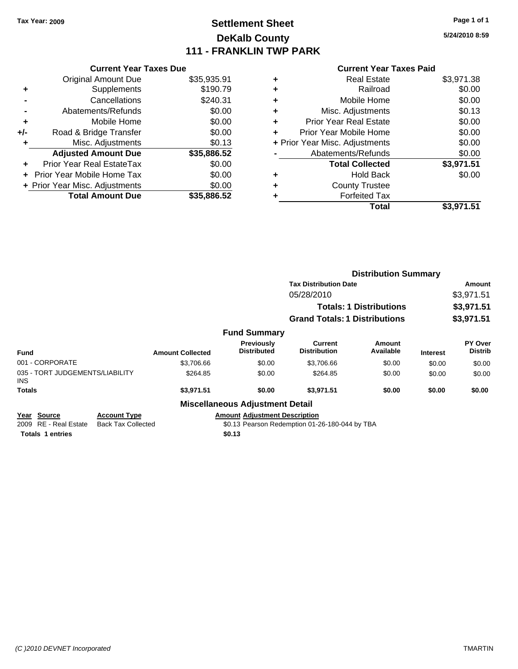## **Settlement Sheet Tax Year: 2009 Page 1 of 1 DeKalb County 111 - FRANKLIN TWP PARK**

**5/24/2010 8:59**

#### **Current Year Taxes Paid**

|     | <b>Current Year Taxes Due</b>  |             |
|-----|--------------------------------|-------------|
|     | <b>Original Amount Due</b>     | \$35,935.91 |
| ٠   | Supplements                    | \$190.79    |
|     | Cancellations                  | \$240.31    |
|     | Abatements/Refunds             | \$0.00      |
| ٠   | Mobile Home                    | \$0.00      |
| +/- | Road & Bridge Transfer         | \$0.00      |
| ٠   | Misc. Adjustments              | \$0.13      |
|     | <b>Adjusted Amount Due</b>     | \$35,886.52 |
| ÷   | Prior Year Real EstateTax      | \$0.00      |
|     | Prior Year Mobile Home Tax     | \$0.00      |
|     | + Prior Year Misc. Adjustments | \$0.00      |
|     | <b>Total Amount Due</b>        | \$35,886,52 |
|     |                                |             |

| ٠ | <b>Real Estate</b>             | \$3,971.38 |
|---|--------------------------------|------------|
| ٠ | Railroad                       | \$0.00     |
| ٠ | Mobile Home                    | \$0.00     |
| ٠ | Misc. Adjustments              | \$0.13     |
| ÷ | Prior Year Real Estate         | \$0.00     |
| ÷ | Prior Year Mobile Home         | \$0.00     |
|   | + Prior Year Misc. Adjustments | \$0.00     |
|   | Abatements/Refunds             | \$0.00     |
|   | <b>Total Collected</b>         | \$3,971.51 |
| ٠ | <b>Hold Back</b>               | \$0.00     |
| ٠ | <b>County Trustee</b>          |            |
| ٠ | <b>Forfeited Tax</b>           |            |
|   | Total                          | \$3,971.51 |
|   |                                |            |

|                                                                              |                                                  |                         |                                                | <b>Distribution Summary</b>                    |                                |                 |                           |
|------------------------------------------------------------------------------|--------------------------------------------------|-------------------------|------------------------------------------------|------------------------------------------------|--------------------------------|-----------------|---------------------------|
|                                                                              |                                                  |                         |                                                | <b>Tax Distribution Date</b>                   |                                |                 | Amount                    |
|                                                                              |                                                  |                         |                                                | 05/28/2010                                     |                                |                 | \$3,971.51                |
|                                                                              |                                                  |                         |                                                |                                                | <b>Totals: 1 Distributions</b> |                 | \$3,971.51                |
|                                                                              |                                                  |                         |                                                | <b>Grand Totals: 1 Distributions</b>           |                                |                 | \$3,971.51                |
|                                                                              |                                                  |                         | <b>Fund Summary</b>                            |                                                |                                |                 |                           |
| <b>Fund</b>                                                                  |                                                  | <b>Amount Collected</b> | <b>Previously</b><br><b>Distributed</b>        | Current<br><b>Distribution</b>                 | Amount<br>Available            | <b>Interest</b> | PY Over<br><b>Distrib</b> |
| 001 - CORPORATE                                                              |                                                  | \$3,706.66              | \$0.00                                         | \$3,706.66                                     | \$0.00                         | \$0.00          | \$0.00                    |
| 035 - TORT JUDGEMENTS/LIABILITY<br><b>INS</b>                                |                                                  | \$264.85                | \$0.00                                         | \$264.85                                       | \$0.00                         | \$0.00          | \$0.00                    |
| <b>Totals</b>                                                                |                                                  | \$3,971.51              | \$0.00                                         | \$3,971.51                                     | \$0.00                         | \$0.00          | \$0.00                    |
|                                                                              |                                                  |                         | <b>Miscellaneous Adjustment Detail</b>         |                                                |                                |                 |                           |
| Source<br>Year<br><b>RE</b> - Real Estate<br>2009<br><b>Totals 1 entries</b> | <b>Account Type</b><br><b>Back Tax Collected</b> |                         | <b>Amount Adjustment Description</b><br>\$0.13 | \$0.13 Pearson Redemption 01-26-180-044 by TBA |                                |                 |                           |
|                                                                              |                                                  |                         |                                                |                                                |                                |                 |                           |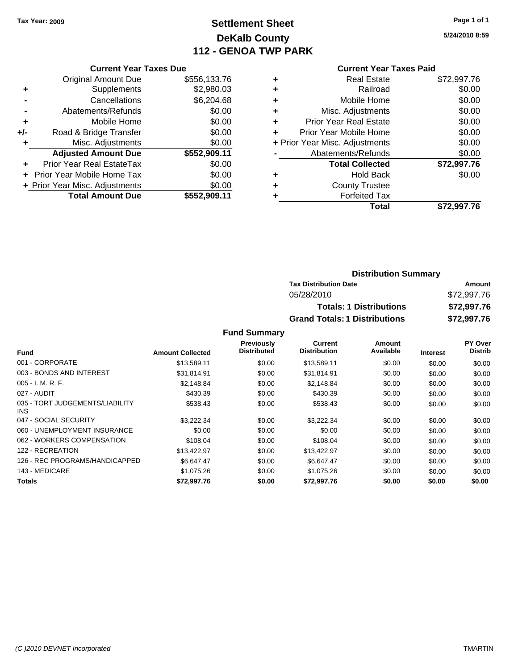## **Settlement Sheet Tax Year: 2009 Page 1 of 1 DeKalb County 112 - GENOA TWP PARK**

**5/24/2010 8:59**

| <b>Current Year Taxes Due</b>     |                                |
|-----------------------------------|--------------------------------|
| <b>Original Amount Due</b>        | \$556,133.76                   |
| Supplements                       | \$2,980.03                     |
| Cancellations                     | \$6,204.68                     |
| Abatements/Refunds                | \$0.00                         |
| Mobile Home                       | \$0.00                         |
| Road & Bridge Transfer            | \$0.00                         |
| Misc. Adjustments                 | \$0.00                         |
| <b>Adjusted Amount Due</b>        | \$552,909.11                   |
| Prior Year Real EstateTax         | \$0.00                         |
| <b>Prior Year Mobile Home Tax</b> | \$0.00                         |
|                                   | \$0.00                         |
| <b>Total Amount Due</b>           | \$552.909.11                   |
|                                   | + Prior Year Misc. Adjustments |

#### **Current Year Taxes Paid**

| <b>Real Estate</b>             | \$72,997.76 |
|--------------------------------|-------------|
| Railroad                       | \$0.00      |
| Mobile Home                    | \$0.00      |
| Misc. Adjustments              | \$0.00      |
| <b>Prior Year Real Estate</b>  | \$0.00      |
| Prior Year Mobile Home         | \$0.00      |
| + Prior Year Misc. Adjustments | \$0.00      |
| Abatements/Refunds             | \$0.00      |
| <b>Total Collected</b>         | \$72,997.76 |
| <b>Hold Back</b>               | \$0.00      |
| <b>County Trustee</b>          |             |
| <b>Forfeited Tax</b>           |             |
| Total                          | \$72,997.76 |
|                                |             |

### **Distribution Summary Tax Distribution Date Amount** 05/28/2010 \$72,997.76 **Totals: 1 Distributions \$72,997.76 Grand Totals: 1 Distributions \$72,997.76**

|                                         |                         | <b>Previously</b>  | <b>Current</b>      | Amount    |                 | <b>PY Over</b> |
|-----------------------------------------|-------------------------|--------------------|---------------------|-----------|-----------------|----------------|
| <b>Fund</b>                             | <b>Amount Collected</b> | <b>Distributed</b> | <b>Distribution</b> | Available | <b>Interest</b> | <b>Distrib</b> |
| 001 - CORPORATE                         | \$13,589.11             | \$0.00             | \$13,589.11         | \$0.00    | \$0.00          | \$0.00         |
| 003 - BONDS AND INTEREST                | \$31,814.91             | \$0.00             | \$31,814.91         | \$0.00    | \$0.00          | \$0.00         |
| $005 - I. M. R. F.$                     | \$2.148.84              | \$0.00             | \$2.148.84          | \$0.00    | \$0.00          | \$0.00         |
| 027 - AUDIT                             | \$430.39                | \$0.00             | \$430.39            | \$0.00    | \$0.00          | \$0.00         |
| 035 - TORT JUDGEMENTS/LIABILITY<br>INS. | \$538.43                | \$0.00             | \$538.43            | \$0.00    | \$0.00          | \$0.00         |
| 047 - SOCIAL SECURITY                   | \$3,222.34              | \$0.00             | \$3,222.34          | \$0.00    | \$0.00          | \$0.00         |
| 060 - UNEMPLOYMENT INSURANCE            | \$0.00                  | \$0.00             | \$0.00              | \$0.00    | \$0.00          | \$0.00         |
| 062 - WORKERS COMPENSATION              | \$108.04                | \$0.00             | \$108.04            | \$0.00    | \$0.00          | \$0.00         |
| 122 - RECREATION                        | \$13,422.97             | \$0.00             | \$13,422.97         | \$0.00    | \$0.00          | \$0.00         |
| 126 - REC PROGRAMS/HANDICAPPED          | \$6.647.47              | \$0.00             | \$6.647.47          | \$0.00    | \$0.00          | \$0.00         |
| 143 - MEDICARE                          | \$1,075.26              | \$0.00             | \$1,075.26          | \$0.00    | \$0.00          | \$0.00         |
| Totals                                  | \$72.997.76             | \$0.00             | \$72.997.76         | \$0.00    | \$0.00          | \$0.00         |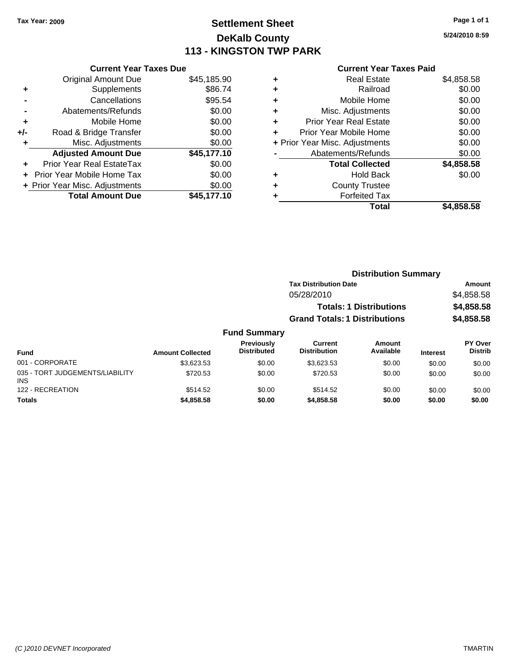### **Settlement Sheet Tax Year: 2009 Page 1 of 1 DeKalb County 113 - KINGSTON TWP PARK**

**5/24/2010 8:59**

| <b>Current Year Taxes Paid</b> |  |
|--------------------------------|--|
|--------------------------------|--|

|       | <b>Current Year Taxes Due</b>  |             |
|-------|--------------------------------|-------------|
|       | <b>Original Amount Due</b>     | \$45,185.90 |
| ٠     | Supplements                    | \$86.74     |
|       | Cancellations                  | \$95.54     |
|       | Abatements/Refunds             | \$0.00      |
| ٠     | Mobile Home                    | \$0.00      |
| $+/-$ | Road & Bridge Transfer         | \$0.00      |
| ٠     | Misc. Adjustments              | \$0.00      |
|       | <b>Adjusted Amount Due</b>     | \$45,177.10 |
|       | Prior Year Real EstateTax      | \$0.00      |
|       | Prior Year Mobile Home Tax     | \$0.00      |
|       | + Prior Year Misc. Adjustments | \$0.00      |
|       | <b>Total Amount Due</b>        | \$45.177.10 |
|       |                                |             |

|   | <b>Real Estate</b>             | \$4,858.58 |
|---|--------------------------------|------------|
| ٠ | Railroad                       | \$0.00     |
| ٠ | Mobile Home                    | \$0.00     |
| ٠ | Misc. Adjustments              | \$0.00     |
| ٠ | <b>Prior Year Real Estate</b>  | \$0.00     |
| ÷ | Prior Year Mobile Home         | \$0.00     |
|   | + Prior Year Misc. Adjustments | \$0.00     |
|   | Abatements/Refunds             | \$0.00     |
|   | <b>Total Collected</b>         | \$4,858.58 |
| ٠ | <b>Hold Back</b>               | \$0.00     |
| ٠ | <b>County Trustee</b>          |            |
|   | <b>Forfeited Tax</b>           |            |
|   | <b>Total</b>                   | \$4,858,58 |
|   |                                |            |

|                                         |                         |                                         | <b>Distribution Summary</b>          |                     |                 |                           |  |
|-----------------------------------------|-------------------------|-----------------------------------------|--------------------------------------|---------------------|-----------------|---------------------------|--|
|                                         |                         |                                         | <b>Tax Distribution Date</b>         |                     |                 | Amount                    |  |
|                                         |                         |                                         | 05/28/2010                           |                     |                 | \$4,858.58                |  |
|                                         |                         | <b>Totals: 1 Distributions</b>          |                                      |                     | \$4,858.58      |                           |  |
|                                         |                         |                                         | <b>Grand Totals: 1 Distributions</b> |                     | \$4,858.58      |                           |  |
|                                         |                         | <b>Fund Summary</b>                     |                                      |                     |                 |                           |  |
| <b>Fund</b>                             | <b>Amount Collected</b> | <b>Previously</b><br><b>Distributed</b> | Current<br><b>Distribution</b>       | Amount<br>Available | <b>Interest</b> | PY Over<br><b>Distrib</b> |  |
| 001 - CORPORATE                         | \$3,623.53              | \$0.00                                  | \$3,623.53                           | \$0.00              | \$0.00          | \$0.00                    |  |
| 035 - TORT JUDGEMENTS/LIABILITY<br>INS. | \$720.53                | \$0.00                                  | \$720.53                             | \$0.00              | \$0.00          | \$0.00                    |  |
| 122 - RECREATION                        | \$514.52                | \$0.00                                  | \$514.52                             | \$0.00              | \$0.00          | \$0.00                    |  |

**Totals \$4,858.58 \$0.00 \$4,858.58 \$0.00 \$0.00 \$0.00**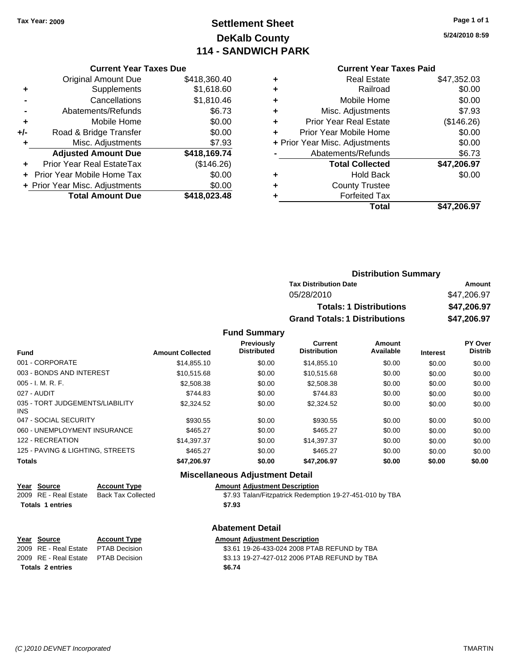# **Settlement Sheet Tax Year: 2009 Page 1 of 1 DeKalb County 114 - SANDWICH PARK**

**5/24/2010 8:59**

| <b>Current Year Taxes Due</b> |  |     |  |
|-------------------------------|--|-----|--|
| $\lambda$ riainal Amaunt Duai |  | σм. |  |

|       | <b>Total Amount Due</b>        | \$418,023.48 |
|-------|--------------------------------|--------------|
|       | + Prior Year Misc. Adjustments | \$0.00       |
|       | + Prior Year Mobile Home Tax   | \$0.00       |
|       | Prior Year Real EstateTax      | (\$146.26)   |
|       | <b>Adjusted Amount Due</b>     | \$418,169.74 |
| ٠     | Misc. Adjustments              | \$7.93       |
| $+/-$ | Road & Bridge Transfer         | \$0.00       |
| ÷     | Mobile Home                    | \$0.00       |
|       | Abatements/Refunds             | \$6.73       |
|       | Cancellations                  | \$1,810.46   |
| ٠     | Supplements                    | \$1,618.60   |
|       | <b>Original Amount Due</b>     | \$418,360.40 |

### **Current Year Taxes Paid**

|   | Total                          | \$47,206.97 |
|---|--------------------------------|-------------|
| ٠ | <b>Forfeited Tax</b>           |             |
| ٠ | <b>County Trustee</b>          |             |
| ٠ | <b>Hold Back</b>               | \$0.00      |
|   | <b>Total Collected</b>         | \$47,206.97 |
|   | Abatements/Refunds             | \$6.73      |
|   | + Prior Year Misc. Adjustments | \$0.00      |
| ٠ | Prior Year Mobile Home         | \$0.00      |
| ٠ | <b>Prior Year Real Estate</b>  | (\$146.26)  |
| ٠ | Misc. Adjustments              | \$7.93      |
| ÷ | Mobile Home                    | \$0.00      |
| ٠ | Railroad                       | \$0.00      |
| ٠ | <b>Real Estate</b>             | \$47,352.03 |

| <b>Distribution Summary</b>          |             |
|--------------------------------------|-------------|
| <b>Tax Distribution Date</b>         | Amount      |
| 05/28/2010                           | \$47,206.97 |
| <b>Totals: 1 Distributions</b>       | \$47,206.97 |
| <b>Grand Totals: 1 Distributions</b> | \$47,206.97 |

#### **Fund Summary**

| <b>Fund</b>                             | <b>Amount Collected</b> | Previously<br><b>Distributed</b> | <b>Current</b><br><b>Distribution</b> | Amount<br>Available | <b>Interest</b> | PY Over<br><b>Distrib</b> |
|-----------------------------------------|-------------------------|----------------------------------|---------------------------------------|---------------------|-----------------|---------------------------|
| 001 - CORPORATE                         | \$14,855.10             | \$0.00                           | \$14,855.10                           | \$0.00              | \$0.00          | \$0.00                    |
| 003 - BONDS AND INTEREST                | \$10.515.68             | \$0.00                           | \$10.515.68                           | \$0.00              | \$0.00          | \$0.00                    |
| 005 - I. M. R. F.                       | \$2,508.38              | \$0.00                           | \$2,508.38                            | \$0.00              | \$0.00          | \$0.00                    |
| 027 - AUDIT                             | \$744.83                | \$0.00                           | \$744.83                              | \$0.00              | \$0.00          | \$0.00                    |
| 035 - TORT JUDGEMENTS/LIABILITY<br>INS. | \$2,324.52              | \$0.00                           | \$2,324.52                            | \$0.00              | \$0.00          | \$0.00                    |
| 047 - SOCIAL SECURITY                   | \$930.55                | \$0.00                           | \$930.55                              | \$0.00              | \$0.00          | \$0.00                    |
| 060 - UNEMPLOYMENT INSURANCE            | \$465.27                | \$0.00                           | \$465.27                              | \$0.00              | \$0.00          | \$0.00                    |
| 122 - RECREATION                        | \$14,397.37             | \$0.00                           | \$14,397.37                           | \$0.00              | \$0.00          | \$0.00                    |
| 125 - PAVING & LIGHTING, STREETS        | \$465.27                | \$0.00                           | \$465.27                              | \$0.00              | \$0.00          | \$0.00                    |
| <b>Totals</b>                           | \$47,206.97             | \$0.00                           | \$47,206.97                           | \$0.00              | \$0.00          | \$0.00                    |

### **Miscellaneous Adjustment Detail**

#### **Year Source Account Type Amount Adjustment Description**

2009 RE - Real Estate Back Tax Collected \$7.93 Talan/Fitzpatrick Redemption 19-27-451-010 by TBA **Totals 1 entries \$7.93**

#### **Abatement Detail**

#### **Properties Amount Adjustment Description**

2009 B Decision **CONFERGE 2008 REAL ESTATE PTAB REFUND** by TBA 2006 REAL ESTATE REAL ESTATE REAL ESTATE PTESTATE PROPERTY STATE PTESTATE BAGGING

|                  | Year Source                         | <b>Account Type</b> | Amount |
|------------------|-------------------------------------|---------------------|--------|
|                  | 2009 RE - Real Estate PTAB Decision |                     | \$3.61 |
|                  | 2009 RE - Real Estate PTAB Decision |                     | \$3.13 |
| Totals 2 entries |                                     |                     | \$6.74 |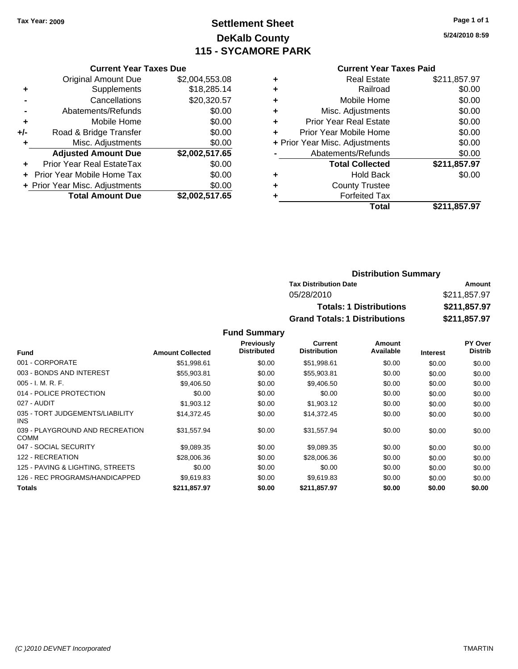# **Settlement Sheet Tax Year: 2009 Page 1 of 1 DeKalb County 115 - SYCAMORE PARK**

**5/24/2010 8:59**

| <b>Current Year Taxes Due</b> |  |  |  |
|-------------------------------|--|--|--|
|-------------------------------|--|--|--|

|     | <b>Original Amount Due</b>       | \$2,004,553.08 |
|-----|----------------------------------|----------------|
| ٠   | Supplements                      | \$18,285.14    |
|     | Cancellations                    | \$20,320.57    |
|     | Abatements/Refunds               | \$0.00         |
| ÷   | Mobile Home                      | \$0.00         |
| +/- | Road & Bridge Transfer           | \$0.00         |
| ٠   | Misc. Adjustments                | \$0.00         |
|     | <b>Adjusted Amount Due</b>       | \$2,002,517.65 |
|     | <b>Prior Year Real EstateTax</b> | \$0.00         |
|     | Prior Year Mobile Home Tax       | \$0.00         |
|     | + Prior Year Misc. Adjustments   | \$0.00         |
|     | <b>Total Amount Due</b>          | \$2,002,517.65 |

#### **Current Year Taxes Paid**

| <b>Real Estate</b>             | \$211,857.97 |
|--------------------------------|--------------|
| Railroad                       | \$0.00       |
| Mobile Home                    | \$0.00       |
| Misc. Adjustments              | \$0.00       |
| <b>Prior Year Real Estate</b>  | \$0.00       |
| Prior Year Mobile Home         | \$0.00       |
| + Prior Year Misc. Adjustments | \$0.00       |
| Abatements/Refunds             | \$0.00       |
| <b>Total Collected</b>         | \$211,857.97 |
| <b>Hold Back</b>               | \$0.00       |
| <b>County Trustee</b>          |              |
| <b>Forfeited Tax</b>           |              |
| Total                          | \$211,857.97 |
|                                |              |

### **Distribution Summary Tax Distribution Date Amount** 05/28/2010 \$211,857.97 **Totals: 1 Distributions \$211,857.97 Grand Totals: 1 Distributions \$211,857.97**

|                                                |                         | <b>Previously</b>  | Current             | Amount    |                 | PY Over        |
|------------------------------------------------|-------------------------|--------------------|---------------------|-----------|-----------------|----------------|
| <b>Fund</b>                                    | <b>Amount Collected</b> | <b>Distributed</b> | <b>Distribution</b> | Available | <b>Interest</b> | <b>Distrib</b> |
| 001 - CORPORATE                                | \$51,998.61             | \$0.00             | \$51,998.61         | \$0.00    | \$0.00          | \$0.00         |
| 003 - BONDS AND INTEREST                       | \$55,903.81             | \$0.00             | \$55,903.81         | \$0.00    | \$0.00          | \$0.00         |
| $005 - I. M. R. F.$                            | \$9,406.50              | \$0.00             | \$9,406.50          | \$0.00    | \$0.00          | \$0.00         |
| 014 - POLICE PROTECTION                        | \$0.00                  | \$0.00             | \$0.00              | \$0.00    | \$0.00          | \$0.00         |
| 027 - AUDIT                                    | \$1,903.12              | \$0.00             | \$1,903.12          | \$0.00    | \$0.00          | \$0.00         |
| 035 - TORT JUDGEMENTS/LIABILITY<br>INS.        | \$14.372.45             | \$0.00             | \$14,372.45         | \$0.00    | \$0.00          | \$0.00         |
| 039 - PLAYGROUND AND RECREATION<br><b>COMM</b> | \$31,557.94             | \$0.00             | \$31,557.94         | \$0.00    | \$0.00          | \$0.00         |
| 047 - SOCIAL SECURITY                          | \$9,089.35              | \$0.00             | \$9,089.35          | \$0.00    | \$0.00          | \$0.00         |
| 122 - RECREATION                               | \$28,006.36             | \$0.00             | \$28,006.36         | \$0.00    | \$0.00          | \$0.00         |
| 125 - PAVING & LIGHTING, STREETS               | \$0.00                  | \$0.00             | \$0.00              | \$0.00    | \$0.00          | \$0.00         |
| 126 - REC PROGRAMS/HANDICAPPED                 | \$9.619.83              | \$0.00             | \$9.619.83          | \$0.00    | \$0.00          | \$0.00         |
| <b>Totals</b>                                  | \$211,857.97            | \$0.00             | \$211,857.97        | \$0.00    | \$0.00          | \$0.00         |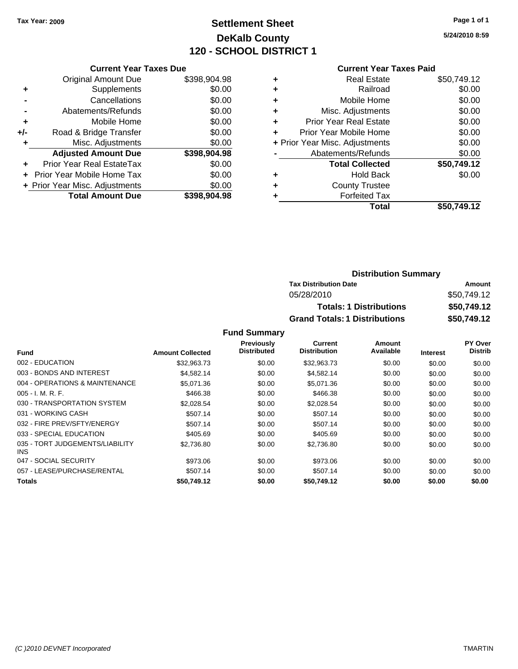### **Settlement Sheet Tax Year: 2009 Page 1 of 1 DeKalb County 120 - SCHOOL DISTRICT 1**

**5/24/2010 8:59**

#### **Current Year Taxes Paid**

|     | <b>Current Year Taxes Due</b>  |              |  |  |  |  |
|-----|--------------------------------|--------------|--|--|--|--|
|     | <b>Original Amount Due</b>     | \$398,904.98 |  |  |  |  |
| ٠   | Supplements                    | \$0.00       |  |  |  |  |
|     | Cancellations                  | \$0.00       |  |  |  |  |
|     | Abatements/Refunds             | \$0.00       |  |  |  |  |
| ٠   | Mobile Home                    | \$0.00       |  |  |  |  |
| +/- | Road & Bridge Transfer         | \$0.00       |  |  |  |  |
|     | Misc. Adjustments              | \$0.00       |  |  |  |  |
|     | <b>Adjusted Amount Due</b>     | \$398,904.98 |  |  |  |  |
|     | Prior Year Real EstateTax      | \$0.00       |  |  |  |  |
|     | Prior Year Mobile Home Tax     | \$0.00       |  |  |  |  |
|     | + Prior Year Misc. Adjustments | \$0.00       |  |  |  |  |
|     | <b>Total Amount Due</b>        | \$398,904.98 |  |  |  |  |
|     |                                |              |  |  |  |  |

|   | <b>Real Estate</b>             | \$50,749.12 |
|---|--------------------------------|-------------|
| ٠ | Railroad                       | \$0.00      |
| ٠ | Mobile Home                    | \$0.00      |
| ٠ | Misc. Adjustments              | \$0.00      |
| ٠ | <b>Prior Year Real Estate</b>  | \$0.00      |
| ÷ | Prior Year Mobile Home         | \$0.00      |
|   | + Prior Year Misc. Adjustments | \$0.00      |
|   | Abatements/Refunds             | \$0.00      |
|   | <b>Total Collected</b>         | \$50,749.12 |
| ٠ | Hold Back                      | \$0.00      |
| ٠ | <b>County Trustee</b>          |             |
| ٠ | <b>Forfeited Tax</b>           |             |
|   | Total                          | \$50.749.12 |
|   |                                |             |

### **Distribution Summary Tax Distribution Date Amount** 05/28/2010 \$50,749.12 **Totals: 1 Distributions \$50,749.12 Grand Totals: 1 Distributions \$50,749.12**

|                                         |                         | <b>Previously</b>  | <b>Current</b>      | Amount    |                 | PY Over        |
|-----------------------------------------|-------------------------|--------------------|---------------------|-----------|-----------------|----------------|
| Fund                                    | <b>Amount Collected</b> | <b>Distributed</b> | <b>Distribution</b> | Available | <b>Interest</b> | <b>Distrib</b> |
| 002 - EDUCATION                         | \$32,963.73             | \$0.00             | \$32,963.73         | \$0.00    | \$0.00          | \$0.00         |
| 003 - BONDS AND INTEREST                | \$4,582.14              | \$0.00             | \$4,582.14          | \$0.00    | \$0.00          | \$0.00         |
| 004 - OPERATIONS & MAINTENANCE          | \$5.071.36              | \$0.00             | \$5.071.36          | \$0.00    | \$0.00          | \$0.00         |
| $005 - I. M. R. F.$                     | \$466.38                | \$0.00             | \$466.38            | \$0.00    | \$0.00          | \$0.00         |
| 030 - TRANSPORTATION SYSTEM             | \$2,028.54              | \$0.00             | \$2,028.54          | \$0.00    | \$0.00          | \$0.00         |
| 031 - WORKING CASH                      | \$507.14                | \$0.00             | \$507.14            | \$0.00    | \$0.00          | \$0.00         |
| 032 - FIRE PREV/SFTY/ENERGY             | \$507.14                | \$0.00             | \$507.14            | \$0.00    | \$0.00          | \$0.00         |
| 033 - SPECIAL EDUCATION                 | \$405.69                | \$0.00             | \$405.69            | \$0.00    | \$0.00          | \$0.00         |
| 035 - TORT JUDGEMENTS/LIABILITY<br>INS. | \$2.736.80              | \$0.00             | \$2.736.80          | \$0.00    | \$0.00          | \$0.00         |
| 047 - SOCIAL SECURITY                   | \$973.06                | \$0.00             | \$973.06            | \$0.00    | \$0.00          | \$0.00         |
| 057 - LEASE/PURCHASE/RENTAL             | \$507.14                | \$0.00             | \$507.14            | \$0.00    | \$0.00          | \$0.00         |
| <b>Totals</b>                           | \$50.749.12             | \$0.00             | \$50.749.12         | \$0.00    | \$0.00          | \$0.00         |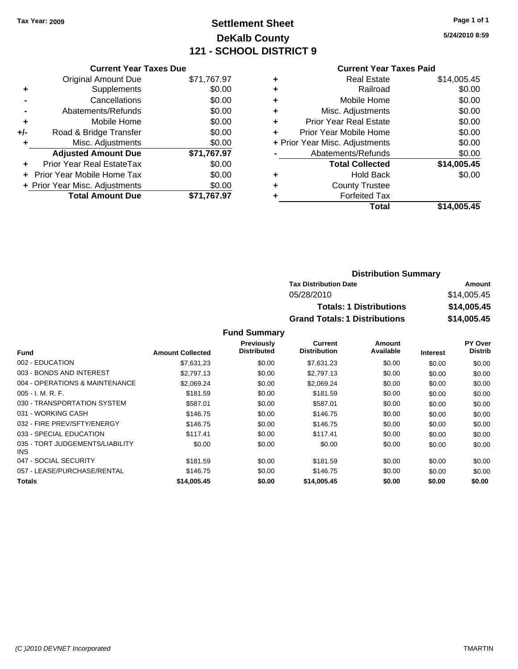### **Settlement Sheet Tax Year: 2009 Page 1 of 1 DeKalb County 121 - SCHOOL DISTRICT 9**

**5/24/2010 8:59**

#### **Current Year Taxes Paid**

| <b>Original Amount Due</b>       | \$71,767.97                   |
|----------------------------------|-------------------------------|
| Supplements                      | \$0.00                        |
| Cancellations                    | \$0.00                        |
| Abatements/Refunds               | \$0.00                        |
| Mobile Home                      | \$0.00                        |
| Road & Bridge Transfer           | \$0.00                        |
| Misc. Adjustments                | \$0.00                        |
| <b>Adjusted Amount Due</b>       | \$71,767.97                   |
| <b>Prior Year Real EstateTax</b> | \$0.00                        |
| Prior Year Mobile Home Tax       | \$0.00                        |
| + Prior Year Misc. Adjustments   | \$0.00                        |
| <b>Total Amount Due</b>          | \$71.767.97                   |
|                                  | <b>Current Year Taxes Due</b> |

| ٠ | <b>Real Estate</b>             | \$14,005.45 |
|---|--------------------------------|-------------|
| ٠ | Railroad                       | \$0.00      |
| ٠ | Mobile Home                    | \$0.00      |
| ٠ | Misc. Adjustments              | \$0.00      |
| ÷ | <b>Prior Year Real Estate</b>  | \$0.00      |
| ÷ | Prior Year Mobile Home         | \$0.00      |
|   | + Prior Year Misc. Adjustments | \$0.00      |
|   | Abatements/Refunds             | \$0.00      |
|   | <b>Total Collected</b>         | \$14,005.45 |
| ٠ | <b>Hold Back</b>               | \$0.00      |
| ٠ | <b>County Trustee</b>          |             |
| ٠ | <b>Forfeited Tax</b>           |             |
|   | Total                          | \$14.005.45 |
|   |                                |             |

### **Distribution Summary Tax Distribution Date Amount** 05/28/2010 \$14,005.45 **Totals: 1 Distributions \$14,005.45 Grand Totals: 1 Distributions \$14,005.45**

|                                         |                         | <b>Previously</b>  | Current             | Amount    |                 | <b>PY Over</b> |
|-----------------------------------------|-------------------------|--------------------|---------------------|-----------|-----------------|----------------|
| <b>Fund</b>                             | <b>Amount Collected</b> | <b>Distributed</b> | <b>Distribution</b> | Available | <b>Interest</b> | <b>Distrib</b> |
| 002 - EDUCATION                         | \$7,631.23              | \$0.00             | \$7,631.23          | \$0.00    | \$0.00          | \$0.00         |
| 003 - BONDS AND INTEREST                | \$2,797.13              | \$0.00             | \$2,797.13          | \$0.00    | \$0.00          | \$0.00         |
| 004 - OPERATIONS & MAINTENANCE          | \$2,069.24              | \$0.00             | \$2,069.24          | \$0.00    | \$0.00          | \$0.00         |
| $005 - I. M. R. F.$                     | \$181.59                | \$0.00             | \$181.59            | \$0.00    | \$0.00          | \$0.00         |
| 030 - TRANSPORTATION SYSTEM             | \$587.01                | \$0.00             | \$587.01            | \$0.00    | \$0.00          | \$0.00         |
| 031 - WORKING CASH                      | \$146.75                | \$0.00             | \$146.75            | \$0.00    | \$0.00          | \$0.00         |
| 032 - FIRE PREV/SFTY/ENERGY             | \$146.75                | \$0.00             | \$146.75            | \$0.00    | \$0.00          | \$0.00         |
| 033 - SPECIAL EDUCATION                 | \$117.41                | \$0.00             | \$117.41            | \$0.00    | \$0.00          | \$0.00         |
| 035 - TORT JUDGEMENTS/LIABILITY<br>INS. | \$0.00                  | \$0.00             | \$0.00              | \$0.00    | \$0.00          | \$0.00         |
| 047 - SOCIAL SECURITY                   | \$181.59                | \$0.00             | \$181.59            | \$0.00    | \$0.00          | \$0.00         |
| 057 - LEASE/PURCHASE/RENTAL             | \$146.75                | \$0.00             | \$146.75            | \$0.00    | \$0.00          | \$0.00         |
| <b>Totals</b>                           | \$14,005.45             | \$0.00             | \$14,005.45         | \$0.00    | \$0.00          | \$0.00         |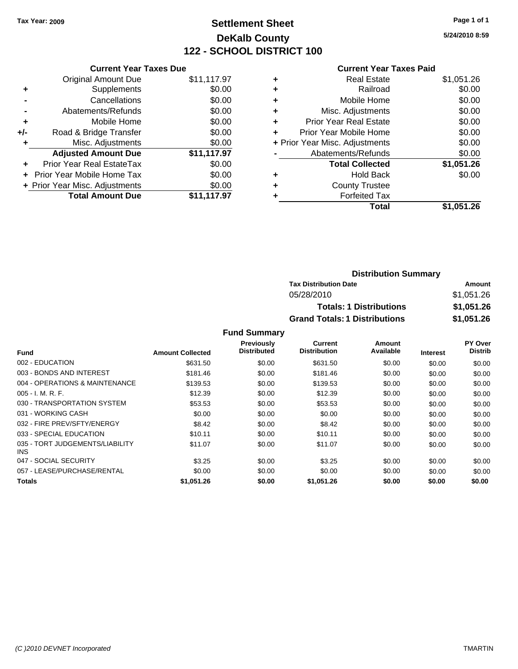### **Settlement Sheet Tax Year: 2009 Page 1 of 1 DeKalb County 122 - SCHOOL DISTRICT 100**

**5/24/2010 8:59**

#### **Current Year Taxes Paid**

|       | <b>Current Year Taxes Due</b>  |             |  |  |  |  |
|-------|--------------------------------|-------------|--|--|--|--|
|       | <b>Original Amount Due</b>     | \$11,117.97 |  |  |  |  |
| ٠     | Supplements                    | \$0.00      |  |  |  |  |
|       | Cancellations                  | \$0.00      |  |  |  |  |
|       | Abatements/Refunds             | \$0.00      |  |  |  |  |
| ٠     | Mobile Home                    | \$0.00      |  |  |  |  |
| $+/-$ | Road & Bridge Transfer         | \$0.00      |  |  |  |  |
|       | Misc. Adjustments              | \$0.00      |  |  |  |  |
|       | <b>Adjusted Amount Due</b>     | \$11,117.97 |  |  |  |  |
|       | Prior Year Real EstateTax      | \$0.00      |  |  |  |  |
|       | Prior Year Mobile Home Tax     | \$0.00      |  |  |  |  |
|       | + Prior Year Misc. Adjustments | \$0.00      |  |  |  |  |
|       | <b>Total Amount Due</b>        | \$11,117.97 |  |  |  |  |
|       |                                |             |  |  |  |  |

| <b>Real Estate</b>             | \$1,051.26 |
|--------------------------------|------------|
| Railroad                       | \$0.00     |
| Mobile Home                    | \$0.00     |
| Misc. Adjustments              | \$0.00     |
| <b>Prior Year Real Estate</b>  | \$0.00     |
| Prior Year Mobile Home         | \$0.00     |
| + Prior Year Misc. Adjustments | \$0.00     |
| Abatements/Refunds             | \$0.00     |
| <b>Total Collected</b>         | \$1,051.26 |
| <b>Hold Back</b>               | \$0.00     |
| <b>County Trustee</b>          |            |
| <b>Forfeited Tax</b>           |            |
| Total                          | \$1,051.26 |
|                                |            |

| <b>Distribution Summary</b>          |            |
|--------------------------------------|------------|
| <b>Tax Distribution Date</b>         | Amount     |
| 05/28/2010                           | \$1,051.26 |
| <b>Totals: 1 Distributions</b>       | \$1,051.26 |
| <b>Grand Totals: 1 Distributions</b> | \$1,051.26 |

|                                         |                         | <b>Previously</b>  | Current             | Amount    |                 | <b>PY Over</b> |
|-----------------------------------------|-------------------------|--------------------|---------------------|-----------|-----------------|----------------|
| <b>Fund</b>                             | <b>Amount Collected</b> | <b>Distributed</b> | <b>Distribution</b> | Available | <b>Interest</b> | <b>Distrib</b> |
| 002 - EDUCATION                         | \$631.50                | \$0.00             | \$631.50            | \$0.00    | \$0.00          | \$0.00         |
| 003 - BONDS AND INTEREST                | \$181.46                | \$0.00             | \$181.46            | \$0.00    | \$0.00          | \$0.00         |
| 004 - OPERATIONS & MAINTENANCE          | \$139.53                | \$0.00             | \$139.53            | \$0.00    | \$0.00          | \$0.00         |
| $005 - I. M. R. F.$                     | \$12.39                 | \$0.00             | \$12.39             | \$0.00    | \$0.00          | \$0.00         |
| 030 - TRANSPORTATION SYSTEM             | \$53.53                 | \$0.00             | \$53.53             | \$0.00    | \$0.00          | \$0.00         |
| 031 - WORKING CASH                      | \$0.00                  | \$0.00             | \$0.00              | \$0.00    | \$0.00          | \$0.00         |
| 032 - FIRE PREV/SFTY/ENERGY             | \$8.42                  | \$0.00             | \$8.42              | \$0.00    | \$0.00          | \$0.00         |
| 033 - SPECIAL EDUCATION                 | \$10.11                 | \$0.00             | \$10.11             | \$0.00    | \$0.00          | \$0.00         |
| 035 - TORT JUDGEMENTS/LIABILITY<br>INS. | \$11.07                 | \$0.00             | \$11.07             | \$0.00    | \$0.00          | \$0.00         |
| 047 - SOCIAL SECURITY                   | \$3.25                  | \$0.00             | \$3.25              | \$0.00    | \$0.00          | \$0.00         |
| 057 - LEASE/PURCHASE/RENTAL             | \$0.00                  | \$0.00             | \$0.00              | \$0.00    | \$0.00          | \$0.00         |
| <b>Totals</b>                           | \$1,051.26              | \$0.00             | \$1,051.26          | \$0.00    | \$0.00          | \$0.00         |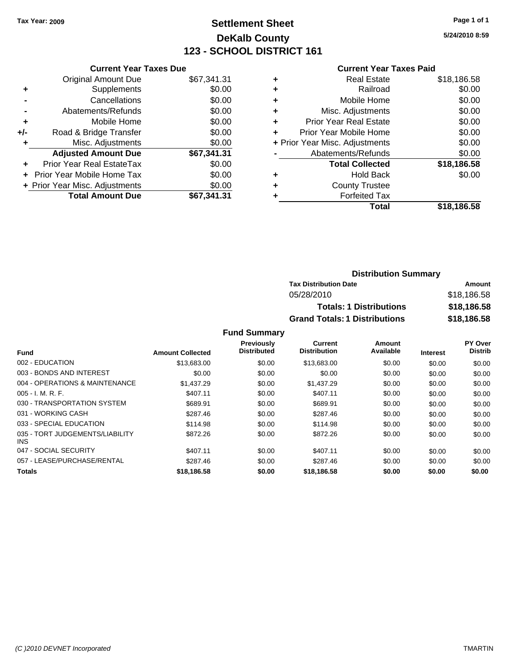## **Settlement Sheet Tax Year: 2009 Page 1 of 1 DeKalb County 123 - SCHOOL DISTRICT 161**

**5/24/2010 8:59**

#### **Current Year Taxes Paid**

| <b>Current Year Taxes Due</b>     |             |  |  |  |  |
|-----------------------------------|-------------|--|--|--|--|
| <b>Original Amount Due</b>        | \$67,341.31 |  |  |  |  |
| Supplements                       | \$0.00      |  |  |  |  |
| Cancellations                     | \$0.00      |  |  |  |  |
| Abatements/Refunds                | \$0.00      |  |  |  |  |
| Mobile Home                       | \$0.00      |  |  |  |  |
| Road & Bridge Transfer            | \$0.00      |  |  |  |  |
| Misc. Adjustments                 | \$0.00      |  |  |  |  |
| <b>Adjusted Amount Due</b>        | \$67,341.31 |  |  |  |  |
| Prior Year Real EstateTax         | \$0.00      |  |  |  |  |
| <b>Prior Year Mobile Home Tax</b> | \$0.00      |  |  |  |  |
| + Prior Year Misc. Adjustments    | \$0.00      |  |  |  |  |
| <b>Total Amount Due</b>           | \$67.341.31 |  |  |  |  |
|                                   |             |  |  |  |  |

| ٠ | <b>Real Estate</b>             | \$18,186.58 |
|---|--------------------------------|-------------|
| ٠ | Railroad                       | \$0.00      |
| ٠ | Mobile Home                    | \$0.00      |
| ٠ | Misc. Adjustments              | \$0.00      |
| ÷ | Prior Year Real Estate         | \$0.00      |
| ٠ | Prior Year Mobile Home         | \$0.00      |
|   | + Prior Year Misc. Adjustments | \$0.00      |
|   | Abatements/Refunds             | \$0.00      |
|   | <b>Total Collected</b>         | \$18,186.58 |
| ٠ | <b>Hold Back</b>               | \$0.00      |
| ٠ | <b>County Trustee</b>          |             |
|   | <b>Forfeited Tax</b>           |             |
|   | Total                          | \$18.186.58 |

| <b>Distribution Summary</b>          |             |  |  |  |
|--------------------------------------|-------------|--|--|--|
| <b>Tax Distribution Date</b>         | Amount      |  |  |  |
| 05/28/2010                           | \$18,186.58 |  |  |  |
| <b>Totals: 1 Distributions</b>       | \$18,186.58 |  |  |  |
| <b>Grand Totals: 1 Distributions</b> | \$18,186.58 |  |  |  |

|                                         |                         | <b>Previously</b>  | <b>Current</b>      | <b>Amount</b> |                 | PY Over        |
|-----------------------------------------|-------------------------|--------------------|---------------------|---------------|-----------------|----------------|
| <b>Fund</b>                             | <b>Amount Collected</b> | <b>Distributed</b> | <b>Distribution</b> | Available     | <b>Interest</b> | <b>Distrib</b> |
| 002 - EDUCATION                         | \$13,683,00             | \$0.00             | \$13,683.00         | \$0.00        | \$0.00          | \$0.00         |
| 003 - BONDS AND INTEREST                | \$0.00                  | \$0.00             | \$0.00              | \$0.00        | \$0.00          | \$0.00         |
| 004 - OPERATIONS & MAINTENANCE          | \$1,437.29              | \$0.00             | \$1,437.29          | \$0.00        | \$0.00          | \$0.00         |
| $005 - I. M. R. F.$                     | \$407.11                | \$0.00             | \$407.11            | \$0.00        | \$0.00          | \$0.00         |
| 030 - TRANSPORTATION SYSTEM             | \$689.91                | \$0.00             | \$689.91            | \$0.00        | \$0.00          | \$0.00         |
| 031 - WORKING CASH                      | \$287.46                | \$0.00             | \$287.46            | \$0.00        | \$0.00          | \$0.00         |
| 033 - SPECIAL EDUCATION                 | \$114.98                | \$0.00             | \$114.98            | \$0.00        | \$0.00          | \$0.00         |
| 035 - TORT JUDGEMENTS/LIABILITY<br>INS. | \$872.26                | \$0.00             | \$872.26            | \$0.00        | \$0.00          | \$0.00         |
| 047 - SOCIAL SECURITY                   | \$407.11                | \$0.00             | \$407.11            | \$0.00        | \$0.00          | \$0.00         |
| 057 - LEASE/PURCHASE/RENTAL             | \$287.46                | \$0.00             | \$287.46            | \$0.00        | \$0.00          | \$0.00         |
| <b>Totals</b>                           | \$18,186.58             | \$0.00             | \$18,186.58         | \$0.00        | \$0.00          | \$0.00         |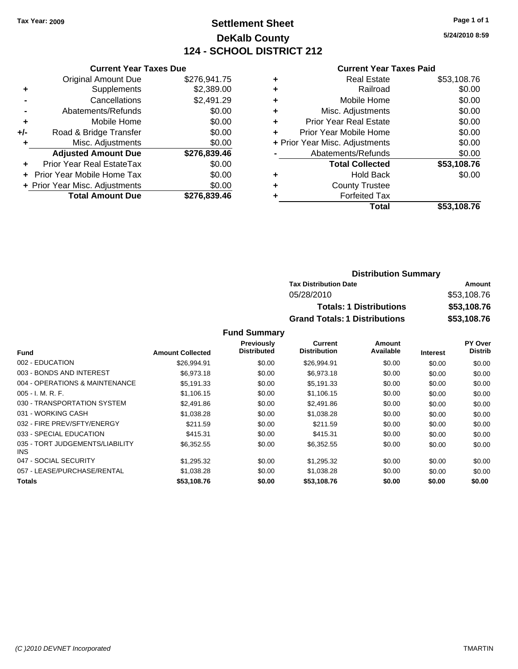### **Settlement Sheet Tax Year: 2009 Page 1 of 1 DeKalb County 124 - SCHOOL DISTRICT 212**

**5/24/2010 8:59**

#### **Current Year Taxes Paid**

| <b>Current Year Taxes Due</b>     |                         |
|-----------------------------------|-------------------------|
| <b>Original Amount Due</b>        | \$276.941.75            |
| Supplements                       | \$2,389.00              |
| Cancellations                     | \$2,491.29              |
| Abatements/Refunds                | \$0.00                  |
| Mobile Home                       | \$0.00                  |
| Road & Bridge Transfer            | \$0.00                  |
| Misc. Adjustments                 | \$0.00                  |
| <b>Adjusted Amount Due</b>        | \$276,839.46            |
| Prior Year Real EstateTax         | \$0.00                  |
| <b>Prior Year Mobile Home Tax</b> | \$0.00                  |
| + Prior Year Misc. Adjustments    | \$0.00                  |
|                                   | \$276,839.46            |
|                                   | <b>Total Amount Due</b> |

| ٠ | <b>Real Estate</b>             | \$53,108.76 |
|---|--------------------------------|-------------|
| ٠ | Railroad                       | \$0.00      |
| ٠ | Mobile Home                    | \$0.00      |
| ٠ | Misc. Adjustments              | \$0.00      |
| ÷ | <b>Prior Year Real Estate</b>  | \$0.00      |
| ٠ | Prior Year Mobile Home         | \$0.00      |
|   | + Prior Year Misc. Adjustments | \$0.00      |
|   | Abatements/Refunds             | \$0.00      |
|   | <b>Total Collected</b>         | \$53,108.76 |
| ٠ | <b>Hold Back</b>               | \$0.00      |
| ٠ | <b>County Trustee</b>          |             |
|   | <b>Forfeited Tax</b>           |             |
|   | Total                          | \$53,108,76 |

### **Distribution Summary Tax Distribution Date Amount** 05/28/2010 \$53,108.76 **Totals: 1 Distributions \$53,108.76 Grand Totals: 1 Distributions \$53,108.76**

|                                         |                         | Previously         | <b>Current</b>      | Amount    |                 | PY Over        |
|-----------------------------------------|-------------------------|--------------------|---------------------|-----------|-----------------|----------------|
| Fund                                    | <b>Amount Collected</b> | <b>Distributed</b> | <b>Distribution</b> | Available | <b>Interest</b> | <b>Distrib</b> |
| 002 - EDUCATION                         | \$26,994.91             | \$0.00             | \$26,994.91         | \$0.00    | \$0.00          | \$0.00         |
| 003 - BONDS AND INTEREST                | \$6,973.18              | \$0.00             | \$6,973.18          | \$0.00    | \$0.00          | \$0.00         |
| 004 - OPERATIONS & MAINTENANCE          | \$5.191.33              | \$0.00             | \$5,191.33          | \$0.00    | \$0.00          | \$0.00         |
| $005 - I. M. R. F.$                     | \$1,106.15              | \$0.00             | \$1,106.15          | \$0.00    | \$0.00          | \$0.00         |
| 030 - TRANSPORTATION SYSTEM             | \$2,491.86              | \$0.00             | \$2,491.86          | \$0.00    | \$0.00          | \$0.00         |
| 031 - WORKING CASH                      | \$1,038.28              | \$0.00             | \$1,038.28          | \$0.00    | \$0.00          | \$0.00         |
| 032 - FIRE PREV/SFTY/ENERGY             | \$211.59                | \$0.00             | \$211.59            | \$0.00    | \$0.00          | \$0.00         |
| 033 - SPECIAL EDUCATION                 | \$415.31                | \$0.00             | \$415.31            | \$0.00    | \$0.00          | \$0.00         |
| 035 - TORT JUDGEMENTS/LIABILITY<br>INS. | \$6,352.55              | \$0.00             | \$6,352.55          | \$0.00    | \$0.00          | \$0.00         |
| 047 - SOCIAL SECURITY                   | \$1,295.32              | \$0.00             | \$1,295.32          | \$0.00    | \$0.00          | \$0.00         |
| 057 - LEASE/PURCHASE/RENTAL             | \$1,038.28              | \$0.00             | \$1,038.28          | \$0.00    | \$0.00          | \$0.00         |
| <b>Totals</b>                           | \$53,108.76             | \$0.00             | \$53,108.76         | \$0.00    | \$0.00          | \$0.00         |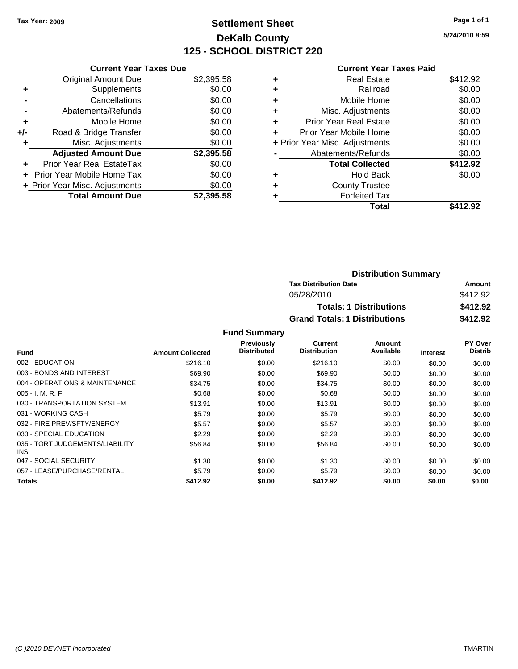### **Settlement Sheet Tax Year: 2009 Page 1 of 1 DeKalb County 125 - SCHOOL DISTRICT 220**

**5/24/2010 8:59**

| \$2,395.58<br>\$0.00<br>\$0.00 |
|--------------------------------|
|                                |
|                                |
|                                |
| \$0.00                         |
| \$0.00                         |
| \$0.00                         |
| \$0.00                         |
| \$2,395.58                     |
| \$0.00                         |
| \$0.00                         |
| \$0.00                         |
| \$2.395.58                     |
|                                |

|   | <b>Current Year Taxes Paid</b> |          |
|---|--------------------------------|----------|
| ٠ | <b>Real Estate</b>             | \$412.92 |
|   | Railroad                       | \$0.00   |
| ٠ | Mobile Home                    | \$0.00   |
| ٠ | Misc. Adjustments              | \$0.00   |
| ٠ | <b>Prior Year Real Estate</b>  | \$0.00   |
| ٠ | Prior Year Mobile Home         | \$0.00   |
|   | + Prior Year Misc. Adjustments | \$0.00   |
|   | Abatements/Refunds             | \$0.00   |
|   | <b>Total Collected</b>         | \$412.92 |
|   | <b>Hold Back</b>               | \$0.00   |
|   | <b>County Trustee</b>          |          |
|   | <b>Forfeited Tax</b>           |          |
|   | Total                          | \$412.92 |

| <b>Distribution Summary</b>          |          |
|--------------------------------------|----------|
| <b>Tax Distribution Date</b>         | Amount   |
| 05/28/2010                           | \$412.92 |
| <b>Totals: 1 Distributions</b>       | \$412.92 |
| <b>Grand Totals: 1 Distributions</b> | \$412.92 |

|                                               |                         | Previously         | Current             | Amount    |                 | PY Over        |
|-----------------------------------------------|-------------------------|--------------------|---------------------|-----------|-----------------|----------------|
| Fund                                          | <b>Amount Collected</b> | <b>Distributed</b> | <b>Distribution</b> | Available | <b>Interest</b> | <b>Distrib</b> |
| 002 - EDUCATION                               | \$216.10                | \$0.00             | \$216.10            | \$0.00    | \$0.00          | \$0.00         |
| 003 - BONDS AND INTEREST                      | \$69.90                 | \$0.00             | \$69.90             | \$0.00    | \$0.00          | \$0.00         |
| 004 - OPERATIONS & MAINTENANCE                | \$34.75                 | \$0.00             | \$34.75             | \$0.00    | \$0.00          | \$0.00         |
| $005 - I. M. R. F.$                           | \$0.68                  | \$0.00             | \$0.68              | \$0.00    | \$0.00          | \$0.00         |
| 030 - TRANSPORTATION SYSTEM                   | \$13.91                 | \$0.00             | \$13.91             | \$0.00    | \$0.00          | \$0.00         |
| 031 - WORKING CASH                            | \$5.79                  | \$0.00             | \$5.79              | \$0.00    | \$0.00          | \$0.00         |
| 032 - FIRE PREV/SFTY/ENERGY                   | \$5.57                  | \$0.00             | \$5.57              | \$0.00    | \$0.00          | \$0.00         |
| 033 - SPECIAL EDUCATION                       | \$2.29                  | \$0.00             | \$2.29              | \$0.00    | \$0.00          | \$0.00         |
| 035 - TORT JUDGEMENTS/LIABILITY<br><b>INS</b> | \$56.84                 | \$0.00             | \$56.84             | \$0.00    | \$0.00          | \$0.00         |
| 047 - SOCIAL SECURITY                         | \$1.30                  | \$0.00             | \$1.30              | \$0.00    | \$0.00          | \$0.00         |
| 057 - LEASE/PURCHASE/RENTAL                   | \$5.79                  | \$0.00             | \$5.79              | \$0.00    | \$0.00          | \$0.00         |
| <b>Totals</b>                                 | \$412.92                | \$0.00             | \$412.92            | \$0.00    | \$0.00          | \$0.00         |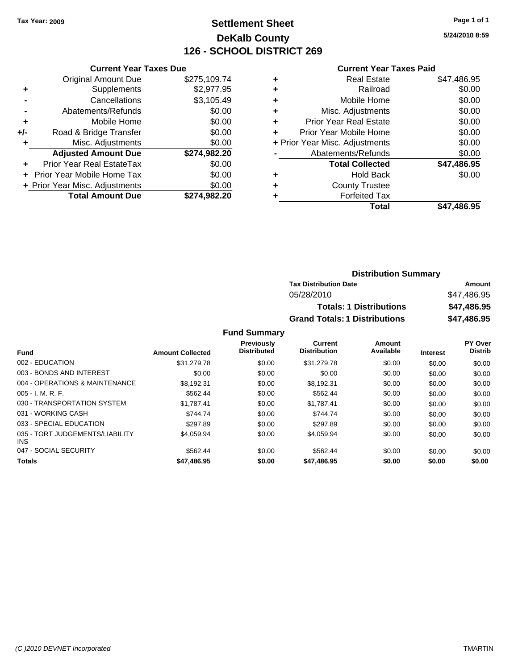### **Settlement Sheet Tax Year: 2009 Page 1 of 1 DeKalb County 126 - SCHOOL DISTRICT 269**

**5/24/2010 8:59**

#### **Current Year Taxes Paid**

|     | <b>Current Year Taxes Due</b>     |              |
|-----|-----------------------------------|--------------|
|     | <b>Original Amount Due</b>        | \$275,109.74 |
| ٠   | Supplements                       | \$2,977.95   |
|     | Cancellations                     | \$3,105.49   |
|     | Abatements/Refunds                | \$0.00       |
| ٠   | Mobile Home                       | \$0.00       |
| +/- | Road & Bridge Transfer            | \$0.00       |
|     | Misc. Adjustments                 | \$0.00       |
|     | <b>Adjusted Amount Due</b>        | \$274,982.20 |
| ÷   | Prior Year Real EstateTax         | \$0.00       |
|     | <b>Prior Year Mobile Home Tax</b> | \$0.00       |
|     | + Prior Year Misc. Adjustments    | \$0.00       |
|     | <b>Total Amount Due</b>           | \$274.982.20 |
|     |                                   |              |

| ٠ | <b>Real Estate</b>             | \$47,486.95 |
|---|--------------------------------|-------------|
| ٠ | Railroad                       | \$0.00      |
| ٠ | Mobile Home                    | \$0.00      |
| ٠ | Misc. Adjustments              | \$0.00      |
| ÷ | <b>Prior Year Real Estate</b>  | \$0.00      |
| ٠ | Prior Year Mobile Home         | \$0.00      |
|   | + Prior Year Misc. Adjustments | \$0.00      |
|   | Abatements/Refunds             | \$0.00      |
|   | <b>Total Collected</b>         | \$47,486.95 |
| ٠ | <b>Hold Back</b>               | \$0.00      |
| ٠ | <b>County Trustee</b>          |             |
| ٠ | <b>Forfeited Tax</b>           |             |
|   | Total                          | \$47,486.95 |
|   |                                |             |

| <b>Distribution Summary</b>          |             |
|--------------------------------------|-------------|
| <b>Tax Distribution Date</b>         | Amount      |
| 05/28/2010                           | \$47.486.95 |
| <b>Totals: 1 Distributions</b>       | \$47,486.95 |
| <b>Grand Totals: 1 Distributions</b> | \$47,486.95 |

| <b>Fund</b>                                   | <b>Amount Collected</b> | <b>Previously</b><br><b>Distributed</b> | Current<br><b>Distribution</b> | <b>Amount</b><br>Available | <b>Interest</b> | PY Over<br><b>Distrib</b> |
|-----------------------------------------------|-------------------------|-----------------------------------------|--------------------------------|----------------------------|-----------------|---------------------------|
|                                               |                         |                                         |                                |                            |                 |                           |
| 002 - EDUCATION                               | \$31,279.78             | \$0.00                                  | \$31,279.78                    | \$0.00                     | \$0.00          | \$0.00                    |
| 003 - BONDS AND INTEREST                      | \$0.00                  | \$0.00                                  | \$0.00                         | \$0.00                     | \$0.00          | \$0.00                    |
| 004 - OPERATIONS & MAINTENANCE                | \$8.192.31              | \$0.00                                  | \$8.192.31                     | \$0.00                     | \$0.00          | \$0.00                    |
| $005 - I. M. R. F.$                           | \$562.44                | \$0.00                                  | \$562.44                       | \$0.00                     | \$0.00          | \$0.00                    |
| 030 - TRANSPORTATION SYSTEM                   | \$1.787.41              | \$0.00                                  | \$1.787.41                     | \$0.00                     | \$0.00          | \$0.00                    |
| 031 - WORKING CASH                            | \$744.74                | \$0.00                                  | \$744.74                       | \$0.00                     | \$0.00          | \$0.00                    |
| 033 - SPECIAL EDUCATION                       | \$297.89                | \$0.00                                  | \$297.89                       | \$0.00                     | \$0.00          | \$0.00                    |
| 035 - TORT JUDGEMENTS/LIABILITY<br><b>INS</b> | \$4.059.94              | \$0.00                                  | \$4.059.94                     | \$0.00                     | \$0.00          | \$0.00                    |
| 047 - SOCIAL SECURITY                         | \$562.44                | \$0.00                                  | \$562.44                       | \$0.00                     | \$0.00          | \$0.00                    |
| <b>Totals</b>                                 | \$47,486.95             | \$0.00                                  | \$47,486.95                    | \$0.00                     | \$0.00          | \$0.00                    |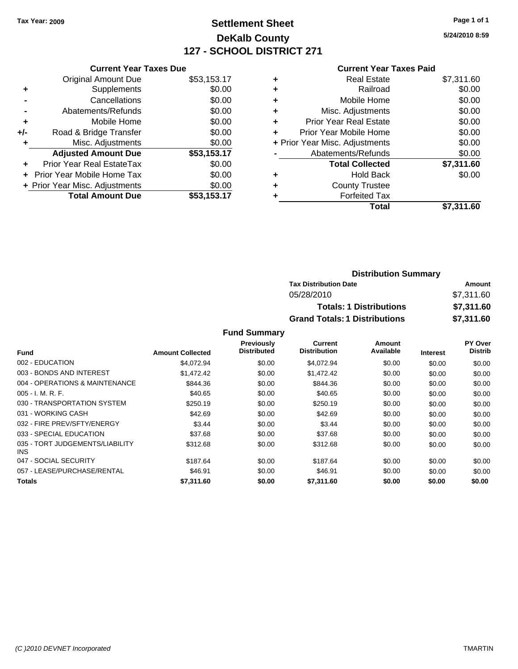### **Settlement Sheet Tax Year: 2009 Page 1 of 1 DeKalb County 127 - SCHOOL DISTRICT 271**

**5/24/2010 8:59**

#### **Current Year Taxes Paid**

| <b>Current Year Taxes Due</b>     |                                |  |  |  |
|-----------------------------------|--------------------------------|--|--|--|
| <b>Original Amount Due</b>        | \$53,153.17                    |  |  |  |
| Supplements                       | \$0.00                         |  |  |  |
| Cancellations                     | \$0.00                         |  |  |  |
| Abatements/Refunds                | \$0.00                         |  |  |  |
| Mobile Home                       | \$0.00                         |  |  |  |
| Road & Bridge Transfer            | \$0.00                         |  |  |  |
| Misc. Adjustments                 | \$0.00                         |  |  |  |
| <b>Adjusted Amount Due</b>        | \$53,153.17                    |  |  |  |
| Prior Year Real EstateTax         | \$0.00                         |  |  |  |
| <b>Prior Year Mobile Home Tax</b> | \$0.00                         |  |  |  |
|                                   | \$0.00                         |  |  |  |
| <b>Total Amount Due</b>           | \$53,153.17                    |  |  |  |
|                                   | + Prior Year Misc. Adjustments |  |  |  |

| <b>Real Estate</b>             | \$7,311.60 |
|--------------------------------|------------|
| Railroad                       | \$0.00     |
| Mobile Home                    | \$0.00     |
| Misc. Adjustments              | \$0.00     |
| <b>Prior Year Real Estate</b>  | \$0.00     |
| Prior Year Mobile Home         | \$0.00     |
| + Prior Year Misc. Adjustments | \$0.00     |
| Abatements/Refunds             | \$0.00     |
| <b>Total Collected</b>         | \$7,311.60 |
| <b>Hold Back</b>               | \$0.00     |
| <b>County Trustee</b>          |            |
| <b>Forfeited Tax</b>           |            |
| Total                          | \$7,311.60 |
|                                |            |

| <b>Distribution Summary</b>          |            |
|--------------------------------------|------------|
| <b>Tax Distribution Date</b>         | Amount     |
| 05/28/2010                           | \$7,311.60 |
| <b>Totals: 1 Distributions</b>       | \$7,311.60 |
| <b>Grand Totals: 1 Distributions</b> | \$7,311.60 |

|                                               |                         | <b>Previously</b>  | Current             | Amount    |                 | PY Over        |
|-----------------------------------------------|-------------------------|--------------------|---------------------|-----------|-----------------|----------------|
| <b>Fund</b>                                   | <b>Amount Collected</b> | <b>Distributed</b> | <b>Distribution</b> | Available | <b>Interest</b> | <b>Distrib</b> |
| 002 - EDUCATION                               | \$4.072.94              | \$0.00             | \$4,072.94          | \$0.00    | \$0.00          | \$0.00         |
| 003 - BONDS AND INTEREST                      | \$1,472.42              | \$0.00             | \$1,472.42          | \$0.00    | \$0.00          | \$0.00         |
| 004 - OPERATIONS & MAINTENANCE                | \$844.36                | \$0.00             | \$844.36            | \$0.00    | \$0.00          | \$0.00         |
| $005 - I. M. R. F.$                           | \$40.65                 | \$0.00             | \$40.65             | \$0.00    | \$0.00          | \$0.00         |
| 030 - TRANSPORTATION SYSTEM                   | \$250.19                | \$0.00             | \$250.19            | \$0.00    | \$0.00          | \$0.00         |
| 031 - WORKING CASH                            | \$42.69                 | \$0.00             | \$42.69             | \$0.00    | \$0.00          | \$0.00         |
| 032 - FIRE PREV/SFTY/ENERGY                   | \$3.44                  | \$0.00             | \$3.44              | \$0.00    | \$0.00          | \$0.00         |
| 033 - SPECIAL EDUCATION                       | \$37.68                 | \$0.00             | \$37.68             | \$0.00    | \$0.00          | \$0.00         |
| 035 - TORT JUDGEMENTS/LIABILITY<br><b>INS</b> | \$312.68                | \$0.00             | \$312.68            | \$0.00    | \$0.00          | \$0.00         |
| 047 - SOCIAL SECURITY                         | \$187.64                | \$0.00             | \$187.64            | \$0.00    | \$0.00          | \$0.00         |
| 057 - LEASE/PURCHASE/RENTAL                   | \$46.91                 | \$0.00             | \$46.91             | \$0.00    | \$0.00          | \$0.00         |
| Totals                                        | \$7,311,60              | \$0.00             | \$7,311.60          | \$0.00    | \$0.00          | \$0.00         |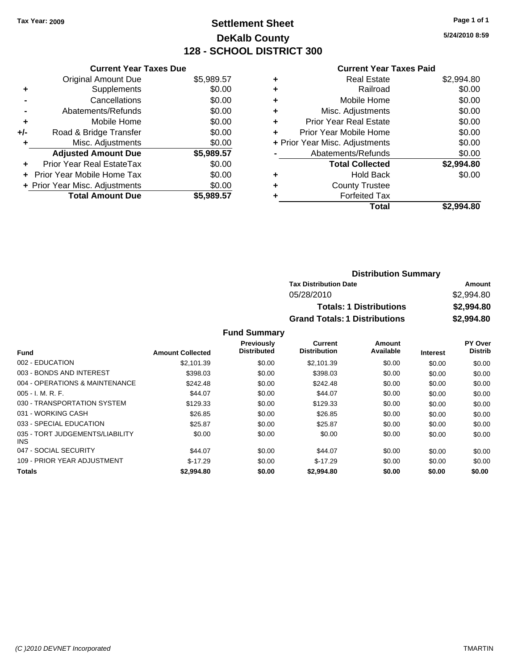### **Settlement Sheet Tax Year: 2009 Page 1 of 1 DeKalb County 128 - SCHOOL DISTRICT 300**

**5/24/2010 8:59**

#### **Current Year Taxes Paid**

|     | <b>Current Year Taxes Due</b>     |            |
|-----|-----------------------------------|------------|
|     | <b>Original Amount Due</b>        | \$5,989.57 |
| ٠   | Supplements                       | \$0.00     |
|     | Cancellations                     | \$0.00     |
|     | Abatements/Refunds                | \$0.00     |
| ٠   | Mobile Home                       | \$0.00     |
| +/- | Road & Bridge Transfer            | \$0.00     |
| ٠   | Misc. Adjustments                 | \$0.00     |
|     | <b>Adjusted Amount Due</b>        | \$5,989.57 |
|     | Prior Year Real EstateTax         | \$0.00     |
|     | <b>Prior Year Mobile Home Tax</b> | \$0.00     |
|     | + Prior Year Misc. Adjustments    | \$0.00     |
|     | <b>Total Amount Due</b>           | \$5.989.57 |

| <b>Real Estate</b>            | \$2,994.80                     |
|-------------------------------|--------------------------------|
| Railroad                      | \$0.00                         |
| Mobile Home                   | \$0.00                         |
| Misc. Adjustments             | \$0.00                         |
| <b>Prior Year Real Estate</b> | \$0.00                         |
| Prior Year Mobile Home        | \$0.00                         |
|                               | \$0.00                         |
| Abatements/Refunds            | \$0.00                         |
| <b>Total Collected</b>        | \$2,994.80                     |
| <b>Hold Back</b>              | \$0.00                         |
| <b>County Trustee</b>         |                                |
| <b>Forfeited Tax</b>          |                                |
| Total                         | \$2.994.80                     |
|                               | + Prior Year Misc. Adjustments |

| <b>Distribution Summary</b>          |            |  |  |
|--------------------------------------|------------|--|--|
| <b>Tax Distribution Date</b>         | Amount     |  |  |
| 05/28/2010                           | \$2,994.80 |  |  |
| <b>Totals: 1 Distributions</b>       | \$2,994.80 |  |  |
| <b>Grand Totals: 1 Distributions</b> | \$2,994.80 |  |  |

|                                         |                         | <b>Previously</b>  | Current             | Amount    |                 | <b>PY Over</b> |
|-----------------------------------------|-------------------------|--------------------|---------------------|-----------|-----------------|----------------|
| <b>Fund</b>                             | <b>Amount Collected</b> | <b>Distributed</b> | <b>Distribution</b> | Available | <b>Interest</b> | <b>Distrib</b> |
| 002 - EDUCATION                         | \$2.101.39              | \$0.00             | \$2.101.39          | \$0.00    | \$0.00          | \$0.00         |
| 003 - BONDS AND INTEREST                | \$398.03                | \$0.00             | \$398.03            | \$0.00    | \$0.00          | \$0.00         |
| 004 - OPERATIONS & MAINTENANCE          | \$242.48                | \$0.00             | \$242.48            | \$0.00    | \$0.00          | \$0.00         |
| $005 - I. M. R. F.$                     | \$44.07                 | \$0.00             | \$44.07             | \$0.00    | \$0.00          | \$0.00         |
| 030 - TRANSPORTATION SYSTEM             | \$129.33                | \$0.00             | \$129.33            | \$0.00    | \$0.00          | \$0.00         |
| 031 - WORKING CASH                      | \$26.85                 | \$0.00             | \$26.85             | \$0.00    | \$0.00          | \$0.00         |
| 033 - SPECIAL EDUCATION                 | \$25.87                 | \$0.00             | \$25.87             | \$0.00    | \$0.00          | \$0.00         |
| 035 - TORT JUDGEMENTS/LIABILITY<br>INS. | \$0.00                  | \$0.00             | \$0.00              | \$0.00    | \$0.00          | \$0.00         |
| 047 - SOCIAL SECURITY                   | \$44.07                 | \$0.00             | \$44.07             | \$0.00    | \$0.00          | \$0.00         |
| 109 - PRIOR YEAR ADJUSTMENT             | $$-17.29$               | \$0.00             | $$-17.29$           | \$0.00    | \$0.00          | \$0.00         |
| <b>Totals</b>                           | \$2,994.80              | \$0.00             | \$2,994.80          | \$0.00    | \$0.00          | \$0.00         |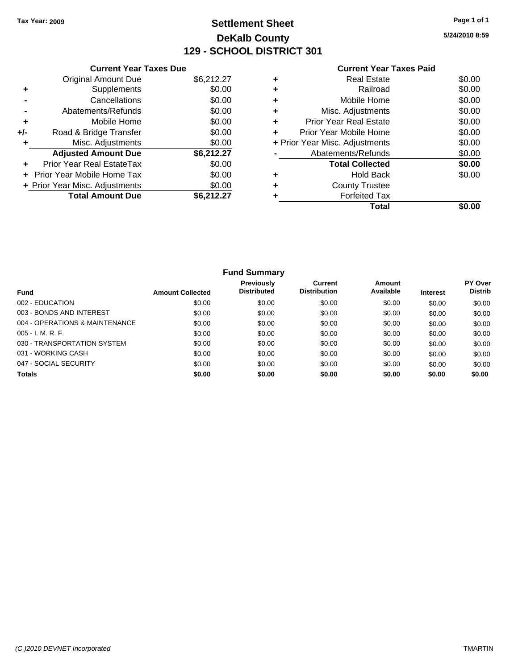### **Settlement Sheet Tax Year: 2009 Page 1 of 1 DeKalb County 129 - SCHOOL DISTRICT 301**

**5/24/2010 8:59**

| <b>Current Year Taxes Paid</b> |  |  |  |
|--------------------------------|--|--|--|
|--------------------------------|--|--|--|

| <b>Current Year Taxes Due</b>  |            |
|--------------------------------|------------|
| <b>Original Amount Due</b>     | \$6,212.27 |
| Supplements                    | \$0.00     |
| Cancellations                  | \$0.00     |
| Abatements/Refunds             | \$0.00     |
| Mobile Home                    | \$0.00     |
| Road & Bridge Transfer         | \$0.00     |
| Misc. Adjustments              | \$0.00     |
| <b>Adjusted Amount Due</b>     | \$6,212.27 |
| Prior Year Real EstateTax      | \$0.00     |
| Prior Year Mobile Home Tax     | \$0.00     |
| + Prior Year Misc. Adjustments | \$0.00     |
| <b>Total Amount Due</b>        | \$6,212.27 |
|                                |            |

|   | Total                          |        |
|---|--------------------------------|--------|
|   | <b>Forfeited Tax</b>           |        |
|   | <b>County Trustee</b>          |        |
|   | <b>Hold Back</b>               | \$0.00 |
|   | <b>Total Collected</b>         | \$0.00 |
|   | Abatements/Refunds             | \$0.00 |
|   | + Prior Year Misc. Adjustments | \$0.00 |
| ٠ | Prior Year Mobile Home         | \$0.00 |
| ٠ | <b>Prior Year Real Estate</b>  | \$0.00 |
| ٠ | Misc. Adjustments              | \$0.00 |
|   | Mobile Home                    | \$0.00 |
| ٠ | Railroad                       | \$0.00 |
|   | <b>Real Estate</b>             | \$0.00 |
|   |                                |        |

|                                |                         | <b>Fund Summary</b>              |                                |                     |                 |                                  |
|--------------------------------|-------------------------|----------------------------------|--------------------------------|---------------------|-----------------|----------------------------------|
| <b>Fund</b>                    | <b>Amount Collected</b> | Previously<br><b>Distributed</b> | Current<br><b>Distribution</b> | Amount<br>Available | <b>Interest</b> | <b>PY Over</b><br><b>Distrib</b> |
| 002 - EDUCATION                | \$0.00                  | \$0.00                           | \$0.00                         | \$0.00              | \$0.00          | \$0.00                           |
| 003 - BONDS AND INTEREST       | \$0.00                  | \$0.00                           | \$0.00                         | \$0.00              | \$0.00          | \$0.00                           |
| 004 - OPERATIONS & MAINTENANCE | \$0.00                  | \$0.00                           | \$0.00                         | \$0.00              | \$0.00          | \$0.00                           |
| $005 - I. M. R. F.$            | \$0.00                  | \$0.00                           | \$0.00                         | \$0.00              | \$0.00          | \$0.00                           |
| 030 - TRANSPORTATION SYSTEM    | \$0.00                  | \$0.00                           | \$0.00                         | \$0.00              | \$0.00          | \$0.00                           |
| 031 - WORKING CASH             | \$0.00                  | \$0.00                           | \$0.00                         | \$0.00              | \$0.00          | \$0.00                           |
| 047 - SOCIAL SECURITY          | \$0.00                  | \$0.00                           | \$0.00                         | \$0.00              | \$0.00          | \$0.00                           |
| <b>Totals</b>                  | \$0.00                  | \$0.00                           | \$0.00                         | \$0.00              | \$0.00          | \$0.00                           |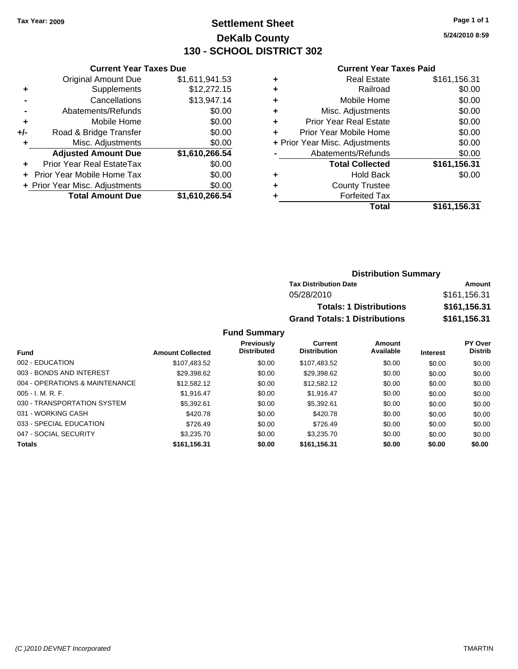### **Settlement Sheet Tax Year: 2009 Page 1 of 1 DeKalb County 130 - SCHOOL DISTRICT 302**

**5/24/2010 8:59**

#### **Current Year Taxes Paid**

|       | <b>Current Year Taxes Due</b>  |                |
|-------|--------------------------------|----------------|
|       | <b>Original Amount Due</b>     | \$1,611,941.53 |
| ٠     | Supplements                    | \$12,272.15    |
|       | Cancellations                  | \$13,947.14    |
|       | Abatements/Refunds             | \$0.00         |
| ٠     | Mobile Home                    | \$0.00         |
| $+/-$ | Road & Bridge Transfer         | \$0.00         |
| ٠     | Misc. Adjustments              | \$0.00         |
|       | <b>Adjusted Amount Due</b>     | \$1,610,266.54 |
|       | Prior Year Real EstateTax      | \$0.00         |
|       | Prior Year Mobile Home Tax     | \$0.00         |
|       | + Prior Year Misc. Adjustments | \$0.00         |
|       | <b>Total Amount Due</b>        | \$1,610,266.54 |

|   | <b>Real Estate</b>             | \$161,156.31 |
|---|--------------------------------|--------------|
| ٠ | Railroad                       | \$0.00       |
| ٠ | Mobile Home                    | \$0.00       |
| ٠ | Misc. Adjustments              | \$0.00       |
| ÷ | <b>Prior Year Real Estate</b>  | \$0.00       |
| ٠ | Prior Year Mobile Home         | \$0.00       |
|   | + Prior Year Misc. Adjustments | \$0.00       |
|   | Abatements/Refunds             | \$0.00       |
|   | <b>Total Collected</b>         | \$161,156.31 |
| ٠ | Hold Back                      | \$0.00       |
| ٠ | <b>County Trustee</b>          |              |
|   | <b>Forfeited Tax</b>           |              |
|   | Total                          | \$161,156.31 |

### **Distribution Summary Tax Distribution Date Amount** 05/28/2010 \$161,156.31 **Totals: 1 Distributions \$161,156.31 Grand Totals: 1 Distributions \$161,156.31**

|                                |                         | <b>Previously</b><br><b>Distributed</b> | Current<br><b>Distribution</b> | Amount<br>Available |                 | <b>PY Over</b><br><b>Distrib</b> |
|--------------------------------|-------------------------|-----------------------------------------|--------------------------------|---------------------|-----------------|----------------------------------|
| <b>Fund</b>                    | <b>Amount Collected</b> |                                         |                                |                     | <b>Interest</b> |                                  |
| 002 - EDUCATION                | \$107,483.52            | \$0.00                                  | \$107,483.52                   | \$0.00              | \$0.00          | \$0.00                           |
| 003 - BONDS AND INTEREST       | \$29,398.62             | \$0.00                                  | \$29,398.62                    | \$0.00              | \$0.00          | \$0.00                           |
| 004 - OPERATIONS & MAINTENANCE | \$12,582.12             | \$0.00                                  | \$12,582.12                    | \$0.00              | \$0.00          | \$0.00                           |
| $005 - I. M. R. F.$            | \$1.916.47              | \$0.00                                  | \$1.916.47                     | \$0.00              | \$0.00          | \$0.00                           |
| 030 - TRANSPORTATION SYSTEM    | \$5,392.61              | \$0.00                                  | \$5,392.61                     | \$0.00              | \$0.00          | \$0.00                           |
| 031 - WORKING CASH             | \$420.78                | \$0.00                                  | \$420.78                       | \$0.00              | \$0.00          | \$0.00                           |
| 033 - SPECIAL EDUCATION        | \$726.49                | \$0.00                                  | \$726.49                       | \$0.00              | \$0.00          | \$0.00                           |
| 047 - SOCIAL SECURITY          | \$3,235.70              | \$0.00                                  | \$3,235,70                     | \$0.00              | \$0.00          | \$0.00                           |
| <b>Totals</b>                  | \$161,156.31            | \$0.00                                  | \$161,156.31                   | \$0.00              | \$0.00          | \$0.00                           |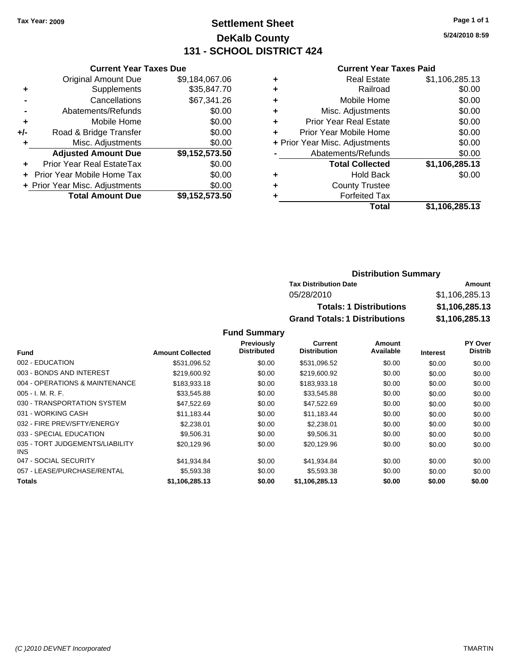### **Settlement Sheet Tax Year: 2009 Page 1 of 1 DeKalb County 131 - SCHOOL DISTRICT 424**

**5/24/2010 8:59**

#### **Current Year Taxes Paid**

|     | <b>Current Year Taxes Due</b>  |                |  |  |  |  |
|-----|--------------------------------|----------------|--|--|--|--|
|     | <b>Original Amount Due</b>     | \$9,184,067.06 |  |  |  |  |
| ٠   | Supplements                    | \$35,847.70    |  |  |  |  |
|     | Cancellations                  | \$67,341.26    |  |  |  |  |
|     | Abatements/Refunds             | \$0.00         |  |  |  |  |
| ٠   | Mobile Home                    | \$0.00         |  |  |  |  |
| +/- | Road & Bridge Transfer         | \$0.00         |  |  |  |  |
| ٠   | Misc. Adjustments              | \$0.00         |  |  |  |  |
|     | <b>Adjusted Amount Due</b>     | \$9,152,573.50 |  |  |  |  |
|     | Prior Year Real EstateTax      | \$0.00         |  |  |  |  |
|     | Prior Year Mobile Home Tax     | \$0.00         |  |  |  |  |
|     | + Prior Year Misc. Adjustments | \$0.00         |  |  |  |  |
|     | <b>Total Amount Due</b>        | \$9,152,573.50 |  |  |  |  |

| ٠ | <b>Real Estate</b>             | \$1,106,285.13 |
|---|--------------------------------|----------------|
| ٠ | Railroad                       | \$0.00         |
| ٠ | Mobile Home                    | \$0.00         |
| ٠ | Misc. Adjustments              | \$0.00         |
| ٠ | <b>Prior Year Real Estate</b>  | \$0.00         |
| ٠ | Prior Year Mobile Home         | \$0.00         |
|   | + Prior Year Misc. Adjustments | \$0.00         |
|   | Abatements/Refunds             | \$0.00         |
|   | <b>Total Collected</b>         | \$1,106,285.13 |
| ٠ | Hold Back                      | \$0.00         |
| ٠ | <b>County Trustee</b>          |                |
|   | <b>Forfeited Tax</b>           |                |
|   | Total                          | \$1,106,285.13 |

### **Distribution Summary Tax Distribution Date Amount** 05/28/2010 \$1,106,285.13 **Totals: 1 Distributions \$1,106,285.13 Grand Totals: 1 Distributions \$1,106,285.13**

|                                         |                         | Previously         | <b>Current</b>      | Amount    |                 | PY Over        |
|-----------------------------------------|-------------------------|--------------------|---------------------|-----------|-----------------|----------------|
| <b>Fund</b>                             | <b>Amount Collected</b> | <b>Distributed</b> | <b>Distribution</b> | Available | <b>Interest</b> | <b>Distrib</b> |
| 002 - EDUCATION                         | \$531,096.52            | \$0.00             | \$531,096.52        | \$0.00    | \$0.00          | \$0.00         |
| 003 - BONDS AND INTEREST                | \$219,600.92            | \$0.00             | \$219,600.92        | \$0.00    | \$0.00          | \$0.00         |
| 004 - OPERATIONS & MAINTENANCE          | \$183,933.18            | \$0.00             | \$183,933.18        | \$0.00    | \$0.00          | \$0.00         |
| $005 - I. M. R. F.$                     | \$33,545.88             | \$0.00             | \$33,545.88         | \$0.00    | \$0.00          | \$0.00         |
| 030 - TRANSPORTATION SYSTEM             | \$47.522.69             | \$0.00             | \$47,522.69         | \$0.00    | \$0.00          | \$0.00         |
| 031 - WORKING CASH                      | \$11.183.44             | \$0.00             | \$11.183.44         | \$0.00    | \$0.00          | \$0.00         |
| 032 - FIRE PREV/SFTY/ENERGY             | \$2,238.01              | \$0.00             | \$2,238.01          | \$0.00    | \$0.00          | \$0.00         |
| 033 - SPECIAL EDUCATION                 | \$9,506.31              | \$0.00             | \$9,506.31          | \$0.00    | \$0.00          | \$0.00         |
| 035 - TORT JUDGEMENTS/LIABILITY<br>INS. | \$20,129.96             | \$0.00             | \$20,129.96         | \$0.00    | \$0.00          | \$0.00         |
| 047 - SOCIAL SECURITY                   | \$41,934.84             | \$0.00             | \$41,934.84         | \$0.00    | \$0.00          | \$0.00         |
| 057 - LEASE/PURCHASE/RENTAL             | \$5,593.38              | \$0.00             | \$5,593.38          | \$0.00    | \$0.00          | \$0.00         |
| <b>Totals</b>                           | \$1,106,285.13          | \$0.00             | \$1,106,285.13      | \$0.00    | \$0.00          | \$0.00         |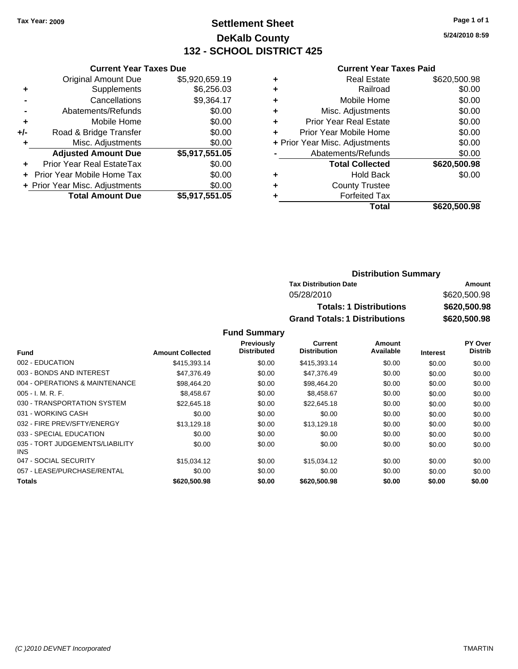### **Settlement Sheet Tax Year: 2009 Page 1 of 1 DeKalb County 132 - SCHOOL DISTRICT 425**

**5/24/2010 8:59**

#### **Current Year Taxes Paid**

|                                |                | <b>Current Year Taxes Due</b> |  |  |  |  |  |
|--------------------------------|----------------|-------------------------------|--|--|--|--|--|
| <b>Original Amount Due</b>     | \$5,920,659.19 |                               |  |  |  |  |  |
| Supplements                    | \$6,256.03     |                               |  |  |  |  |  |
| Cancellations                  | \$9,364.17     |                               |  |  |  |  |  |
| Abatements/Refunds             | \$0.00         |                               |  |  |  |  |  |
| Mobile Home                    | \$0.00         |                               |  |  |  |  |  |
| Road & Bridge Transfer         | \$0.00         |                               |  |  |  |  |  |
| Misc. Adjustments              | \$0.00         |                               |  |  |  |  |  |
| <b>Adjusted Amount Due</b>     | \$5,917,551.05 |                               |  |  |  |  |  |
| Prior Year Real EstateTax      | \$0.00         |                               |  |  |  |  |  |
| Prior Year Mobile Home Tax     | \$0.00         |                               |  |  |  |  |  |
| + Prior Year Misc. Adjustments | \$0.00         |                               |  |  |  |  |  |
|                                |                |                               |  |  |  |  |  |
|                                |                |                               |  |  |  |  |  |

|                                | <b>Real Estate</b>            | \$620,500.98 |
|--------------------------------|-------------------------------|--------------|
| ٠                              | Railroad                      | \$0.00       |
| ٠                              | Mobile Home                   | \$0.00       |
| ٠                              | Misc. Adjustments             | \$0.00       |
| ٠                              | <b>Prior Year Real Estate</b> | \$0.00       |
|                                | Prior Year Mobile Home        | \$0.00       |
| + Prior Year Misc. Adjustments |                               | \$0.00       |
|                                | Abatements/Refunds            | \$0.00       |
|                                | <b>Total Collected</b>        | \$620,500.98 |
| ٠                              | <b>Hold Back</b>              | \$0.00       |
| ٠                              | <b>County Trustee</b>         |              |
| ٠                              | <b>Forfeited Tax</b>          |              |
|                                | Total                         | \$620,500.98 |
|                                |                               |              |

### **Distribution Summary Tax Distribution Date Amount** 05/28/2010 \$620,500.98 **Totals: 1 Distributions \$620,500.98 Grand Totals: 1 Distributions \$620,500.98**

|                                         |                         | <b>Previously</b>  | Current             | Amount    |                 | PY Over        |
|-----------------------------------------|-------------------------|--------------------|---------------------|-----------|-----------------|----------------|
| <b>Fund</b>                             | <b>Amount Collected</b> | <b>Distributed</b> | <b>Distribution</b> | Available | <b>Interest</b> | <b>Distrib</b> |
| 002 - EDUCATION                         | \$415,393.14            | \$0.00             | \$415,393.14        | \$0.00    | \$0.00          | \$0.00         |
| 003 - BONDS AND INTEREST                | \$47,376,49             | \$0.00             | \$47,376.49         | \$0.00    | \$0.00          | \$0.00         |
| 004 - OPERATIONS & MAINTENANCE          | \$98,464.20             | \$0.00             | \$98,464.20         | \$0.00    | \$0.00          | \$0.00         |
| $005 - I. M. R. F.$                     | \$8,458.67              | \$0.00             | \$8,458.67          | \$0.00    | \$0.00          | \$0.00         |
| 030 - TRANSPORTATION SYSTEM             | \$22,645.18             | \$0.00             | \$22.645.18         | \$0.00    | \$0.00          | \$0.00         |
| 031 - WORKING CASH                      | \$0.00                  | \$0.00             | \$0.00              | \$0.00    | \$0.00          | \$0.00         |
| 032 - FIRE PREV/SFTY/ENERGY             | \$13.129.18             | \$0.00             | \$13,129.18         | \$0.00    | \$0.00          | \$0.00         |
| 033 - SPECIAL EDUCATION                 | \$0.00                  | \$0.00             | \$0.00              | \$0.00    | \$0.00          | \$0.00         |
| 035 - TORT JUDGEMENTS/LIABILITY<br>INS. | \$0.00                  | \$0.00             | \$0.00              | \$0.00    | \$0.00          | \$0.00         |
| 047 - SOCIAL SECURITY                   | \$15.034.12             | \$0.00             | \$15.034.12         | \$0.00    | \$0.00          | \$0.00         |
| 057 - LEASE/PURCHASE/RENTAL             | \$0.00                  | \$0.00             | \$0.00              | \$0.00    | \$0.00          | \$0.00         |
| <b>Totals</b>                           | \$620,500.98            | \$0.00             | \$620,500.98        | \$0.00    | \$0.00          | \$0.00         |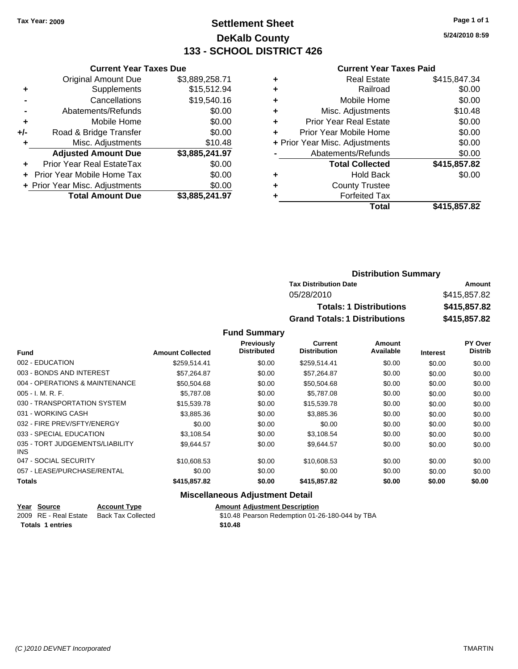### **Settlement Sheet Tax Year: 2009 Page 1 of 1 DeKalb County 133 - SCHOOL DISTRICT 426**

**5/24/2010 8:59**

#### **Current Year Taxes Paid**

|       | <b>Current Year Taxes Due</b>  |                |  |  |  |
|-------|--------------------------------|----------------|--|--|--|
|       | <b>Original Amount Due</b>     | \$3,889,258.71 |  |  |  |
| ٠     | Supplements                    | \$15,512.94    |  |  |  |
|       | Cancellations                  | \$19,540.16    |  |  |  |
|       | Abatements/Refunds             | \$0.00         |  |  |  |
| ٠     | Mobile Home                    | \$0.00         |  |  |  |
| $+/-$ | Road & Bridge Transfer         | \$0.00         |  |  |  |
| ٠     | Misc. Adjustments<br>\$10.48   |                |  |  |  |
|       | <b>Adjusted Amount Due</b>     | \$3,885,241.97 |  |  |  |
|       | Prior Year Real EstateTax      | \$0.00         |  |  |  |
|       | Prior Year Mobile Home Tax     | \$0.00         |  |  |  |
|       | + Prior Year Misc. Adjustments | \$0.00         |  |  |  |
|       | <b>Total Amount Due</b>        | \$3,885,241.97 |  |  |  |

|                                | Real Estate                   | \$415,847.34 |
|--------------------------------|-------------------------------|--------------|
| ٠                              | Railroad                      | \$0.00       |
| ٠                              | Mobile Home                   | \$0.00       |
| ٠                              | Misc. Adjustments             | \$10.48      |
| ÷                              | <b>Prior Year Real Estate</b> | \$0.00       |
| ٠                              | Prior Year Mobile Home        | \$0.00       |
| + Prior Year Misc. Adjustments |                               | \$0.00       |
|                                | Abatements/Refunds            | \$0.00       |
|                                | <b>Total Collected</b>        | \$415,857.82 |
| ٠                              | Hold Back                     | \$0.00       |
| ٠                              | <b>County Trustee</b>         |              |
| ٠                              | <b>Forfeited Tax</b>          |              |
|                                | Total                         | \$415,857.82 |
|                                |                               |              |

| <b>Distribution Summary</b>          |              |  |  |
|--------------------------------------|--------------|--|--|
| <b>Tax Distribution Date</b>         | Amount       |  |  |
| 05/28/2010                           | \$415,857.82 |  |  |
| <b>Totals: 1 Distributions</b>       | \$415,857.82 |  |  |
| <b>Grand Totals: 1 Distributions</b> | \$415,857.82 |  |  |

### **Fund Summary**

|                                         |                         | Previously         | Current             | Amount    |                 | <b>PY Over</b> |
|-----------------------------------------|-------------------------|--------------------|---------------------|-----------|-----------------|----------------|
| <b>Fund</b>                             | <b>Amount Collected</b> | <b>Distributed</b> | <b>Distribution</b> | Available | <b>Interest</b> | <b>Distrib</b> |
| 002 - EDUCATION                         | \$259.514.41            | \$0.00             | \$259,514.41        | \$0.00    | \$0.00          | \$0.00         |
| 003 - BONDS AND INTEREST                | \$57.264.87             | \$0.00             | \$57.264.87         | \$0.00    | \$0.00          | \$0.00         |
| 004 - OPERATIONS & MAINTENANCE          | \$50.504.68             | \$0.00             | \$50,504.68         | \$0.00    | \$0.00          | \$0.00         |
| $005 - I. M. R. F.$                     | \$5,787.08              | \$0.00             | \$5,787.08          | \$0.00    | \$0.00          | \$0.00         |
| 030 - TRANSPORTATION SYSTEM             | \$15,539.78             | \$0.00             | \$15,539.78         | \$0.00    | \$0.00          | \$0.00         |
| 031 - WORKING CASH                      | \$3,885,36              | \$0.00             | \$3,885.36          | \$0.00    | \$0.00          | \$0.00         |
| 032 - FIRE PREV/SFTY/ENERGY             | \$0.00                  | \$0.00             | \$0.00              | \$0.00    | \$0.00          | \$0.00         |
| 033 - SPECIAL EDUCATION                 | \$3.108.54              | \$0.00             | \$3.108.54          | \$0.00    | \$0.00          | \$0.00         |
| 035 - TORT JUDGEMENTS/LIABILITY<br>INS. | \$9,644.57              | \$0.00             | \$9,644.57          | \$0.00    | \$0.00          | \$0.00         |
| 047 - SOCIAL SECURITY                   | \$10,608.53             | \$0.00             | \$10,608.53         | \$0.00    | \$0.00          | \$0.00         |
| 057 - LEASE/PURCHASE/RENTAL             | \$0.00                  | \$0.00             | \$0.00              | \$0.00    | \$0.00          | \$0.00         |
| Totals                                  | \$415,857.82            | \$0.00             | \$415,857.82        | \$0.00    | \$0.00          | \$0.00         |

### **Miscellaneous Adjustment Detail**

|                         | Year Source           | <b>Account Type</b>       | <b>Amount Adiustment Description</b>            |
|-------------------------|-----------------------|---------------------------|-------------------------------------------------|
|                         | 2009 RE - Real Estate | <b>Back Tax Collected</b> | \$10.48 Pearson Redemption 01-26-180-044 by TBA |
| <b>Totals 1 entries</b> |                       |                           | \$10.48                                         |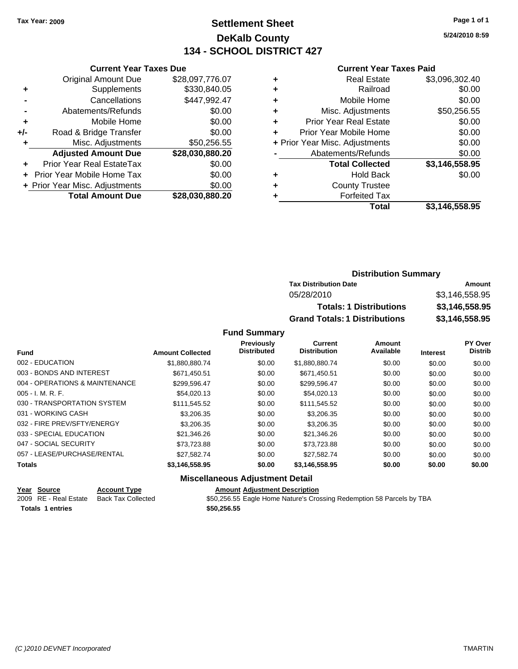### **Settlement Sheet Tax Year: 2009 Page 1 of 1 DeKalb County 134 - SCHOOL DISTRICT 427**

**5/24/2010 8:59**

#### **Current Year Taxes Paid**

|     | <b>Original Amount Due</b>       | \$28,097,776.07 |
|-----|----------------------------------|-----------------|
| ٠   | Supplements                      | \$330,840.05    |
|     | Cancellations                    | \$447,992.47    |
|     | Abatements/Refunds               | \$0.00          |
| ٠   | Mobile Home                      | \$0.00          |
| +/- | Road & Bridge Transfer           | \$0.00          |
| ٠   | Misc. Adjustments                | \$50,256.55     |
|     | <b>Adjusted Amount Due</b>       | \$28,030,880.20 |
| ٠   | <b>Prior Year Real EstateTax</b> | \$0.00          |
|     | Prior Year Mobile Home Tax       | \$0.00          |
|     | + Prior Year Misc. Adjustments   | \$0.00          |
|     | <b>Total Amount Due</b>          | \$28,030,880.20 |
|     |                                  |                 |

**Current Year Taxes Due**

|   | <b>Real Estate</b>             | \$3,096,302.40 |
|---|--------------------------------|----------------|
| ٠ | Railroad                       | \$0.00         |
| ٠ | Mobile Home                    | \$0.00         |
| ٠ | Misc. Adjustments              | \$50,256.55    |
| ٠ | <b>Prior Year Real Estate</b>  | \$0.00         |
|   | Prior Year Mobile Home         | \$0.00         |
|   | + Prior Year Misc. Adjustments | \$0.00         |
|   | Abatements/Refunds             | \$0.00         |
|   | <b>Total Collected</b>         | \$3,146,558.95 |
| ٠ | <b>Hold Back</b>               | \$0.00         |
| ٠ | <b>County Trustee</b>          |                |
|   | <b>Forfeited Tax</b>           |                |
|   | Total                          | \$3,146,558.95 |
|   |                                |                |

### **Distribution Summary Tax Distribution Date Amount** 05/28/2010 \$3,146,558.95 **Totals: 1 Distributions \$3,146,558.95 Grand Totals: 1 Distributions \$3,146,558.95**

#### **Fund Summary**

|                                |                         | Previously         | <b>Current</b>      | Amount    |                 | PY Over        |
|--------------------------------|-------------------------|--------------------|---------------------|-----------|-----------------|----------------|
| <b>Fund</b>                    | <b>Amount Collected</b> | <b>Distributed</b> | <b>Distribution</b> | Available | <b>Interest</b> | <b>Distrib</b> |
| 002 - EDUCATION                | \$1.880.880.74          | \$0.00             | \$1.880.880.74      | \$0.00    | \$0.00          | \$0.00         |
| 003 - BONDS AND INTEREST       | \$671.450.51            | \$0.00             | \$671.450.51        | \$0.00    | \$0.00          | \$0.00         |
| 004 - OPERATIONS & MAINTENANCE | \$299.596.47            | \$0.00             | \$299.596.47        | \$0.00    | \$0.00          | \$0.00         |
| $005 - I. M. R. F.$            | \$54,020.13             | \$0.00             | \$54,020.13         | \$0.00    | \$0.00          | \$0.00         |
| 030 - TRANSPORTATION SYSTEM    | \$111.545.52            | \$0.00             | \$111.545.52        | \$0.00    | \$0.00          | \$0.00         |
| 031 - WORKING CASH             | \$3,206,35              | \$0.00             | \$3,206.35          | \$0.00    | \$0.00          | \$0.00         |
| 032 - FIRE PREV/SFTY/ENERGY    | \$3,206,35              | \$0.00             | \$3,206,35          | \$0.00    | \$0.00          | \$0.00         |
| 033 - SPECIAL EDUCATION        | \$21,346.26             | \$0.00             | \$21,346.26         | \$0.00    | \$0.00          | \$0.00         |
| 047 - SOCIAL SECURITY          | \$73.723.88             | \$0.00             | \$73.723.88         | \$0.00    | \$0.00          | \$0.00         |
| 057 - LEASE/PURCHASE/RENTAL    | \$27.582.74             | \$0.00             | \$27.582.74         | \$0.00    | \$0.00          | \$0.00         |
| <b>Totals</b>                  | \$3,146,558.95          | \$0.00             | \$3,146,558.95      | \$0.00    | \$0.00          | \$0.00         |

### **Miscellaneous Adjustment Detail**

| Year Source           | <b>Account Type</b> | <b>Amount Adiustment Description</b> |
|-----------------------|---------------------|--------------------------------------|
| 2009 RE - Real Estate | Back Tax Collected  | \$50,256.55 Eagle Home Nature's Cro  |

**Totals 1 entries \$50,256.55**

\$50,256.55 Eagle Home Nature's Crossing Redemption 58 Parcels by TBA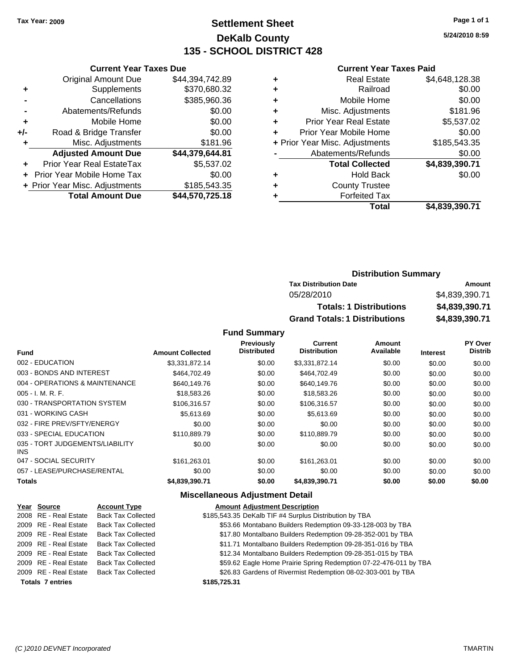**Current Year Taxes Due** Original Amount Due \$44,394,742.89

**Adjusted Amount Due \$44,379,644.81**

**Total Amount Due \$44,570,725.18**

**+** Supplements \$370,680.32 **-** Cancellations \$385,960.36 **-** Abatements/Refunds \$0.00 **+** Mobile Home \$0.00 **+/-** Road & Bridge Transfer \$0.00 **+** Misc. Adjustments \$181.96

**+** Prior Year Real EstateTax \$5,537.02 **+** Prior Year Mobile Home Tax \$0.00 + Prior Year Misc. Adjustments \$185,543.35

### **Settlement Sheet Tax Year: 2009 Page 1 of 1 DeKalb County 135 - SCHOOL DISTRICT 428**

**5/24/2010 8:59**

#### **Current Year Taxes Paid**

| Total                          | \$4.839.390.71 |
|--------------------------------|----------------|
| <b>Forfeited Tax</b>           |                |
| <b>County Trustee</b>          |                |
| <b>Hold Back</b>               | \$0.00         |
| <b>Total Collected</b>         | \$4,839,390.71 |
| Abatements/Refunds             | \$0.00         |
| + Prior Year Misc. Adjustments | \$185,543.35   |
| Prior Year Mobile Home         | \$0.00         |
| <b>Prior Year Real Estate</b>  | \$5,537.02     |
| Misc. Adjustments              | \$181.96       |
| Mobile Home                    | \$0.00         |
| Railroad                       | \$0.00         |
| <b>Real Estate</b>             | \$4,648,128.38 |
|                                |                |

| <b>Distribution Summary</b>          |                |
|--------------------------------------|----------------|
| <b>Tax Distribution Date</b>         | Amount         |
| 05/28/2010                           | \$4,839,390.71 |
| <b>Totals: 1 Distributions</b>       | \$4,839,390.71 |
| <b>Grand Totals: 1 Distributions</b> | \$4,839,390.71 |

#### **Fund Summary**

|                                         |                         | <b>Previously</b><br><b>Distributed</b> | Current<br><b>Distribution</b> | Amount<br>Available |                 | PY Over<br><b>Distrib</b> |
|-----------------------------------------|-------------------------|-----------------------------------------|--------------------------------|---------------------|-----------------|---------------------------|
| <b>Fund</b>                             | <b>Amount Collected</b> |                                         |                                |                     | <b>Interest</b> |                           |
| 002 - EDUCATION                         | \$3,331,872.14          | \$0.00                                  | \$3,331,872.14                 | \$0.00              | \$0.00          | \$0.00                    |
| 003 - BONDS AND INTEREST                | \$464,702.49            | \$0.00                                  | \$464,702.49                   | \$0.00              | \$0.00          | \$0.00                    |
| 004 - OPERATIONS & MAINTENANCE          | \$640,149.76            | \$0.00                                  | \$640,149.76                   | \$0.00              | \$0.00          | \$0.00                    |
| $005 - I. M. R. F.$                     | \$18,583.26             | \$0.00                                  | \$18,583.26                    | \$0.00              | \$0.00          | \$0.00                    |
| 030 - TRANSPORTATION SYSTEM             | \$106.316.57            | \$0.00                                  | \$106,316.57                   | \$0.00              | \$0.00          | \$0.00                    |
| 031 - WORKING CASH                      | \$5,613.69              | \$0.00                                  | \$5,613.69                     | \$0.00              | \$0.00          | \$0.00                    |
| 032 - FIRE PREV/SFTY/ENERGY             | \$0.00                  | \$0.00                                  | \$0.00                         | \$0.00              | \$0.00          | \$0.00                    |
| 033 - SPECIAL EDUCATION                 | \$110,889.79            | \$0.00                                  | \$110,889.79                   | \$0.00              | \$0.00          | \$0.00                    |
| 035 - TORT JUDGEMENTS/LIABILITY<br>INS. | \$0.00                  | \$0.00                                  | \$0.00                         | \$0.00              | \$0.00          | \$0.00                    |
| 047 - SOCIAL SECURITY                   | \$161.263.01            | \$0.00                                  | \$161.263.01                   | \$0.00              | \$0.00          | \$0.00                    |
| 057 - LEASE/PURCHASE/RENTAL             | \$0.00                  | \$0.00                                  | \$0.00                         | \$0.00              | \$0.00          | \$0.00                    |
| <b>Totals</b>                           | \$4,839,390.71          | \$0.00                                  | \$4,839,390.71                 | \$0.00              | \$0.00          | \$0.00                    |

#### **Miscellaneous Adjustment Detail**

| Year Source             | <b>Account Type</b>       | <b>Amount Adjustment Description</b>                              |
|-------------------------|---------------------------|-------------------------------------------------------------------|
| 2008 RE - Real Estate   | <b>Back Tax Collected</b> | \$185,543.35 DeKalb TIF #4 Surplus Distribution by TBA            |
| 2009 RE - Real Estate   | <b>Back Tax Collected</b> | \$53.66 Montabano Builders Redemption 09-33-128-003 by TBA        |
| 2009 RE - Real Estate   | <b>Back Tax Collected</b> | \$17.80 Montalbano Builders Redemption 09-28-352-001 by TBA       |
| 2009 RE - Real Estate   | <b>Back Tax Collected</b> | \$11.71 Montalbano Builders Redemption 09-28-351-016 by TBA       |
| 2009 RE - Real Estate   | <b>Back Tax Collected</b> | \$12.34 Montalbano Builders Redemption 09-28-351-015 by TBA       |
| 2009 RE - Real Estate   | <b>Back Tax Collected</b> | \$59.62 Eagle Home Prairie Spring Redemption 07-22-476-011 by TBA |
| 2009 RE - Real Estate   | <b>Back Tax Collected</b> | \$26.83 Gardens of Rivermist Redemption 08-02-303-001 by TBA      |
| <b>Totals 7 entries</b> |                           | \$185,725,31                                                      |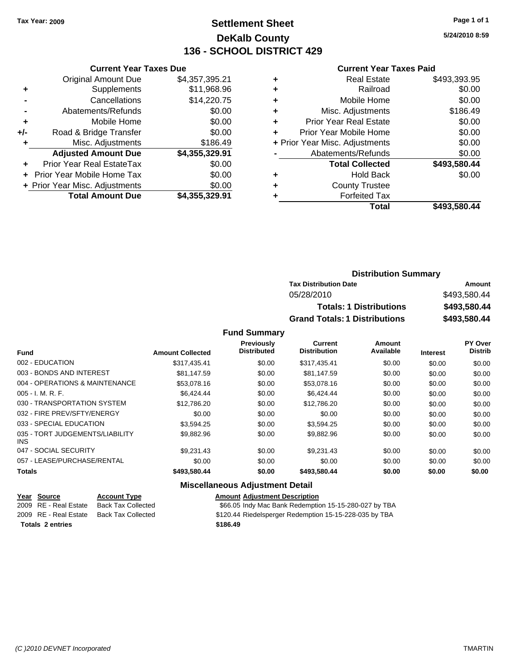### **Settlement Sheet Tax Year: 2009 Page 1 of 1 DeKalb County 136 - SCHOOL DISTRICT 429**

**5/24/2010 8:59**

#### **Current Year Taxes Paid**

|     | <b>Current Year Taxes Due</b>  |                |
|-----|--------------------------------|----------------|
|     | <b>Original Amount Due</b>     | \$4,357,395.21 |
| ٠   | Supplements                    | \$11,968.96    |
|     | Cancellations                  | \$14,220.75    |
|     | Abatements/Refunds             | \$0.00         |
| ٠   | Mobile Home                    | \$0.00         |
| +/- | Road & Bridge Transfer         | \$0.00         |
| ٠   | Misc. Adjustments              | \$186.49       |
|     | <b>Adjusted Amount Due</b>     | \$4,355,329.91 |
|     | Prior Year Real EstateTax      | \$0.00         |
|     | Prior Year Mobile Home Tax     | \$0.00         |
|     | + Prior Year Misc. Adjustments | \$0.00         |
|     | <b>Total Amount Due</b>        | \$4,355,329.91 |

| ٠ | Real Estate                    | \$493,393.95 |
|---|--------------------------------|--------------|
| ٠ | Railroad                       | \$0.00       |
| ٠ | Mobile Home                    | \$0.00       |
| ٠ | Misc. Adjustments              | \$186.49     |
| ÷ | <b>Prior Year Real Estate</b>  | \$0.00       |
| ÷ | Prior Year Mobile Home         | \$0.00       |
|   | + Prior Year Misc. Adjustments | \$0.00       |
|   | Abatements/Refunds             | \$0.00       |
|   | <b>Total Collected</b>         | \$493,580.44 |
| ٠ | Hold Back                      | \$0.00       |
| ٠ | <b>County Trustee</b>          |              |
| ٠ | <b>Forfeited Tax</b>           |              |
|   | Total                          | \$493,580.44 |
|   |                                |              |

| <b>Distribution Summary</b>          |              |
|--------------------------------------|--------------|
| <b>Tax Distribution Date</b>         | Amount       |
| 05/28/2010                           | \$493,580.44 |
| <b>Totals: 1 Distributions</b>       | \$493,580.44 |
| <b>Grand Totals: 1 Distributions</b> | \$493,580.44 |

### **Fund Summary**

|                                         |                         | <b>Previously</b>  | <b>Current</b>      | Amount    |                 | PY Over        |
|-----------------------------------------|-------------------------|--------------------|---------------------|-----------|-----------------|----------------|
| <b>Fund</b>                             | <b>Amount Collected</b> | <b>Distributed</b> | <b>Distribution</b> | Available | <b>Interest</b> | <b>Distrib</b> |
| 002 - EDUCATION                         | \$317.435.41            | \$0.00             | \$317,435.41        | \$0.00    | \$0.00          | \$0.00         |
| 003 - BONDS AND INTEREST                | \$81.147.59             | \$0.00             | \$81,147.59         | \$0.00    | \$0.00          | \$0.00         |
| 004 - OPERATIONS & MAINTENANCE          | \$53,078.16             | \$0.00             | \$53,078.16         | \$0.00    | \$0.00          | \$0.00         |
| 005 - I. M. R. F.                       | \$6,424.44              | \$0.00             | \$6,424.44          | \$0.00    | \$0.00          | \$0.00         |
| 030 - TRANSPORTATION SYSTEM             | \$12,786.20             | \$0.00             | \$12,786.20         | \$0.00    | \$0.00          | \$0.00         |
| 032 - FIRE PREV/SFTY/ENERGY             | \$0.00                  | \$0.00             | \$0.00              | \$0.00    | \$0.00          | \$0.00         |
| 033 - SPECIAL EDUCATION                 | \$3,594.25              | \$0.00             | \$3,594.25          | \$0.00    | \$0.00          | \$0.00         |
| 035 - TORT JUDGEMENTS/LIABILITY<br>INS. | \$9,882.96              | \$0.00             | \$9,882.96          | \$0.00    | \$0.00          | \$0.00         |
| 047 - SOCIAL SECURITY                   | \$9.231.43              | \$0.00             | \$9.231.43          | \$0.00    | \$0.00          | \$0.00         |
| 057 - LEASE/PURCHASE/RENTAL             | \$0.00                  | \$0.00             | \$0.00              | \$0.00    | \$0.00          | \$0.00         |
| <b>Totals</b>                           | \$493,580.44            | \$0.00             | \$493,580.44        | \$0.00    | \$0.00          | \$0.00         |

#### **Miscellaneous Adjustment Detail**

| Year Source             | <b>Account Type</b> | <b>Amount Adiustment Description</b>                   |
|-------------------------|---------------------|--------------------------------------------------------|
| 2009 RE - Real Estate   | Back Tax Collected  | \$66.05 Indy Mac Bank Redemption 15-15-280-027 by TBA  |
| 2009 RE - Real Estate   | Back Tax Collected  | \$120.44 Riedelsperger Redemption 15-15-228-035 by TBA |
| <b>Totals 2 entries</b> |                     | \$186.49                                               |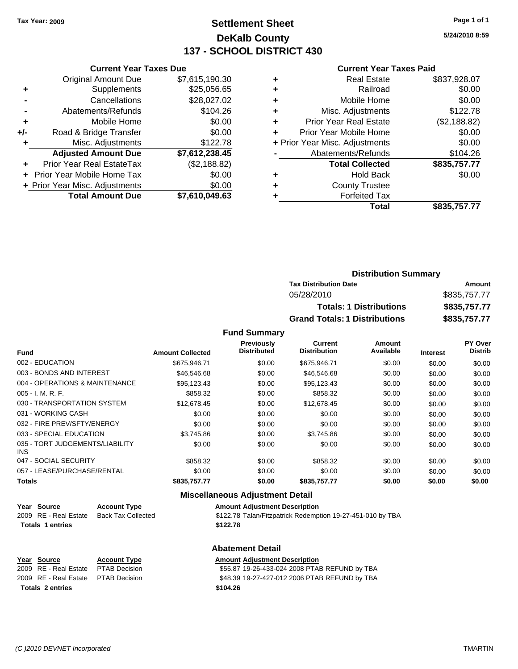### **Settlement Sheet Tax Year: 2009 Page 1 of 1 DeKalb County 137 - SCHOOL DISTRICT 430**

**5/24/2010 8:59**

#### **Current Year Taxes Paid**

|     | <b>Total Amount Due</b>        | \$7,610,049.63 |         |
|-----|--------------------------------|----------------|---------|
|     | + Prior Year Misc. Adjustments | \$0.00         |         |
|     | Prior Year Mobile Home Tax     | \$0.00         | ٠       |
|     | Prior Year Real EstateTax      | (\$2,188.82)   |         |
|     | <b>Adjusted Amount Due</b>     | \$7,612,238.45 |         |
|     | Misc. Adjustments              | \$122.78       | + Prior |
| +/- | Road & Bridge Transfer         | \$0.00         | ٠       |
|     | Mobile Home                    | \$0.00         | ٠       |
|     | Abatements/Refunds             | \$104.26       | ٠       |
|     | Cancellations                  | \$28,027.02    | ٠       |
|     | Supplements                    | \$25,056.65    | ٠       |
|     | <b>Original Amount Due</b>     | \$7,615,190.30 | ٠       |
|     | OGNON, I GAI TAAGO DAG         |                |         |

**Current Year Taxes Due**

|   | <b>Real Estate</b>             | \$837,928.07 |
|---|--------------------------------|--------------|
| ٠ | Railroad                       | \$0.00       |
| ٠ | Mobile Home                    | \$0.00       |
| ٠ | Misc. Adjustments              | \$122.78     |
| ٠ | <b>Prior Year Real Estate</b>  | (\$2,188.82) |
|   | Prior Year Mobile Home         | \$0.00       |
|   | + Prior Year Misc. Adjustments | \$0.00       |
|   | Abatements/Refunds             | \$104.26     |
|   | <b>Total Collected</b>         | \$835,757.77 |
| ٠ | <b>Hold Back</b>               | \$0.00       |
| ٠ | <b>County Trustee</b>          |              |
|   | <b>Forfeited Tax</b>           |              |
|   | Total                          | \$835,757.77 |
|   |                                |              |

### **Distribution Summary Tax Distribution Date Amount** 05/28/2010 \$835,757.77 **Totals: 1 Distributions \$835,757.77 Grand Totals: 1 Distributions \$835,757.77**

**Fund Summary**

| <b>Fund</b>                                   | <b>Amount Collected</b> | <b>Previously</b><br><b>Distributed</b> | Current<br><b>Distribution</b> | Amount<br>Available | <b>Interest</b> | <b>PY Over</b><br><b>Distrib</b> |
|-----------------------------------------------|-------------------------|-----------------------------------------|--------------------------------|---------------------|-----------------|----------------------------------|
|                                               |                         |                                         |                                |                     |                 |                                  |
| 002 - EDUCATION                               | \$675,946.71            | \$0.00                                  | \$675,946.71                   | \$0.00              | \$0.00          | \$0.00                           |
| 003 - BONDS AND INTEREST                      | \$46,546,68             | \$0.00                                  | \$46,546.68                    | \$0.00              | \$0.00          | \$0.00                           |
| 004 - OPERATIONS & MAINTENANCE                | \$95.123.43             | \$0.00                                  | \$95.123.43                    | \$0.00              | \$0.00          | \$0.00                           |
| $005 - I. M. R. F.$                           | \$858.32                | \$0.00                                  | \$858.32                       | \$0.00              | \$0.00          | \$0.00                           |
| 030 - TRANSPORTATION SYSTEM                   | \$12,678.45             | \$0.00                                  | \$12,678.45                    | \$0.00              | \$0.00          | \$0.00                           |
| 031 - WORKING CASH                            | \$0.00                  | \$0.00                                  | \$0.00                         | \$0.00              | \$0.00          | \$0.00                           |
| 032 - FIRE PREV/SFTY/ENERGY                   | \$0.00                  | \$0.00                                  | \$0.00                         | \$0.00              | \$0.00          | \$0.00                           |
| 033 - SPECIAL EDUCATION                       | \$3.745.86              | \$0.00                                  | \$3,745.86                     | \$0.00              | \$0.00          | \$0.00                           |
| 035 - TORT JUDGEMENTS/LIABILITY<br><b>INS</b> | \$0.00                  | \$0.00                                  | \$0.00                         | \$0.00              | \$0.00          | \$0.00                           |
| 047 - SOCIAL SECURITY                         | \$858.32                | \$0.00                                  | \$858.32                       | \$0.00              | \$0.00          | \$0.00                           |
| 057 - LEASE/PURCHASE/RENTAL                   | \$0.00                  | \$0.00                                  | \$0.00                         | \$0.00              | \$0.00          | \$0.00                           |
| <b>Totals</b>                                 | \$835,757.77            | \$0.00                                  | \$835,757.77                   | \$0.00              | \$0.00          | \$0.00                           |

#### **Miscellaneous Adjustment Detail**

|                         | Year Source           | <b>Account Type</b> | <b>Amount Adjustment Description</b>                       |
|-------------------------|-----------------------|---------------------|------------------------------------------------------------|
|                         | 2009 RE - Real Estate | Back Tax Collected  | \$122.78 Talan/Fitzpatrick Redemption 19-27-451-010 by TBA |
| <b>Totals 1 entries</b> |                       |                     | \$122.78                                                   |
|                         |                       |                     |                                                            |

# **Totals 2 entries \$104.26**

### **Abatement Detail**

**Year Source Account Type Amount Adjustment Description** 2009 RE - Real Estate PTAB Decision \$55.87 19-26-433-024 2008 PTAB REFUND by TBA

2009 RE - Real Estate PTAB Decision \$48.39 19-27-427-012 2006 PTAB REFUND by TBA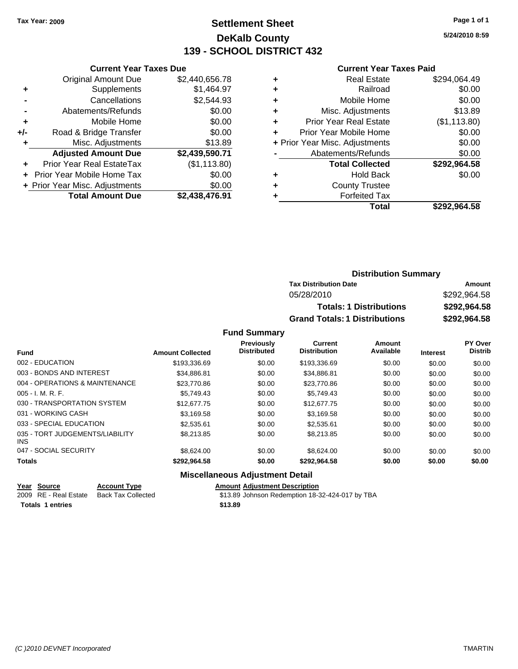### **Settlement Sheet Tax Year: 2009 Page 1 of 1 DeKalb County 139 - SCHOOL DISTRICT 432**

**5/24/2010 8:59**

#### **Current Year Taxes Paid**

|     | <b>Current Year Taxes Due</b>     |                |  |  |  |  |
|-----|-----------------------------------|----------------|--|--|--|--|
|     | <b>Original Amount Due</b>        | \$2,440,656.78 |  |  |  |  |
| ٠   | Supplements                       | \$1,464.97     |  |  |  |  |
|     | Cancellations                     | \$2,544.93     |  |  |  |  |
|     | Abatements/Refunds                | \$0.00         |  |  |  |  |
| ٠   | Mobile Home                       | \$0.00         |  |  |  |  |
| +/- | Road & Bridge Transfer            | \$0.00         |  |  |  |  |
| ٠   | Misc. Adjustments                 | \$13.89        |  |  |  |  |
|     | <b>Adjusted Amount Due</b>        | \$2,439,590.71 |  |  |  |  |
| ٠   | Prior Year Real EstateTax         | (\$1,113.80)   |  |  |  |  |
|     | <b>Prior Year Mobile Home Tax</b> | \$0.00         |  |  |  |  |
|     | + Prior Year Misc. Adjustments    | \$0.00         |  |  |  |  |
|     | <b>Total Amount Due</b>           | \$2,438,476.91 |  |  |  |  |
|     |                                   |                |  |  |  |  |

| ٠ | <b>Real Estate</b>             | \$294,064.49 |
|---|--------------------------------|--------------|
| ٠ | Railroad                       | \$0.00       |
| ٠ | Mobile Home                    | \$0.00       |
| ٠ | Misc. Adjustments              | \$13.89      |
| ٠ | <b>Prior Year Real Estate</b>  | (\$1,113.80) |
|   | Prior Year Mobile Home         | \$0.00       |
|   | + Prior Year Misc. Adjustments | \$0.00       |
|   | Abatements/Refunds             | \$0.00       |
|   | <b>Total Collected</b>         | \$292,964.58 |
| ٠ | <b>Hold Back</b>               | \$0.00       |
| ٠ | <b>County Trustee</b>          |              |
|   | <b>Forfeited Tax</b>           |              |
|   | Total                          | \$292.964.58 |
|   |                                |              |

| <b>Distribution Summary</b>          |              |
|--------------------------------------|--------------|
| <b>Tax Distribution Date</b>         | Amount       |
| 05/28/2010                           | \$292,964.58 |
| <b>Totals: 1 Distributions</b>       | \$292,964.58 |
| <b>Grand Totals: 1 Distributions</b> | \$292,964.58 |

### **Fund Summary**

|                                         |                         | <b>Previously</b>  | <b>Current</b>      | Amount    |                 | PY Over        |
|-----------------------------------------|-------------------------|--------------------|---------------------|-----------|-----------------|----------------|
| <b>Fund</b>                             | <b>Amount Collected</b> | <b>Distributed</b> | <b>Distribution</b> | Available | <b>Interest</b> | <b>Distrib</b> |
| 002 - EDUCATION                         | \$193,336.69            | \$0.00             | \$193,336.69        | \$0.00    | \$0.00          | \$0.00         |
| 003 - BONDS AND INTEREST                | \$34.886.81             | \$0.00             | \$34.886.81         | \$0.00    | \$0.00          | \$0.00         |
| 004 - OPERATIONS & MAINTENANCE          | \$23,770.86             | \$0.00             | \$23,770.86         | \$0.00    | \$0.00          | \$0.00         |
| $005 - I. M. R. F.$                     | \$5,749.43              | \$0.00             | \$5.749.43          | \$0.00    | \$0.00          | \$0.00         |
| 030 - TRANSPORTATION SYSTEM             | \$12,677.75             | \$0.00             | \$12,677.75         | \$0.00    | \$0.00          | \$0.00         |
| 031 - WORKING CASH                      | \$3.169.58              | \$0.00             | \$3.169.58          | \$0.00    | \$0.00          | \$0.00         |
| 033 - SPECIAL EDUCATION                 | \$2,535.61              | \$0.00             | \$2,535.61          | \$0.00    | \$0.00          | \$0.00         |
| 035 - TORT JUDGEMENTS/LIABILITY<br>INS. | \$8,213,85              | \$0.00             | \$8.213.85          | \$0.00    | \$0.00          | \$0.00         |
| 047 - SOCIAL SECURITY                   | \$8.624.00              | \$0.00             | \$8,624,00          | \$0.00    | \$0.00          | \$0.00         |
| <b>Totals</b>                           | \$292.964.58            | \$0.00             | \$292.964.58        | \$0.00    | \$0.00          | \$0.00         |

### **Miscellaneous Adjustment Detail**

| Year Source | <b>Account Type</b> | <b>Amount Adjustment Description</b> |
|-------------|---------------------|--------------------------------------|
| $\cdots$    | - - - - -           | $\cdots$<br>$\overline{\phantom{a}}$ |

**Totals 1 entries \$13.89**

2009 RE - Real Estate Back Tax Collected \$13.89 Johnson Redemption 18-32-424-017 by TBA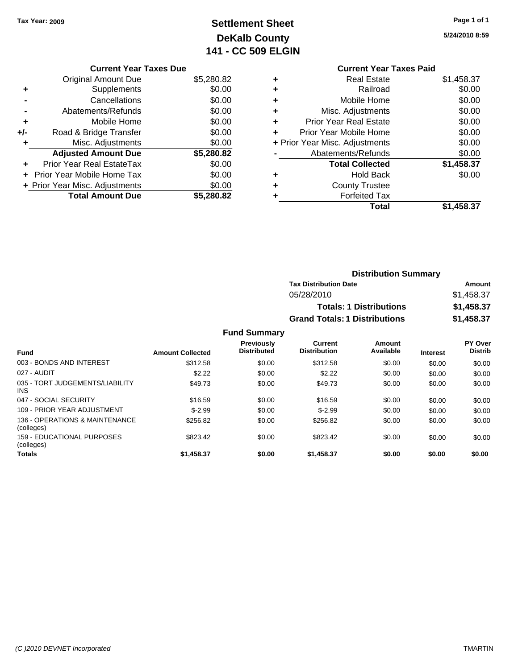**Current Year Taxes Due** Original Amount Due \$5,280.82

**Adjusted Amount Due \$5,280.82**

**Total Amount Due \$5,280.82**

**+** Supplements \$0.00 **-** Cancellations \$0.00 **-** Abatements/Refunds \$0.00 **+** Mobile Home \$0.00 **+/-** Road & Bridge Transfer \$0.00 **+** Misc. Adjustments \$0.00

**+** Prior Year Real EstateTax \$0.00 **+** Prior Year Mobile Home Tax \$0.00 **+ Prior Year Misc. Adjustments**  $$0.00$ 

### **Settlement Sheet Tax Year: 2009 Page 1 of 1 DeKalb County 141 - CC 509 ELGIN**

**5/24/2010 8:59**

**Total \$1,458.37**

### **Current Year Taxes Paid +** Real Estate \$1,458.37 **+** Railroad \$0.00 **+** Mobile Home \$0.00 **+** Misc. Adjustments \$0.00 **+** Prior Year Real Estate \$0.00 **+** Prior Year Mobile Home \$0.00 **+** Prior Year Misc. Adjustments  $$0.00$ **-** Abatements/Refunds \$0.00 **Total Collected \$1,458.37 +** Hold Back \$0.00 **+** County Trustee

**+** Forfeited Tax

|                             |                                          | <b>Distribution Summary</b>    |                |
|-----------------------------|------------------------------------------|--------------------------------|----------------|
|                             | <b>Tax Distribution Date</b>             |                                | Amount         |
|                             | 05/28/2010                               |                                | \$1,458.37     |
|                             |                                          | <b>Totals: 1 Distributions</b> | \$1,458.37     |
|                             | <b>Grand Totals: 1 Distributions</b>     |                                | \$1,458.37     |
| <b>Fund Summary</b>         |                                          |                                |                |
| <b>Previously</b>           | <b>Current</b>                           | Amount                         | <b>PY Over</b> |
| For a continuous continuous | <b>Professor International Professor</b> | $A - A - B - A - C$            |                |

|                                               |                         | <b>Previously</b><br><b>Distributed</b> | <b>Current</b><br><b>Distribution</b> | Amount<br>Available |                 | PY Over<br><b>Distrib</b> |
|-----------------------------------------------|-------------------------|-----------------------------------------|---------------------------------------|---------------------|-----------------|---------------------------|
| <b>Fund</b>                                   | <b>Amount Collected</b> |                                         |                                       |                     | <b>Interest</b> |                           |
| 003 - BONDS AND INTEREST                      | \$312.58                | \$0.00                                  | \$312.58                              | \$0.00              | \$0.00          | \$0.00                    |
| 027 - AUDIT                                   | \$2.22                  | \$0.00                                  | \$2.22                                | \$0.00              | \$0.00          | \$0.00                    |
| 035 - TORT JUDGEMENTS/LIABILITY<br><b>INS</b> | \$49.73                 | \$0.00                                  | \$49.73                               | \$0.00              | \$0.00          | \$0.00                    |
| 047 - SOCIAL SECURITY                         | \$16.59                 | \$0.00                                  | \$16.59                               | \$0.00              | \$0.00          | \$0.00                    |
| 109 - PRIOR YEAR ADJUSTMENT                   | $$-2.99$                | \$0.00                                  | $$-2.99$                              | \$0.00              | \$0.00          | \$0.00                    |
| 136 - OPERATIONS & MAINTENANCE<br>(colleges)  | \$256.82                | \$0.00                                  | \$256.82                              | \$0.00              | \$0.00          | \$0.00                    |
| 159 - EDUCATIONAL PURPOSES<br>(colleges)      | \$823.42                | \$0.00                                  | \$823.42                              | \$0.00              | \$0.00          | \$0.00                    |
| <b>Totals</b>                                 | \$1,458.37              | \$0.00                                  | \$1,458.37                            | \$0.00              | \$0.00          | \$0.00                    |

#### *(C )2010 DEVNET Incorporated* TMARTIN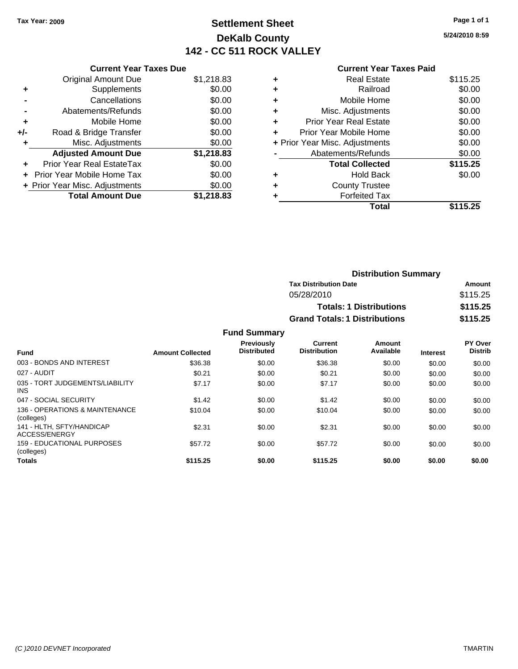### **Settlement Sheet Tax Year: 2009 Page 1 of 1 DeKalb County 142 - CC 511 ROCK VALLEY**

**5/24/2010 8:59**

|     | <b>Current Year Taxes Due</b>  |            |
|-----|--------------------------------|------------|
|     | Original Amount Due            | \$1,218.83 |
| ٠   | Supplements                    | \$0.00     |
|     | Cancellations                  | \$0.00     |
|     | Abatements/Refunds             | \$0.00     |
| ٠   | Mobile Home                    | \$0.00     |
| +/- | Road & Bridge Transfer         | \$0.00     |
| ٠   | Misc. Adjustments              | \$0.00     |
|     | <b>Adjusted Amount Due</b>     | \$1,218.83 |
|     | Prior Year Real EstateTax      | \$0.00     |
|     | Prior Year Mobile Home Tax     | \$0.00     |
|     | + Prior Year Misc. Adjustments | \$0.00     |
|     | <b>Total Amount Due</b>        | \$1,218.83 |
|     |                                |            |

### **Current Year Taxes Paid**

|   | <b>Real Estate</b>             | \$115.25 |
|---|--------------------------------|----------|
| ٠ | Railroad                       | \$0.00   |
| ٠ | Mobile Home                    | \$0.00   |
| ٠ | Misc. Adjustments              | \$0.00   |
| ٠ | <b>Prior Year Real Estate</b>  | \$0.00   |
|   | Prior Year Mobile Home         | \$0.00   |
|   | + Prior Year Misc. Adjustments | \$0.00   |
|   | Abatements/Refunds             | \$0.00   |
|   | <b>Total Collected</b>         | \$115.25 |
| ٠ | Hold Back                      | \$0.00   |
| ٠ | <b>County Trustee</b>          |          |
|   | <b>Forfeited Tax</b>           |          |
|   | Total                          | \$115.25 |
|   |                                |          |

| <b>Distribution Summary</b>          |          |
|--------------------------------------|----------|
| <b>Tax Distribution Date</b>         | Amount   |
| 05/28/2010                           | \$115.25 |
| <b>Totals: 1 Distributions</b>       | \$115.25 |
| <b>Grand Totals: 1 Distributions</b> | \$115.25 |

| <b>Fund</b>                                     | <b>Amount Collected</b> | <b>Previously</b><br><b>Distributed</b> | Current<br><b>Distribution</b> | Amount<br>Available | <b>Interest</b> | PY Over<br><b>Distrib</b> |
|-------------------------------------------------|-------------------------|-----------------------------------------|--------------------------------|---------------------|-----------------|---------------------------|
| 003 - BONDS AND INTEREST                        | \$36.38                 | \$0.00                                  | \$36.38                        | \$0.00              | \$0.00          | \$0.00                    |
| 027 - AUDIT                                     | \$0.21                  | \$0.00                                  | \$0.21                         | \$0.00              | \$0.00          | \$0.00                    |
| 035 - TORT JUDGEMENTS/LIABILITY<br><b>INS</b>   | \$7.17                  | \$0.00                                  | \$7.17                         | \$0.00              | \$0.00          | \$0.00                    |
| 047 - SOCIAL SECURITY                           | \$1.42                  | \$0.00                                  | \$1.42                         | \$0.00              | \$0.00          | \$0.00                    |
| 136 - OPERATIONS & MAINTENANCE<br>(colleges)    | \$10.04                 | \$0.00                                  | \$10.04                        | \$0.00              | \$0.00          | \$0.00                    |
| 141 - HLTH, SFTY/HANDICAP<br>ACCESS/ENERGY      | \$2.31                  | \$0.00                                  | \$2.31                         | \$0.00              | \$0.00          | \$0.00                    |
| <b>159 - EDUCATIONAL PURPOSES</b><br>(colleges) | \$57.72                 | \$0.00                                  | \$57.72                        | \$0.00              | \$0.00          | \$0.00                    |
| <b>Totals</b>                                   | \$115.25                | \$0.00                                  | \$115.25                       | \$0.00              | \$0.00          | \$0.00                    |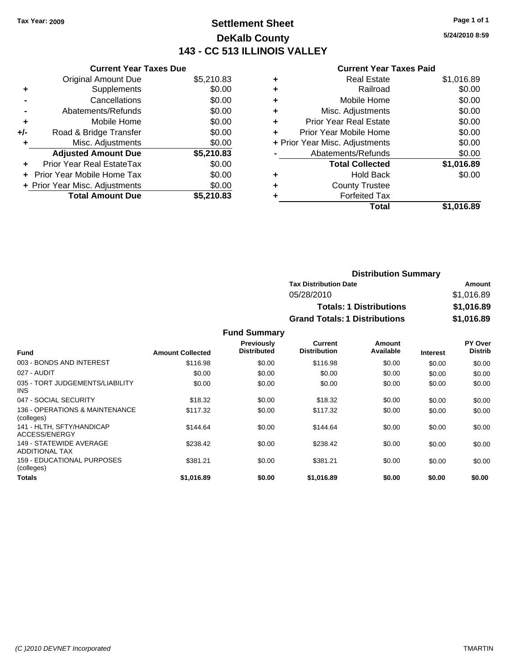### **Settlement Sheet Tax Year: 2009 Page 1 of 1 DeKalb County 143 - CC 513 ILLINOIS VALLEY**

**5/24/2010 8:59**

|  | Curr |
|--|------|
|  |      |

|       | <b>Current Year Taxes Due</b>     |            |
|-------|-----------------------------------|------------|
|       | <b>Original Amount Due</b>        | \$5,210.83 |
| ٠     | Supplements                       | \$0.00     |
|       | Cancellations                     | \$0.00     |
|       | Abatements/Refunds                | \$0.00     |
| ٠     | Mobile Home                       | \$0.00     |
| $+/-$ | Road & Bridge Transfer            | \$0.00     |
|       | Misc. Adjustments                 | \$0.00     |
|       | <b>Adjusted Amount Due</b>        | \$5,210.83 |
|       | Prior Year Real EstateTax         | \$0.00     |
|       | <b>Prior Year Mobile Home Tax</b> | \$0.00     |
|       | + Prior Year Misc. Adjustments    | \$0.00     |
|       | <b>Total Amount Due</b>           | \$5,210.83 |

|   | <b>Current Year Taxes Paid</b> |            |
|---|--------------------------------|------------|
| ٠ | <b>Real Estate</b>             | \$1,016.89 |
|   | Railroad                       | \$0.00     |
| ٠ | Mobile Home                    | \$0.00     |
| ٠ | Misc. Adjustments              | \$0.00     |
|   | <b>Prior Year Real Estate</b>  | \$0.00     |
| ٠ | Prior Year Mobile Home         | \$0.00     |
|   | + Prior Year Misc. Adjustments | \$0.00     |
|   | Abatements/Refunds             | \$0.00     |
|   | <b>Total Collected</b>         | \$1,016.89 |
|   | Hold Back                      | \$0.00     |
|   | <b>County Trustee</b>          |            |
|   | <b>Forfeited Tax</b>           |            |
|   | Total                          | \$1.016.89 |

| <b>Distribution Summary</b>          |            |
|--------------------------------------|------------|
| <b>Tax Distribution Date</b>         | Amount     |
| 05/28/2010                           | \$1,016.89 |
| <b>Totals: 1 Distributions</b>       | \$1,016.89 |
| <b>Grand Totals: 1 Distributions</b> | \$1,016.89 |

| Fund                                             | <b>Amount Collected</b> | <b>Previously</b><br><b>Distributed</b> | Current<br><b>Distribution</b> | Amount<br>Available | <b>Interest</b> | PY Over<br><b>Distrib</b> |
|--------------------------------------------------|-------------------------|-----------------------------------------|--------------------------------|---------------------|-----------------|---------------------------|
| 003 - BONDS AND INTEREST                         |                         |                                         |                                |                     |                 |                           |
|                                                  | \$116.98                | \$0.00                                  | \$116.98                       | \$0.00              | \$0.00          | \$0.00                    |
| 027 - AUDIT                                      | \$0.00                  | \$0.00                                  | \$0.00                         | \$0.00              | \$0.00          | \$0.00                    |
| 035 - TORT JUDGEMENTS/LIABILITY<br><b>INS</b>    | \$0.00                  | \$0.00                                  | \$0.00                         | \$0.00              | \$0.00          | \$0.00                    |
| 047 - SOCIAL SECURITY                            | \$18.32                 | \$0.00                                  | \$18.32                        | \$0.00              | \$0.00          | \$0.00                    |
| 136 - OPERATIONS & MAINTENANCE<br>(colleges)     | \$117.32                | \$0.00                                  | \$117.32                       | \$0.00              | \$0.00          | \$0.00                    |
| 141 - HLTH, SFTY/HANDICAP<br>ACCESS/ENERGY       | \$144.64                | \$0.00                                  | \$144.64                       | \$0.00              | \$0.00          | \$0.00                    |
| 149 - STATEWIDE AVERAGE<br><b>ADDITIONAL TAX</b> | \$238.42                | \$0.00                                  | \$238.42                       | \$0.00              | \$0.00          | \$0.00                    |
| 159 - EDUCATIONAL PURPOSES<br>(colleges)         | \$381.21                | \$0.00                                  | \$381.21                       | \$0.00              | \$0.00          | \$0.00                    |
| <b>Totals</b>                                    | \$1.016.89              | \$0.00                                  | \$1.016.89                     | \$0.00              | \$0.00          | \$0.00                    |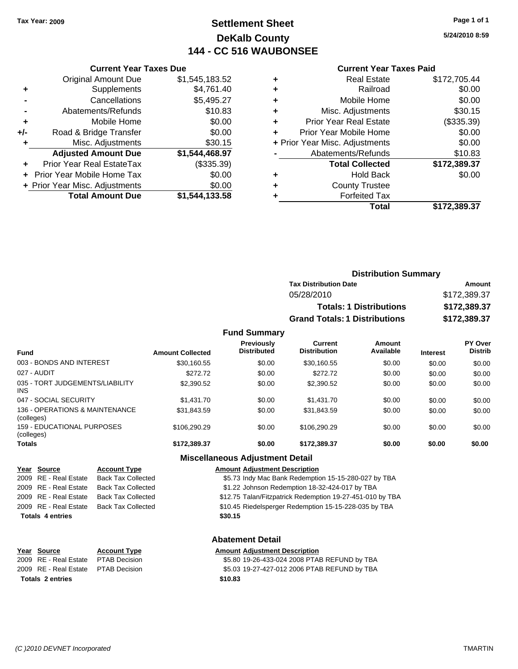### **Settlement Sheet Tax Year: 2009 Page 1 of 1 DeKalb County 144 - CC 516 WAUBONSEE**

**5/24/2010 8:59**

#### **Current Year Taxes Paid**

|   | <b>Real Estate</b>             | \$172,705.44 |
|---|--------------------------------|--------------|
| ٠ | Railroad                       | \$0.00       |
| ٠ | Mobile Home                    | \$0.00       |
| ٠ | Misc. Adjustments              | \$30.15      |
| ٠ | <b>Prior Year Real Estate</b>  | (\$335.39)   |
|   | Prior Year Mobile Home         | \$0.00       |
|   | + Prior Year Misc. Adjustments | \$0.00       |
|   | Abatements/Refunds             | \$10.83      |
|   | <b>Total Collected</b>         | \$172,389.37 |
| ٠ | <b>Hold Back</b>               | \$0.00       |
|   | <b>County Trustee</b>          |              |
|   | <b>Forfeited Tax</b>           |              |
|   | <b>Total</b>                   | \$172,389.37 |
|   |                                |              |

| <b>Distribution Summary</b>          |              |
|--------------------------------------|--------------|
| <b>Tax Distribution Date</b>         | Amount       |
| 05/28/2010                           | \$172,389.37 |
| <b>Totals: 1 Distributions</b>       | \$172,389.37 |
| <b>Grand Totals: 1 Distributions</b> | \$172,389.37 |

#### **Fund Summary**

|                                                 |                         | <b>Previously</b>  | Current             | Amount    |                 | <b>PY Over</b> |
|-------------------------------------------------|-------------------------|--------------------|---------------------|-----------|-----------------|----------------|
| <b>Fund</b>                                     | <b>Amount Collected</b> | <b>Distributed</b> | <b>Distribution</b> | Available | <b>Interest</b> | <b>Distrib</b> |
| 003 - BONDS AND INTEREST                        | \$30,160.55             | \$0.00             | \$30,160.55         | \$0.00    | \$0.00          | \$0.00         |
| 027 - AUDIT                                     | \$272.72                | \$0.00             | \$272.72            | \$0.00    | \$0.00          | \$0.00         |
| 035 - TORT JUDGEMENTS/LIABILITY<br><b>INS</b>   | \$2,390.52              | \$0.00             | \$2,390.52          | \$0.00    | \$0.00          | \$0.00         |
| 047 - SOCIAL SECURITY                           | \$1,431.70              | \$0.00             | \$1,431.70          | \$0.00    | \$0.00          | \$0.00         |
| 136 - OPERATIONS & MAINTENANCE<br>(colleges)    | \$31.843.59             | \$0.00             | \$31,843.59         | \$0.00    | \$0.00          | \$0.00         |
| <b>159 - EDUCATIONAL PURPOSES</b><br>(colleges) | \$106,290.29            | \$0.00             | \$106.290.29        | \$0.00    | \$0.00          | \$0.00         |
| <b>Totals</b>                                   | \$172.389.37            | \$0.00             | \$172.389.37        | \$0.00    | \$0.00          | \$0.00         |
|                                                 |                         |                    |                     |           |                 |                |

# **Miscellaneous Adjustment Detail**

| Year Source             | <b>Account Type</b>       | <b>Amount Adjustment Description</b>                      |
|-------------------------|---------------------------|-----------------------------------------------------------|
| 2009 RE - Real Estate   | <b>Back Tax Collected</b> | \$5.73 Indy Mac Bank Redemption 15-15-280-027 by TBA      |
| 2009 RE - Real Estate   | <b>Back Tax Collected</b> | \$1.22 Johnson Redemption 18-32-424-017 by TBA            |
| 2009 RE - Real Estate   | <b>Back Tax Collected</b> | \$12.75 Talan/Fitzpatrick Redemption 19-27-451-010 by TBA |
| 2009 RE - Real Estate   | <b>Back Tax Collected</b> | \$10.45 Riedelsperger Redemption 15-15-228-035 by TBA     |
| <b>Totals 4 entries</b> |                           | \$30.15                                                   |
|                         |                           |                                                           |

### **Abatement Detail**

| Year Source                         | <b>Account Type</b>  | <b>Amount Adiustment Description</b>         |
|-------------------------------------|----------------------|----------------------------------------------|
| 2009 RE - Real Estate               | <b>PTAB Decision</b> | \$5.80 19-26-433-024 2008 PTAB REFUND by TBA |
| 2009 RE - Real Estate PTAB Decision |                      | \$5.03 19-27-427-012 2006 PTAB REFUND by TBA |
| <b>Totals 2 entries</b>             |                      | \$10.83                                      |

**Year Source Account Type Amount Adjustment Description**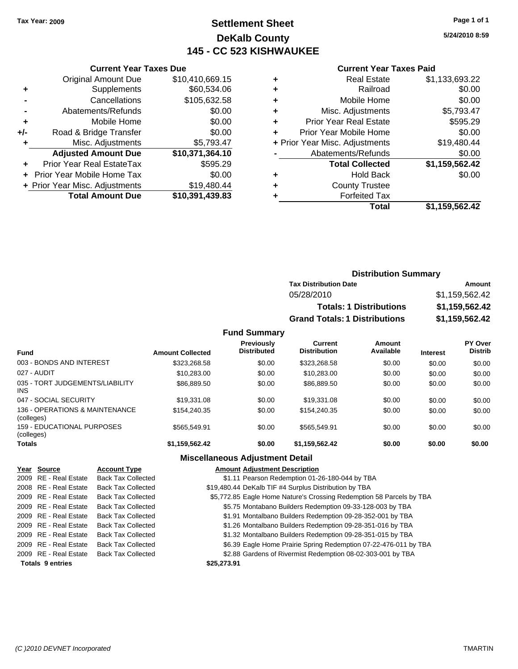### **Settlement Sheet Tax Year: 2009 Page 1 of 1 DeKalb County 145 - CC 523 KISHWAUKEE**

**5/24/2010 8:59**

### **Current Year Taxes Paid**

|     | <b>Current Year Taxes Due</b>    |                 |  |  |  |  |
|-----|----------------------------------|-----------------|--|--|--|--|
|     | <b>Original Amount Due</b>       | \$10,410,669.15 |  |  |  |  |
| ٠   | Supplements                      | \$60,534.06     |  |  |  |  |
|     | Cancellations                    | \$105,632.58    |  |  |  |  |
|     | Abatements/Refunds               | \$0.00          |  |  |  |  |
| ٠   | Mobile Home                      | \$0.00          |  |  |  |  |
| +/- | Road & Bridge Transfer           | \$0.00          |  |  |  |  |
| ٠   | Misc. Adjustments                | \$5,793.47      |  |  |  |  |
|     | <b>Adjusted Amount Due</b>       | \$10,371,364.10 |  |  |  |  |
| ٠   | <b>Prior Year Real EstateTax</b> | \$595.29        |  |  |  |  |
|     | Prior Year Mobile Home Tax       | \$0.00          |  |  |  |  |
|     | + Prior Year Misc. Adjustments   | \$19,480.44     |  |  |  |  |
|     | <b>Total Amount Due</b>          | \$10,391,439.83 |  |  |  |  |
|     |                                  |                 |  |  |  |  |

|   | <b>Real Estate</b>             | \$1,133,693.22 |
|---|--------------------------------|----------------|
| ٠ | Railroad                       | \$0.00         |
| ٠ | Mobile Home                    | \$0.00         |
| ٠ | Misc. Adjustments              | \$5,793.47     |
| ٠ | <b>Prior Year Real Estate</b>  | \$595.29       |
|   | Prior Year Mobile Home         | \$0.00         |
|   | + Prior Year Misc. Adjustments | \$19,480.44    |
|   | Abatements/Refunds             | \$0.00         |
|   | <b>Total Collected</b>         | \$1,159,562.42 |
| ٠ | <b>Hold Back</b>               | \$0.00         |
|   | <b>County Trustee</b>          |                |
|   | <b>Forfeited Tax</b>           |                |
|   | Total                          | \$1,159,562.42 |
|   |                                |                |

|                     |                                      | <b>Distribution Summary</b>    |                  |  |  |  |
|---------------------|--------------------------------------|--------------------------------|------------------|--|--|--|
|                     | <b>Tax Distribution Date</b>         |                                | Amount           |  |  |  |
|                     | 05/28/2010                           |                                | \$1,159,562.42   |  |  |  |
|                     |                                      | <b>Totals: 1 Distributions</b> | \$1,159,562.42   |  |  |  |
|                     | <b>Grand Totals: 1 Distributions</b> |                                | \$1,159,562.42   |  |  |  |
| <b>Fund Summary</b> |                                      |                                |                  |  |  |  |
| Deardanahr          | $P$                                  |                                | <b>DV Output</b> |  |  |  |

|                                               |                         | <b>Previously</b><br><b>Distributed</b> | <b>Current</b><br><b>Distribution</b> | Amount<br>Available |                 | PY Over        |
|-----------------------------------------------|-------------------------|-----------------------------------------|---------------------------------------|---------------------|-----------------|----------------|
| <b>Fund</b>                                   | <b>Amount Collected</b> |                                         |                                       |                     | <b>Interest</b> | <b>Distrib</b> |
| 003 - BONDS AND INTEREST                      | \$323.268.58            | \$0.00                                  | \$323.268.58                          | \$0.00              | \$0.00          | \$0.00         |
| 027 - AUDIT                                   | \$10,283,00             | \$0.00                                  | \$10,283,00                           | \$0.00              | \$0.00          | \$0.00         |
| 035 - TORT JUDGEMENTS/LIABILITY<br><b>INS</b> | \$86,889.50             | \$0.00                                  | \$86,889.50                           | \$0.00              | \$0.00          | \$0.00         |
| 047 - SOCIAL SECURITY                         | \$19,331.08             | \$0.00                                  | \$19,331.08                           | \$0.00              | \$0.00          | \$0.00         |
| 136 - OPERATIONS & MAINTENANCE<br>(colleges)  | \$154,240,35            | \$0.00                                  | \$154,240,35                          | \$0.00              | \$0.00          | \$0.00         |
| 159 - EDUCATIONAL PURPOSES<br>(colleges)      | \$565,549.91            | \$0.00                                  | \$565.549.91                          | \$0.00              | \$0.00          | \$0.00         |
| <b>Totals</b>                                 | \$1,159,562.42          | \$0.00                                  | \$1,159,562.42                        | \$0.00              | \$0.00          | \$0.00         |
|                                               |                         |                                         |                                       |                     |                 |                |

### **Miscellaneous Adjustment Detail**

| Year Source             | <b>Account Type</b>       | <b>Amount Adjustment Description</b>                                 |
|-------------------------|---------------------------|----------------------------------------------------------------------|
| 2009 RE - Real Estate   | <b>Back Tax Collected</b> | \$1.11 Pearson Redemption 01-26-180-044 by TBA                       |
| 2008 RE - Real Estate   | <b>Back Tax Collected</b> | \$19,480.44 DeKalb TIF #4 Surplus Distribution by TBA                |
| 2009 RE - Real Estate   | <b>Back Tax Collected</b> | \$5,772.85 Eagle Home Nature's Crossing Redemption 58 Parcels by TBA |
| 2009 RE - Real Estate   | <b>Back Tax Collected</b> | \$5.75 Montabano Builders Redemption 09-33-128-003 by TBA            |
| 2009 RE - Real Estate   | <b>Back Tax Collected</b> | \$1.91 Montalbano Builders Redemption 09-28-352-001 by TBA           |
| 2009 RE - Real Estate   | <b>Back Tax Collected</b> | \$1.26 Montalbano Builders Redemption 09-28-351-016 by TBA           |
| 2009 RE - Real Estate   | <b>Back Tax Collected</b> | \$1.32 Montalbano Builders Redemption 09-28-351-015 by TBA           |
| 2009 RE - Real Estate   | <b>Back Tax Collected</b> | \$6.39 Eagle Home Prairie Spring Redemption 07-22-476-011 by TBA     |
| 2009 RE - Real Estate   | <b>Back Tax Collected</b> | \$2.88 Gardens of Rivermist Redemption 08-02-303-001 by TBA          |
| <b>Totals 9 entries</b> |                           | \$25,273.91                                                          |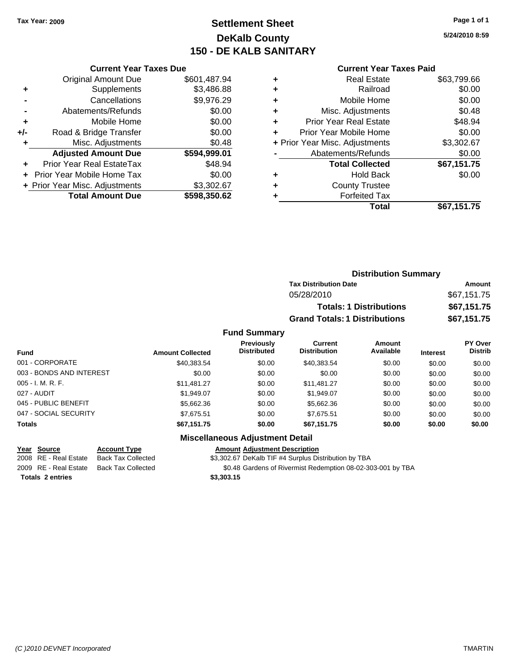### **Settlement Sheet Tax Year: 2009 Page 1 of 1 DeKalb County 150 - DE KALB SANITARY**

**5/24/2010 8:59**

|       | <b>Current Year Taxes Due</b>  |              |  |
|-------|--------------------------------|--------------|--|
|       | <b>Original Amount Due</b>     | \$601,487.94 |  |
| ٠     | Supplements                    | \$3,486.88   |  |
|       | Cancellations                  | \$9,976.29   |  |
|       | Abatements/Refunds             | \$0.00       |  |
| ٠     | Mobile Home                    | \$0.00       |  |
| $+/-$ | Road & Bridge Transfer         | \$0.00       |  |
| ٠     | \$0.48<br>Misc. Adjustments    |              |  |
|       | <b>Adjusted Amount Due</b>     | \$594,999.01 |  |
|       | Prior Year Real EstateTax      | \$48.94      |  |
|       | Prior Year Mobile Home Tax     | \$0.00       |  |
|       | + Prior Year Misc. Adjustments | \$3,302.67   |  |
|       | <b>Total Amount Due</b>        | \$598,350.62 |  |
|       |                                |              |  |

#### **Current Year Taxes Paid**

| <b>Real Estate</b>             | \$63,799.66 |
|--------------------------------|-------------|
| Railroad                       | \$0.00      |
| Mobile Home                    | \$0.00      |
| Misc. Adjustments              | \$0.48      |
| <b>Prior Year Real Estate</b>  | \$48.94     |
| Prior Year Mobile Home         | \$0.00      |
| + Prior Year Misc. Adjustments | \$3,302.67  |
| Abatements/Refunds             | \$0.00      |
| <b>Total Collected</b>         | \$67,151.75 |
| <b>Hold Back</b>               | \$0.00      |
| <b>County Trustee</b>          |             |
| <b>Forfeited Tax</b>           |             |
| Total                          | \$67,151.75 |
|                                |             |

|                          |                         | <b>Distribution Summary</b>      |                                      |                                |                 |                           |  |
|--------------------------|-------------------------|----------------------------------|--------------------------------------|--------------------------------|-----------------|---------------------------|--|
|                          |                         |                                  | <b>Tax Distribution Date</b>         |                                |                 | Amount                    |  |
|                          |                         |                                  | 05/28/2010                           |                                |                 | \$67,151.75               |  |
|                          |                         |                                  |                                      | <b>Totals: 1 Distributions</b> |                 | \$67,151.75               |  |
|                          |                         |                                  | <b>Grand Totals: 1 Distributions</b> |                                |                 | \$67,151.75               |  |
|                          |                         | <b>Fund Summary</b>              |                                      |                                |                 |                           |  |
| Fund                     | <b>Amount Collected</b> | Previously<br><b>Distributed</b> | Current<br><b>Distribution</b>       | Amount<br>Available            | <b>Interest</b> | PY Over<br><b>Distrib</b> |  |
| 001 - CORPORATE          | \$40,383.54             | \$0.00                           | \$40,383.54                          | \$0.00                         | \$0.00          | \$0.00                    |  |
| 003 - BONDS AND INTEREST | \$0.00                  | \$0.00                           | \$0.00                               | \$0.00                         | \$0.00          | \$0.00                    |  |
|                          |                         |                                  |                                      |                                |                 |                           |  |

#### 003 - BONDS AND INTEREST 005 - I. M. R. F. \$11,481.27 \$0.00 \$11,481.27 \$0.00 \$0.00 \$0.00 027 - AUDIT \$1,949.07 \$0.00 \$1,949.07 \$0.00 \$0.00 \$0.00 045 - PUBLIC BENEFIT \$5,662.36 \$0.00 \$5,662.36 \$0.00 \$0.00 \$0.00 \$0.00 047 - SOCIAL SECURITY \$7,675.51 \$0.00 \$7,675.51 \$0.00 \$0.00 \$0.00 **Totals \$67,151.75 \$0.00 \$67,151.75 \$0.00 \$0.00 \$0.00**

### **Miscellaneous Adjustment Detail**

#### **Year Source Account Type Amount Adjustment Description**

2008 RE - Real Estate Back Tax Collected \$3,302.67 DeKalb TIF #4 Surplus Distribution by TBA

2009 RE - Real Estate Back Tax Collected \$0.48 Gardens of Rivermist Redemption 08-02-303-001 by TBA

**Totals 2 entries \$3,303.15**

*(C )2010 DEVNET Incorporated* TMARTIN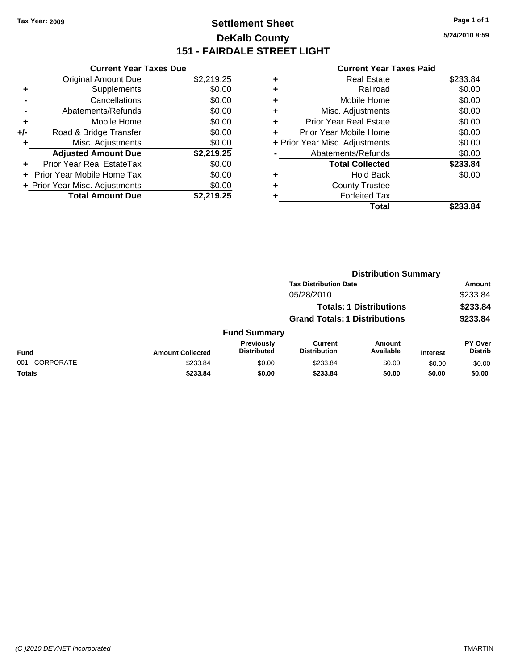### **Settlement Sheet Tax Year: 2009 Page 1 of 1 DeKalb County 151 - FAIRDALE STREET LIGHT**

**5/24/2010 8:59**

|     | <b>Current Year Taxes Due</b>     |            |
|-----|-----------------------------------|------------|
|     | <b>Original Amount Due</b>        | \$2,219.25 |
| ٠   | Supplements                       | \$0.00     |
|     | Cancellations                     | \$0.00     |
|     | Abatements/Refunds                | \$0.00     |
| ٠   | Mobile Home                       | \$0.00     |
| +/- | Road & Bridge Transfer            | \$0.00     |
| ٠   | Misc. Adjustments                 | \$0.00     |
|     | <b>Adjusted Amount Due</b>        | \$2,219.25 |
| ÷   | Prior Year Real EstateTax         | \$0.00     |
|     | <b>Prior Year Mobile Home Tax</b> | \$0.00     |
|     | + Prior Year Misc. Adjustments    | \$0.00     |
|     | <b>Total Amount Due</b>           | \$2,219.25 |
|     |                                   |            |

|   | Total                          | \$233.84 |
|---|--------------------------------|----------|
| ٠ | <b>Forfeited Tax</b>           |          |
| ٠ | <b>County Trustee</b>          |          |
| ٠ | <b>Hold Back</b>               | \$0.00   |
|   | <b>Total Collected</b>         | \$233.84 |
|   | Abatements/Refunds             | \$0.00   |
|   | + Prior Year Misc. Adjustments | \$0.00   |
| ٠ | Prior Year Mobile Home         | \$0.00   |
| ÷ | Prior Year Real Estate         | \$0.00   |
| ٠ | Misc. Adjustments              | \$0.00   |
| ٠ | Mobile Home                    | \$0.00   |
| ٠ | Railroad                       | \$0.00   |
| ٠ | <b>Real Estate</b>             | \$233.84 |
|   |                                |          |

|                 | <b>Distribution Summary</b> |                                      |                                       |                                |                 |                                  |  |
|-----------------|-----------------------------|--------------------------------------|---------------------------------------|--------------------------------|-----------------|----------------------------------|--|
|                 |                             |                                      | <b>Tax Distribution Date</b>          |                                |                 | Amount                           |  |
|                 |                             |                                      | 05/28/2010                            |                                |                 | \$233.84                         |  |
|                 |                             |                                      |                                       | <b>Totals: 1 Distributions</b> |                 | \$233.84                         |  |
|                 |                             | <b>Grand Totals: 1 Distributions</b> |                                       |                                | \$233.84        |                                  |  |
|                 |                             | <b>Fund Summary</b>                  |                                       |                                |                 |                                  |  |
| Fund            | <b>Amount Collected</b>     | Previously<br><b>Distributed</b>     | <b>Current</b><br><b>Distribution</b> | Amount<br>Available            | <b>Interest</b> | <b>PY Over</b><br><b>Distrib</b> |  |
| 001 - CORPORATE | \$233.84                    | \$0.00                               | \$233.84                              | \$0.00                         | \$0.00          | \$0.00                           |  |
| Totals          | \$233.84                    | \$0.00                               | \$233.84                              | \$0.00                         | \$0.00          | \$0.00                           |  |
|                 |                             |                                      |                                       |                                |                 |                                  |  |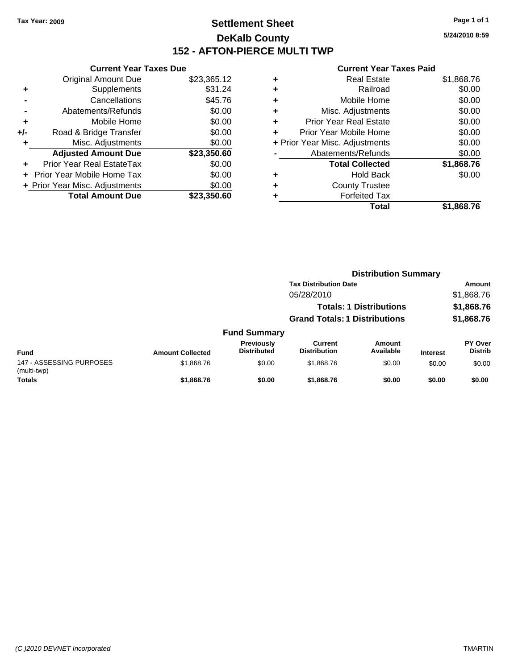### **Settlement Sheet Tax Year: 2009 Page 1 of 1 DeKalb County 152 - AFTON-PIERCE MULTI TWP**

**5/24/2010 8:59**

|     | <b>Current Year Taxes Due</b>  |             |
|-----|--------------------------------|-------------|
|     | <b>Original Amount Due</b>     | \$23,365.12 |
| ٠   | Supplements                    | \$31.24     |
|     | Cancellations                  | \$45.76     |
|     | Abatements/Refunds             | \$0.00      |
| ٠   | Mobile Home                    | \$0.00      |
| +/- | Road & Bridge Transfer         | \$0.00      |
|     | Misc. Adjustments              | \$0.00      |
|     | <b>Adjusted Amount Due</b>     | \$23,350.60 |
|     | Prior Year Real EstateTax      | \$0.00      |
|     | Prior Year Mobile Home Tax     | \$0.00      |
|     | + Prior Year Misc. Adjustments | \$0.00      |
|     | <b>Total Amount Due</b>        | \$23,350.60 |
|     |                                |             |

|   | Total                          | \$1,868.76 |
|---|--------------------------------|------------|
|   | <b>Forfeited Tax</b>           |            |
| ٠ | <b>County Trustee</b>          |            |
| ٠ | <b>Hold Back</b>               | \$0.00     |
|   | <b>Total Collected</b>         | \$1,868.76 |
|   | Abatements/Refunds             | \$0.00     |
|   | + Prior Year Misc. Adjustments | \$0.00     |
| ٠ | Prior Year Mobile Home         | \$0.00     |
| ÷ | <b>Prior Year Real Estate</b>  | \$0.00     |
| ÷ | Misc. Adjustments              | \$0.00     |
| ÷ | Mobile Home                    | \$0.00     |
| ٠ | Railroad                       | \$0.00     |
| ٠ | <b>Real Estate</b>             | \$1,868.76 |
|   |                                |            |

|                                         |                         |                                  | <b>Distribution Summary</b>          |                                |                 |                           |  |
|-----------------------------------------|-------------------------|----------------------------------|--------------------------------------|--------------------------------|-----------------|---------------------------|--|
|                                         |                         |                                  | <b>Tax Distribution Date</b>         |                                |                 | <b>Amount</b>             |  |
|                                         |                         |                                  | 05/28/2010                           |                                |                 | \$1,868.76                |  |
|                                         |                         |                                  |                                      | <b>Totals: 1 Distributions</b> |                 | \$1,868.76                |  |
|                                         |                         |                                  | <b>Grand Totals: 1 Distributions</b> |                                |                 | \$1,868.76                |  |
|                                         |                         | <b>Fund Summary</b>              |                                      |                                |                 |                           |  |
| <b>Fund</b>                             | <b>Amount Collected</b> | Previously<br><b>Distributed</b> | Current<br><b>Distribution</b>       | Amount<br>Available            | <b>Interest</b> | PY Over<br><b>Distrib</b> |  |
| 147 - ASSESSING PURPOSES<br>(multi-twp) | \$1,868.76              | \$0.00                           | \$1,868.76                           | \$0.00                         | \$0.00          | \$0.00                    |  |
| <b>Totals</b>                           | \$1,868.76              | \$0.00                           | \$1,868,76                           | \$0.00                         | \$0.00          | \$0.00                    |  |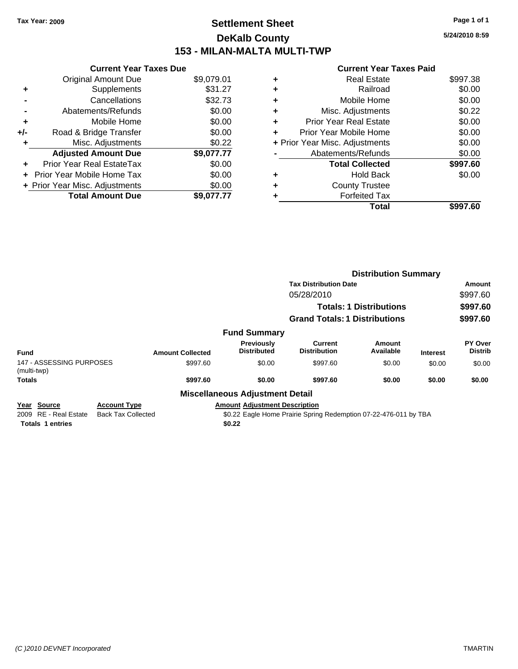### **Settlement Sheet Tax Year: 2009 Page 1 of 1 DeKalb County 153 - MILAN-MALTA MULTI-TWP**

**5/24/2010 8:59**

|     | <b>Current Year Taxes Due</b>     |            |
|-----|-----------------------------------|------------|
|     | <b>Original Amount Due</b>        | \$9,079.01 |
| ٠   | Supplements                       | \$31.27    |
|     | Cancellations                     | \$32.73    |
|     | Abatements/Refunds                | \$0.00     |
| ٠   | Mobile Home                       | \$0.00     |
| +/- | Road & Bridge Transfer            | \$0.00     |
|     | Misc. Adjustments                 | \$0.22     |
|     | <b>Adjusted Amount Due</b>        | \$9,077.77 |
| ÷   | Prior Year Real EstateTax         | \$0.00     |
|     | <b>Prior Year Mobile Home Tax</b> | \$0.00     |
|     | + Prior Year Misc. Adjustments    | \$0.00     |
|     | <b>Total Amount Due</b>           | \$9.077.77 |

|   | Total                          | \$997.60 |
|---|--------------------------------|----------|
|   | <b>Forfeited Tax</b>           |          |
| ٠ | <b>County Trustee</b>          |          |
| ٠ | Hold Back                      | \$0.00   |
|   | <b>Total Collected</b>         | \$997.60 |
|   | Abatements/Refunds             | \$0.00   |
|   | + Prior Year Misc. Adjustments | \$0.00   |
|   | Prior Year Mobile Home         | \$0.00   |
| ÷ | <b>Prior Year Real Estate</b>  | \$0.00   |
| ٠ | Misc. Adjustments              | \$0.22   |
| ٠ | Mobile Home                    | \$0.00   |
|   | Railroad                       | \$0.00   |
|   | Real Estate                    | \$997.38 |
|   |                                |          |

|                                                   |                                                  |                         |                                        | <b>Distribution Summary</b>                                      |                     |                 |                           |
|---------------------------------------------------|--------------------------------------------------|-------------------------|----------------------------------------|------------------------------------------------------------------|---------------------|-----------------|---------------------------|
|                                                   |                                                  |                         |                                        | <b>Tax Distribution Date</b><br>05/28/2010                       |                     |                 | Amount<br>\$997.60        |
|                                                   |                                                  |                         |                                        |                                                                  |                     |                 |                           |
|                                                   |                                                  |                         |                                        | <b>Totals: 1 Distributions</b>                                   |                     |                 | \$997.60                  |
|                                                   |                                                  |                         |                                        | <b>Grand Totals: 1 Distributions</b>                             |                     |                 | \$997.60                  |
|                                                   |                                                  |                         | <b>Fund Summary</b>                    |                                                                  |                     |                 |                           |
| <b>Fund</b>                                       |                                                  | <b>Amount Collected</b> | Previously<br><b>Distributed</b>       | Current<br><b>Distribution</b>                                   | Amount<br>Available | <b>Interest</b> | PY Over<br><b>Distrib</b> |
| 147 - ASSESSING PURPOSES<br>(multi-twp)           |                                                  | \$997.60                | \$0.00                                 | \$997.60                                                         | \$0.00              | \$0.00          | \$0.00                    |
| <b>Totals</b>                                     |                                                  | \$997.60                | \$0.00                                 | \$997.60                                                         | \$0.00              | \$0.00          | \$0.00                    |
|                                                   |                                                  |                         | <b>Miscellaneous Adjustment Detail</b> |                                                                  |                     |                 |                           |
| Source<br>Year<br><b>RE</b> - Real Estate<br>2009 | <b>Account Type</b><br><b>Back Tax Collected</b> |                         | <b>Amount Adjustment Description</b>   | \$0.22 Eagle Home Prairie Spring Redemption 07-22-476-011 by TBA |                     |                 |                           |
| <b>Totals 1 entries</b>                           |                                                  |                         | \$0.22                                 |                                                                  |                     |                 |                           |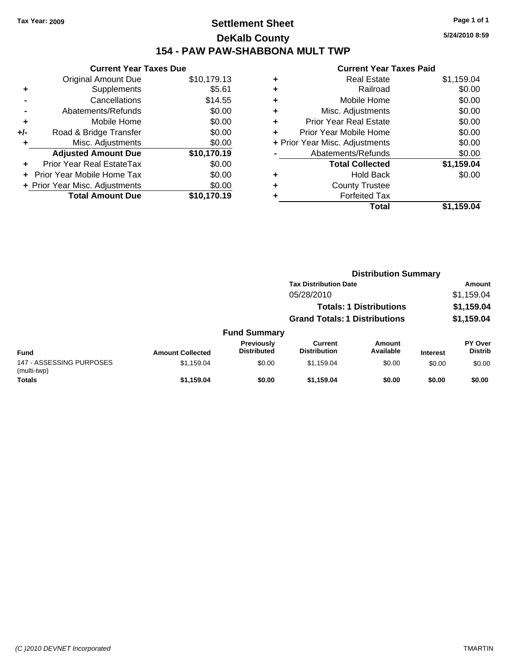### **Settlement Sheet Tax Year: 2009 Page 1 of 1 DeKalb County 154 - PAW PAW-SHABBONA MULT TWP**

**5/24/2010 8:59**

| <b>Current Year Taxes Due</b> |                                |
|-------------------------------|--------------------------------|
| <b>Original Amount Due</b>    | \$10,179.13                    |
| Supplements                   | \$5.61                         |
| Cancellations                 | \$14.55                        |
| Abatements/Refunds            | \$0.00                         |
| Mobile Home                   | \$0.00                         |
| Road & Bridge Transfer        | \$0.00                         |
| Misc. Adjustments             | \$0.00                         |
| <b>Adjusted Amount Due</b>    | \$10,170.19                    |
| Prior Year Real EstateTax     | \$0.00                         |
| Prior Year Mobile Home Tax    | \$0.00                         |
|                               | \$0.00                         |
| <b>Total Amount Due</b>       | \$10,170.19                    |
|                               | + Prior Year Misc. Adjustments |

|   | <b>Real Estate</b>             | \$1,159.04 |
|---|--------------------------------|------------|
| ٠ | Railroad                       | \$0.00     |
| ٠ | Mobile Home                    | \$0.00     |
| ٠ | Misc. Adjustments              | \$0.00     |
| ÷ | <b>Prior Year Real Estate</b>  | \$0.00     |
| ٠ | Prior Year Mobile Home         | \$0.00     |
|   | + Prior Year Misc. Adjustments | \$0.00     |
|   | Abatements/Refunds             | \$0.00     |
|   | <b>Total Collected</b>         | \$1,159.04 |
| ٠ | <b>Hold Back</b>               | \$0.00     |
| ٠ | <b>County Trustee</b>          |            |
| ٠ | <b>Forfeited Tax</b>           |            |
|   | Total                          | \$1,159.04 |
|   |                                |            |

|                                         |                         |                                  | <b>Distribution Summary</b>          |                                |                 |                           |
|-----------------------------------------|-------------------------|----------------------------------|--------------------------------------|--------------------------------|-----------------|---------------------------|
|                                         |                         |                                  | <b>Tax Distribution Date</b>         |                                |                 | Amount                    |
|                                         |                         |                                  | 05/28/2010                           |                                |                 | \$1,159.04                |
|                                         |                         |                                  |                                      | <b>Totals: 1 Distributions</b> |                 | \$1,159.04                |
|                                         |                         |                                  | <b>Grand Totals: 1 Distributions</b> |                                |                 | \$1,159.04                |
|                                         |                         | <b>Fund Summary</b>              |                                      |                                |                 |                           |
| <b>Fund</b>                             | <b>Amount Collected</b> | Previously<br><b>Distributed</b> | Current<br><b>Distribution</b>       | Amount<br>Available            | <b>Interest</b> | PY Over<br><b>Distrib</b> |
| 147 - ASSESSING PURPOSES<br>(multi-twp) | \$1,159.04              | \$0.00                           | \$1,159.04                           | \$0.00                         | \$0.00          | \$0.00                    |
| <b>Totals</b>                           | \$1,159.04              | \$0.00                           | \$1,159.04                           | \$0.00                         | \$0.00          | \$0.00                    |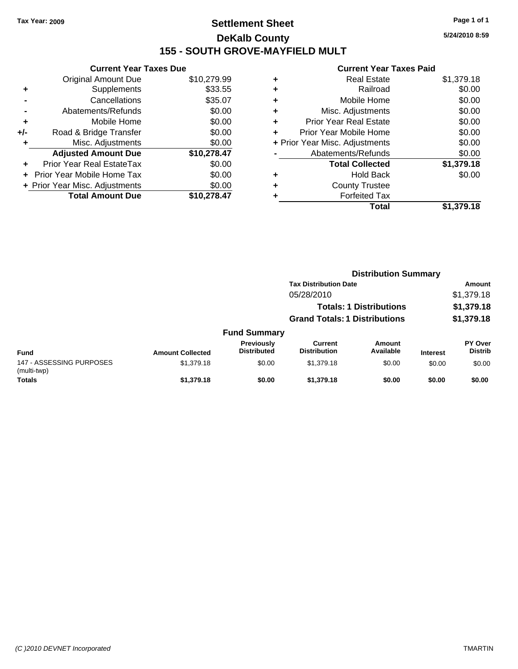### **Settlement Sheet Tax Year: 2009 Page 1 of 1 DeKalb County 155 - SOUTH GROVE-MAYFIELD MULT**

**5/24/2010 8:59**

| <b>Current Year Taxes Due</b> |                                                                                                                                                   |
|-------------------------------|---------------------------------------------------------------------------------------------------------------------------------------------------|
| <b>Original Amount Due</b>    | \$10,279.99                                                                                                                                       |
| Supplements                   | \$33.55                                                                                                                                           |
| Cancellations                 | \$35.07                                                                                                                                           |
| Abatements/Refunds            | \$0.00                                                                                                                                            |
| Mobile Home                   | \$0.00                                                                                                                                            |
|                               | \$0.00                                                                                                                                            |
| Misc. Adjustments             | \$0.00                                                                                                                                            |
|                               | \$10,278.47                                                                                                                                       |
|                               | \$0.00                                                                                                                                            |
|                               | \$0.00                                                                                                                                            |
|                               | \$0.00                                                                                                                                            |
| <b>Total Amount Due</b>       | \$10,278,47                                                                                                                                       |
|                               | Road & Bridge Transfer<br><b>Adjusted Amount Due</b><br>Prior Year Real EstateTax<br>Prior Year Mobile Home Tax<br>+ Prior Year Misc. Adjustments |

| ٠ | <b>Real Estate</b>             | \$1,379.18 |
|---|--------------------------------|------------|
| ٠ | Railroad                       | \$0.00     |
| ٠ | Mobile Home                    | \$0.00     |
| ٠ | Misc. Adjustments              | \$0.00     |
| ÷ | <b>Prior Year Real Estate</b>  | \$0.00     |
| ٠ | Prior Year Mobile Home         | \$0.00     |
|   | + Prior Year Misc. Adjustments | \$0.00     |
|   | Abatements/Refunds             | \$0.00     |
|   | <b>Total Collected</b>         | \$1,379.18 |
| ٠ | <b>Hold Back</b>               | \$0.00     |
| ٠ | <b>County Trustee</b>          |            |
| ٠ | <b>Forfeited Tax</b>           |            |
|   | Total                          | \$1,379.18 |
|   |                                |            |

|                                         |                         |                                  | <b>Distribution Summary</b>           |                                |                 |                           |
|-----------------------------------------|-------------------------|----------------------------------|---------------------------------------|--------------------------------|-----------------|---------------------------|
|                                         |                         |                                  | <b>Tax Distribution Date</b>          |                                |                 | Amount                    |
|                                         |                         |                                  | 05/28/2010                            |                                |                 | \$1,379.18                |
|                                         |                         |                                  |                                       | <b>Totals: 1 Distributions</b> |                 | \$1,379.18                |
|                                         |                         |                                  | <b>Grand Totals: 1 Distributions</b>  |                                |                 | \$1,379.18                |
|                                         |                         | <b>Fund Summary</b>              |                                       |                                |                 |                           |
| <b>Fund</b>                             | <b>Amount Collected</b> | Previously<br><b>Distributed</b> | <b>Current</b><br><b>Distribution</b> | Amount<br>Available            | <b>Interest</b> | PY Over<br><b>Distrib</b> |
| 147 - ASSESSING PURPOSES<br>(multi-twp) | \$1,379.18              | \$0.00                           | \$1,379.18                            | \$0.00                         | \$0.00          | \$0.00                    |
| <b>Totals</b>                           | \$1,379.18              | \$0.00                           | \$1,379.18                            | \$0.00                         | \$0.00          | \$0.00                    |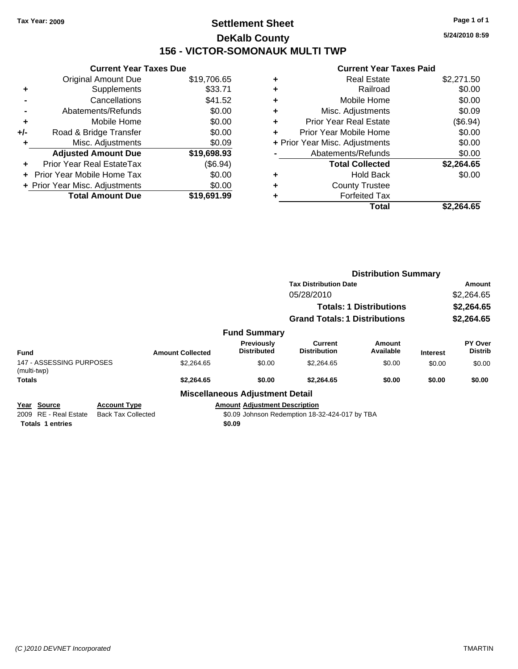### **Settlement Sheet Tax Year: 2009 Page 1 of 1 DeKalb County 156 - VICTOR-SOMONAUK MULTI TWP**

**5/24/2010 8:59**

|                                   | <b>Current Year Taxes Due</b> |
|-----------------------------------|-------------------------------|
| <b>Original Amount Due</b>        | \$19,706.65                   |
| Supplements<br>٠                  | \$33.71                       |
| Cancellations                     | \$41.52                       |
| Abatements/Refunds                | \$0.00                        |
| Mobile Home<br>٠                  | \$0.00                        |
| Road & Bridge Transfer<br>+/-     | \$0.00                        |
| Misc. Adjustments                 | \$0.09                        |
| <b>Adjusted Amount Due</b>        | \$19,698.93                   |
| Prior Year Real EstateTax<br>٠    | (\$6.94)                      |
| <b>Prior Year Mobile Home Tax</b> | \$0.00                        |
| + Prior Year Misc. Adjustments    | \$0.00                        |
| <b>Total Amount Due</b>           | \$19,691.99                   |

| Real Estate                    | \$2,271.50 |
|--------------------------------|------------|
| Railroad                       | \$0.00     |
| Mobile Home                    | \$0.00     |
| Misc. Adjustments              | \$0.09     |
| <b>Prior Year Real Estate</b>  | (\$6.94)   |
| Prior Year Mobile Home         | \$0.00     |
| + Prior Year Misc. Adjustments | \$0.00     |
| Abatements/Refunds             | \$0.00     |
| <b>Total Collected</b>         | \$2,264.65 |
| <b>Hold Back</b>               | \$0.00     |
| <b>County Trustee</b>          |            |
| <b>Forfeited Tax</b>           |            |
| Total                          | \$2.264.65 |
|                                |            |

|                                                                    |                                                  |                         |                                                | <b>Distribution Summary</b>                    |                                |                 |                                  |
|--------------------------------------------------------------------|--------------------------------------------------|-------------------------|------------------------------------------------|------------------------------------------------|--------------------------------|-----------------|----------------------------------|
|                                                                    |                                                  |                         |                                                | <b>Tax Distribution Date</b>                   |                                |                 | Amount                           |
|                                                                    |                                                  |                         |                                                | 05/28/2010                                     |                                |                 | \$2,264.65                       |
|                                                                    |                                                  |                         |                                                |                                                | <b>Totals: 1 Distributions</b> |                 | \$2,264.65                       |
|                                                                    |                                                  |                         |                                                | <b>Grand Totals: 1 Distributions</b>           |                                |                 | \$2,264.65                       |
|                                                                    |                                                  |                         | <b>Fund Summary</b>                            |                                                |                                |                 |                                  |
| <b>Fund</b>                                                        |                                                  | <b>Amount Collected</b> | <b>Previously</b><br><b>Distributed</b>        | <b>Current</b><br><b>Distribution</b>          | Amount<br>Available            | <b>Interest</b> | <b>PY Over</b><br><b>Distrib</b> |
| 147 - ASSESSING PURPOSES<br>(multi-twp)                            |                                                  | \$2,264.65              | \$0.00                                         | \$2,264.65                                     | \$0.00                         | \$0.00          | \$0.00                           |
| <b>Totals</b>                                                      |                                                  | \$2,264.65              | \$0.00                                         | \$2,264.65                                     | \$0.00                         | \$0.00          | \$0.00                           |
|                                                                    |                                                  |                         | <b>Miscellaneous Adjustment Detail</b>         |                                                |                                |                 |                                  |
| Source<br>Year<br>2009 RE - Real Estate<br><b>Totals 1 entries</b> | <b>Account Type</b><br><b>Back Tax Collected</b> |                         | <b>Amount Adiustment Description</b><br>\$0.09 | \$0.09 Johnson Redemption 18-32-424-017 by TBA |                                |                 |                                  |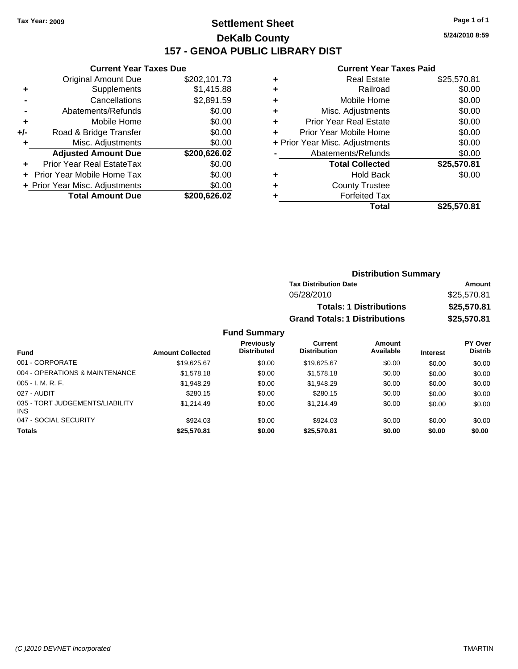### **Settlement Sheet Tax Year: 2009 Page 1 of 1 DeKalb County 157 - GENOA PUBLIC LIBRARY DIST**

**5/24/2010 8:59**

#### **Current Year Taxes Paid**

|       | OUITCHL TCUL TUACS DUC         |              |
|-------|--------------------------------|--------------|
|       | <b>Original Amount Due</b>     | \$202,101.73 |
| ٠     | Supplements                    | \$1,415.88   |
|       | Cancellations                  | \$2,891.59   |
|       | Abatements/Refunds             | \$0.00       |
| ٠     | Mobile Home                    | \$0.00       |
| $+/-$ | Road & Bridge Transfer         | \$0.00       |
| ٠     | Misc. Adjustments              | \$0.00       |
|       | <b>Adjusted Amount Due</b>     | \$200,626.02 |
|       | Prior Year Real EstateTax      | \$0.00       |
|       | Prior Year Mobile Home Tax     | \$0.00       |
|       | + Prior Year Misc. Adjustments | \$0.00       |
|       | <b>Total Amount Due</b>        | \$200,626.02 |
|       |                                |              |

**Current Year Taxes Due**

| ٠ | <b>Real Estate</b>             | \$25,570.81 |
|---|--------------------------------|-------------|
| ٠ | Railroad                       | \$0.00      |
| ٠ | Mobile Home                    | \$0.00      |
| ٠ | Misc. Adjustments              | \$0.00      |
| ٠ | <b>Prior Year Real Estate</b>  | \$0.00      |
| ٠ | Prior Year Mobile Home         | \$0.00      |
|   | + Prior Year Misc. Adjustments | \$0.00      |
|   | Abatements/Refunds             | \$0.00      |
|   | <b>Total Collected</b>         | \$25,570.81 |
| ٠ | <b>Hold Back</b>               | \$0.00      |
| ٠ | <b>County Trustee</b>          |             |
|   | <b>Forfeited Tax</b>           |             |
|   | Total                          | \$25,570.81 |

| <b>Distribution Summary</b>          |             |
|--------------------------------------|-------------|
| <b>Tax Distribution Date</b>         | Amount      |
| 05/28/2010                           | \$25,570.81 |
| <b>Totals: 1 Distributions</b>       | \$25,570.81 |
| <b>Grand Totals: 1 Distributions</b> | \$25,570.81 |

#### **Fund Summary Fund Interest Amount Collected Distributed PY Over Distrib Amount Available Current Distribution Previously** 001 - CORPORATE \$19,625.67 \$0.00 \$19,625.67 \$0.00 \$0.00 \$0.00 004 - OPERATIONS & MAINTENANCE \$1,578.18 \$0.00 \$1,578.18 \$0.00 \$0.00 \$0.00 \$0.00 005 - I. M. R. F. Charles Communication (St. 1948.29 \$0.00 \$1,948.29 \$0.00 \$0.00 \$0.00 \$0.00 \$0.00 027 - AUDIT \$280.15 \$0.00 \$280.15 \$0.00 \$0.00 \$0.00 035 - TORT JUDGEMENTS/LIABILITY INS \$1,214.49 \$0.00 \$1,214.49 \$0.00 \$0.00 \$0.00 047 - SOCIAL SECURITY \$924.03 \$0.00 \$0.00 \$0.00 \$0.00 \$0.00 **Totals \$25,570.81 \$0.00 \$25,570.81 \$0.00 \$0.00 \$0.00**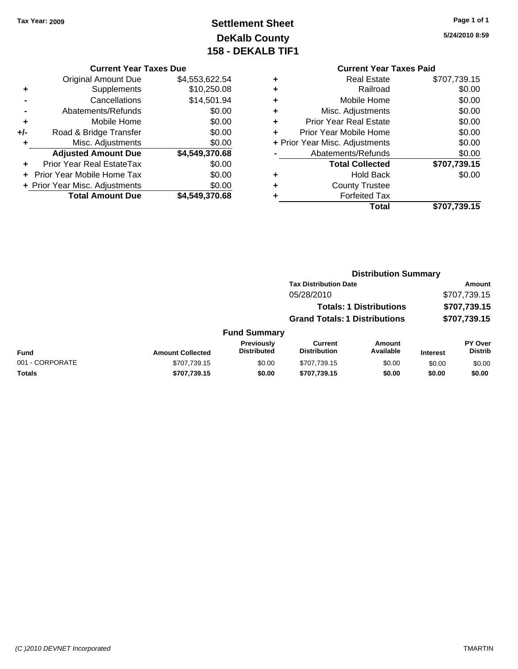### **Settlement Sheet Tax Year: 2009 Page 1 of 1 DeKalb County 158 - DEKALB TIF1**

**5/24/2010 8:59**

#### **Current Year Taxes Due**

|       | <b>Original Amount Due</b>        | \$4,553,622.54 |
|-------|-----------------------------------|----------------|
| ٠     | Supplements                       | \$10,250.08    |
|       | Cancellations                     | \$14,501.94    |
|       | Abatements/Refunds                | \$0.00         |
| ÷     | Mobile Home                       | \$0.00         |
| $+/-$ | Road & Bridge Transfer            | \$0.00         |
| ٠     | Misc. Adjustments                 | \$0.00         |
|       | <b>Adjusted Amount Due</b>        | \$4,549,370.68 |
|       | <b>Prior Year Real EstateTax</b>  | \$0.00         |
|       | <b>Prior Year Mobile Home Tax</b> | \$0.00         |
|       | + Prior Year Misc. Adjustments    | \$0.00         |
|       | <b>Total Amount Due</b>           | \$4,549,370.68 |

## **Current Year Taxes Paid**

|   | Real Estate                    | \$707,739.15 |
|---|--------------------------------|--------------|
|   | Railroad                       | \$0.00       |
| ٠ | Mobile Home                    | \$0.00       |
| ٠ | Misc. Adjustments              | \$0.00       |
| ٠ | <b>Prior Year Real Estate</b>  | \$0.00       |
| ٠ | Prior Year Mobile Home         | \$0.00       |
|   | + Prior Year Misc. Adjustments | \$0.00       |
|   | Abatements/Refunds             | \$0.00       |
|   | <b>Total Collected</b>         | \$707,739.15 |
| ٠ | <b>Hold Back</b>               | \$0.00       |
|   | <b>County Trustee</b>          |              |
|   | <b>Forfeited Tax</b>           |              |
|   | Total                          | \$707,739.15 |
|   |                                |              |

#### **Distribution Summary Tax Distribution Date Amount** 05/28/2010 \$707,739.15 **Totals: 1 Distributions \$707,739.15 Grand Totals: 1 Distributions \$707,739.15 Fund Summary Fund Interest Amount Collected Distributed PY Over Distrib Amount Available Current Distribution Previously** 001 - CORPORATE \$707,739.15 \$0.00 \$707,739.15 \$0.00 \$0.00 \$0.00

**Totals \$707,739.15 \$0.00 \$707,739.15 \$0.00 \$0.00 \$0.00**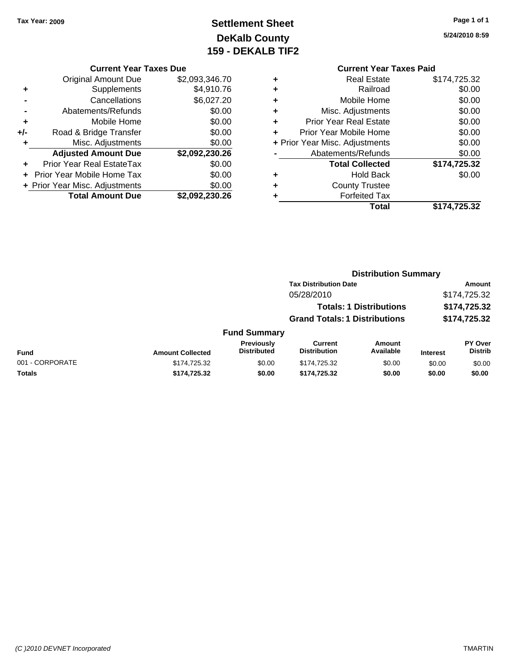### **Settlement Sheet Tax Year: 2009 Page 1 of 1 DeKalb County 159 - DEKALB TIF2**

**Current Year Taxes Due**

|       | GUITENT TEAL TAXES DUE            |                |
|-------|-----------------------------------|----------------|
|       | <b>Original Amount Due</b>        | \$2,093,346.70 |
| ٠     | Supplements                       | \$4,910.76     |
|       | Cancellations                     | \$6,027.20     |
|       | Abatements/Refunds                | \$0.00         |
| ٠     | Mobile Home                       | \$0.00         |
| $+/-$ | Road & Bridge Transfer            | \$0.00         |
|       | Misc. Adjustments                 | \$0.00         |
|       | <b>Adjusted Amount Due</b>        | \$2,092,230.26 |
| ÷     | <b>Prior Year Real EstateTax</b>  | \$0.00         |
|       | <b>Prior Year Mobile Home Tax</b> | \$0.00         |
|       | + Prior Year Misc. Adjustments    | \$0.00         |
|       | <b>Total Amount Due</b>           | \$2,092,230.26 |
|       |                                   |                |

### **Current Year Taxes Paid +** Real Estate \$174,725.32

|   | Total                          | \$174,725.32        |
|---|--------------------------------|---------------------|
|   | <b>Forfeited Tax</b>           |                     |
| ÷ | <b>County Trustee</b>          |                     |
| ٠ | <b>Hold Back</b>               | \$0.00              |
|   | <b>Total Collected</b>         | \$174,725.32        |
|   | Abatements/Refunds             | \$0.00              |
|   | + Prior Year Misc. Adjustments | \$0.00              |
|   | Prior Year Mobile Home         | \$0.00              |
| ÷ | <b>Prior Year Real Estate</b>  | \$0.00              |
| ٠ | Misc. Adjustments              | \$0.00              |
| ٠ | Mobile Home                    | \$0.00              |
| ÷ | Railroad                       | \$0.00              |
| Ŧ | ngal Lolal <del>c</del>        | <b>JIIT, LAU.JA</b> |

#### **Distribution Summary Tax Distribution Date Amount** 05/28/2010 \$174,725.32 **Totals: 1 Distributions \$174,725.32 Grand Totals: 1 Distributions \$174,725.32 Fund Summary PY Over Amount Current Previously**

| Fund            | <b>Amount Collected</b> | <b>Previously</b><br><b>Distributed</b> | Current<br><b>Distribution</b> | Amount<br>Available | <b>Interest</b> | <b>PY Over</b><br>Distrib |
|-----------------|-------------------------|-----------------------------------------|--------------------------------|---------------------|-----------------|---------------------------|
| 001 - CORPORATE | \$174.725.32            | \$0.00                                  | \$174,725,32                   | \$0.00              | \$0.00          | \$0.00                    |
| Totals          | \$174.725.32            | \$0.00                                  | \$174.725.32                   | \$0.00              | \$0.00          | \$0.00                    |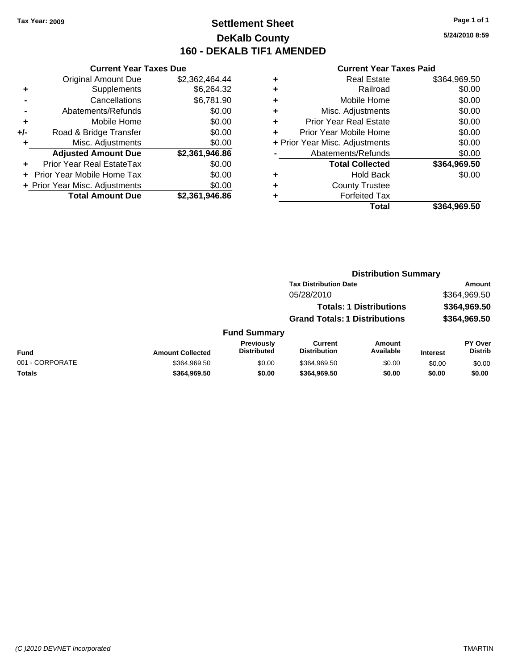### **Settlement Sheet Tax Year: 2009 Page 1 of 1 DeKalb County 160 - DEKALB TIF1 AMENDED**

**Current Year Taxes Due**

|     | <b>Total Amount Due</b>        | \$2,361,946.86 |
|-----|--------------------------------|----------------|
|     | + Prior Year Misc. Adjustments | \$0.00         |
|     | Prior Year Mobile Home Tax     | \$0.00         |
|     | Prior Year Real EstateTax      | \$0.00         |
|     | <b>Adjusted Amount Due</b>     | \$2,361,946.86 |
| ٠   | Misc. Adjustments              | \$0.00         |
| +/- | Road & Bridge Transfer         | \$0.00         |
| ٠   | Mobile Home                    | \$0.00         |
|     | Abatements/Refunds             | \$0.00         |
|     | Cancellations                  | \$6,781.90     |
| ٠   | Supplements                    | \$6,264.32     |
|     | <b>Original Amount Due</b>     | \$2,362,464.44 |
|     |                                |                |

#### **Current Year Taxes Paid**

|   | <b>Real Estate</b>             | \$364,969.50 |
|---|--------------------------------|--------------|
| ٠ | Railroad                       | \$0.00       |
| ٠ | Mobile Home                    | \$0.00       |
| ٠ | Misc. Adjustments              | \$0.00       |
| ٠ | <b>Prior Year Real Estate</b>  | \$0.00       |
|   | Prior Year Mobile Home         | \$0.00       |
|   | + Prior Year Misc. Adjustments | \$0.00       |
|   | Abatements/Refunds             | \$0.00       |
|   | <b>Total Collected</b>         | \$364,969.50 |
| ٠ | Hold Back                      | \$0.00       |
|   | <b>County Trustee</b>          |              |
|   | <b>Forfeited Tax</b>           |              |
|   | Total                          | \$364,969.50 |
|   |                                |              |

### **Distribution Summary Tax Distribution Date Amount** 05/28/2010 \$364,969.50 **Totals: 1 Distributions \$364,969.50 Grand Totals: 1 Distributions \$364,969.50 Fund Summary**

| Fund            | <b>Amount Collected</b> | <b>Previously</b><br>Distributed | Current<br>Distribution | Amount<br>Available | <b>Interest</b> | <b>PY Over</b><br><b>Distrib</b> |
|-----------------|-------------------------|----------------------------------|-------------------------|---------------------|-----------------|----------------------------------|
| 001 - CORPORATE | \$364.969.50            | \$0.00                           | \$364.969.50            | \$0.00              | \$0.00          | \$0.00                           |
| <b>Totals</b>   | \$364,969.50            | \$0.00                           | \$364.969.50            | \$0.00              | \$0.00          | \$0.00                           |

**5/24/2010 8:59**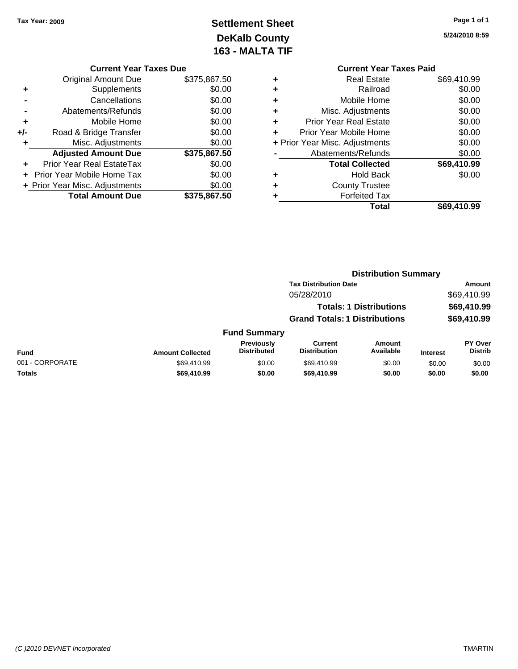### **Settlement Sheet Tax Year: 2009 Page 1 of 1 DeKalb County 163 - MALTA TIF**

**5/24/2010 8:59**

|   | <b>Current Year Taxes Paid</b> |             |  |  |  |  |
|---|--------------------------------|-------------|--|--|--|--|
| ٠ | Real Estate                    | \$69,410.99 |  |  |  |  |
| ٠ | Railroad                       | \$0.00      |  |  |  |  |
| ٠ | Mobile Home                    | \$0.00      |  |  |  |  |
| ٠ | Misc. Adjustments              |             |  |  |  |  |
| ٠ | <b>Prior Year Real Estate</b>  | \$0.00      |  |  |  |  |
| ÷ | Prior Year Mobile Home         | \$0.00      |  |  |  |  |
|   | + Prior Year Misc. Adjustments | \$0.00      |  |  |  |  |
|   | Abatements/Refunds             | \$0.00      |  |  |  |  |
|   | <b>Total Collected</b>         | \$69,410.99 |  |  |  |  |
| ٠ | Hold Back                      | \$0.00      |  |  |  |  |
|   | <b>County Trustee</b>          |             |  |  |  |  |
|   | <b>Forfeited Tax</b>           |             |  |  |  |  |
|   | Total                          | \$69.410.99 |  |  |  |  |

|     | <b>Current Year Taxes Due</b>  |              |
|-----|--------------------------------|--------------|
|     | <b>Original Amount Due</b>     | \$375,867.50 |
| ٠   | Supplements                    | \$0.00       |
|     | Cancellations                  | \$0.00       |
|     | Abatements/Refunds             | \$0.00       |
| ٠   | Mobile Home                    | \$0.00       |
| +/- | Road & Bridge Transfer         | \$0.00       |
| ٠   | Misc. Adjustments              | \$0.00       |
|     | <b>Adjusted Amount Due</b>     | \$375,867.50 |
|     | Prior Year Real EstateTax      | \$0.00       |
|     | Prior Year Mobile Home Tax     | \$0.00       |
|     | + Prior Year Misc. Adjustments | \$0.00       |
|     | <b>Total Amount Due</b>        | \$375.867.50 |

|                 |                         |                                         |                                       | <b>Distribution Summary</b>    |                 |                                  |
|-----------------|-------------------------|-----------------------------------------|---------------------------------------|--------------------------------|-----------------|----------------------------------|
|                 |                         |                                         | <b>Tax Distribution Date</b>          |                                |                 | Amount                           |
|                 |                         |                                         | 05/28/2010                            |                                |                 | \$69,410.99                      |
|                 |                         |                                         |                                       | <b>Totals: 1 Distributions</b> |                 | \$69,410.99                      |
|                 |                         |                                         | <b>Grand Totals: 1 Distributions</b>  |                                |                 | \$69,410.99                      |
|                 |                         | <b>Fund Summary</b>                     |                                       |                                |                 |                                  |
| <b>Fund</b>     | <b>Amount Collected</b> | <b>Previously</b><br><b>Distributed</b> | <b>Current</b><br><b>Distribution</b> | Amount<br>Available            | <b>Interest</b> | <b>PY Over</b><br><b>Distrib</b> |
| 001 - CORPORATE | \$69,410.99             | \$0.00                                  | \$69,410.99                           | \$0.00                         | \$0.00          | \$0.00                           |
| Totals          | \$69,410.99             | \$0.00                                  | \$69,410.99                           | \$0.00                         | \$0.00          | \$0.00                           |
|                 |                         |                                         |                                       |                                |                 |                                  |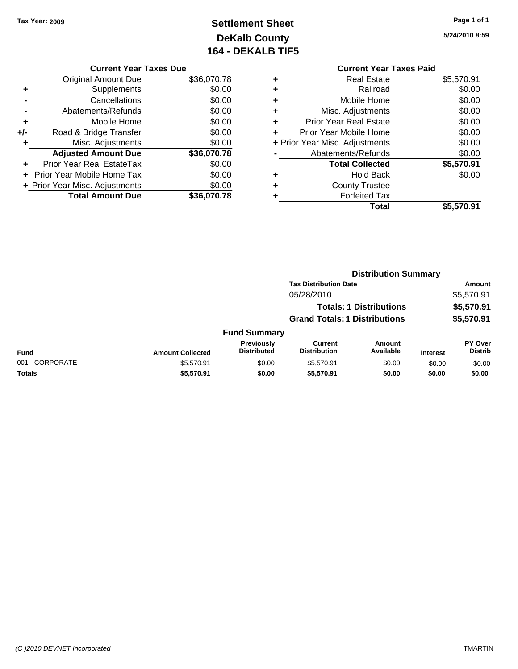## **Settlement Sheet Tax Year: 2009 Page 1 of 1 DeKalb County 164 - DEKALB TIF5**

**5/24/2010 8:59**

#### **Current Year Taxes Due**

|     | <b>Original Amount Due</b>        | \$36,070.78 |
|-----|-----------------------------------|-------------|
| ٠   | Supplements                       | \$0.00      |
|     | Cancellations                     | \$0.00      |
|     | Abatements/Refunds                | \$0.00      |
| ٠   | Mobile Home                       | \$0.00      |
| +/- | Road & Bridge Transfer            | \$0.00      |
| ٠   | Misc. Adjustments                 | \$0.00      |
|     | <b>Adjusted Amount Due</b>        | \$36,070.78 |
|     | <b>Prior Year Real EstateTax</b>  | \$0.00      |
|     | <b>Prior Year Mobile Home Tax</b> | \$0.00      |
|     | + Prior Year Misc. Adjustments    | \$0.00      |
|     | <b>Total Amount Due</b>           | \$36.070.78 |

### **Current Year Taxes Paid +** Real Estate \$5,570.91 **+** Railroad \$0.00 **+** Mobile Home \$0.00 **+** Misc. Adjustments \$0.00 **+** Prior Year Real Estate \$0.00 **+** Prior Year Mobile Home \$0.00 **+ Prior Year Misc. Adjustments**  $$0.00$ **-** Abatements/Refunds \$0.00 **Total Collected \$5,570.91 +** Hold Back \$0.00 **+** County Trustee **+** Forfeited Tax **Total \$5,570.91**

|                 |                         |                                         |                                       | <b>Distribution Summary</b>    |                 |                                  |
|-----------------|-------------------------|-----------------------------------------|---------------------------------------|--------------------------------|-----------------|----------------------------------|
|                 |                         |                                         | <b>Tax Distribution Date</b>          |                                |                 | Amount                           |
|                 |                         |                                         | 05/28/2010                            |                                |                 | \$5,570.91                       |
|                 |                         |                                         |                                       | <b>Totals: 1 Distributions</b> |                 | \$5,570.91                       |
|                 |                         |                                         | <b>Grand Totals: 1 Distributions</b>  |                                |                 | \$5,570.91                       |
|                 |                         | <b>Fund Summary</b>                     |                                       |                                |                 |                                  |
| <b>Fund</b>     | <b>Amount Collected</b> | <b>Previously</b><br><b>Distributed</b> | <b>Current</b><br><b>Distribution</b> | <b>Amount</b><br>Available     | <b>Interest</b> | <b>PY Over</b><br><b>Distrib</b> |
| 001 - CORPORATE | \$5,570.91              | \$0.00                                  | \$5,570.91                            | \$0.00                         | \$0.00          | \$0.00                           |
| Totals          | \$5,570.91              | \$0.00                                  | \$5,570.91                            | \$0.00                         | \$0.00          | \$0.00                           |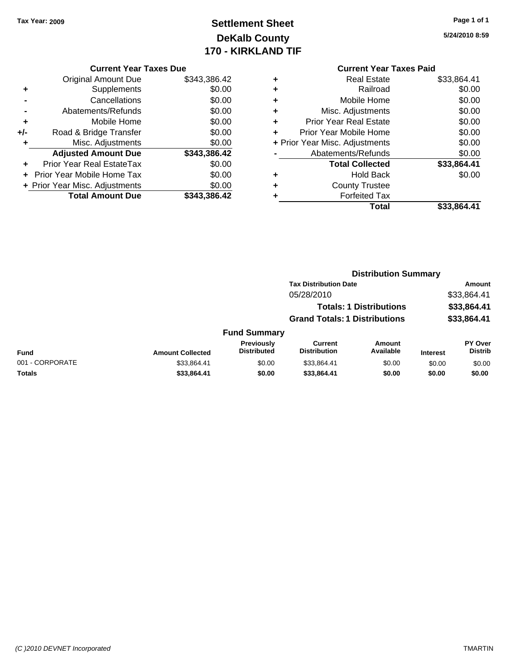### **Settlement Sheet Tax Year: 2009 Page 1 of 1 DeKalb County 170 - KIRKLAND TIF**

**5/24/2010 8:59**

| <b>Current Year Taxes Due</b> |  |  |  |  |
|-------------------------------|--|--|--|--|
|-------------------------------|--|--|--|--|

|     | <b>Original Amount Due</b>        | \$343,386.42 |
|-----|-----------------------------------|--------------|
| ÷   | Supplements                       | \$0.00       |
|     | Cancellations                     | \$0.00       |
|     | Abatements/Refunds                | \$0.00       |
| ٠   | Mobile Home                       | \$0.00       |
| +/- | Road & Bridge Transfer            | \$0.00       |
| ٠   | Misc. Adjustments                 | \$0.00       |
|     | <b>Adjusted Amount Due</b>        | \$343,386.42 |
| ÷   | Prior Year Real EstateTax         | \$0.00       |
|     | <b>Prior Year Mobile Home Tax</b> | \$0.00       |
|     | + Prior Year Misc. Adjustments    | \$0.00       |
|     | <b>Total Amount Due</b>           | \$343,386.42 |

|   | Real Estate                    | \$33,864.41 |
|---|--------------------------------|-------------|
| ÷ | Railroad                       | \$0.00      |
| ٠ | Mobile Home                    | \$0.00      |
| ٠ | Misc. Adjustments              | \$0.00      |
| ٠ | <b>Prior Year Real Estate</b>  | \$0.00      |
|   | Prior Year Mobile Home         | \$0.00      |
|   | + Prior Year Misc. Adjustments | \$0.00      |
|   | Abatements/Refunds             | \$0.00      |
|   | <b>Total Collected</b>         | \$33,864.41 |
| ٠ | <b>Hold Back</b>               | \$0.00      |
| ٠ | <b>County Trustee</b>          |             |
|   | <b>Forfeited Tax</b>           |             |
|   | Total                          | \$33,864.41 |
|   |                                |             |

|                 |                         |                                         |                                       | <b>Distribution Summary</b>    |                 |                                  |
|-----------------|-------------------------|-----------------------------------------|---------------------------------------|--------------------------------|-----------------|----------------------------------|
|                 |                         |                                         | <b>Tax Distribution Date</b>          |                                |                 | Amount                           |
|                 |                         |                                         | 05/28/2010                            |                                |                 | \$33,864.41                      |
|                 |                         |                                         |                                       | <b>Totals: 1 Distributions</b> |                 | \$33,864.41                      |
|                 |                         |                                         | <b>Grand Totals: 1 Distributions</b>  |                                |                 | \$33,864.41                      |
|                 |                         | <b>Fund Summary</b>                     |                                       |                                |                 |                                  |
| Fund            | <b>Amount Collected</b> | <b>Previously</b><br><b>Distributed</b> | <b>Current</b><br><b>Distribution</b> | Amount<br>Available            | <b>Interest</b> | <b>PY Over</b><br><b>Distrib</b> |
| 001 - CORPORATE | \$33,864.41             | \$0.00                                  | \$33,864.41                           | \$0.00                         | \$0.00          | \$0.00                           |
| Totals          | \$33,864.41             | \$0.00                                  | \$33,864.41                           | \$0.00                         | \$0.00          | \$0.00                           |
|                 |                         |                                         |                                       |                                |                 |                                  |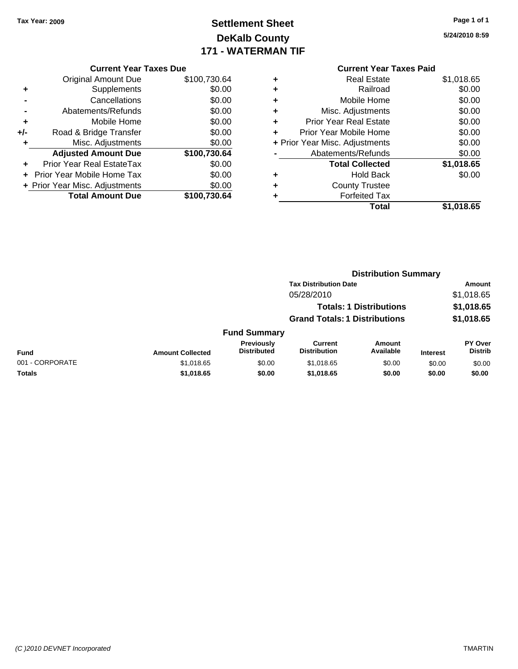### **Settlement Sheet Tax Year: 2009 Page 1 of 1 DeKalb County 171 - WATERMAN TIF**

**5/24/2010 8:59**

| <b>Current Year Taxes Due</b> |             |
|-------------------------------|-------------|
| Original Amount Dup           | <b>¢</b> 10 |

|       | <b>Total Amount Due</b>        | \$100,730.64 |
|-------|--------------------------------|--------------|
|       | + Prior Year Misc. Adjustments | \$0.00       |
|       | + Prior Year Mobile Home Tax   | \$0.00       |
|       | Prior Year Real EstateTax      | \$0.00       |
|       | <b>Adjusted Amount Due</b>     | \$100,730.64 |
| ÷     | Misc. Adjustments              | \$0.00       |
| $+/-$ | Road & Bridge Transfer         | \$0.00       |
| ٠     | Mobile Home                    | \$0.00       |
|       | Abatements/Refunds             | \$0.00       |
|       | Cancellations                  | \$0.00       |
| ٠     | Supplements                    | \$0.00       |
|       | <b>Original Amount Due</b>     | \$100,730.64 |

### **Current Year Taxes Paid +** Real Estate \$1,018.65 **+** Railroad \$0.00 **+** Mobile Home \$0.00 **+** Misc. Adjustments \$0.00 **+** Prior Year Real Estate \$0.00 **+** Prior Year Mobile Home \$0.00 **+ Prior Year Misc. Adjustments**  $$0.00$ **-** Abatements/Refunds \$0.00 **Total Collected \$1,018.65 +** Hold Back \$0.00 **+** County Trustee **+** Forfeited Tax **Total \$1,018.65**

|                 |                         |                                  | <b>Distribution Summary</b>           |                                |                 |                                  |
|-----------------|-------------------------|----------------------------------|---------------------------------------|--------------------------------|-----------------|----------------------------------|
|                 |                         |                                  | <b>Tax Distribution Date</b>          |                                |                 | Amount                           |
|                 |                         |                                  | 05/28/2010                            |                                |                 | \$1,018.65                       |
|                 |                         |                                  |                                       | <b>Totals: 1 Distributions</b> |                 | \$1,018.65                       |
|                 |                         |                                  | <b>Grand Totals: 1 Distributions</b>  |                                |                 | \$1,018.65                       |
|                 |                         | <b>Fund Summary</b>              |                                       |                                |                 |                                  |
| <b>Fund</b>     | <b>Amount Collected</b> | Previously<br><b>Distributed</b> | <b>Current</b><br><b>Distribution</b> | Amount<br>Available            | <b>Interest</b> | <b>PY Over</b><br><b>Distrib</b> |
| 001 - CORPORATE | \$1,018.65              | \$0.00                           | \$1,018.65                            | \$0.00                         | \$0.00          | \$0.00                           |
| Totals          | \$1,018.65              | \$0.00                           | \$1,018.65                            | \$0.00                         | \$0.00          | \$0.00                           |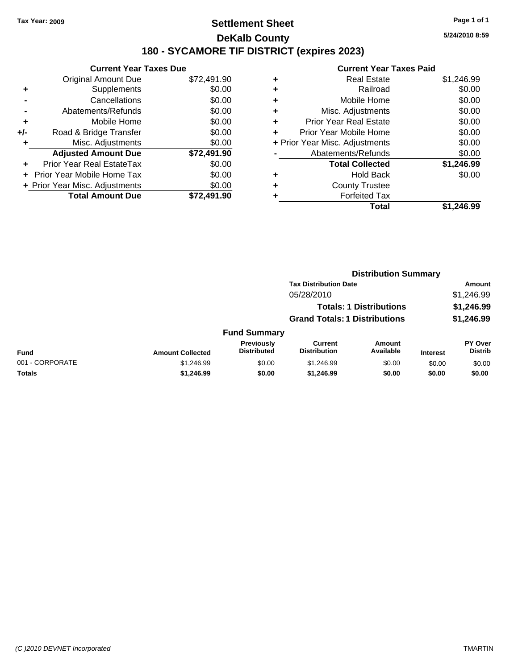### **Settlement Sheet Tax Year: 2009 Page 1 of 1 DeKalb County 180 - SYCAMORE TIF DISTRICT (expires 2023)**

**5/24/2010 8:59**

|       | <b>Current Year Taxes Due</b>  |             |
|-------|--------------------------------|-------------|
|       | <b>Original Amount Due</b>     | \$72,491.90 |
| ٠     | Supplements                    | \$0.00      |
|       | Cancellations                  | \$0.00      |
|       | Abatements/Refunds             | \$0.00      |
| ٠     | Mobile Home                    | \$0.00      |
| $+/-$ | Road & Bridge Transfer         | \$0.00      |
| ٠     | Misc. Adjustments              | \$0.00      |
|       | <b>Adjusted Amount Due</b>     | \$72,491.90 |
|       | Prior Year Real EstateTax      | \$0.00      |
|       | Prior Year Mobile Home Tax     | \$0.00      |
|       | + Prior Year Misc. Adjustments | \$0.00      |
|       | <b>Total Amount Due</b>        | \$72.491.90 |
|       |                                |             |

|   | <b>Current Year Taxes Paid</b> |            |
|---|--------------------------------|------------|
| ٠ | <b>Real Estate</b>             | \$1,246.99 |
| ٠ | Railroad                       | \$0.00     |
| ٠ | Mobile Home                    | \$0.00     |
| ٠ | Misc. Adjustments              | \$0.00     |
| ٠ | <b>Prior Year Real Estate</b>  | \$0.00     |
| ٠ | Prior Year Mobile Home         | \$0.00     |
|   | + Prior Year Misc. Adjustments | \$0.00     |
|   | Abatements/Refunds             | \$0.00     |
|   | <b>Total Collected</b>         | \$1,246.99 |
| ٠ | <b>Hold Back</b>               | \$0.00     |
|   | <b>County Trustee</b>          |            |
| ٠ | <b>Forfeited Tax</b>           |            |
|   | Total                          | \$1.246.99 |

|                 |                         |                                  | <b>Distribution Summary</b>           |                                |                 |                                  |  |
|-----------------|-------------------------|----------------------------------|---------------------------------------|--------------------------------|-----------------|----------------------------------|--|
|                 |                         |                                  | <b>Tax Distribution Date</b>          |                                |                 | Amount                           |  |
|                 |                         |                                  | 05/28/2010                            |                                |                 | \$1,246.99                       |  |
|                 |                         |                                  |                                       | <b>Totals: 1 Distributions</b> |                 | \$1,246.99                       |  |
|                 |                         |                                  | <b>Grand Totals: 1 Distributions</b>  |                                |                 | \$1,246.99                       |  |
|                 |                         | <b>Fund Summary</b>              |                                       |                                |                 |                                  |  |
| <b>Fund</b>     | <b>Amount Collected</b> | Previously<br><b>Distributed</b> | <b>Current</b><br><b>Distribution</b> | Amount<br>Available            | <b>Interest</b> | <b>PY Over</b><br><b>Distrib</b> |  |
| 001 - CORPORATE | \$1,246.99              | \$0.00                           | \$1,246.99                            | \$0.00                         | \$0.00          | \$0.00                           |  |
| Totals          | \$1,246.99              | \$0.00                           | \$1,246.99                            | \$0.00                         | \$0.00          | \$0.00                           |  |
|                 |                         |                                  |                                       |                                |                 |                                  |  |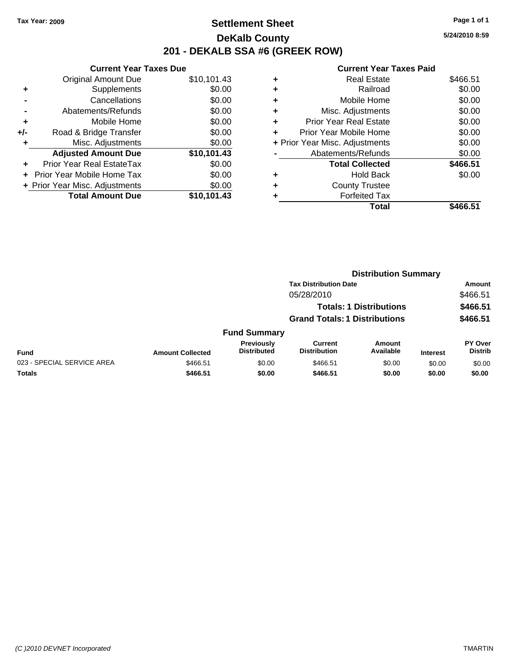### **Settlement Sheet Tax Year: 2009 Page 1 of 1 DeKalb County 201 - DEKALB SSA #6 (GREEK ROW)**

**5/24/2010 8:59**

|     | <b>Current Year Taxes Due</b>     |             |
|-----|-----------------------------------|-------------|
|     | <b>Original Amount Due</b>        | \$10,101.43 |
| ٠   | Supplements                       | \$0.00      |
|     | Cancellations                     | \$0.00      |
|     | Abatements/Refunds                | \$0.00      |
| ٠   | Mobile Home                       | \$0.00      |
| +/- | Road & Bridge Transfer            | \$0.00      |
|     | Misc. Adjustments                 | \$0.00      |
|     | <b>Adjusted Amount Due</b>        | \$10,101.43 |
| ÷   | Prior Year Real EstateTax         | \$0.00      |
|     | <b>Prior Year Mobile Home Tax</b> | \$0.00      |
|     | + Prior Year Misc. Adjustments    | \$0.00      |
|     | <b>Total Amount Due</b>           | \$10,101.43 |

|   | Total                          | \$466.51 |
|---|--------------------------------|----------|
|   | <b>Forfeited Tax</b>           |          |
| ٠ | <b>County Trustee</b>          |          |
| ٠ | <b>Hold Back</b>               | \$0.00   |
|   | <b>Total Collected</b>         | \$466.51 |
|   | Abatements/Refunds             | \$0.00   |
|   | + Prior Year Misc. Adjustments | \$0.00   |
| ٠ | Prior Year Mobile Home         | \$0.00   |
| ÷ | Prior Year Real Estate         | \$0.00   |
| ٠ | Misc. Adjustments              | \$0.00   |
| ٠ | Mobile Home                    | \$0.00   |
| ٠ | Railroad                       | \$0.00   |
| ٠ | <b>Real Estate</b>             | \$466.51 |
|   |                                |          |

|                            |                         |                                  |                                       | <b>Distribution Summary</b>    |                 |                                  |
|----------------------------|-------------------------|----------------------------------|---------------------------------------|--------------------------------|-----------------|----------------------------------|
|                            |                         |                                  | <b>Tax Distribution Date</b>          |                                |                 | Amount                           |
|                            |                         |                                  | 05/28/2010                            |                                |                 | \$466.51                         |
|                            |                         |                                  |                                       | <b>Totals: 1 Distributions</b> |                 | \$466.51                         |
|                            |                         |                                  | <b>Grand Totals: 1 Distributions</b>  |                                |                 | \$466.51                         |
|                            |                         | <b>Fund Summary</b>              |                                       |                                |                 |                                  |
| <b>Fund</b>                | <b>Amount Collected</b> | Previously<br><b>Distributed</b> | <b>Current</b><br><b>Distribution</b> | <b>Amount</b><br>Available     | <b>Interest</b> | <b>PY Over</b><br><b>Distrib</b> |
| 023 - SPECIAL SERVICE AREA | \$466.51                | \$0.00                           | \$466.51                              | \$0.00                         | \$0.00          | \$0.00                           |
| Totals                     | \$466.51                | \$0.00                           | \$466.51                              | \$0.00                         | \$0.00          | \$0.00                           |
|                            |                         |                                  |                                       |                                |                 |                                  |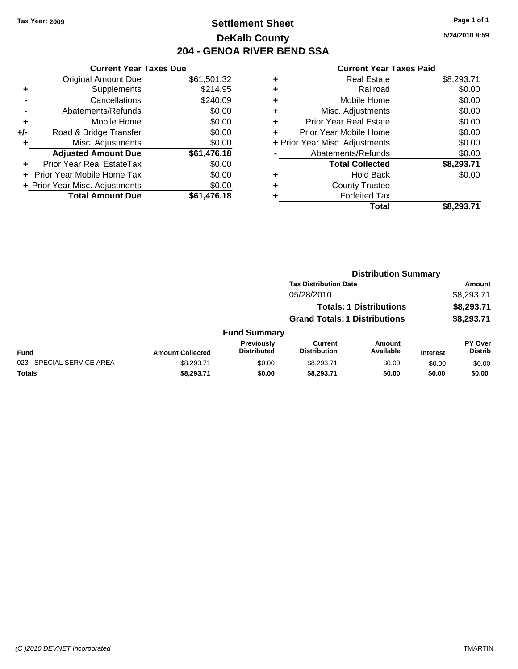### **Settlement Sheet Tax Year: 2009 Page 1 of 1 DeKalb County 204 - GENOA RIVER BEND SSA**

**5/24/2010 8:59**

|     | <b>Current Year Taxes Due</b>  |             |  |  |  |  |
|-----|--------------------------------|-------------|--|--|--|--|
|     | <b>Original Amount Due</b>     | \$61,501.32 |  |  |  |  |
| ٠   | Supplements                    | \$214.95    |  |  |  |  |
|     | Cancellations                  | \$240.09    |  |  |  |  |
|     | Abatements/Refunds             | \$0.00      |  |  |  |  |
| ٠   | Mobile Home                    | \$0.00      |  |  |  |  |
| +/- | Road & Bridge Transfer         | \$0.00      |  |  |  |  |
| ٠   | Misc. Adjustments              | \$0.00      |  |  |  |  |
|     | <b>Adjusted Amount Due</b>     | \$61,476.18 |  |  |  |  |
| ٠   | Prior Year Real EstateTax      | \$0.00      |  |  |  |  |
|     | Prior Year Mobile Home Tax     | \$0.00      |  |  |  |  |
|     | + Prior Year Misc. Adjustments | \$0.00      |  |  |  |  |
|     | <b>Total Amount Due</b>        | \$61,476.18 |  |  |  |  |

| ٠ | Real Estate                    | \$8,293.71 |
|---|--------------------------------|------------|
| ٠ | Railroad                       | \$0.00     |
| ٠ | Mobile Home                    | \$0.00     |
| ٠ | Misc. Adjustments              | \$0.00     |
| ٠ | <b>Prior Year Real Estate</b>  | \$0.00     |
| ٠ | Prior Year Mobile Home         | \$0.00     |
|   | + Prior Year Misc. Adjustments | \$0.00     |
|   | Abatements/Refunds             | \$0.00     |
|   | <b>Total Collected</b>         | \$8,293.71 |
| ٠ | Hold Back                      | \$0.00     |
| ٠ | <b>County Trustee</b>          |            |
| ٠ | <b>Forfeited Tax</b>           |            |
|   | Total                          | \$8,293.71 |
|   |                                |            |

|                            |                         |                                         |                                      | <b>Distribution Summary</b>    |                 |                                  |
|----------------------------|-------------------------|-----------------------------------------|--------------------------------------|--------------------------------|-----------------|----------------------------------|
|                            |                         |                                         | <b>Tax Distribution Date</b>         |                                |                 | Amount                           |
|                            |                         |                                         | 05/28/2010                           |                                |                 | \$8,293.71                       |
|                            |                         |                                         |                                      | <b>Totals: 1 Distributions</b> |                 | \$8,293.71                       |
|                            |                         |                                         | <b>Grand Totals: 1 Distributions</b> |                                |                 | \$8,293.71                       |
|                            |                         | <b>Fund Summary</b>                     |                                      |                                |                 |                                  |
| <b>Fund</b>                | <b>Amount Collected</b> | <b>Previously</b><br><b>Distributed</b> | Current<br><b>Distribution</b>       | Amount<br>Available            | <b>Interest</b> | <b>PY Over</b><br><b>Distrib</b> |
| 023 - SPECIAL SERVICE AREA | \$8,293.71              | \$0.00                                  | \$8.293.71                           | \$0.00                         | \$0.00          | \$0.00                           |
| Totals                     | \$8,293.71              | \$0.00                                  | \$8,293.71                           | \$0.00                         | \$0.00          | \$0.00                           |
|                            |                         |                                         |                                      |                                |                 |                                  |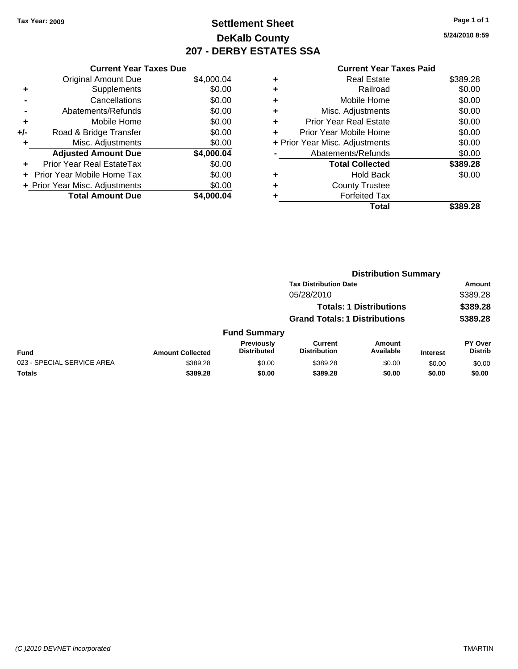### **Settlement Sheet Tax Year: 2009 Page 1 of 1 DeKalb County 207 - DERBY ESTATES SSA**

**5/24/2010 8:59**

| ′ear Taxes Due |  |  |
|----------------|--|--|
|                |  |  |

|     | <b>Current Year Taxes Due</b>     |            |
|-----|-----------------------------------|------------|
|     | <b>Original Amount Due</b>        | \$4,000.04 |
| ٠   | Supplements                       | \$0.00     |
|     | Cancellations                     | \$0.00     |
|     | Abatements/Refunds                | \$0.00     |
| ٠   | Mobile Home                       | \$0.00     |
| +/- | Road & Bridge Transfer            | \$0.00     |
|     | Misc. Adjustments                 | \$0.00     |
|     | <b>Adjusted Amount Due</b>        | \$4,000.04 |
| ÷   | Prior Year Real EstateTax         | \$0.00     |
|     | <b>Prior Year Mobile Home Tax</b> | \$0.00     |
|     | + Prior Year Misc. Adjustments    | \$0.00     |
|     | <b>Total Amount Due</b>           | \$4.000.04 |

### **Current Year Taxes Paid +** Real Estate \$389.28 **+** Railroad \$0.00 **+** Mobile Home \$0.00 **+** Misc. Adjustments \$0.00 **+** Prior Year Real Estate \$0.00 **+** Prior Year Mobile Home \$0.00 **+ Prior Year Misc. Adjustments**  $$0.00$

|                | Total                  | \$389.28 |
|----------------|------------------------|----------|
| ٠              | <b>Forfeited Tax</b>   |          |
| ٠              | <b>County Trustee</b>  |          |
| ٠              | Hold Back              | \$0.00   |
|                | <b>Total Collected</b> | \$389.28 |
| $\blacksquare$ | Abatements/Refunds     | \$0.00   |
|                |                        |          |

|                            |                                |                                      | <b>Distribution Summary</b>           |                     |                 |                                  |
|----------------------------|--------------------------------|--------------------------------------|---------------------------------------|---------------------|-----------------|----------------------------------|
|                            |                                |                                      | <b>Tax Distribution Date</b>          |                     |                 | Amount                           |
|                            |                                |                                      | 05/28/2010                            |                     |                 | \$389.28                         |
|                            | <b>Totals: 1 Distributions</b> |                                      |                                       |                     | \$389.28        |                                  |
|                            |                                | <b>Grand Totals: 1 Distributions</b> |                                       |                     | \$389.28        |                                  |
|                            |                                | <b>Fund Summary</b>                  |                                       |                     |                 |                                  |
| Fund                       | <b>Amount Collected</b>        | Previously<br><b>Distributed</b>     | <b>Current</b><br><b>Distribution</b> | Amount<br>Available | <b>Interest</b> | <b>PY Over</b><br><b>Distrib</b> |
| 023 - SPECIAL SERVICE AREA | \$389.28                       | \$0.00                               | \$389.28                              | \$0.00              | \$0.00          | \$0.00                           |
| Totals                     | \$389.28                       | \$0.00                               | \$389.28                              | \$0.00              | \$0.00          | \$0.00                           |
|                            |                                |                                      |                                       |                     |                 |                                  |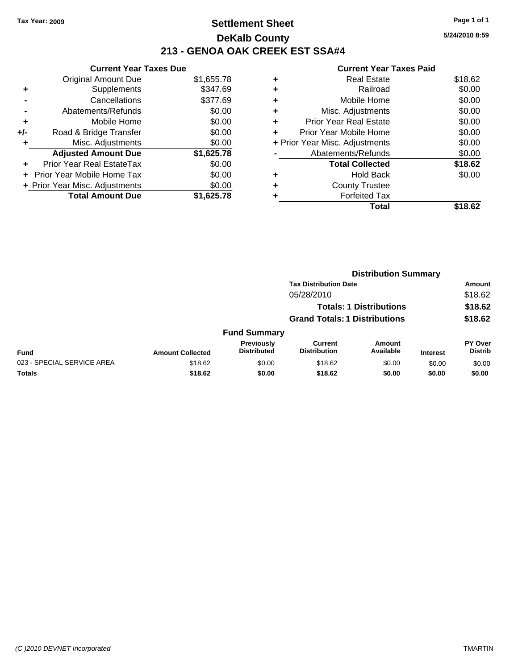### **Settlement Sheet Tax Year: 2009 Page 1 of 1 DeKalb County 213 - GENOA OAK CREEK EST SSA#4**

**5/24/2010 8:59**

|     | <b>Current Year Taxes Due</b>     |            |  |  |  |
|-----|-----------------------------------|------------|--|--|--|
|     | <b>Original Amount Due</b>        | \$1,655.78 |  |  |  |
| ÷   | Supplements                       | \$347.69   |  |  |  |
|     | Cancellations                     | \$377.69   |  |  |  |
|     | Abatements/Refunds                | \$0.00     |  |  |  |
| ٠   | Mobile Home                       | \$0.00     |  |  |  |
| +/- | Road & Bridge Transfer            | \$0.00     |  |  |  |
| ٠   | Misc. Adjustments                 | \$0.00     |  |  |  |
|     | <b>Adjusted Amount Due</b>        | \$1,625.78 |  |  |  |
| ÷   | Prior Year Real EstateTax         | \$0.00     |  |  |  |
|     | <b>Prior Year Mobile Home Tax</b> | \$0.00     |  |  |  |
|     | + Prior Year Misc. Adjustments    | \$0.00     |  |  |  |
|     | <b>Total Amount Due</b>           | \$1.625.78 |  |  |  |

|                                | Total                         | \$18.62 |
|--------------------------------|-------------------------------|---------|
| ٠                              | <b>Forfeited Tax</b>          |         |
| ٠                              | <b>County Trustee</b>         |         |
| ٠                              | <b>Hold Back</b>              | \$0.00  |
|                                | <b>Total Collected</b>        | \$18.62 |
|                                | Abatements/Refunds            | \$0.00  |
| + Prior Year Misc. Adjustments |                               | \$0.00  |
| ٠                              | Prior Year Mobile Home        | \$0.00  |
| ÷                              | <b>Prior Year Real Estate</b> | \$0.00  |
| ٠                              | Misc. Adjustments             | \$0.00  |
| ٠                              | Mobile Home                   | \$0.00  |
| ٠                              | Railroad                      | \$0.00  |
| ٠                              | <b>Real Estate</b>            | \$18.62 |
|                                |                               |         |

|                                      |                                |                                  | <b>Distribution Summary</b>           |                     |                 |                           |
|--------------------------------------|--------------------------------|----------------------------------|---------------------------------------|---------------------|-----------------|---------------------------|
|                                      |                                | <b>Tax Distribution Date</b>     |                                       |                     |                 | Amount                    |
| 05/28/2010                           |                                |                                  |                                       | \$18.62             |                 |                           |
|                                      | <b>Totals: 1 Distributions</b> |                                  |                                       |                     |                 | \$18.62                   |
| <b>Grand Totals: 1 Distributions</b> |                                |                                  |                                       | \$18.62             |                 |                           |
|                                      |                                | <b>Fund Summary</b>              |                                       |                     |                 |                           |
| <b>Fund</b>                          | <b>Amount Collected</b>        | Previously<br><b>Distributed</b> | <b>Current</b><br><b>Distribution</b> | Amount<br>Available | <b>Interest</b> | PY Over<br><b>Distrib</b> |
| 023 - SPECIAL SERVICE AREA           | \$18.62                        | \$0.00                           | \$18.62                               | \$0.00              | \$0.00          | \$0.00                    |
| Totals                               | \$18.62                        | \$0.00                           | \$18.62                               | \$0.00              | \$0.00          | \$0.00                    |
|                                      |                                |                                  |                                       |                     |                 |                           |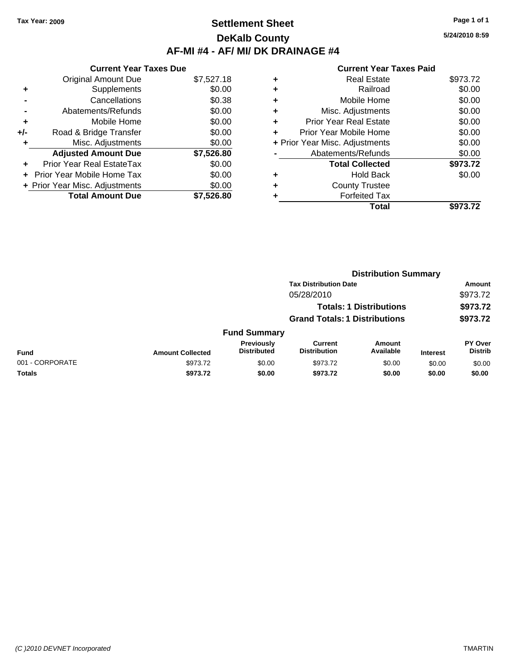# **Settlement Sheet Tax Year: 2009 Page 1 of 1 DeKalb County AF-MI #4 - AF/ MI/ DK DRAINAGE #4**

**5/24/2010 8:59**

| <b>Current Year Taxes Due</b>     |            |  |  |  |  |  |
|-----------------------------------|------------|--|--|--|--|--|
| <b>Original Amount Due</b>        | \$7,527.18 |  |  |  |  |  |
| Supplements                       | \$0.00     |  |  |  |  |  |
| Cancellations                     | \$0.38     |  |  |  |  |  |
| Abatements/Refunds                | \$0.00     |  |  |  |  |  |
| Mobile Home                       | \$0.00     |  |  |  |  |  |
| Road & Bridge Transfer            | \$0.00     |  |  |  |  |  |
| Misc. Adjustments                 | \$0.00     |  |  |  |  |  |
| <b>Adjusted Amount Due</b>        | \$7,526.80 |  |  |  |  |  |
| Prior Year Real EstateTax         | \$0.00     |  |  |  |  |  |
| <b>Prior Year Mobile Home Tax</b> | \$0.00     |  |  |  |  |  |
| + Prior Year Misc. Adjustments    | \$0.00     |  |  |  |  |  |
| <b>Total Amount Due</b>           | \$7.526.80 |  |  |  |  |  |
|                                   |            |  |  |  |  |  |

| ٠ | <b>Real Estate</b>             | \$973.72 |
|---|--------------------------------|----------|
| ٠ | Railroad                       | \$0.00   |
| ٠ | Mobile Home                    | \$0.00   |
| ٠ | Misc. Adjustments              | \$0.00   |
| ٠ | <b>Prior Year Real Estate</b>  | \$0.00   |
| ÷ | Prior Year Mobile Home         | \$0.00   |
|   | + Prior Year Misc. Adjustments | \$0.00   |
|   | Abatements/Refunds             | \$0.00   |
|   | <b>Total Collected</b>         | \$973.72 |
| ٠ | <b>Hold Back</b>               | \$0.00   |
| ٠ | <b>County Trustee</b>          |          |
| ٠ | <b>Forfeited Tax</b>           |          |
|   | <b>Total</b>                   | \$973.72 |
|   |                                |          |

|                 |                         | <b>Distribution Summary</b>          |                                       |                                |                 |                           |  |
|-----------------|-------------------------|--------------------------------------|---------------------------------------|--------------------------------|-----------------|---------------------------|--|
|                 |                         | <b>Tax Distribution Date</b>         |                                       |                                |                 | Amount<br>\$973.72        |  |
|                 |                         | 05/28/2010                           |                                       |                                |                 |                           |  |
|                 |                         |                                      |                                       | <b>Totals: 1 Distributions</b> |                 | \$973.72                  |  |
|                 |                         | <b>Grand Totals: 1 Distributions</b> |                                       |                                | \$973.72        |                           |  |
|                 |                         | <b>Fund Summary</b>                  |                                       |                                |                 |                           |  |
| <b>Fund</b>     | <b>Amount Collected</b> | Previously<br><b>Distributed</b>     | <b>Current</b><br><b>Distribution</b> | <b>Amount</b><br>Available     | <b>Interest</b> | PY Over<br><b>Distrib</b> |  |
| 001 - CORPORATE | \$973.72                | \$0.00                               | \$973.72                              | \$0.00                         | \$0.00          | \$0.00                    |  |
| Totals          | \$973.72                | \$0.00                               | \$973.72                              | \$0.00                         | \$0.00          | \$0.00                    |  |
|                 |                         |                                      |                                       |                                |                 |                           |  |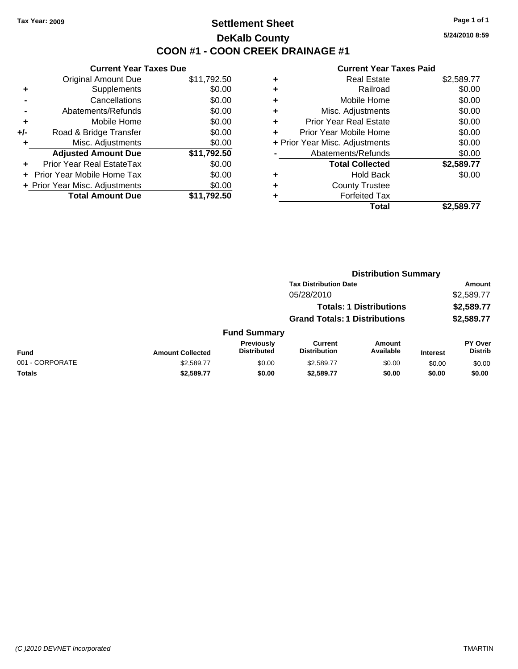# **Settlement Sheet Tax Year: 2009 Page 1 of 1 DeKalb County COON #1 - COON CREEK DRAINAGE #1**

**5/24/2010 8:59**

|     | <b>Current Year Taxes Due</b>     |             |  |  |  |  |
|-----|-----------------------------------|-------------|--|--|--|--|
|     | <b>Original Amount Due</b>        | \$11,792.50 |  |  |  |  |
| ÷   | Supplements                       | \$0.00      |  |  |  |  |
|     | Cancellations                     | \$0.00      |  |  |  |  |
|     | Abatements/Refunds                | \$0.00      |  |  |  |  |
| ÷   | Mobile Home                       | \$0.00      |  |  |  |  |
| +/- | Road & Bridge Transfer            | \$0.00      |  |  |  |  |
|     | Misc. Adjustments                 | \$0.00      |  |  |  |  |
|     | <b>Adjusted Amount Due</b>        | \$11,792.50 |  |  |  |  |
|     | <b>Prior Year Real EstateTax</b>  | \$0.00      |  |  |  |  |
| ÷   | <b>Prior Year Mobile Home Tax</b> | \$0.00      |  |  |  |  |
|     | + Prior Year Misc. Adjustments    | \$0.00      |  |  |  |  |
|     | <b>Total Amount Due</b>           | \$11,792.50 |  |  |  |  |

| ٠ | <b>Real Estate</b>             | \$2,589.77 |
|---|--------------------------------|------------|
| ٠ | Railroad                       | \$0.00     |
| ٠ | Mobile Home                    | \$0.00     |
| ٠ | Misc. Adjustments              | \$0.00     |
| ÷ | <b>Prior Year Real Estate</b>  | \$0.00     |
|   | Prior Year Mobile Home         | \$0.00     |
|   | + Prior Year Misc. Adjustments | \$0.00     |
|   | Abatements/Refunds             | \$0.00     |
|   | <b>Total Collected</b>         | \$2,589.77 |
| ٠ | <b>Hold Back</b>               | \$0.00     |
| ٠ | <b>County Trustee</b>          |            |
| ٠ | <b>Forfeited Tax</b>           |            |
|   | Total                          | \$2,589.77 |
|   |                                |            |

|                 |                         | <b>Distribution Summary</b>             |                                       |                                |                 |                                  |  |
|-----------------|-------------------------|-----------------------------------------|---------------------------------------|--------------------------------|-----------------|----------------------------------|--|
|                 |                         |                                         | <b>Tax Distribution Date</b>          |                                |                 | Amount                           |  |
|                 |                         |                                         | 05/28/2010                            |                                |                 | \$2,589.77                       |  |
|                 |                         |                                         |                                       | <b>Totals: 1 Distributions</b> |                 | \$2,589.77                       |  |
|                 |                         |                                         | <b>Grand Totals: 1 Distributions</b>  |                                |                 | \$2,589.77                       |  |
|                 |                         | <b>Fund Summary</b>                     |                                       |                                |                 |                                  |  |
| <b>Fund</b>     | <b>Amount Collected</b> | <b>Previously</b><br><b>Distributed</b> | <b>Current</b><br><b>Distribution</b> | <b>Amount</b><br>Available     | <b>Interest</b> | <b>PY Over</b><br><b>Distrib</b> |  |
| 001 - CORPORATE | \$2,589.77              | \$0.00                                  | \$2,589.77                            | \$0.00                         | \$0.00          | \$0.00                           |  |
| Totals          | \$2,589.77              | \$0.00                                  | \$2,589.77                            | \$0.00                         | \$0.00          | \$0.00                           |  |
|                 |                         |                                         |                                       |                                |                 |                                  |  |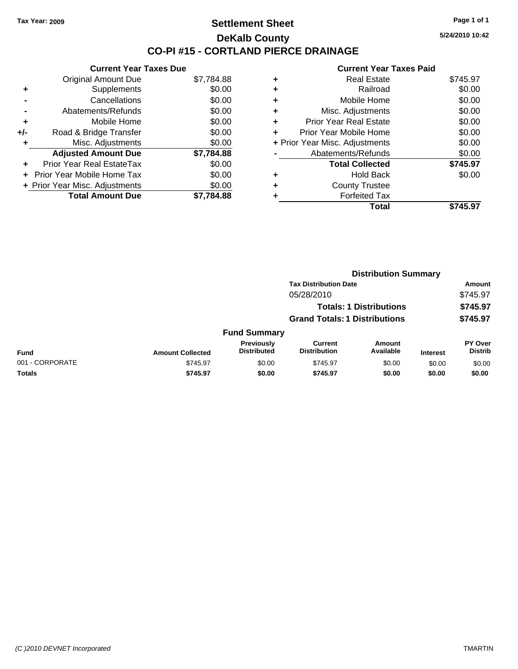# **Settlement Sheet Tax Year: 2009 Page 1 of 1 DeKalb County CO-PI #15 - CORTLAND PIERCE DRAINAGE**

**5/24/2010 10:42**

|     | <b>Current Year Taxes Due</b>     |            |  |  |  |  |  |
|-----|-----------------------------------|------------|--|--|--|--|--|
|     | <b>Original Amount Due</b>        | \$7,784.88 |  |  |  |  |  |
| ٠   | Supplements                       | \$0.00     |  |  |  |  |  |
|     | Cancellations                     | \$0.00     |  |  |  |  |  |
|     | Abatements/Refunds                | \$0.00     |  |  |  |  |  |
| ٠   | Mobile Home                       | \$0.00     |  |  |  |  |  |
| +/- | Road & Bridge Transfer            | \$0.00     |  |  |  |  |  |
| ٠   | Misc. Adjustments                 | \$0.00     |  |  |  |  |  |
|     | <b>Adjusted Amount Due</b>        | \$7,784.88 |  |  |  |  |  |
| ÷   | Prior Year Real EstateTax         | \$0.00     |  |  |  |  |  |
| ÷   | <b>Prior Year Mobile Home Tax</b> | \$0.00     |  |  |  |  |  |
|     | + Prior Year Misc. Adjustments    | \$0.00     |  |  |  |  |  |
|     | <b>Total Amount Due</b>           | \$7.784.88 |  |  |  |  |  |

| ٠ | <b>Real Estate</b>             | \$745.97 |
|---|--------------------------------|----------|
| ٠ | Railroad                       | \$0.00   |
| ٠ | Mobile Home                    | \$0.00   |
| ٠ | Misc. Adjustments              | \$0.00   |
| ٠ | <b>Prior Year Real Estate</b>  | \$0.00   |
| ÷ | Prior Year Mobile Home         | \$0.00   |
|   | + Prior Year Misc. Adjustments | \$0.00   |
|   | Abatements/Refunds             | \$0.00   |
|   | <b>Total Collected</b>         | \$745.97 |
| ٠ | <b>Hold Back</b>               | \$0.00   |
| ٠ | <b>County Trustee</b>          |          |
| ٠ | <b>Forfeited Tax</b>           |          |
|   | Total                          | \$745.97 |
|   |                                |          |

|                 |                         | <b>Distribution Summary</b>      |                                       |                                |                 |                                  |  |
|-----------------|-------------------------|----------------------------------|---------------------------------------|--------------------------------|-----------------|----------------------------------|--|
|                 |                         |                                  | <b>Tax Distribution Date</b>          |                                |                 | Amount                           |  |
|                 |                         |                                  | 05/28/2010                            |                                |                 | \$745.97                         |  |
|                 |                         |                                  |                                       | <b>Totals: 1 Distributions</b> |                 | \$745.97                         |  |
|                 |                         |                                  | <b>Grand Totals: 1 Distributions</b>  |                                |                 | \$745.97                         |  |
|                 |                         | <b>Fund Summary</b>              |                                       |                                |                 |                                  |  |
| <b>Fund</b>     | <b>Amount Collected</b> | Previously<br><b>Distributed</b> | <b>Current</b><br><b>Distribution</b> | <b>Amount</b><br>Available     | <b>Interest</b> | <b>PY Over</b><br><b>Distrib</b> |  |
| 001 - CORPORATE | \$745.97                | \$0.00                           | \$745.97                              | \$0.00                         | \$0.00          | \$0.00                           |  |
| Totals          | \$745.97                | \$0.00                           | \$745.97                              | \$0.00                         | \$0.00          | \$0.00                           |  |
|                 |                         |                                  |                                       |                                |                 |                                  |  |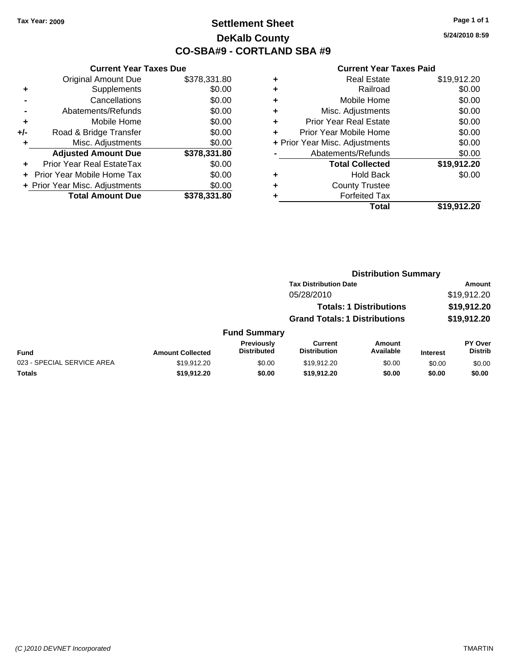# **Settlement Sheet Tax Year: 2009 Page 1 of 1 DeKalb County CO-SBA#9 - CORTLAND SBA #9**

**5/24/2010 8:59**

|     | <b>Current Year Taxes Due</b>  |              |  |  |  |  |
|-----|--------------------------------|--------------|--|--|--|--|
|     | <b>Original Amount Due</b>     | \$378,331.80 |  |  |  |  |
| ٠   | Supplements                    | \$0.00       |  |  |  |  |
|     | Cancellations                  | \$0.00       |  |  |  |  |
|     | Abatements/Refunds             | \$0.00       |  |  |  |  |
| ٠   | Mobile Home                    | \$0.00       |  |  |  |  |
| +/- | Road & Bridge Transfer         | \$0.00       |  |  |  |  |
| ٠   | Misc. Adjustments              | \$0.00       |  |  |  |  |
|     | <b>Adjusted Amount Due</b>     | \$378,331.80 |  |  |  |  |
| ٠   | Prior Year Real EstateTax      | \$0.00       |  |  |  |  |
|     | Prior Year Mobile Home Tax     | \$0.00       |  |  |  |  |
|     | + Prior Year Misc. Adjustments | \$0.00       |  |  |  |  |
|     | <b>Total Amount Due</b>        | \$378.331.80 |  |  |  |  |
|     |                                |              |  |  |  |  |

|   | <b>Real Estate</b>             | \$19,912.20 |
|---|--------------------------------|-------------|
|   | Railroad                       | \$0.00      |
| ٠ | Mobile Home                    | \$0.00      |
| ٠ | Misc. Adjustments              | \$0.00      |
| ٠ | <b>Prior Year Real Estate</b>  | \$0.00      |
| ٠ | Prior Year Mobile Home         | \$0.00      |
|   | + Prior Year Misc. Adjustments | \$0.00      |
|   | Abatements/Refunds             | \$0.00      |
|   | <b>Total Collected</b>         | \$19,912.20 |
| ٠ | <b>Hold Back</b>               | \$0.00      |
|   | <b>County Trustee</b>          |             |
|   | <b>Forfeited Tax</b>           |             |
|   | Total                          | \$19,912.20 |
|   |                                |             |

|                            |                         |                                  |                                       |                                | <b>Distribution Summary</b> |                                  |
|----------------------------|-------------------------|----------------------------------|---------------------------------------|--------------------------------|-----------------------------|----------------------------------|
|                            |                         |                                  | <b>Tax Distribution Date</b>          | Amount                         |                             |                                  |
|                            |                         |                                  | 05/28/2010                            |                                |                             | \$19,912.20                      |
|                            |                         |                                  |                                       | <b>Totals: 1 Distributions</b> |                             | \$19,912.20                      |
|                            |                         |                                  | <b>Grand Totals: 1 Distributions</b>  |                                |                             | \$19,912.20                      |
|                            |                         | <b>Fund Summary</b>              |                                       |                                |                             |                                  |
| <b>Fund</b>                | <b>Amount Collected</b> | Previously<br><b>Distributed</b> | <b>Current</b><br><b>Distribution</b> | Amount<br>Available            | <b>Interest</b>             | <b>PY Over</b><br><b>Distrib</b> |
| 023 - SPECIAL SERVICE AREA | \$19,912.20             | \$0.00                           | \$19,912.20                           | \$0.00                         | \$0.00                      | \$0.00                           |
| Totals                     | \$19,912.20             | \$0.00                           | \$19,912.20                           | \$0.00                         | \$0.00                      | \$0.00                           |
|                            |                         |                                  |                                       |                                |                             |                                  |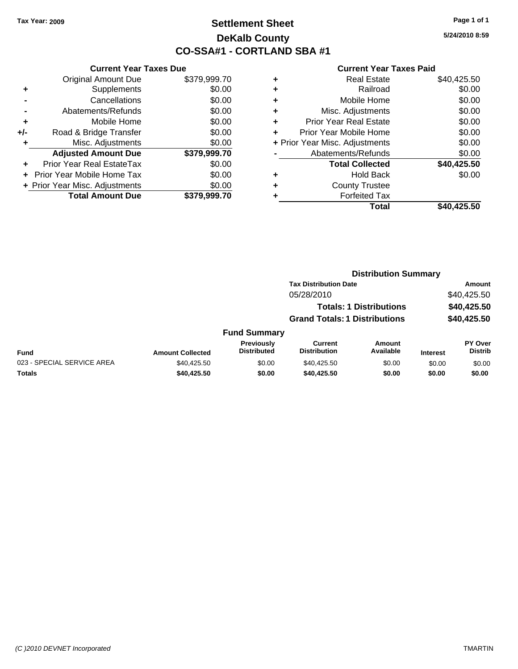# **Settlement Sheet Tax Year: 2009 Page 1 of 1 DeKalb County CO-SSA#1 - CORTLAND SBA #1**

**5/24/2010 8:59**

|     | <b>Current Year Taxes Due</b>  |              |  |  |  |
|-----|--------------------------------|--------------|--|--|--|
|     | <b>Original Amount Due</b>     | \$379,999.70 |  |  |  |
| ٠   | Supplements                    | \$0.00       |  |  |  |
|     | Cancellations                  | \$0.00       |  |  |  |
|     | Abatements/Refunds             | \$0.00       |  |  |  |
| ÷   | Mobile Home                    | \$0.00       |  |  |  |
| +/- | Road & Bridge Transfer         | \$0.00       |  |  |  |
|     | Misc. Adjustments              | \$0.00       |  |  |  |
|     | <b>Adjusted Amount Due</b>     | \$379,999.70 |  |  |  |
| ٠   | Prior Year Real EstateTax      | \$0.00       |  |  |  |
|     | Prior Year Mobile Home Tax     | \$0.00       |  |  |  |
|     | + Prior Year Misc. Adjustments | \$0.00       |  |  |  |
|     | <b>Total Amount Due</b>        | \$379,999.70 |  |  |  |
|     |                                |              |  |  |  |

| \$40,425.50<br><b>Real Estate</b>        |
|------------------------------------------|
| \$0.00<br>Railroad                       |
| \$0.00<br>Mobile Home                    |
| \$0.00<br>Misc. Adjustments              |
| \$0.00<br><b>Prior Year Real Estate</b>  |
| \$0.00<br>Prior Year Mobile Home         |
| \$0.00<br>+ Prior Year Misc. Adjustments |
| \$0.00<br>Abatements/Refunds             |
| \$40,425.50<br><b>Total Collected</b>    |
| \$0.00<br><b>Hold Back</b>               |
| <b>County Trustee</b>                    |
| <b>Forfeited Tax</b>                     |
| Total<br>\$40,425.50                     |
|                                          |

|                            | <b>Distribution Summary</b> |                                  |                                      |                                |                 |                           |
|----------------------------|-----------------------------|----------------------------------|--------------------------------------|--------------------------------|-----------------|---------------------------|
|                            |                             |                                  | <b>Tax Distribution Date</b>         |                                |                 | Amount                    |
|                            |                             |                                  | 05/28/2010                           |                                |                 | \$40,425.50               |
|                            |                             |                                  |                                      | <b>Totals: 1 Distributions</b> |                 | \$40,425.50               |
|                            |                             |                                  | <b>Grand Totals: 1 Distributions</b> |                                |                 | \$40,425.50               |
|                            |                             | <b>Fund Summary</b>              |                                      |                                |                 |                           |
| <b>Fund</b>                | <b>Amount Collected</b>     | Previously<br><b>Distributed</b> | Current<br><b>Distribution</b>       | Amount<br>Available            | <b>Interest</b> | PY Over<br><b>Distrib</b> |
| 023 - SPECIAL SERVICE AREA | \$40,425.50                 | \$0.00                           | \$40,425.50                          | \$0.00                         | \$0.00          | \$0.00                    |
| Totals                     | \$40,425.50                 | \$0.00                           | \$40,425.50                          | \$0.00                         | \$0.00          | \$0.00                    |
|                            |                             |                                  |                                      |                                |                 |                           |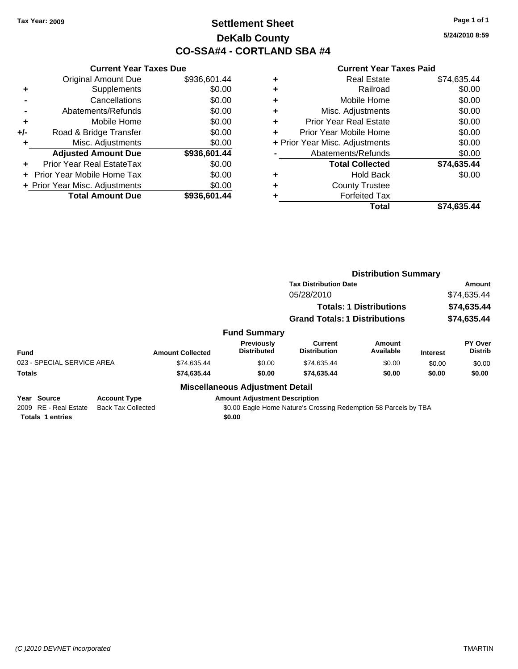# **Settlement Sheet Tax Year: 2009 Page 1 of 1 DeKalb County CO-SSA#4 - CORTLAND SBA #4**

**5/24/2010 8:59**

### **Current Year Taxes Paid**

|       | <b>Current Year Taxes Due</b>     |              |  |  |  |
|-------|-----------------------------------|--------------|--|--|--|
|       | <b>Original Amount Due</b>        | \$936,601.44 |  |  |  |
| ٠     | Supplements                       | \$0.00       |  |  |  |
|       | Cancellations                     | \$0.00       |  |  |  |
|       | Abatements/Refunds                | \$0.00       |  |  |  |
| ٠     | Mobile Home                       | \$0.00       |  |  |  |
| $+/-$ | Road & Bridge Transfer            | \$0.00       |  |  |  |
| ٠     | Misc. Adjustments                 | \$0.00       |  |  |  |
|       | <b>Adjusted Amount Due</b>        | \$936,601.44 |  |  |  |
| ÷     | Prior Year Real EstateTax         | \$0.00       |  |  |  |
|       | <b>Prior Year Mobile Home Tax</b> | \$0.00       |  |  |  |
|       | + Prior Year Misc. Adjustments    | \$0.00       |  |  |  |
|       | <b>Total Amount Due</b>           | \$936,601.44 |  |  |  |
|       |                                   |              |  |  |  |

|   | <b>Real Estate</b>             | \$74,635.44 |
|---|--------------------------------|-------------|
| ٠ | Railroad                       | \$0.00      |
| ٠ | Mobile Home                    | \$0.00      |
| ٠ | Misc. Adjustments              | \$0.00      |
| ÷ | <b>Prior Year Real Estate</b>  | \$0.00      |
| ٠ | Prior Year Mobile Home         | \$0.00      |
|   | + Prior Year Misc. Adjustments | \$0.00      |
|   | Abatements/Refunds             | \$0.00      |
|   | <b>Total Collected</b>         | \$74,635.44 |
| ٠ | Hold Back                      | \$0.00      |
| ٠ | <b>County Trustee</b>          |             |
|   | <b>Forfeited Tax</b>           |             |
|   | Total                          | \$74.635.44 |

|                            |                     |                         |                                         | <b>Distribution Summary</b>          |                                |                 |                           |  |
|----------------------------|---------------------|-------------------------|-----------------------------------------|--------------------------------------|--------------------------------|-----------------|---------------------------|--|
|                            |                     |                         |                                         | <b>Tax Distribution Date</b>         |                                |                 | Amount                    |  |
|                            |                     |                         | 05/28/2010                              |                                      |                                | \$74,635.44     |                           |  |
|                            |                     |                         |                                         |                                      | <b>Totals: 1 Distributions</b> |                 | \$74,635.44               |  |
|                            |                     |                         |                                         | <b>Grand Totals: 1 Distributions</b> |                                |                 | \$74,635.44               |  |
|                            |                     |                         | <b>Fund Summary</b>                     |                                      |                                |                 |                           |  |
| <b>Fund</b>                |                     | <b>Amount Collected</b> | <b>Previously</b><br><b>Distributed</b> | Current<br><b>Distribution</b>       | Amount<br>Available            | <b>Interest</b> | PY Over<br><b>Distrib</b> |  |
| 023 - SPECIAL SERVICE AREA |                     | \$74,635.44             | \$0.00                                  | \$74,635.44                          | \$0.00                         | \$0.00          | \$0.00                    |  |
| <b>Totals</b>              |                     | \$74,635.44             | \$0.00                                  | \$74,635.44                          | \$0.00                         | \$0.00          | \$0.00                    |  |
|                            |                     |                         | <b>Miscellaneous Adjustment Detail</b>  |                                      |                                |                 |                           |  |
| Year<br>Source             | <b>Account Type</b> |                         | <b>Amount Adjustment Description</b>    |                                      |                                |                 |                           |  |

**Totals 1 entries \$0.00**

2009 RE - Real Estate Back Tax Collected \$0.00 Eagle Home Nature's Crossing Redemption 58 Parcels by TBA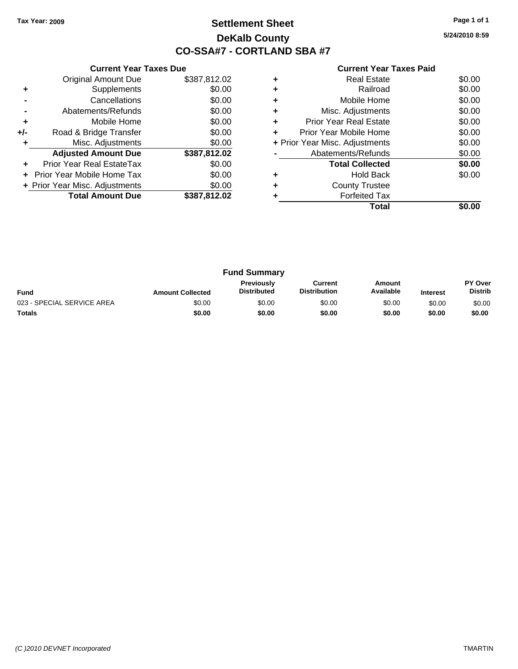# **Settlement Sheet Tax Year: 2009 Page 1 of 1 DeKalb County CO-SSA#7 - CORTLAND SBA #7**

**5/24/2010 8:59**

|     | <b>Current Year Taxes Due</b>  |              |  |  |  |
|-----|--------------------------------|--------------|--|--|--|
|     | <b>Original Amount Due</b>     | \$387,812.02 |  |  |  |
| ٠   | Supplements                    | \$0.00       |  |  |  |
|     | Cancellations                  | \$0.00       |  |  |  |
|     | Abatements/Refunds             | \$0.00       |  |  |  |
| ٠   | Mobile Home                    | \$0.00       |  |  |  |
| +/- | Road & Bridge Transfer         | \$0.00       |  |  |  |
| ٠   | Misc. Adjustments              | \$0.00       |  |  |  |
|     | <b>Adjusted Amount Due</b>     | \$387,812.02 |  |  |  |
| ٠   | Prior Year Real EstateTax      | \$0.00       |  |  |  |
|     | Prior Year Mobile Home Tax     | \$0.00       |  |  |  |
|     | + Prior Year Misc. Adjustments | \$0.00       |  |  |  |
|     | <b>Total Amount Due</b>        | \$387,812.02 |  |  |  |
|     |                                |              |  |  |  |

|   | Total                          |        |
|---|--------------------------------|--------|
|   | <b>Forfeited Tax</b>           |        |
| ٠ | <b>County Trustee</b>          |        |
|   | <b>Hold Back</b>               | \$0.00 |
|   | <b>Total Collected</b>         | \$0.00 |
|   | Abatements/Refunds             | \$0.00 |
|   | + Prior Year Misc. Adjustments | \$0.00 |
| ÷ | Prior Year Mobile Home         | \$0.00 |
| ٠ | <b>Prior Year Real Estate</b>  | \$0.00 |
| ٠ | Misc. Adjustments              | \$0.00 |
| ٠ | Mobile Home                    | \$0.00 |
|   | Railroad                       | \$0.00 |
| ٠ | <b>Real Estate</b>             | \$0.00 |
|   |                                |        |

| <b>Fund Summary</b>        |                         |                                         |                                |                     |                 |                                  |
|----------------------------|-------------------------|-----------------------------------------|--------------------------------|---------------------|-----------------|----------------------------------|
| <b>Fund</b>                | <b>Amount Collected</b> | <b>Previously</b><br><b>Distributed</b> | Current<br><b>Distribution</b> | Amount<br>Available | <b>Interest</b> | <b>PY Over</b><br><b>Distrib</b> |
| 023 - SPECIAL SERVICE AREA | \$0.00                  | \$0.00                                  | \$0.00                         | \$0.00              | \$0.00          | \$0.00                           |
| <b>Totals</b>              | \$0.00                  | \$0.00                                  | \$0.00                         | \$0.00              | \$0.00          | \$0.00                           |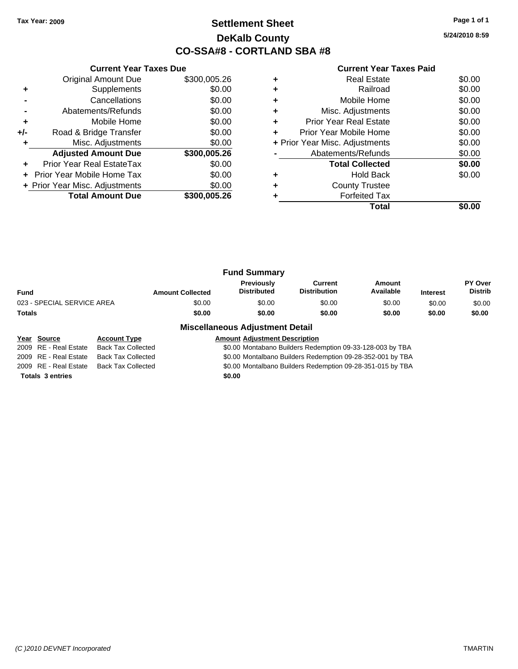# **Settlement Sheet Tax Year: 2009 Page 1 of 1 DeKalb County CO-SSA#8 - CORTLAND SBA #8**

**5/24/2010 8:59**

### **Current Year Taxes Paid**

|     | <b>Original Amount Due</b>     | \$300,005.26 |
|-----|--------------------------------|--------------|
| ٠   | Supplements                    | \$0.00       |
|     | Cancellations                  | \$0.00       |
|     | Abatements/Refunds             | \$0.00       |
| ÷   | Mobile Home                    | \$0.00       |
| +/- | Road & Bridge Transfer         | \$0.00       |
|     | Misc. Adjustments              | \$0.00       |
|     | <b>Adjusted Amount Due</b>     | \$300,005.26 |
|     | Prior Year Real EstateTax      | \$0.00       |
|     | Prior Year Mobile Home Tax     | \$0.00       |
|     | + Prior Year Misc. Adjustments | \$0.00       |
|     | <b>Total Amount Due</b>        | \$300,005.26 |
|     |                                |              |

**Current Year Taxes Due**

|   | <b>Real Estate</b>             | \$0.00 |
|---|--------------------------------|--------|
|   | Railroad                       | \$0.00 |
| ٠ | Mobile Home                    | \$0.00 |
| ٠ | Misc. Adjustments              | \$0.00 |
| ٠ | <b>Prior Year Real Estate</b>  | \$0.00 |
| ٠ | Prior Year Mobile Home         | \$0.00 |
|   | + Prior Year Misc. Adjustments | \$0.00 |
|   | Abatements/Refunds             | \$0.00 |
|   | <b>Total Collected</b>         | \$0.00 |
|   | <b>Hold Back</b>               | \$0.00 |
| ٠ | <b>County Trustee</b>          |        |
|   | <b>Forfeited Tax</b>           |        |
|   | Total                          |        |

| <b>Fund Summary</b>        |                         |                                         |                                |                     |                 |                                  |
|----------------------------|-------------------------|-----------------------------------------|--------------------------------|---------------------|-----------------|----------------------------------|
| Fund                       | <b>Amount Collected</b> | <b>Previously</b><br><b>Distributed</b> | Current<br><b>Distribution</b> | Amount<br>Available | <b>Interest</b> | <b>PY Over</b><br><b>Distrib</b> |
| 023 - SPECIAL SERVICE AREA | \$0.00                  | \$0.00                                  | \$0.00                         | \$0.00              | \$0.00          | \$0.00                           |
| Totals                     | \$0.00                  | \$0.00                                  | \$0.00                         | \$0.00              | \$0.00          | \$0.00                           |

### **Miscellaneous Adjustment Detail**

### **Year Source Account Type Amount Adjustment Description** 2009 RE - Real Estate Back Tax Collected \$0.00 Montabano Builders Redemption 09-33-128-003 by TBA 2009 RE - Real Estate Back Tax Collected \$0.00 Montalbano Builders Redemption 09-28-352-001 by TBA 2009 RE - Real Estate Back Tax Collected \$0.00 Montalbano Builders Redemption 09-28-351-015 by TBA **Totals 3 entries \$0.00**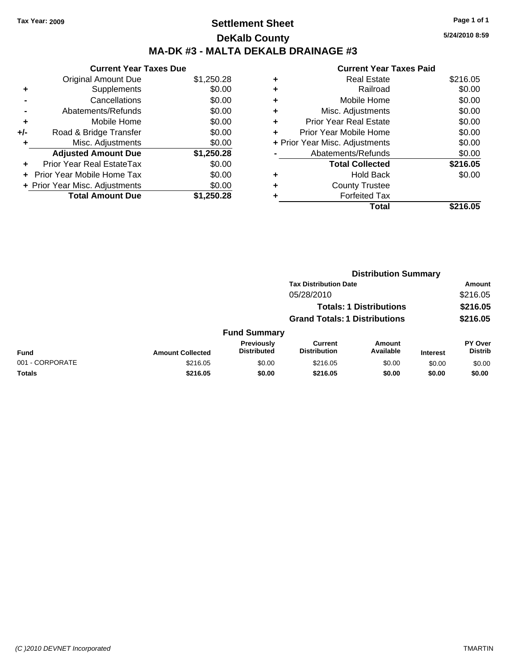# **Settlement Sheet Tax Year: 2009 Page 1 of 1 DeKalb County MA-DK #3 - MALTA DEKALB DRAINAGE #3**

**5/24/2010 8:59**

|       | <b>Current Year Taxes Due</b>     |            |  |  |  |  |
|-------|-----------------------------------|------------|--|--|--|--|
|       | <b>Original Amount Due</b>        | \$1,250.28 |  |  |  |  |
|       | Supplements                       | \$0.00     |  |  |  |  |
|       | Cancellations                     | \$0.00     |  |  |  |  |
|       | Abatements/Refunds                | \$0.00     |  |  |  |  |
| ٠     | Mobile Home                       | \$0.00     |  |  |  |  |
| $+/-$ | Road & Bridge Transfer            | \$0.00     |  |  |  |  |
| ٠     | Misc. Adjustments                 | \$0.00     |  |  |  |  |
|       | <b>Adjusted Amount Due</b>        | \$1,250.28 |  |  |  |  |
| ÷     | Prior Year Real EstateTax         | \$0.00     |  |  |  |  |
|       | <b>Prior Year Mobile Home Tax</b> | \$0.00     |  |  |  |  |
|       | + Prior Year Misc. Adjustments    | \$0.00     |  |  |  |  |
|       | <b>Total Amount Due</b>           | \$1.250.28 |  |  |  |  |
|       |                                   |            |  |  |  |  |

|   | Total                          | \$216.05 |
|---|--------------------------------|----------|
|   | <b>Forfeited Tax</b>           |          |
| ٠ | <b>County Trustee</b>          |          |
| ٠ | <b>Hold Back</b>               | \$0.00   |
|   | <b>Total Collected</b>         | \$216.05 |
|   | Abatements/Refunds             | \$0.00   |
|   | + Prior Year Misc. Adjustments | \$0.00   |
| ٠ | Prior Year Mobile Home         | \$0.00   |
| ÷ | <b>Prior Year Real Estate</b>  | \$0.00   |
| ٠ | Misc. Adjustments              | \$0.00   |
| ٠ | Mobile Home                    | \$0.00   |
| ÷ | Railroad                       | \$0.00   |
| ٠ | <b>Real Estate</b>             | \$216.05 |
|   |                                |          |

|                 | <b>Distribution Summary</b> |                                                                        |                                |                     |                      |                           |
|-----------------|-----------------------------|------------------------------------------------------------------------|--------------------------------|---------------------|----------------------|---------------------------|
|                 |                             |                                                                        | <b>Tax Distribution Date</b>   |                     |                      | Amount                    |
|                 |                             |                                                                        | 05/28/2010                     |                     |                      | \$216.05                  |
|                 |                             | <b>Totals: 1 Distributions</b><br><b>Grand Totals: 1 Distributions</b> |                                |                     | \$216.05<br>\$216.05 |                           |
|                 |                             |                                                                        |                                |                     |                      |                           |
|                 |                             | <b>Fund Summary</b>                                                    |                                |                     |                      |                           |
| <b>Fund</b>     | <b>Amount Collected</b>     | <b>Previously</b><br><b>Distributed</b>                                | Current<br><b>Distribution</b> | Amount<br>Available | <b>Interest</b>      | PY Over<br><b>Distrib</b> |
| 001 - CORPORATE | \$216.05                    | \$0.00                                                                 | \$216.05                       | \$0.00              | \$0.00               | \$0.00                    |
| Totals          | \$216.05                    | \$0.00                                                                 | \$216.05                       | \$0.00              | \$0.00               | \$0.00                    |
|                 |                             |                                                                        |                                |                     |                      |                           |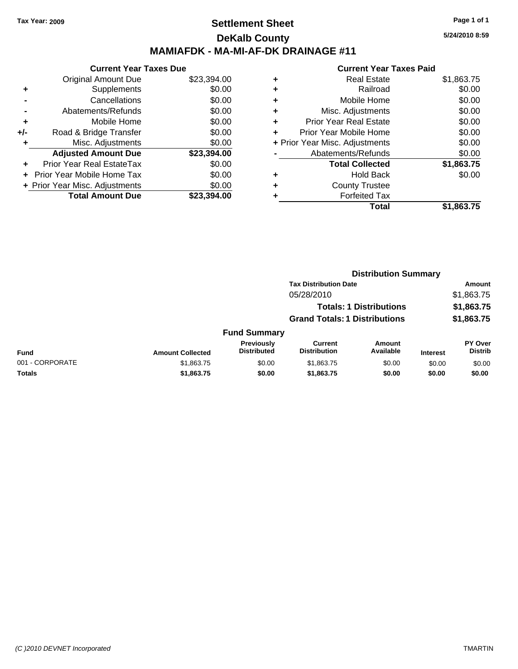# **Settlement Sheet Tax Year: 2009 Page 1 of 1 DeKalb County MAMIAFDK - MA-MI-AF-DK DRAINAGE #11**

**5/24/2010 8:59**

| <b>Current Year Taxes Due</b>     |                                |  |  |  |  |
|-----------------------------------|--------------------------------|--|--|--|--|
| <b>Original Amount Due</b>        | \$23,394.00                    |  |  |  |  |
| Supplements                       | \$0.00                         |  |  |  |  |
| Cancellations                     | \$0.00                         |  |  |  |  |
| Abatements/Refunds                | \$0.00                         |  |  |  |  |
| Mobile Home                       | \$0.00                         |  |  |  |  |
| Road & Bridge Transfer            | \$0.00                         |  |  |  |  |
| Misc. Adjustments                 | \$0.00                         |  |  |  |  |
| <b>Adjusted Amount Due</b>        | \$23,394.00                    |  |  |  |  |
| Prior Year Real EstateTax         | \$0.00                         |  |  |  |  |
| <b>Prior Year Mobile Home Tax</b> | \$0.00                         |  |  |  |  |
|                                   | \$0.00                         |  |  |  |  |
| <b>Total Amount Due</b>           | \$23.394.00                    |  |  |  |  |
|                                   | + Prior Year Misc. Adjustments |  |  |  |  |

|                 |                         | <b>Distribution Summary</b>      |                                       |                                |                 |                                  |
|-----------------|-------------------------|----------------------------------|---------------------------------------|--------------------------------|-----------------|----------------------------------|
|                 |                         |                                  | <b>Tax Distribution Date</b>          |                                |                 | Amount                           |
|                 |                         |                                  | 05/28/2010                            |                                |                 | \$1,863.75                       |
|                 |                         |                                  |                                       | <b>Totals: 1 Distributions</b> |                 | \$1,863.75                       |
|                 |                         |                                  | <b>Grand Totals: 1 Distributions</b>  |                                |                 | \$1,863.75                       |
|                 |                         | <b>Fund Summary</b>              |                                       |                                |                 |                                  |
| <b>Fund</b>     | <b>Amount Collected</b> | Previously<br><b>Distributed</b> | <b>Current</b><br><b>Distribution</b> | Amount<br>Available            | <b>Interest</b> | <b>PY Over</b><br><b>Distrib</b> |
| 001 - CORPORATE | \$1,863.75              | \$0.00                           | \$1,863.75                            | \$0.00                         | \$0.00          | \$0.00                           |
| Totals          | \$1,863.75              | \$0.00                           | \$1,863.75                            | \$0.00                         | \$0.00          | \$0.00                           |
|                 |                         |                                  |                                       |                                |                 |                                  |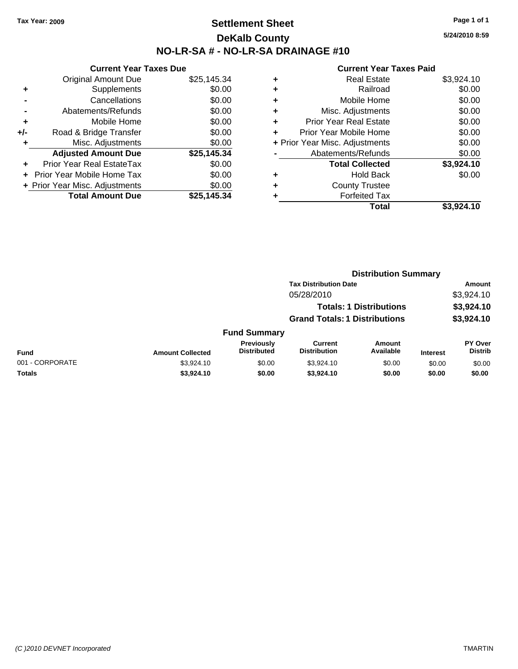# **Settlement Sheet Tax Year: 2009 Page 1 of 1 DeKalb County NO-LR-SA # - NO-LR-SA DRAINAGE #10**

**5/24/2010 8:59**

|     | <b>Current Year Taxes Due</b>  |             |
|-----|--------------------------------|-------------|
|     | <b>Original Amount Due</b>     | \$25,145.34 |
| ٠   | Supplements                    | \$0.00      |
|     | Cancellations                  | \$0.00      |
|     | Abatements/Refunds             | \$0.00      |
| ٠   | Mobile Home                    | \$0.00      |
| +/- | Road & Bridge Transfer         | \$0.00      |
| ٠   | Misc. Adjustments              | \$0.00      |
|     | <b>Adjusted Amount Due</b>     | \$25,145.34 |
| ÷   | Prior Year Real EstateTax      | \$0.00      |
|     | Prior Year Mobile Home Tax     | \$0.00      |
|     | + Prior Year Misc. Adjustments | \$0.00      |
|     | <b>Total Amount Due</b>        | \$25.145.34 |

| \$3,924.10 |
|------------|
| \$0.00     |
| \$0.00     |
| \$0.00     |
| \$0.00     |
| \$0.00     |
| \$0.00     |
| \$0.00     |
| \$3,924.10 |
| \$0.00     |
|            |
|            |
| \$3.924.10 |
|            |

|                 |                         |                                         |                                       | <b>Distribution Summary</b> |                 |                           |
|-----------------|-------------------------|-----------------------------------------|---------------------------------------|-----------------------------|-----------------|---------------------------|
|                 |                         |                                         | <b>Tax Distribution Date</b>          |                             |                 | Amount                    |
|                 |                         |                                         | 05/28/2010                            |                             |                 | \$3,924.10                |
|                 |                         |                                         | <b>Totals: 1 Distributions</b>        |                             |                 | \$3,924.10                |
|                 |                         | <b>Grand Totals: 1 Distributions</b>    |                                       | \$3,924.10                  |                 |                           |
|                 |                         | <b>Fund Summary</b>                     |                                       |                             |                 |                           |
| <b>Fund</b>     | <b>Amount Collected</b> | <b>Previously</b><br><b>Distributed</b> | <b>Current</b><br><b>Distribution</b> | <b>Amount</b><br>Available  | <b>Interest</b> | PY Over<br><b>Distrib</b> |
| 001 - CORPORATE | \$3,924.10              | \$0.00                                  | \$3,924.10                            | \$0.00                      | \$0.00          | \$0.00                    |
| Totals          | \$3,924.10              | \$0.00                                  | \$3,924.10                            | \$0.00                      | \$0.00          | \$0.00                    |
|                 |                         |                                         |                                       |                             |                 |                           |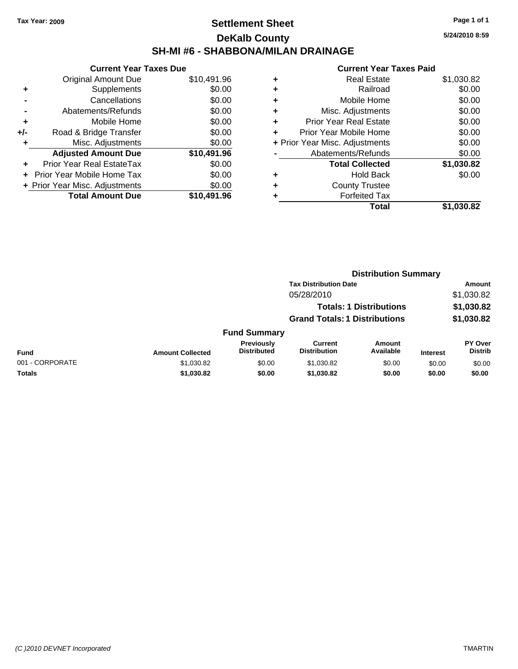# **Settlement Sheet Tax Year: 2009 Page 1 of 1 DeKalb County SH-MI #6 - SHABBONA/MILAN DRAINAGE**

**5/24/2010 8:59**

| <b>Current Year Taxes Due</b>     |                                |  |  |  |  |
|-----------------------------------|--------------------------------|--|--|--|--|
| <b>Original Amount Due</b>        | \$10,491.96                    |  |  |  |  |
| Supplements                       | \$0.00                         |  |  |  |  |
| Cancellations                     | \$0.00                         |  |  |  |  |
| Abatements/Refunds                | \$0.00                         |  |  |  |  |
| Mobile Home                       | \$0.00                         |  |  |  |  |
| Road & Bridge Transfer            | \$0.00                         |  |  |  |  |
| Misc. Adjustments                 | \$0.00                         |  |  |  |  |
| <b>Adjusted Amount Due</b>        | \$10,491.96                    |  |  |  |  |
| Prior Year Real EstateTax         | \$0.00                         |  |  |  |  |
| <b>Prior Year Mobile Home Tax</b> | \$0.00                         |  |  |  |  |
|                                   | \$0.00                         |  |  |  |  |
| <b>Total Amount Due</b>           | \$10,491.96                    |  |  |  |  |
|                                   | + Prior Year Misc. Adjustments |  |  |  |  |

|   | <b>Real Estate</b>             | \$1,030.82 |
|---|--------------------------------|------------|
| ٠ | Railroad                       | \$0.00     |
| ٠ | Mobile Home                    | \$0.00     |
| ٠ | Misc. Adjustments              | \$0.00     |
| ÷ | <b>Prior Year Real Estate</b>  | \$0.00     |
| ÷ | Prior Year Mobile Home         | \$0.00     |
|   | + Prior Year Misc. Adjustments | \$0.00     |
|   | Abatements/Refunds             | \$0.00     |
|   | <b>Total Collected</b>         | \$1,030.82 |
| ٠ | <b>Hold Back</b>               | \$0.00     |
| ٠ | <b>County Trustee</b>          |            |
| ٠ | <b>Forfeited Tax</b>           |            |
|   | Total                          | \$1,030.82 |
|   |                                |            |

|                 |                         | <b>Distribution Summary</b>      |                                       |                                |                 |                           |  |
|-----------------|-------------------------|----------------------------------|---------------------------------------|--------------------------------|-----------------|---------------------------|--|
|                 |                         |                                  | <b>Tax Distribution Date</b>          |                                |                 | Amount                    |  |
|                 |                         |                                  | 05/28/2010                            |                                |                 | \$1,030.82                |  |
|                 |                         |                                  |                                       | <b>Totals: 1 Distributions</b> |                 | \$1,030.82                |  |
|                 |                         |                                  | <b>Grand Totals: 1 Distributions</b>  |                                |                 | \$1,030.82                |  |
|                 |                         | <b>Fund Summary</b>              |                                       |                                |                 |                           |  |
| Fund            | <b>Amount Collected</b> | Previously<br><b>Distributed</b> | <b>Current</b><br><b>Distribution</b> | Amount<br>Available            | <b>Interest</b> | PY Over<br><b>Distrib</b> |  |
| 001 - CORPORATE | \$1,030.82              | \$0.00                           | \$1,030.82                            | \$0.00                         | \$0.00          | \$0.00                    |  |
| Totals          | \$1,030.82              | \$0.00                           | \$1,030.82                            | \$0.00                         | \$0.00          | \$0.00                    |  |
|                 |                         |                                  |                                       |                                |                 |                           |  |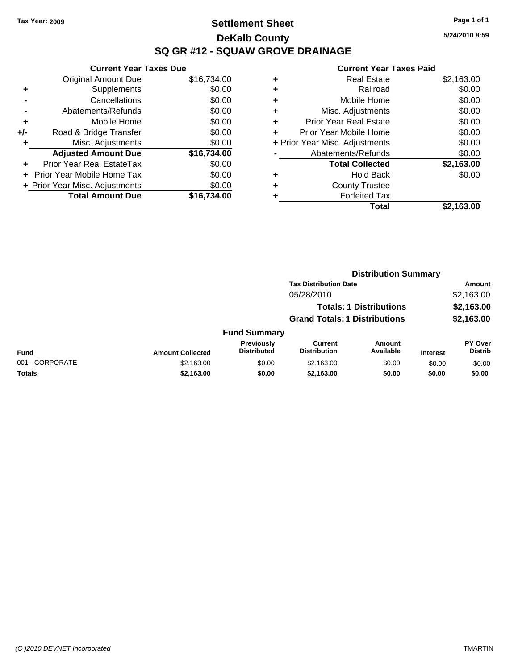# **Settlement Sheet Tax Year: 2009 Page 1 of 1 DeKalb County SQ GR #12 - SQUAW GROVE DRAINAGE**

**5/24/2010 8:59**

|     | <b>Current Year Taxes Due</b>  |             |  |  |  |  |
|-----|--------------------------------|-------------|--|--|--|--|
|     | <b>Original Amount Due</b>     | \$16,734.00 |  |  |  |  |
| ٠   | Supplements                    | \$0.00      |  |  |  |  |
|     | Cancellations                  | \$0.00      |  |  |  |  |
|     | Abatements/Refunds             | \$0.00      |  |  |  |  |
| ٠   | Mobile Home                    | \$0.00      |  |  |  |  |
| +/- | Road & Bridge Transfer         | \$0.00      |  |  |  |  |
| ٠   | Misc. Adjustments              | \$0.00      |  |  |  |  |
|     | <b>Adjusted Amount Due</b>     | \$16,734.00 |  |  |  |  |
|     | Prior Year Real EstateTax      | \$0.00      |  |  |  |  |
|     | Prior Year Mobile Home Tax     | \$0.00      |  |  |  |  |
|     | + Prior Year Misc. Adjustments | \$0.00      |  |  |  |  |
|     | <b>Total Amount Due</b>        | \$16.734.00 |  |  |  |  |

| \$2,163.00 |
|------------|
| \$0.00     |
| \$0.00     |
| \$0.00     |
| \$0.00     |
| \$0.00     |
| \$0.00     |
| \$0.00     |
| \$2,163.00 |
| \$0.00     |
|            |
|            |
| \$2,163.00 |
|            |

|                 |                         | <b>Distribution Summary</b>             |                                       |                                |                 |                                  |
|-----------------|-------------------------|-----------------------------------------|---------------------------------------|--------------------------------|-----------------|----------------------------------|
|                 |                         |                                         | <b>Tax Distribution Date</b>          |                                |                 | Amount                           |
|                 |                         |                                         | 05/28/2010                            |                                |                 | \$2,163.00                       |
|                 |                         |                                         |                                       | <b>Totals: 1 Distributions</b> |                 | \$2,163.00                       |
|                 |                         |                                         | <b>Grand Totals: 1 Distributions</b>  |                                |                 | \$2,163.00                       |
|                 |                         | <b>Fund Summary</b>                     |                                       |                                |                 |                                  |
| Fund            | <b>Amount Collected</b> | <b>Previously</b><br><b>Distributed</b> | <b>Current</b><br><b>Distribution</b> | <b>Amount</b><br>Available     | <b>Interest</b> | <b>PY Over</b><br><b>Distrib</b> |
| 001 - CORPORATE | \$2,163.00              | \$0.00                                  | \$2,163.00                            | \$0.00                         | \$0.00          | \$0.00                           |
| Totals          | \$2,163.00              | \$0.00                                  | \$2,163.00                            | \$0.00                         | \$0.00          | \$0.00                           |
|                 |                         |                                         |                                       |                                |                 |                                  |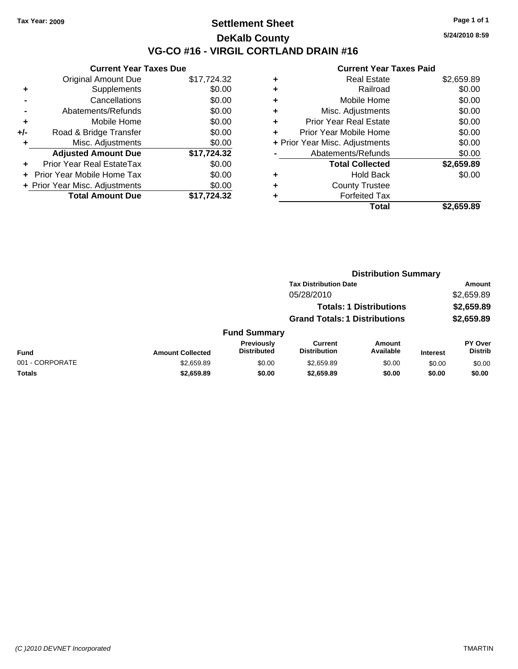# **Settlement Sheet Tax Year: 2009 Page 1 of 1 DeKalb County VG-CO #16 - VIRGIL CORTLAND DRAIN #16**

**5/24/2010 8:59**

|     | <b>Current Year Taxes Due</b>     |             |  |  |  |  |
|-----|-----------------------------------|-------------|--|--|--|--|
|     | <b>Original Amount Due</b>        | \$17,724.32 |  |  |  |  |
| ٠   | Supplements                       | \$0.00      |  |  |  |  |
|     | Cancellations                     | \$0.00      |  |  |  |  |
|     | Abatements/Refunds                | \$0.00      |  |  |  |  |
| ٠   | Mobile Home                       | \$0.00      |  |  |  |  |
| +/- | Road & Bridge Transfer            | \$0.00      |  |  |  |  |
| ÷   | Misc. Adjustments                 | \$0.00      |  |  |  |  |
|     | <b>Adjusted Amount Due</b>        | \$17,724.32 |  |  |  |  |
|     | <b>Prior Year Real EstateTax</b>  | \$0.00      |  |  |  |  |
|     | <b>Prior Year Mobile Home Tax</b> | \$0.00      |  |  |  |  |
|     | + Prior Year Misc. Adjustments    | \$0.00      |  |  |  |  |
|     | <b>Total Amount Due</b>           | \$17.724.32 |  |  |  |  |

| ٠                              | Real Estate                   | \$2,659.89 |
|--------------------------------|-------------------------------|------------|
| ٠                              | Railroad                      | \$0.00     |
| ٠                              | Mobile Home                   | \$0.00     |
| ٠                              | Misc. Adjustments             | \$0.00     |
| ٠                              | <b>Prior Year Real Estate</b> | \$0.00     |
| ٠                              | Prior Year Mobile Home        | \$0.00     |
| + Prior Year Misc. Adjustments |                               | \$0.00     |
|                                | Abatements/Refunds            | \$0.00     |
|                                | <b>Total Collected</b>        | \$2,659.89 |
| ٠                              | <b>Hold Back</b>              | \$0.00     |
| ٠                              | <b>County Trustee</b>         |            |
| ٠                              | <b>Forfeited Tax</b>          |            |
|                                | Total                         | \$2,659.89 |
|                                |                               |            |

|                         |                                         | <b>Distribution Summary</b>           |                            |                                                                        |                                  |  |
|-------------------------|-----------------------------------------|---------------------------------------|----------------------------|------------------------------------------------------------------------|----------------------------------|--|
|                         |                                         | <b>Tax Distribution Date</b>          |                            |                                                                        | Amount                           |  |
|                         |                                         | 05/28/2010                            |                            |                                                                        | \$2,659.89                       |  |
|                         |                                         |                                       |                            |                                                                        | \$2,659.89                       |  |
|                         |                                         |                                       |                            |                                                                        | \$2,659.89                       |  |
|                         |                                         |                                       |                            |                                                                        |                                  |  |
| <b>Amount Collected</b> | <b>Previously</b><br><b>Distributed</b> | <b>Current</b><br><b>Distribution</b> | <b>Amount</b><br>Available | <b>Interest</b>                                                        | <b>PY Over</b><br><b>Distrib</b> |  |
| \$2,659.89              | \$0.00                                  | \$2,659.89                            | \$0.00                     | \$0.00                                                                 | \$0.00                           |  |
| \$2,659.89              | \$0.00                                  | \$2,659.89                            | \$0.00                     | \$0.00                                                                 | \$0.00                           |  |
|                         |                                         |                                       | <b>Fund Summary</b>        | <b>Totals: 1 Distributions</b><br><b>Grand Totals: 1 Distributions</b> |                                  |  |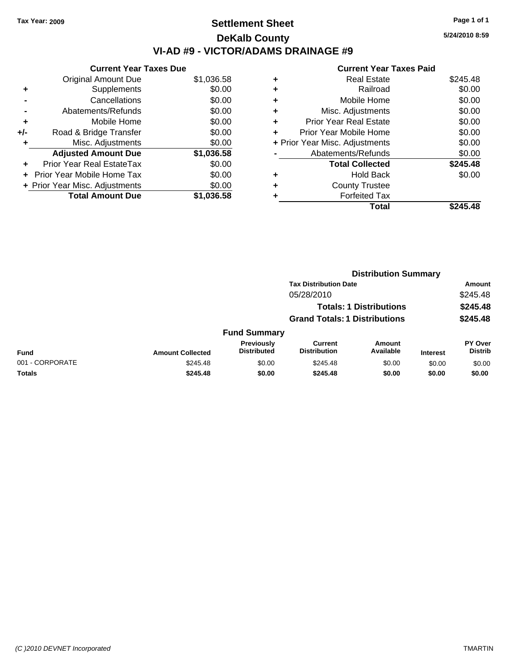# **Settlement Sheet Tax Year: 2009 Page 1 of 1 DeKalb County VI-AD #9 - VICTOR/ADAMS DRAINAGE #9**

**5/24/2010 8:59**

|     | <b>Current Year Taxes Due</b>  |            |  |  |  |  |
|-----|--------------------------------|------------|--|--|--|--|
|     | <b>Original Amount Due</b>     | \$1,036.58 |  |  |  |  |
| ٠   | Supplements                    | \$0.00     |  |  |  |  |
|     | Cancellations                  | \$0.00     |  |  |  |  |
|     | Abatements/Refunds             | \$0.00     |  |  |  |  |
| ٠   | Mobile Home                    | \$0.00     |  |  |  |  |
| +/- | Road & Bridge Transfer         | \$0.00     |  |  |  |  |
| ٠   | Misc. Adjustments              | \$0.00     |  |  |  |  |
|     | <b>Adjusted Amount Due</b>     | \$1,036.58 |  |  |  |  |
| ÷   | Prior Year Real EstateTax      | \$0.00     |  |  |  |  |
|     | Prior Year Mobile Home Tax     | \$0.00     |  |  |  |  |
|     | + Prior Year Misc. Adjustments | \$0.00     |  |  |  |  |
|     | <b>Total Amount Due</b>        | \$1.036.58 |  |  |  |  |

|   | <b>Total</b>                   | \$245.48 |
|---|--------------------------------|----------|
| ٠ | <b>Forfeited Tax</b>           |          |
| ٠ | <b>County Trustee</b>          |          |
| ٠ | <b>Hold Back</b>               | \$0.00   |
|   | <b>Total Collected</b>         | \$245.48 |
|   | Abatements/Refunds             | \$0.00   |
|   | + Prior Year Misc. Adjustments | \$0.00   |
| ٠ | Prior Year Mobile Home         | \$0.00   |
| ٠ | <b>Prior Year Real Estate</b>  | \$0.00   |
| ٠ | Misc. Adjustments              | \$0.00   |
| ٠ | Mobile Home                    | \$0.00   |
| ٠ | Railroad                       | \$0.00   |
| ٠ | <b>Real Estate</b>             | \$245.48 |
|   |                                |          |

|                 |                         |                                  | <b>Distribution Summary</b>          |                                |                 |                                  |
|-----------------|-------------------------|----------------------------------|--------------------------------------|--------------------------------|-----------------|----------------------------------|
|                 |                         |                                  | <b>Tax Distribution Date</b>         |                                |                 | Amount                           |
|                 |                         |                                  | 05/28/2010                           |                                |                 | \$245.48                         |
|                 |                         |                                  |                                      | <b>Totals: 1 Distributions</b> |                 | \$245.48                         |
|                 |                         |                                  | <b>Grand Totals: 1 Distributions</b> |                                |                 | \$245.48                         |
|                 |                         | <b>Fund Summary</b>              |                                      |                                |                 |                                  |
| Fund            | <b>Amount Collected</b> | Previously<br><b>Distributed</b> | Current<br><b>Distribution</b>       | Amount<br>Available            | <b>Interest</b> | <b>PY Over</b><br><b>Distrib</b> |
| 001 - CORPORATE | \$245.48                | \$0.00                           | \$245.48                             | \$0.00                         | \$0.00          | \$0.00                           |
| Totals          | \$245.48                | \$0.00                           | \$245.48                             | \$0.00                         | \$0.00          | \$0.00                           |
|                 |                         |                                  |                                      |                                |                 |                                  |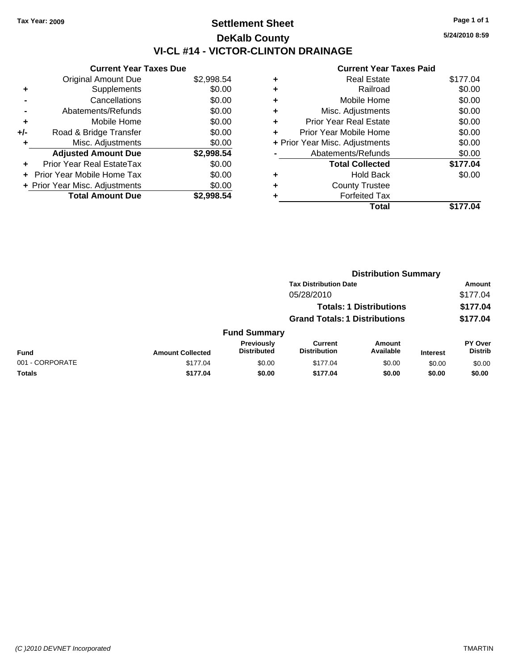# **Settlement Sheet Tax Year: 2009 Page 1 of 1 DeKalb County VI-CL #14 - VICTOR-CLINTON DRAINAGE**

**5/24/2010 8:59**

|     | <b>Current Year Taxes Due</b>  |            |  |  |  |  |
|-----|--------------------------------|------------|--|--|--|--|
|     | <b>Original Amount Due</b>     | \$2,998.54 |  |  |  |  |
| ÷   | Supplements                    | \$0.00     |  |  |  |  |
|     | Cancellations                  | \$0.00     |  |  |  |  |
|     | Abatements/Refunds             | \$0.00     |  |  |  |  |
| ٠   | Mobile Home                    | \$0.00     |  |  |  |  |
| +/- | Road & Bridge Transfer         | \$0.00     |  |  |  |  |
| ٠   | Misc. Adjustments              | \$0.00     |  |  |  |  |
|     | <b>Adjusted Amount Due</b>     | \$2,998.54 |  |  |  |  |
| ÷   | Prior Year Real EstateTax      | \$0.00     |  |  |  |  |
|     | Prior Year Mobile Home Tax     | \$0.00     |  |  |  |  |
|     | + Prior Year Misc. Adjustments | \$0.00     |  |  |  |  |
|     | <b>Total Amount Due</b>        | \$2.998.54 |  |  |  |  |

| ٠<br>٠                         | Railroad               | \$0.00   |
|--------------------------------|------------------------|----------|
|                                |                        |          |
|                                | Mobile Home            | \$0.00   |
| ٠                              | Misc. Adjustments      | \$0.00   |
| ٠                              | Prior Year Real Estate | \$0.00   |
| ÷                              | Prior Year Mobile Home | \$0.00   |
| + Prior Year Misc. Adjustments |                        | \$0.00   |
|                                | Abatements/Refunds     | \$0.00   |
|                                | <b>Total Collected</b> | \$177.04 |
| ٠                              | <b>Hold Back</b>       | \$0.00   |
| ٠                              | <b>County Trustee</b>  |          |
| ٠                              | <b>Forfeited Tax</b>   |          |
|                                | Total                  | \$177.04 |
|                                |                        |          |

|                 |                         |                                  | <b>Distribution Summary</b>          |                                |                 |                                  |
|-----------------|-------------------------|----------------------------------|--------------------------------------|--------------------------------|-----------------|----------------------------------|
|                 |                         |                                  | <b>Tax Distribution Date</b>         |                                |                 | Amount                           |
|                 |                         |                                  | 05/28/2010                           |                                |                 | \$177.04                         |
|                 |                         |                                  |                                      | <b>Totals: 1 Distributions</b> |                 | \$177.04                         |
|                 |                         |                                  | <b>Grand Totals: 1 Distributions</b> |                                |                 | \$177.04                         |
|                 |                         | <b>Fund Summary</b>              |                                      |                                |                 |                                  |
| Fund            | <b>Amount Collected</b> | Previously<br><b>Distributed</b> | Current<br><b>Distribution</b>       | Amount<br>Available            | <b>Interest</b> | <b>PY Over</b><br><b>Distrib</b> |
| 001 - CORPORATE | \$177.04                | \$0.00                           | \$177.04                             | \$0.00                         | \$0.00          | \$0.00                           |
| Totals          | \$177.04                | \$0.00                           | \$177.04                             | \$0.00                         | \$0.00          | \$0.00                           |
|                 |                         |                                  |                                      |                                |                 |                                  |